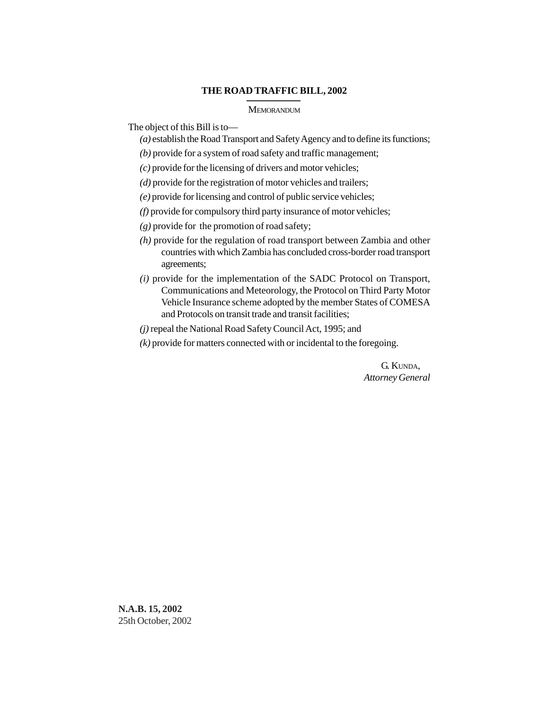#### **THE ROAD TRAFFIC BILL, 2002**

#### MEMORANDUM

The object of this Bill is to—

- *(a)* establish the Road Transport and Safety Agency and to define its functions;
- *(b)* provide for a system of road safety and traffic management;
- *(c)* provide for the licensing of drivers and motor vehicles;
- *(d)* provide for the registration of motor vehicles and trailers;
- *(e)* provide for licensing and control of public service vehicles;
- *(f)* provide for compulsory third party insurance of motor vehicles;
- *(g)* provide for the promotion of road safety;
- *(h)* provide for the regulation of road transport between Zambia and other countries with which Zambia has concluded cross-border road transport agreements;
- *(i)* provide for the implementation of the SADC Protocol on Transport, Communications and Meteorology, the Protocol on Third Party Motor Vehicle Insurance scheme adopted by the member States of COMESA and Protocols on transit trade and transit facilities;
- *(j)* repeal the National Road Safety Council Act, 1995; and
- *(k)* provide for matters connected with or incidental to the foregoing.

G. KUNDA, *Attorney General*

**N.A.B. 15, 2002** 25th October, 2002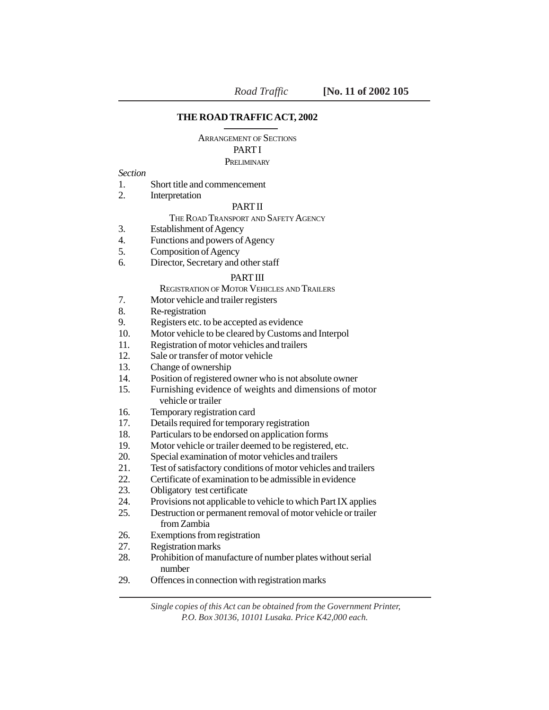## **THE ROAD TRAFFIC ACT, 2002**

ARRANGEMENT OF SECTIONS

#### PART I

#### PRELIMINARY

*Section*

- 1. Short title and commencement
- 2. Interpretation

# PART II

# THE ROAD TRANSPORT AND SAFETY AGENCY

- 3. Establishment of Agency
- 4. Functions and powers of Agency
- 5. Composition of Agency
- 6. Director, Secretary and other staff

# PART III

REGISTRATION OF MOTOR VEHICLES AND TRAILERS

- 7. Motor vehicle and trailer registers
- 8. Re-registration
- 9. Registers etc. to be accepted as evidence
- 10. Motor vehicle to be cleared by Customs and Interpol
- 11. Registration of motor vehicles and trailers
- 12. Sale or transfer of motor vehicle
- 13. Change of ownership
- 14. Position of registered owner who is not absolute owner
- 15. Furnishing evidence of weights and dimensions of motor vehicle or trailer
- 16. Temporary registration card
- 17. Details required for temporary registration
- 18. Particulars to be endorsed on application forms
- 19. Motor vehicle or trailer deemed to be registered, etc.
- 20. Special examination of motor vehicles and trailers
- 21. Test of satisfactory conditions of motor vehicles and trailers
- 22. Certificate of examination to be admissible in evidence
- 23. Obligatory test certificate
- 24. Provisions not applicable to vehicle to which Part IX applies
- 25. Destruction or permanent removal of motor vehicle or trailer from Zambia
- 26. Exemptions from registration
- 27. Registration marks
- 28. Prohibition of manufacture of number plates without serial number
- 29. Offences in connection with registration marks

 *Single copies of this Act can be obtained from the Government Printer, P.O. Box 30136, 10101 Lusaka. Price K42,000 each.*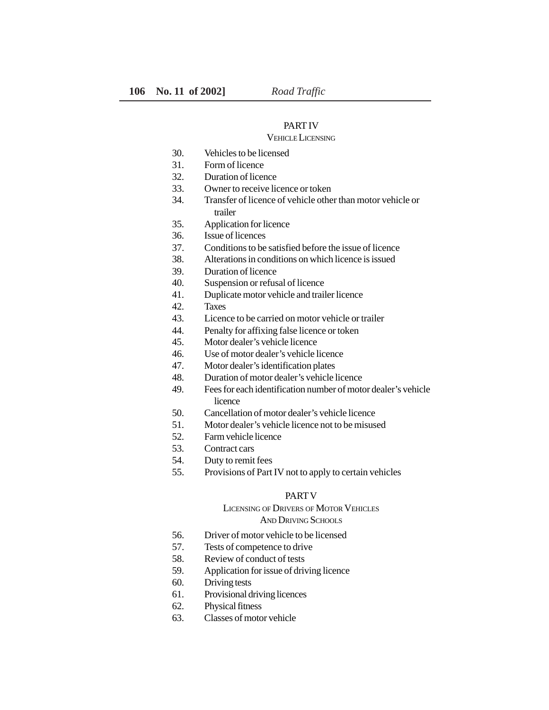#### PART IV

# VEHICLE LICENSING

- 30. Vehicles to be licensed
- 31. Form of licence
- 32. Duration of licence
- 33. Owner to receive licence or token
- 34. Transfer of licence of vehicle other than motor vehicle or trailer
- 35. Application for licence
- 36. Issue of licences
- 37. Conditions to be satisfied before the issue of licence
- 38. Alterations in conditions on which licence is issued
- 39. Duration of licence
- 40. Suspension or refusal of licence
- 41. Duplicate motor vehicle and trailer licence
- 42. Taxes
- 43. Licence to be carried on motor vehicle or trailer
- 44. Penalty for affixing false licence or token
- 45. Motor dealer's vehicle licence
- 46. Use of motor dealer's vehicle licence
- 47. Motor dealer's identification plates
- 48. Duration of motor dealer's vehicle licence
- 49. Fees for each identification number of motor dealer's vehicle licence
- 50. Cancellation of motor dealer's vehicle licence
- 51. Motor dealer's vehicle licence not to be misused
- 52. Farm vehicle licence
- 53. Contract cars
- 54. Duty to remit fees
- 55. Provisions of Part IV not to apply to certain vehicles

#### PART V

# LICENSING OF DRIVERS OF MOTOR VEHICLES

## AND DRIVING SCHOOLS

- 56. Driver of motor vehicle to be licensed
- 57. Tests of competence to drive
- 58. Review of conduct of tests
- 59. Application for issue of driving licence
- 60. Driving tests
- 61. Provisional driving licences
- 62. Physical fitness
- 63. Classes of motor vehicle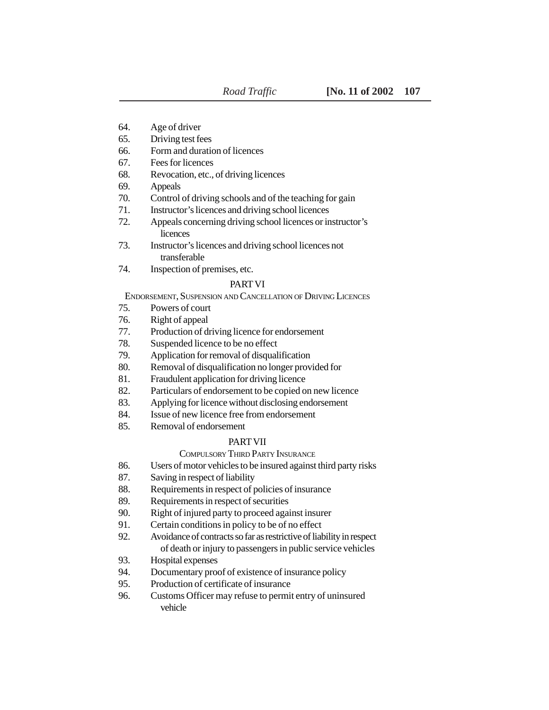- 64. Age of driver
- 65. Driving test fees
- 66. Form and duration of licences
- 67. Fees for licences
- 68. Revocation, etc., of driving licences
- 69. Appeals
- 70. Control of driving schools and of the teaching for gain
- 71. Instructor's licences and driving school licences
- 72. Appeals concerning driving school licences or instructor's licences
- 73. Instructor's licences and driving school licences not transferable
- 74. Inspection of premises, etc.

## PART VI

ENDORSEMENT, SUSPENSION AND CANCELLATION OF DRIVING LICENCES

- 75. Powers of court
- 76. Right of appeal
- 77. Production of driving licence for endorsement
- 78. Suspended licence to be no effect
- 79. Application for removal of disqualification
- 80. Removal of disqualification no longer provided for
- 81. Fraudulent application for driving licence
- 82. Particulars of endorsement to be copied on new licence
- 83. Applying for licence without disclosing endorsement
- 84. Issue of new licence free from endorsement
- 85. Removal of endorsement

#### PART VII

#### COMPULSORY THIRD PARTY INSURANCE

- 86. Users of motor vehicles to be insured against third party risks
- 87. Saving in respect of liability
- 88. Requirements in respect of policies of insurance
- 89. Requirements in respect of securities
- 90. Right of injured party to proceed against insurer
- 91. Certain conditions in policy to be of no effect
- 92. Avoidance of contracts so far as restrictive of liability in respect of death or injury to passengers in public service vehicles
- 93. Hospital expenses
- 94. Documentary proof of existence of insurance policy
- 95. Production of certificate of insurance
- 96. Customs Officer may refuse to permit entry of uninsured vehicle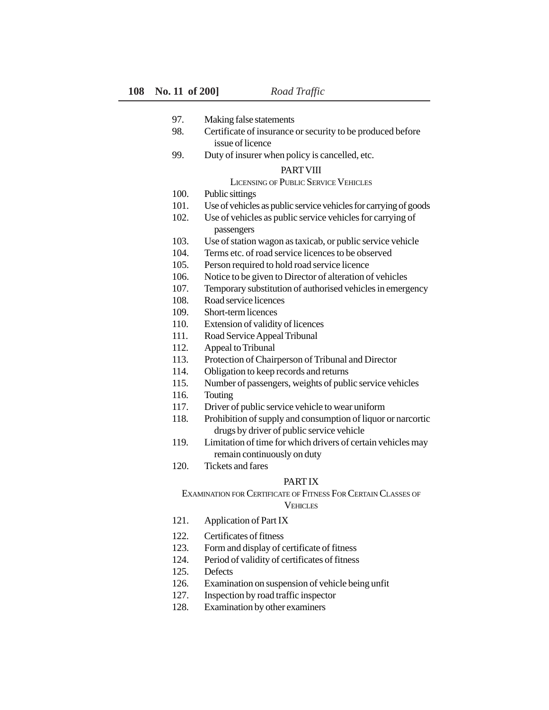- 97. Making false statements
- 98. Certificate of insurance or security to be produced before issue of licence
- 99. Duty of insurer when policy is cancelled, etc.

#### PART VIII

## LICENSING OF PUBLIC SERVICE VEHICLES

- 100. Public sittings
- 101. Use of vehicles as public service vehicles for carrying of goods
- 102. Use of vehicles as public service vehicles for carrying of passengers
- 103. Use of station wagon as taxicab, or public service vehicle
- 104. Terms etc. of road service licences to be observed
- 105. Person required to hold road service licence
- 106. Notice to be given to Director of alteration of vehicles
- 107. Temporary substitution of authorised vehicles in emergency
- 108. Road service licences
- 109. Short-term licences
- 110. Extension of validity of licences
- 111. Road Service Appeal Tribunal
- 112. Appeal to Tribunal
- 113. Protection of Chairperson of Tribunal and Director
- 114. Obligation to keep records and returns
- 115. Number of passengers, weights of public service vehicles
- 116. Touting
- 117. Driver of public service vehicle to wear uniform
- 118. Prohibition of supply and consumption of liquor or narcortic drugs by driver of public service vehicle
- 119. Limitation of time for which drivers of certain vehicles may remain continuously on duty
- 120. Tickets and fares

## PART IX

EXAMINATION FOR CERTIFICATE OF FITNESS FOR CERTAIN CLASSES OF **VEHICLES** 

- 121. Application of Part IX
- 122. Certificates of fitness
- 123. Form and display of certificate of fitness
- 124. Period of validity of certificates of fitness
- 125. Defects
- 126. Examination on suspension of vehicle being unfit
- 127. Inspection by road traffic inspector
- 128. Examination by other examiners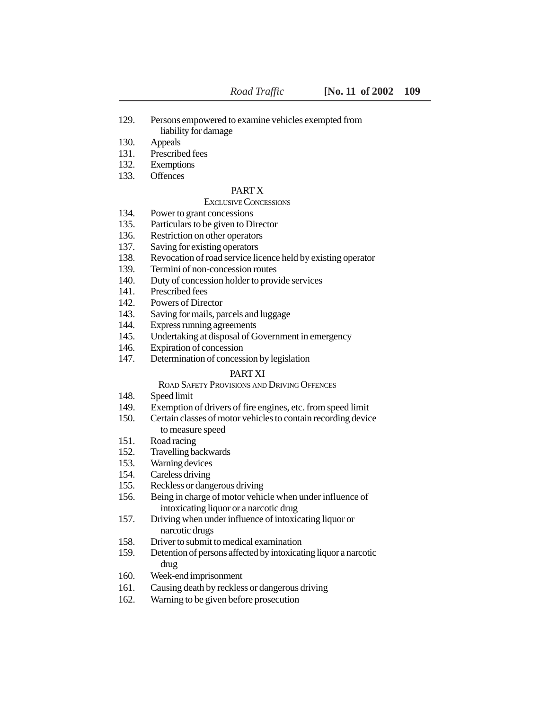- 129. Persons empowered to examine vehicles exempted from liability for damage
- 130. Appeals
- 131. Prescribed fees
- 132. Exemptions
- 133. Offences

#### PART X

## EXCLUSIVE CONCESSIONS

- 134. Power to grant concessions
- 135. Particulars to be given to Director
- 136. Restriction on other operators
- 137. Saving for existing operators
- 138. Revocation of road service licence held by existing operator
- 139. Termini of non-concession routes
- 140. Duty of concession holder to provide services
- 141. Prescribed fees
- 142. Powers of Director
- 143. Saving for mails, parcels and luggage
- 144. Express running agreements
- 145. Undertaking at disposal of Government in emergency
- 146. Expiration of concession
- 147. Determination of concession by legislation

## PART XI

# ROAD SAFETY PROVISIONS AND DRIVING OFFENCES

- 148. Speed limit
- 149. Exemption of drivers of fire engines, etc. from speed limit
- 150. Certain classes of motor vehicles to contain recording device to measure speed
- 151. Road racing
- 152. Travelling backwards
- 153. Warning devices
- 154. Careless driving
- 155. Reckless or dangerous driving
- 156. Being in charge of motor vehicle when under influence of intoxicating liquor or a narcotic drug
- 157. Driving when under influence of intoxicating liquor or narcotic drugs
- 158. Driver to submit to medical examination
- 159. Detention of persons affected by intoxicating liquor a narcotic drug
- 160. Week-end imprisonment
- 161. Causing death by reckless or dangerous driving
- 162. Warning to be given before prosecution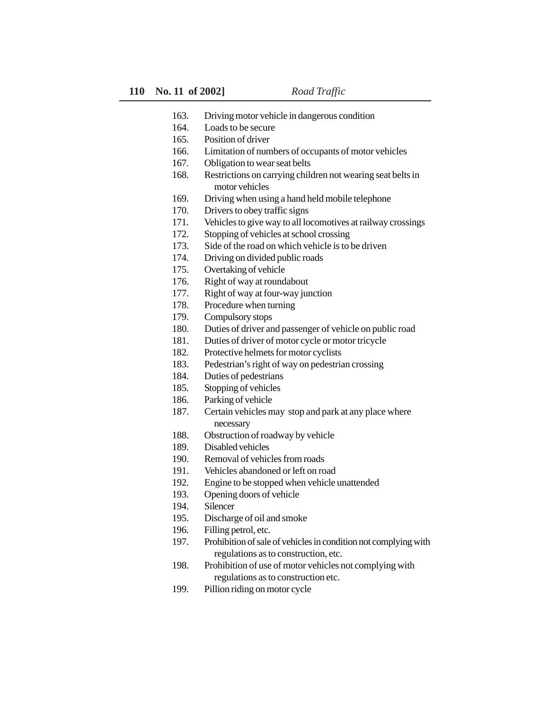- 163. Driving motor vehicle in dangerous condition
- 164. Loads to be secure
- 165. Position of driver
- 166. Limitation of numbers of occupants of motor vehicles
- 167. Obligation to wear seat belts
- 168. Restrictions on carrying children not wearing seat belts in motor vehicles
- 169. Driving when using a hand held mobile telephone
- 170. Drivers to obey traffic signs
- 171. Vehicles to give way to all locomotives at railway crossings
- 172. Stopping of vehicles at school crossing
- 173. Side of the road on which vehicle is to be driven
- 174. Driving on divided public roads
- 175. Overtaking of vehicle
- 176. Right of way at roundabout
- 177. Right of way at four-way junction
- 178. Procedure when turning
- 179. Compulsory stops
- 180. Duties of driver and passenger of vehicle on public road
- 181. Duties of driver of motor cycle or motor tricycle
- 182. Protective helmets for motor cyclists
- 183. Pedestrian's right of way on pedestrian crossing
- 184. Duties of pedestrians
- 185. Stopping of vehicles
- 186. Parking of vehicle
- 187. Certain vehicles may stop and park at any place where necessary
- 188. Obstruction of roadway by vehicle
- 189. Disabled vehicles
- 190. Removal of vehicles from roads
- 191. Vehicles abandoned or left on road
- 192. Engine to be stopped when vehicle unattended
- 193. Opening doors of vehicle
- 194. Silencer
- 195. Discharge of oil and smoke
- 196. Filling petrol, etc.
- 197. Prohibition of sale of vehicles in condition not complying with regulations as to construction, etc.
- 198. Prohibition of use of motor vehicles not complying with regulations as to construction etc.
- 199. Pillion riding on motor cycle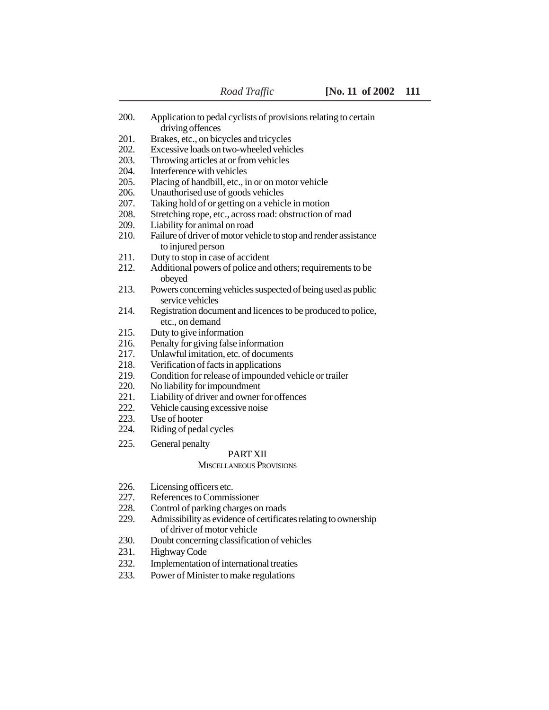| 200.         | Application to pedal cyclists of provisions relating to certain<br>driving offences                                           |
|--------------|-------------------------------------------------------------------------------------------------------------------------------|
| 201.         | Brakes, etc., on bicycles and tricycles                                                                                       |
| 202.         | Excessive loads on two-wheeled vehicles                                                                                       |
| 203.         | Throwing articles at or from vehicles                                                                                         |
| 204.         | Interference with vehicles                                                                                                    |
| 205.         | Placing of handbill, etc., in or on motor vehicle                                                                             |
| 206.         | Unauthorised use of goods vehicles                                                                                            |
| 207.         | Taking hold of or getting on a vehicle in motion                                                                              |
| 208.         | Stretching rope, etc., across road: obstruction of road                                                                       |
| 209.         | Liability for animal on road                                                                                                  |
| 210.         | Failure of driver of motor vehicle to stop and render assistance                                                              |
|              | to injured person                                                                                                             |
| 211.         | Duty to stop in case of accident                                                                                              |
| 212.         | Additional powers of police and others; requirements to be<br>obeyed                                                          |
| 213.         | Powers concerning vehicles suspected of being used as public                                                                  |
|              | service vehicles                                                                                                              |
| 214.         | Registration document and licences to be produced to police,<br>etc., on demand                                               |
| 215.         | Duty to give information                                                                                                      |
| 216.         | Penalty for giving false information                                                                                          |
| 217.         | Unlawful imitation, etc. of documents                                                                                         |
| 218.         | Verification of facts in applications                                                                                         |
| 219.         | Condition for release of impounded vehicle or trailer                                                                         |
| 220.         | No liability for impoundment                                                                                                  |
| 221.         | Liability of driver and owner for offences                                                                                    |
| 222.         | Vehicle causing excessive noise                                                                                               |
| 223.         | Use of hooter                                                                                                                 |
| 224.         | Riding of pedal cycles                                                                                                        |
| 225.         | General penalty                                                                                                               |
|              | <b>PART XII</b>                                                                                                               |
|              | <b>MISCELLANEOUS PROVISIONS</b>                                                                                               |
| 226.         | Licensing officers etc.                                                                                                       |
| 227.         | References to Commissioner                                                                                                    |
| 228.         | Control of parking charges on roads                                                                                           |
| 229.         | Admissibility as evidence of certificates relating to ownership                                                               |
|              | of driver of motor vehicle                                                                                                    |
| 230.         | Doubt concerning classification of vehicles                                                                                   |
| 231.         | Highway Code                                                                                                                  |
| 232.         | Implementation of international treaties                                                                                      |
| $\mathbf{a}$ | $\mathbf{D}$ and $\mathbf{A}$ $\mathbf{A}$ $\mathbf{A}$ is the set of a set of a set of $\mathbf{A}$ is a set of $\mathbf{A}$ |

233. Power of Minister to make regulations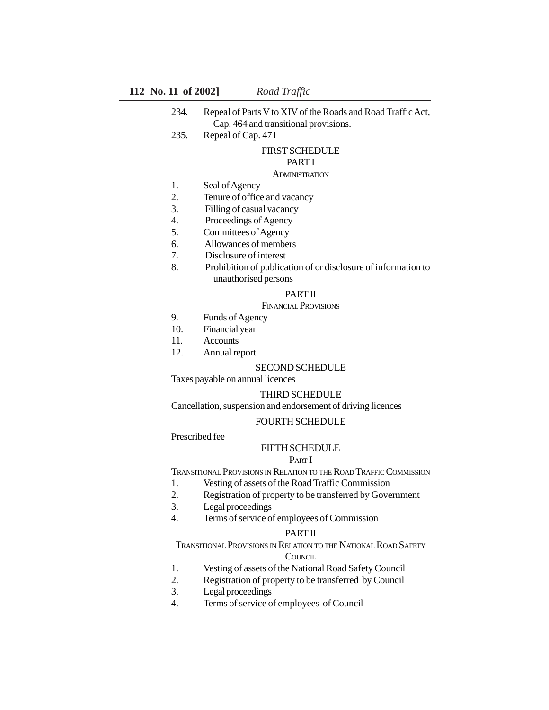## **112 No. 11 of 2002]** *Road Traffic*

| 234. | Repeal of Parts V to XIV of the Roads and Road Traffic Act, |
|------|-------------------------------------------------------------|
|      | Cap. 464 and transitional provisions.                       |

235. Repeal of Cap. 471

#### FIRST SCHEDULE

# PART I

#### **ADMINISTRATION**

- 1. Seal of Agency
- 2. Tenure of office and vacancy
- 3. Filling of casual vacancy
- 4. Proceedings of Agency
- 5. Committees of Agency
- 6. Allowances of members
- 7. Disclosure of interest
- 8. Prohibition of publication of or disclosure of information to unauthorised persons

#### PART II

## FINANCIAL PROVISIONS

- 9. Funds of Agency
- 10. Financial year
- 11. Accounts
- 12. Annual report

#### SECOND SCHEDULE

Taxes payable on annual licences

#### THIRD SCHEDULE

Cancellation, suspension and endorsement of driving licences

#### FOURTH SCHEDULE

## Prescribed fee

## FIFTH SCHEDULE

# PART I

TRANSITIONAL PROVISIONS IN RELATION TO THE ROAD TRAFFIC COMMISSION

- 1. Vesting of assets of the Road Traffic Commission
- 2. Registration of property to be transferred by Government
- 3. Legal proceedings
- 4. Terms of service of employees of Commission

#### PART II

TRANSITIONAL PROVISIONS IN RELATION TO THE NATIONAL ROAD SAFETY

#### **COUNCIL**

- 1. Vesting of assets of the National Road Safety Council
- 2. Registration of property to be transferred by Council
- 3. Legal proceedings
- 4. Terms of service of employees of Council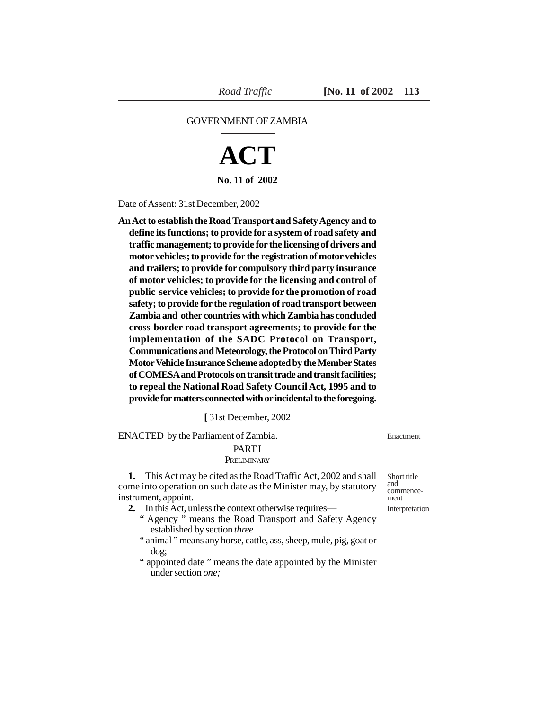## GOVERNMENT OF ZAMBIA

# **ACT**

**No. 11 of 2002**

Date of Assent: 31st December, 2002

**An Act to establish the Road Transport and Safety Agency and to define its functions; to provide for a system of road safety and traffic management; to provide for the licensing of drivers and motor vehicles; to provide for the registration of motor vehicles and trailers; to provide for compulsory third party insurance of motor vehicles; to provide for the licensing and control of public service vehicles; to provide for the promotion of road safety; to provide for the regulation of road transport between Zambia and other countries with which Zambia has concluded cross-border road transport agreements; to provide for the implementation of the SADC Protocol on Transport, Communications and Meteorology, the Protocol on Third Party Motor Vehicle Insurance Scheme adopted by the Member States of COMESA and Protocols on transit trade and transit facilities; to repeal the National Road Safety Council Act, 1995 and to provide for matters connected with or incidental to the foregoing.**

## **[** 31st December, 2002

ENACTED by the Parliament of Zambia.

#### PART I

#### **PRELIMINARY**

**1.** This Act may be cited as the Road Traffic Act, 2002 and shall come into operation on such date as the Minister may, by statutory instrument, appoint.

- **2.** In this Act, unless the context otherwise requires—
	- " Agency " means the Road Transport and Safety Agency established by section *three*
	- " animal " means any horse, cattle, ass, sheep, mule, pig, goat or dog;
	- " appointed date " means the date appointed by the Minister under section *one;*

Enactment

Short title and commencement

Interpretation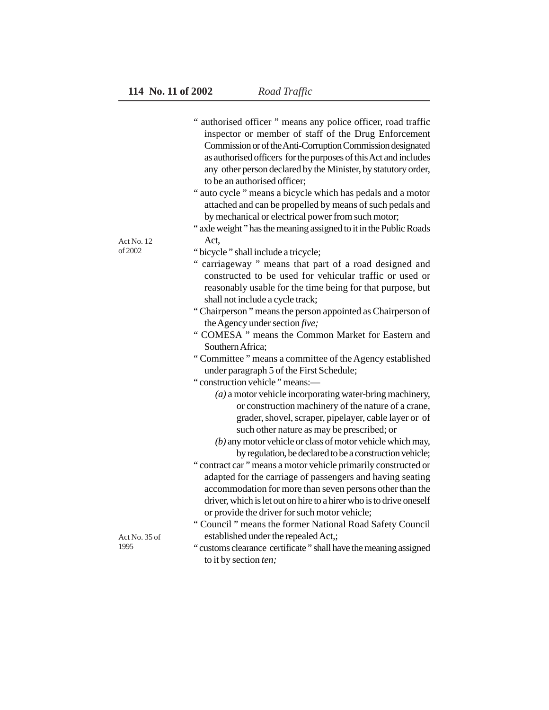|                       | " authorised officer " means any police officer, road traffic       |
|-----------------------|---------------------------------------------------------------------|
|                       | inspector or member of staff of the Drug Enforcement                |
|                       | Commission or of the Anti-Corruption Commission designated          |
|                       | as authorised officers for the purposes of this Act and includes    |
|                       | any other person declared by the Minister, by statutory order,      |
|                       | to be an authorised officer;                                        |
|                       | " auto cycle " means a bicycle which has pedals and a motor         |
|                       | attached and can be propelled by means of such pedals and           |
|                       | by mechanical or electrical power from such motor;                  |
|                       |                                                                     |
|                       | " axle weight" has the meaning assigned to it in the Public Roads   |
| Act No. 12<br>of 2002 | Act,                                                                |
|                       | "bicycle" shall include a tricycle;                                 |
|                       | " carriageway " means that part of a road designed and              |
|                       | constructed to be used for vehicular traffic or used or             |
|                       | reasonably usable for the time being for that purpose, but          |
|                       | shall not include a cycle track;                                    |
|                       | "Chairperson" means the person appointed as Chairperson of          |
|                       | the Agency under section five;                                      |
|                       | " COMESA " means the Common Market for Eastern and                  |
|                       | Southern Africa;                                                    |
|                       | "Committee" means a committee of the Agency established             |
|                       | under paragraph 5 of the First Schedule;                            |
|                       | "construction vehicle" means:-                                      |
|                       | $(a)$ a motor vehicle incorporating water-bring machinery,          |
|                       | or construction machinery of the nature of a crane,                 |
|                       | grader, shovel, scraper, pipelayer, cable layer or of               |
|                       | such other nature as may be prescribed; or                          |
|                       | (b) any motor vehicle or class of motor vehicle which may,          |
|                       | by regulation, be declared to be a construction vehicle;            |
|                       | "contract car" means a motor vehicle primarily constructed or       |
|                       | adapted for the carriage of passengers and having seating           |
|                       | accommodation for more than seven persons other than the            |
|                       | driver, which is let out on hire to a hirer who is to drive oneself |
|                       | or provide the driver for such motor vehicle;                       |
|                       | "Council" means the former National Road Safety Council             |
| Act No. 35 of         | established under the repealed Act,;                                |
| 1995                  | "customs clearance certificate" shall have the meaning assigned     |
|                       | to it by section ten;                                               |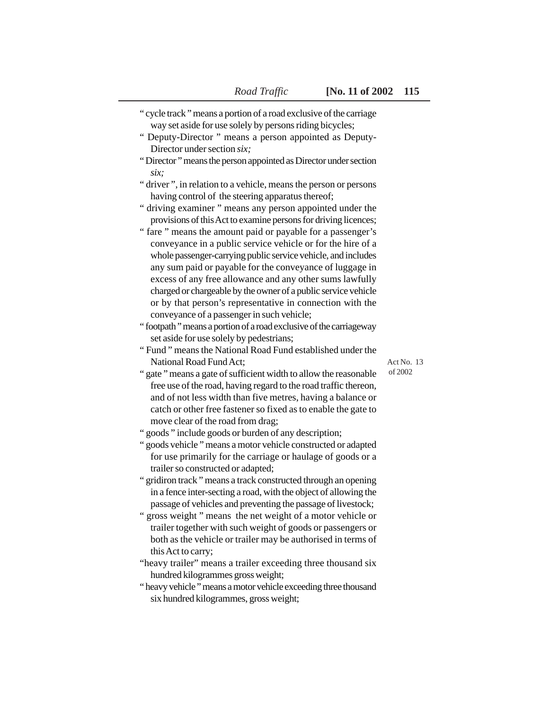| "cycle track" means a portion of a road exclusive of the carriage<br>way set aside for use solely by persons riding bicycles;<br>" Deputy-Director " means a person appointed as Deputy-<br>Director under section six; |            |
|-------------------------------------------------------------------------------------------------------------------------------------------------------------------------------------------------------------------------|------------|
| "Director" means the person appointed as Director under section                                                                                                                                                         |            |
| six;                                                                                                                                                                                                                    |            |
| "driver", in relation to a vehicle, means the person or persons                                                                                                                                                         |            |
| having control of the steering apparatus thereof;                                                                                                                                                                       |            |
| " driving examiner " means any person appointed under the                                                                                                                                                               |            |
| provisions of this Act to examine persons for driving licences;                                                                                                                                                         |            |
| " fare " means the amount paid or payable for a passenger's                                                                                                                                                             |            |
| conveyance in a public service vehicle or for the hire of a                                                                                                                                                             |            |
| whole passenger-carrying public service vehicle, and includes                                                                                                                                                           |            |
| any sum paid or payable for the conveyance of luggage in                                                                                                                                                                |            |
| excess of any free allowance and any other sums lawfully                                                                                                                                                                |            |
| charged or chargeable by the owner of a public service vehicle                                                                                                                                                          |            |
| or by that person's representative in connection with the                                                                                                                                                               |            |
| conveyance of a passenger in such vehicle;                                                                                                                                                                              |            |
| "footpath" means a portion of a road exclusive of the carriageway                                                                                                                                                       |            |
| set aside for use solely by pedestrians;                                                                                                                                                                                |            |
| "Fund" means the National Road Fund established under the                                                                                                                                                               |            |
| National Road Fund Act:                                                                                                                                                                                                 | Act No. 13 |
| " gate " means a gate of sufficient width to allow the reasonable                                                                                                                                                       | of 2002    |
| free use of the road, having regard to the road traffic thereon,                                                                                                                                                        |            |
| and of not less width than five metres, having a balance or                                                                                                                                                             |            |
| catch or other free fastener so fixed as to enable the gate to                                                                                                                                                          |            |
| move clear of the road from drag;                                                                                                                                                                                       |            |
| " goods " include goods or burden of any description;                                                                                                                                                                   |            |
| " goods vehicle " means a motor vehicle constructed or adapted                                                                                                                                                          |            |
| for use primarily for the carriage or haulage of goods or a                                                                                                                                                             |            |
| trailer so constructed or adapted;                                                                                                                                                                                      |            |
| " gridiron track " means a track constructed through an opening                                                                                                                                                         |            |
| in a fence inter-secting a road, with the object of allowing the                                                                                                                                                        |            |
| passage of vehicles and preventing the passage of livestock;                                                                                                                                                            |            |
| " gross weight " means the net weight of a motor vehicle or                                                                                                                                                             |            |
| trailer together with such weight of goods or passengers or                                                                                                                                                             |            |
| both as the vehicle or trailer may be authorised in terms of                                                                                                                                                            |            |

this Act to carry; "heavy trailer" means a trailer exceeding three thousand six hundred kilogrammes gross weight;

" heavy vehicle " means a motor vehicle exceeding three thousand six hundred kilogrammes, gross weight;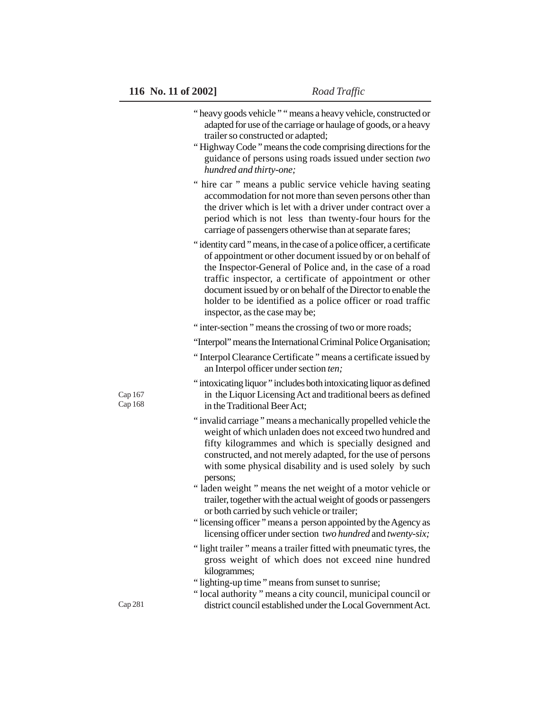|                    | "heavy goods vehicle" "means a heavy vehicle, constructed or<br>adapted for use of the carriage or haulage of goods, or a heavy<br>trailer so constructed or adapted;<br>"Highway Code" means the code comprising directions for the<br>guidance of persons using roads issued under section two<br>hundred and thirty-one;                                                                                                     |
|--------------------|---------------------------------------------------------------------------------------------------------------------------------------------------------------------------------------------------------------------------------------------------------------------------------------------------------------------------------------------------------------------------------------------------------------------------------|
|                    | " hire car " means a public service vehicle having seating<br>accommodation for not more than seven persons other than<br>the driver which is let with a driver under contract over a<br>period which is not less than twenty-four hours for the<br>carriage of passengers otherwise than at separate fares;                                                                                                                    |
|                    | "identity card" means, in the case of a police officer, a certificate<br>of appointment or other document issued by or on behalf of<br>the Inspector-General of Police and, in the case of a road<br>traffic inspector, a certificate of appointment or other<br>document issued by or on behalf of the Director to enable the<br>holder to be identified as a police officer or road traffic<br>inspector, as the case may be; |
|                    | "inter-section" means the crossing of two or more roads;                                                                                                                                                                                                                                                                                                                                                                        |
|                    | "Interpol" means the International Criminal Police Organisation;                                                                                                                                                                                                                                                                                                                                                                |
|                    | "Interpol Clearance Certificate" means a certificate issued by<br>an Interpol officer under section ten;                                                                                                                                                                                                                                                                                                                        |
| Cap 167<br>Cap 168 | "intoxicating liquor" includes both intoxicating liquor as defined<br>in the Liquor Licensing Act and traditional beers as defined<br>in the Traditional Beer Act;                                                                                                                                                                                                                                                              |
|                    | "invalid carriage" means a mechanically propelled vehicle the<br>weight of which unladen does not exceed two hundred and<br>fifty kilogrammes and which is specially designed and<br>constructed, and not merely adapted, for the use of persons<br>with some physical disability and is used solely by such<br>persons;                                                                                                        |
|                    | "laden weight" means the net weight of a motor vehicle or<br>trailer, together with the actual weight of goods or passengers<br>or both carried by such vehicle or trailer;                                                                                                                                                                                                                                                     |
|                    | "licensing officer" means a person appointed by the Agency as<br>licensing officer under section two hundred and twenty-six;                                                                                                                                                                                                                                                                                                    |
|                    | "light trailer" means a trailer fitted with pneumatic tyres, the<br>gross weight of which does not exceed nine hundred<br>kilogrammes;                                                                                                                                                                                                                                                                                          |
|                    | "lighting-up time" means from sunset to sunrise;                                                                                                                                                                                                                                                                                                                                                                                |
| Cap 281            | "local authority" means a city council, municipal council or<br>district council established under the Local Government Act.                                                                                                                                                                                                                                                                                                    |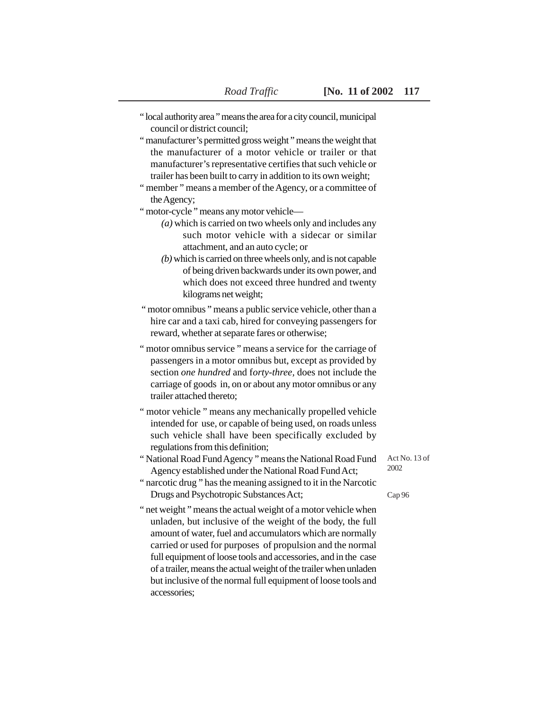- " local authority area " means the area for a city council, municipal council or district council;
- " manufacturer's permitted gross weight " means the weight that the manufacturer of a motor vehicle or trailer or that manufacturer's representative certifies that such vehicle or trailer has been built to carry in addition to its own weight;
- " member " means a member of the Agency, or a committee of the Agency;

" motor-cycle " means any motor vehicle—

- *(a)* which is carried on two wheels only and includes any such motor vehicle with a sidecar or similar attachment, and an auto cycle; or
- *(b)* which is carried on three wheels only, and is not capable of being driven backwards under its own power, and which does not exceed three hundred and twenty kilograms net weight;
- " motor omnibus " means a public service vehicle, other than a hire car and a taxi cab, hired for conveying passengers for reward, whether at separate fares or otherwise;
- " motor omnibus service " means a service for the carriage of passengers in a motor omnibus but, except as provided by section *one hundred* and f*orty-three,* does not include the carriage of goods in, on or about any motor omnibus or any trailer attached thereto;
- " motor vehicle " means any mechanically propelled vehicle intended for use, or capable of being used, on roads unless such vehicle shall have been specifically excluded by regulations from this definition;
- " National Road Fund Agency " means the National Road Fund Agency established under the National Road Fund Act;

Act No. 13 of 2002

- " narcotic drug " has the meaning assigned to it in the Narcotic Drugs and Psychotropic Substances Act;
- Cap 96
- " net weight " means the actual weight of a motor vehicle when unladen, but inclusive of the weight of the body, the full amount of water, fuel and accumulators which are normally carried or used for purposes of propulsion and the normal full equipment of loose tools and accessories, and in the case of a trailer, means the actual weight of the trailer when unladen but inclusive of the normal full equipment of loose tools and accessories;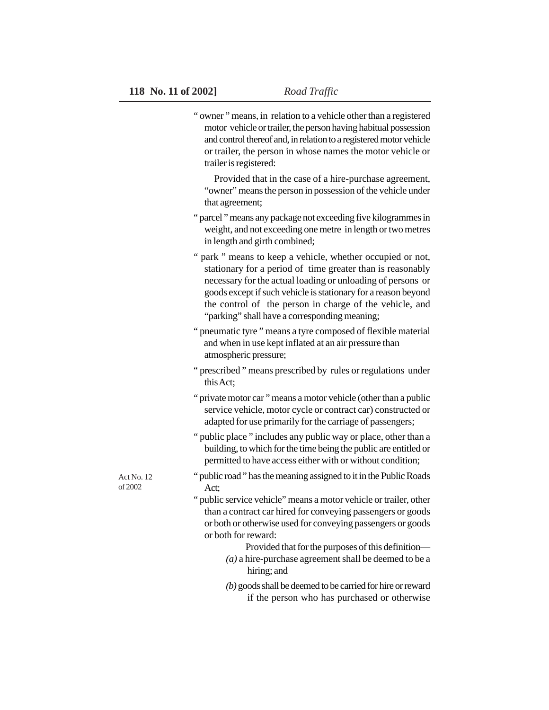|                       | "owner" means, in relation to a vehicle other than a registered<br>motor vehicle or trailer, the person having habitual possession<br>and control thereof and, in relation to a registered motor vehicle<br>or trailer, the person in whose names the motor vehicle or<br>trailer is registered:                                                                      |
|-----------------------|-----------------------------------------------------------------------------------------------------------------------------------------------------------------------------------------------------------------------------------------------------------------------------------------------------------------------------------------------------------------------|
|                       | Provided that in the case of a hire-purchase agreement,<br>"owner" means the person in possession of the vehicle under<br>that agreement;                                                                                                                                                                                                                             |
|                       | "parcel" means any package not exceeding five kilogrammes in<br>weight, and not exceeding one metre in length or two metres<br>in length and girth combined;                                                                                                                                                                                                          |
|                       | " park " means to keep a vehicle, whether occupied or not,<br>stationary for a period of time greater than is reasonably<br>necessary for the actual loading or unloading of persons or<br>goods except if such vehicle is stationary for a reason beyond<br>the control of the person in charge of the vehicle, and<br>"parking" shall have a corresponding meaning; |
|                       | " pneumatic tyre " means a tyre composed of flexible material<br>and when in use kept inflated at an air pressure than<br>atmospheric pressure;                                                                                                                                                                                                                       |
|                       | "prescribed" means prescribed by rules or regulations under<br>this Act;                                                                                                                                                                                                                                                                                              |
|                       | "private motor car" means a motor vehicle (other than a public<br>service vehicle, motor cycle or contract car) constructed or<br>adapted for use primarily for the carriage of passengers;                                                                                                                                                                           |
|                       | " public place " includes any public way or place, other than a<br>building, to which for the time being the public are entitled or<br>permitted to have access either with or without condition;                                                                                                                                                                     |
| Act No. 12<br>of 2002 | " public road" has the meaning assigned to it in the Public Roads<br>Act;                                                                                                                                                                                                                                                                                             |
|                       | " public service vehicle" means a motor vehicle or trailer, other<br>than a contract car hired for conveying passengers or goods<br>or both or otherwise used for conveying passengers or goods<br>or both for reward:                                                                                                                                                |
|                       | Provided that for the purposes of this definition—<br>$(a)$ a hire-purchase agreement shall be deemed to be a<br>hiring; and                                                                                                                                                                                                                                          |
|                       | $(b)$ goods shall be deemed to be carried for hire or reward<br>if the person who has purchased or otherwise                                                                                                                                                                                                                                                          |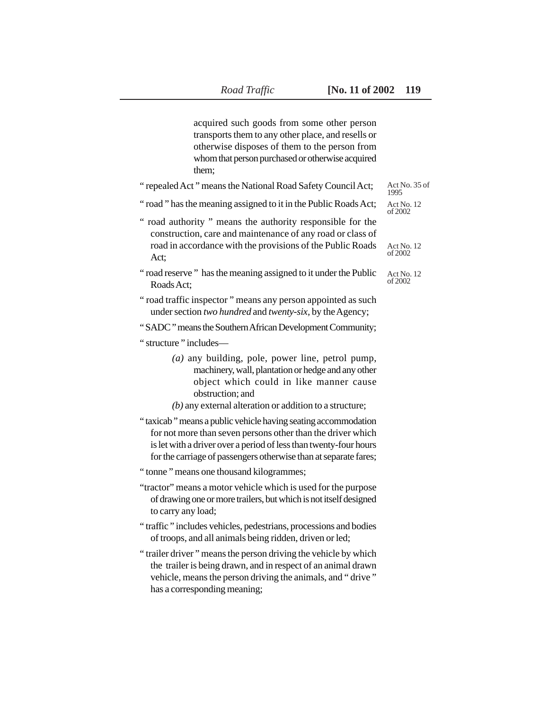acquired such goods from some other person transports them to any other place, and resells or otherwise disposes of them to the person from whom that person purchased or otherwise acquired them;

| "repealed Act" means the National Road Safety Council Act;                                                                                                                                                                                                            | Act No. 35 of<br>1995  |
|-----------------------------------------------------------------------------------------------------------------------------------------------------------------------------------------------------------------------------------------------------------------------|------------------------|
| "road" has the meaning assigned to it in the Public Roads Act;                                                                                                                                                                                                        | Act No. 12<br>of 2002. |
| " road authority " means the authority responsible for the<br>construction, care and maintenance of any road or class of<br>road in accordance with the provisions of the Public Roads<br>Act;                                                                        | Act No. 12<br>of 2002  |
| "road reserve" has the meaning assigned to it under the Public<br>Roads Act:                                                                                                                                                                                          | Act No. 12<br>of 2002  |
| "road traffic inspector" means any person appointed as such<br>under section two hundred and twenty-six, by the Agency;                                                                                                                                               |                        |
| "SADC" means the Southern African Development Community;                                                                                                                                                                                                              |                        |
| "structure" includes—                                                                                                                                                                                                                                                 |                        |
| $(a)$ any building, pole, power line, petrol pump,<br>machinery, wall, plantation or hedge and any other<br>object which could in like manner cause<br>obstruction; and<br>$(b)$ any external alteration or addition to a structure;                                  |                        |
| "taxicab" means a public vehicle having seating accommodation<br>for not more than seven persons other than the driver which<br>is let with a driver over a period of less than twenty-four hours<br>for the carriage of passengers otherwise than at separate fares; |                        |
| " tonne" means one thousand kilogrammes;                                                                                                                                                                                                                              |                        |
| "tractor" means a motor vehicle which is used for the purpose<br>of drawing one or more trailers, but which is not itself designed<br>to carry any load;                                                                                                              |                        |
| "traffic" includes vehicles, pedestrians, processions and bodies<br>of troops, and all animals being ridden, driven or led;                                                                                                                                           |                        |
| "trailer driver" means the person driving the vehicle by which<br>the trailer is being drawn, and in respect of an animal drawn<br>vehicle, means the person driving the animals, and "drive"<br>has a corresponding meaning;                                         |                        |
|                                                                                                                                                                                                                                                                       |                        |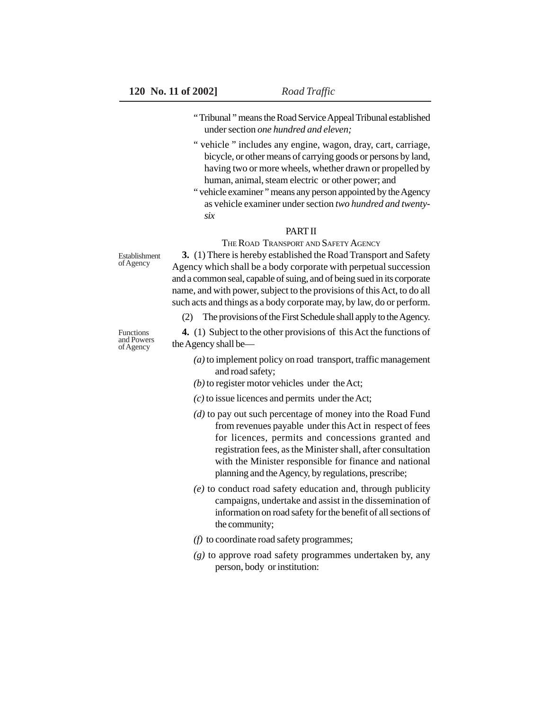- " Tribunal " means the Road Service Appeal Tribunal established under section *one hundred and eleven;*
- " vehicle " includes any engine, wagon, dray, cart, carriage, bicycle, or other means of carrying goods or persons by land, having two or more wheels, whether drawn or propelled by human, animal, steam electric or other power; and
- " vehicle examiner " means any person appointed by the Agency as vehicle examiner under section *two hundred and twentysix*

## PART II

THE ROAD TRANSPORT AND SAFETY AGENCY

Establishment of Agency

**3.** (1) There is hereby established the Road Transport and Safety Agency which shall be a body corporate with perpetual succession and a common seal, capable of suing, and of being sued in its corporate name, and with power, subject to the provisions of this Act, to do all such acts and things as a body corporate may, by law, do or perform.

(2) The provisions of the First Schedule shall apply to the Agency.

**4.** (1) Subject to the other provisions of this Act the functions of the Agency shall be—

- *(a)* to implement policy on road transport, traffic management and road safety;
- *(b)* to register motor vehicles under the Act;
- *(c)* to issue licences and permits under the Act;
- *(d)* to pay out such percentage of money into the Road Fund from revenues payable under this Act in respect of fees for licences, permits and concessions granted and registration fees, as the Minister shall, after consultation with the Minister responsible for finance and national planning and the Agency, by regulations, prescribe;
- *(e)* to conduct road safety education and, through publicity campaigns, undertake and assist in the dissemination of information on road safety for the benefit of all sections of the community;
- *(f)* to coordinate road safety programmes;
- *(g)* to approve road safety programmes undertaken by, any person, body or institution:

Functions and Powers of Agency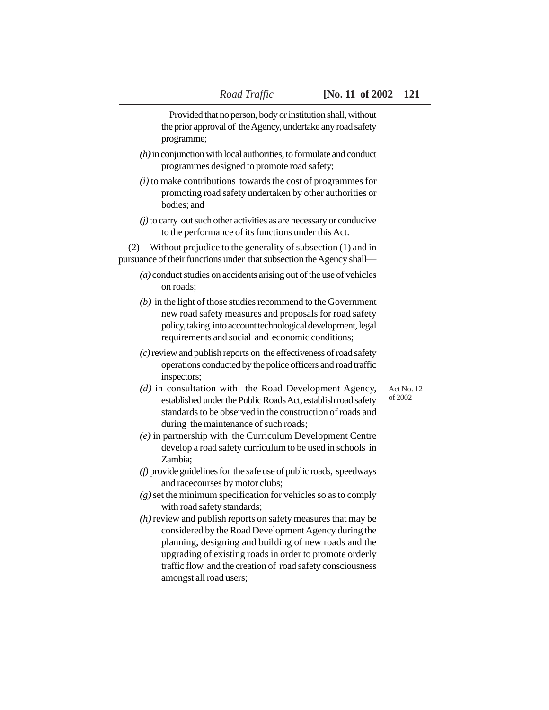Provided that no person, body or institution shall, without the prior approval of the Agency, undertake any road safety programme;

- *(h)* in conjunction with local authorities, to formulate and conduct programmes designed to promote road safety;
- *(i)* to make contributions towards the cost of programmes for promoting road safety undertaken by other authorities or bodies; and
- *(j)* to carry out such other activities as are necessary or conducive to the performance of its functions under this Act.

(2) Without prejudice to the generality of subsection (1) and in pursuance of their functions under that subsection the Agency shall—

- *(a)* conduct studies on accidents arising out of the use of vehicles on roads;
- *(b)* in the light of those studies recommend to the Government new road safety measures and proposals for road safety policy, taking into account technological development, legal requirements and social and economic conditions;
- *(c)* review and publish reports on the effectiveness of road safety operations conducted by the police officers and road traffic inspectors;

Act No. 12 of 2002

- *(d)* in consultation with the Road Development Agency, established under the Public Roads Act, establish road safety standards to be observed in the construction of roads and during the maintenance of such roads;
- *(e)* in partnership with the Curriculum Development Centre develop a road safety curriculum to be used in schools in Zambia;
- *(f)* provide guidelines for the safe use of public roads, speedways and racecourses by motor clubs;
- *(g)* set the minimum specification for vehicles so as to comply with road safety standards;
- *(h)* review and publish reports on safety measures that may be considered by the Road Development Agency during the planning, designing and building of new roads and the upgrading of existing roads in order to promote orderly traffic flow and the creation of road safety consciousness amongst all road users;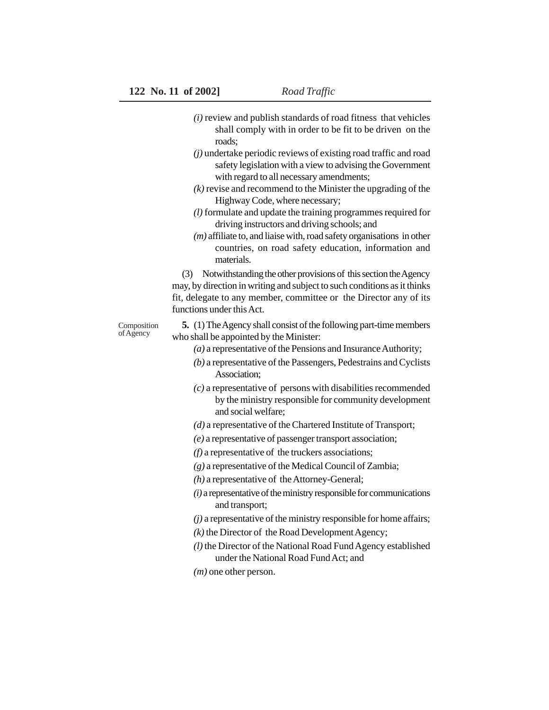- *(i)* review and publish standards of road fitness that vehicles shall comply with in order to be fit to be driven on the roads;
- *(j)* undertake periodic reviews of existing road traffic and road safety legislation with a view to advising the Government with regard to all necessary amendments;
- *(k)* revise and recommend to the Minister the upgrading of the Highway Code, where necessary;
- *(l)* formulate and update the training programmes required for driving instructors and driving schools; and
- *(m)* affiliate to, and liaise with, road safety organisations in other countries, on road safety education, information and materials.

(3) Notwithstanding the other provisions of this section the Agency may, by direction in writing and subject to such conditions as it thinks fit, delegate to any member, committee or the Director any of its functions under this Act.

Composition of Agency

**5.** (1) The Agency shall consist of the following part-time members who shall be appointed by the Minister:

- *(a)* a representative of the Pensions and Insurance Authority;
- *(b)* a representative of the Passengers, Pedestrains and Cyclists Association;
- *(c)* a representative of persons with disabilities recommended by the ministry responsible for community development and social welfare;
- *(d)* a representative of the Chartered Institute of Transport;
- *(e)* a representative of passenger transport association;
- *(f)* a representative of the truckers associations;
- *(g)* a representative of the Medical Council of Zambia;
- *(h)* a representative of the Attorney-General;
- *(i)* a representative of the ministry responsible for communications and transport;
- *(j)* a representative of the ministry responsible for home affairs;
- *(k)* the Director of the Road Development Agency;
- *(l)* the Director of the National Road Fund Agency established under the National Road Fund Act; and
- *(m)* one other person.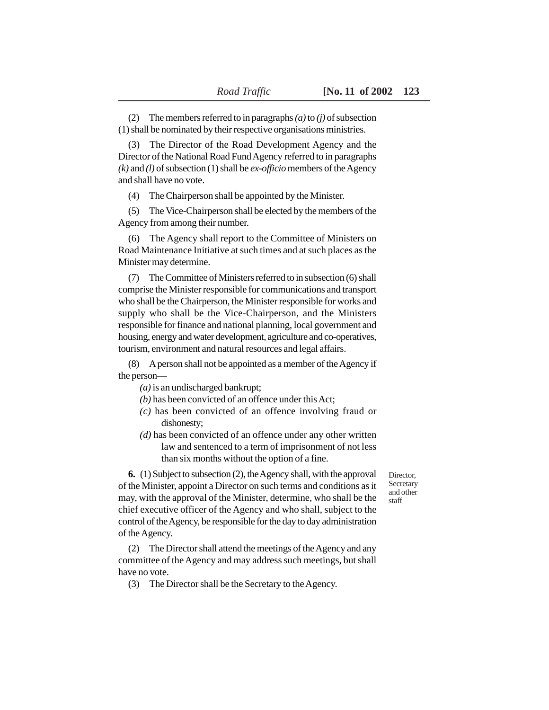(2) The members referred to in paragraphs *(a)* to *(j)* of subsection (1) shall be nominated by their respective organisations ministries.

(3) The Director of the Road Development Agency and the Director of the National Road Fund Agency referred to in paragraphs *(k)* and *(l)* of subsection (1) shall be *ex-officio* members of the Agency and shall have no vote.

(4) The Chairperson shall be appointed by the Minister.

(5) The Vice-Chairperson shall be elected by the members of the Agency from among their number.

(6) The Agency shall report to the Committee of Ministers on Road Maintenance Initiative at such times and at such places as the Minister may determine.

(7) The Committee of Ministers referred to in subsection (6) shall comprise the Minister responsible for communications and transport who shall be the Chairperson, the Minister responsible for works and supply who shall be the Vice-Chairperson, and the Ministers responsible for finance and national planning, local government and housing, energy and water development, agriculture and co-operatives, tourism, environment and natural resources and legal affairs.

(8) A person shall not be appointed as a member of the Agency if the person—

*(a)* is an undischarged bankrupt;

*(b)* has been convicted of an offence under this Act;

- *(c)* has been convicted of an offence involving fraud or dishonesty;
- *(d)* has been convicted of an offence under any other written law and sentenced to a term of imprisonment of not less than six months without the option of a fine.

Director, Secretary and other staff

**6.** (1) Subject to subsection (2), the Agency shall, with the approval of the Minister, appoint a Director on such terms and conditions as it may, with the approval of the Minister, determine, who shall be the chief executive officer of the Agency and who shall, subject to the control of the Agency, be responsible for the day to day administration of the Agency.

(2) The Director shall attend the meetings of the Agency and any committee of the Agency and may address such meetings, but shall have no vote.

(3) The Director shall be the Secretary to the Agency.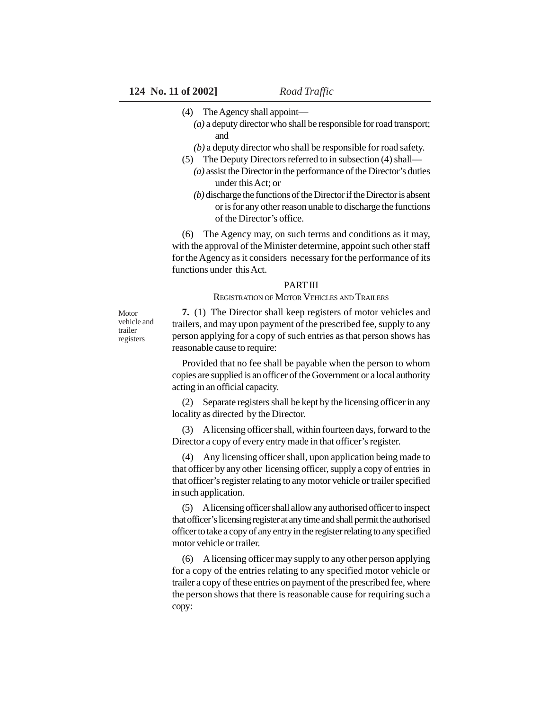- (4) The Agency shall appoint—
	- *(a)* a deputy director who shall be responsible for road transport; and
	- *(b)* a deputy director who shall be responsible for road safety.
- (5) The Deputy Directors referred to in subsection (4) shall—
	- *(a)* assist the Director in the performance of the Director's duties under this Act; or
	- *(b)* discharge the functions of the Director if the Director is absent or is for any other reason unable to discharge the functions of the Director's office.

(6) The Agency may, on such terms and conditions as it may, with the approval of the Minister determine, appoint such other staff for the Agency as it considers necessary for the performance of its functions under this Act.

#### **PART III**

REGISTRATION OF MOTOR VEHICLES AND TRAILERS

**Motor** vehicle and trailer registers

**7.** (1) The Director shall keep registers of motor vehicles and trailers, and may upon payment of the prescribed fee, supply to any person applying for a copy of such entries as that person shows has reasonable cause to require:

Provided that no fee shall be payable when the person to whom copies are supplied is an officer of the Government or a local authority acting in an official capacity.

(2) Separate registers shall be kept by the licensing officer in any locality as directed by the Director.

(3) A licensing officer shall, within fourteen days, forward to the Director a copy of every entry made in that officer's register.

(4) Any licensing officer shall, upon application being made to that officer by any other licensing officer, supply a copy of entries in that officer's register relating to any motor vehicle or trailer specified in such application.

(5) A licensing officer shall allow any authorised officer to inspect that officer's licensing register at any time and shall permit the authorised officer to take a copy of any entry in the register relating to any specified motor vehicle or trailer.

(6) A licensing officer may supply to any other person applying for a copy of the entries relating to any specified motor vehicle or trailer a copy of these entries on payment of the prescribed fee, where the person shows that there is reasonable cause for requiring such a copy: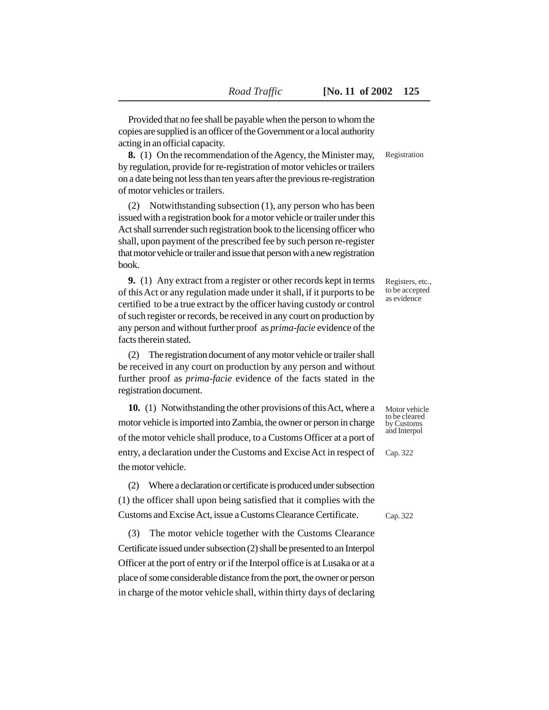Provided that no fee shall be payable when the person to whom the copies are supplied is an officer of the Government or a local authority acting in an official capacity.

**8.** (1) On the recommendation of the Agency, the Minister may, by regulation, provide for re-registration of motor vehicles or trailers on a date being not less than ten years after the previous re-registration of motor vehicles or trailers.

(2) Notwithstanding subsection (1), any person who has been issued with a registration book for a motor vehicle or trailer under this Act shall surrender such registration book to the licensing officer who shall, upon payment of the prescribed fee by such person re-register that motor vehicle or trailer and issue that person with a new registration book.

**9.** (1) Any extract from a register or other records kept in terms of this Act or any regulation made under it shall, if it purports to be certified to be a true extract by the officer having custody or control of such register or records, be received in any court on production by any person and without further proof as *prima-facie* evidence of the facts therein stated.

(2) The registration document of any motor vehicle or trailer shall be received in any court on production by any person and without further proof as *prima-facie* evidence of the facts stated in the registration document.

**10.** (1) Notwithstanding the other provisions of this Act, where a motor vehicle is imported into Zambia, the owner or person in charge of the motor vehicle shall produce, to a Customs Officer at a port of entry, a declaration under the Customs and Excise Act in respect of the motor vehicle.

(2) Where a declaration or certificate is produced under subsection (1) the officer shall upon being satisfied that it complies with the Customs and Excise Act, issue a Customs Clearance Certificate.

(3) The motor vehicle together with the Customs Clearance Certificate issued under subsection (2) shall be presented to an Interpol Officer at the port of entry or if the Interpol office is at Lusaka or at a place of some considerable distance from the port, the owner or person in charge of the motor vehicle shall, within thirty days of declaring Registration

Registers, etc., to be accepted as evidence

Motor vehicle to be cleared by Customs and Interpol

Cap. 322

Cap. 322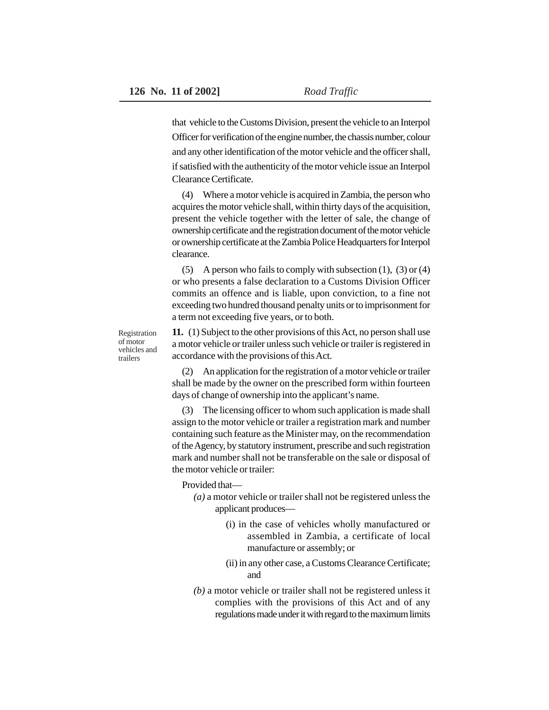that vehicle to the Customs Division, present the vehicle to an Interpol Officer for verification of the engine number, the chassis number, colour and any other identification of the motor vehicle and the officer shall, if satisfied with the authenticity of the motor vehicle issue an Interpol Clearance Certificate.

(4) Where a motor vehicle is acquired in Zambia, the person who acquires the motor vehicle shall, within thirty days of the acquisition, present the vehicle together with the letter of sale, the change of ownership certificate and the registration document of the motor vehicle or ownership certificate at the Zambia Police Headquarters for Interpol clearance.

(5) A person who fails to comply with subsection  $(1)$ ,  $(3)$  or  $(4)$ or who presents a false declaration to a Customs Division Officer commits an offence and is liable, upon conviction, to a fine not exceeding two hundred thousand penalty units or to imprisonment for a term not exceeding five years, or to both.

Registration of motor vehicles and trailers

**11.** (1) Subject to the other provisions of this Act, no person shall use a motor vehicle or trailer unless such vehicle or trailer is registered in accordance with the provisions of this Act.

(2) An application for the registration of a motor vehicle or trailer shall be made by the owner on the prescribed form within fourteen days of change of ownership into the applicant's name.

(3) The licensing officer to whom such application is made shall assign to the motor vehicle or trailer a registration mark and number containing such feature as the Minister may, on the recommendation of the Agency, by statutory instrument, prescribe and such registration mark and number shall not be transferable on the sale or disposal of the motor vehicle or trailer:

Provided that—

- *(a)* a motor vehicle or trailer shall not be registered unless the applicant produces—
	- (i) in the case of vehicles wholly manufactured or assembled in Zambia, a certificate of local manufacture or assembly; or
	- (ii) in any other case, a Customs Clearance Certificate; and
- *(b)* a motor vehicle or trailer shall not be registered unless it complies with the provisions of this Act and of any regulations made under it with regard to the maximum limits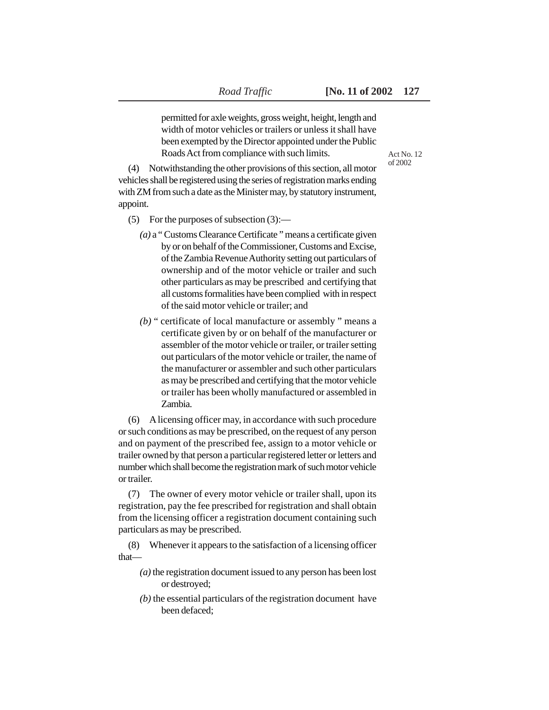permitted for axle weights, gross weight, height, length and width of motor vehicles or trailers or unless it shall have been exempted by the Director appointed under the Public Roads Act from compliance with such limits.

Act No. 12 of 2002

(4) Notwithstanding the other provisions of this section, all motor vehicles shall be registered using the series of registration marks ending with ZM from such a date as the Minister may, by statutory instrument, appoint.

- (5) For the purposes of subsection (3):—
	- *(a)* a " Customs Clearance Certificate " means a certificate given by or on behalf of the Commissioner, Customs and Excise, of the Zambia Revenue Authority setting out particulars of ownership and of the motor vehicle or trailer and such other particulars as may be prescribed and certifying that all customs formalities have been complied with in respect of the said motor vehicle or trailer; and
	- *(b)* " certificate of local manufacture or assembly " means a certificate given by or on behalf of the manufacturer or assembler of the motor vehicle or trailer, or trailer setting out particulars of the motor vehicle or trailer, the name of the manufacturer or assembler and such other particulars as may be prescribed and certifying that the motor vehicle or trailer has been wholly manufactured or assembled in Zambia.

(6) A licensing officer may, in accordance with such procedure or such conditions as may be prescribed, on the request of any person and on payment of the prescribed fee, assign to a motor vehicle or trailer owned by that person a particular registered letter or letters and number which shall become the registration mark of such motor vehicle or trailer.

(7) The owner of every motor vehicle or trailer shall, upon its registration, pay the fee prescribed for registration and shall obtain from the licensing officer a registration document containing such particulars as may be prescribed.

(8) Whenever it appears to the satisfaction of a licensing officer that—

- *(a)* the registration document issued to any person has been lost or destroyed;
- *(b)* the essential particulars of the registration document have been defaced;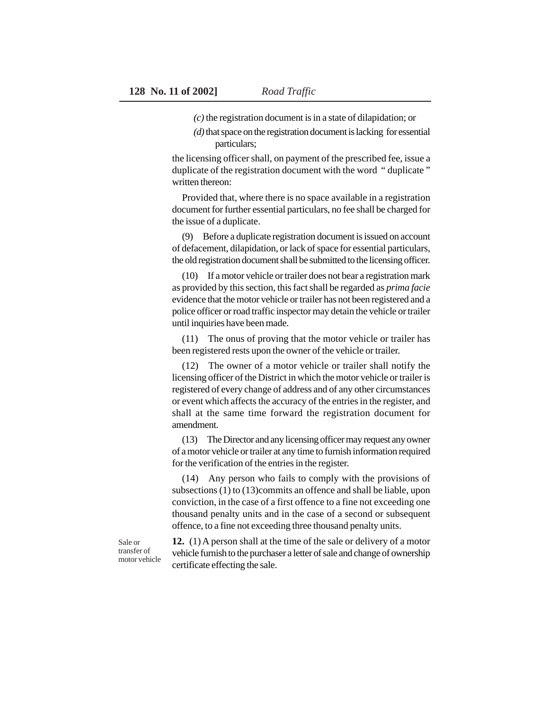- *(c)* the registration document is in a state of dilapidation; or
- *(d)* that space on the registration document is lacking for essential particulars;

the licensing officer shall, on payment of the prescribed fee, issue a duplicate of the registration document with the word " duplicate " written thereon:

Provided that, where there is no space available in a registration document for further essential particulars, no fee shall be charged for the issue of a duplicate.

(9) Before a duplicate registration document is issued on account of defacement, dilapidation, or lack of space for essential particulars, the old registration document shall be submitted to the licensing officer.

(10) If a motor vehicle or trailer does not bear a registration mark as provided by this section, this fact shall be regarded as *prima facie* evidence that the motor vehicle or trailer has not been registered and a police officer or road traffic inspector may detain the vehicle or trailer until inquiries have been made.

(11) The onus of proving that the motor vehicle or trailer has been registered rests upon the owner of the vehicle or trailer.

(12) The owner of a motor vehicle or trailer shall notify the licensing officer of the District in which the motor vehicle or trailer is registered of every change of address and of any other circumstances or event which affects the accuracy of the entries in the register, and shall at the same time forward the registration document for amendment.

(13) The Director and any licensing officer may request any owner of a motor vehicle or trailer at any time to furnish information required for the verification of the entries in the register.

(14) Any person who fails to comply with the provisions of subsections (1) to (13)commits an offence and shall be liable, upon conviction, in the case of a first offence to a fine not exceeding one thousand penalty units and in the case of a second or subsequent offence, to a fine not exceeding three thousand penalty units.

Sale or transfer of motor vehicle

**12.** (1) A person shall at the time of the sale or delivery of a motor vehicle furnish to the purchaser a letter of sale and change of ownership certificate effecting the sale.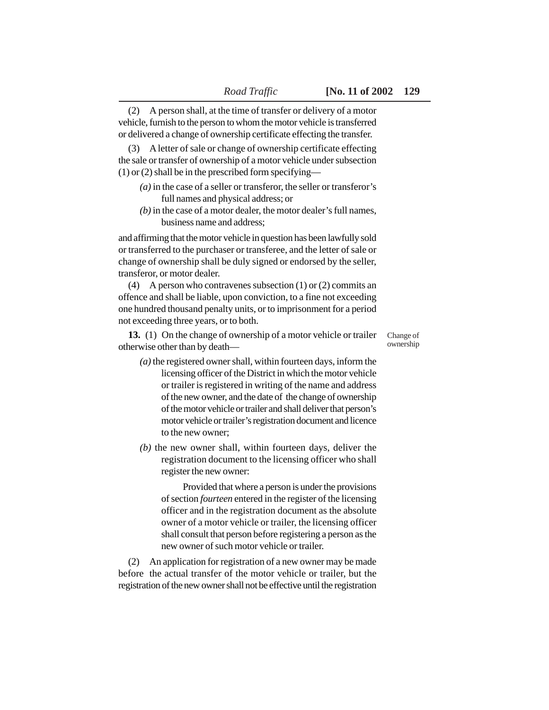(3) A letter of sale or change of ownership certificate effecting the sale or transfer of ownership of a motor vehicle under subsection (1) or (2) shall be in the prescribed form specifying—

- *(a)* in the case of a seller or transferor, the seller or transferor's full names and physical address; or
- *(b)* in the case of a motor dealer, the motor dealer's full names, business name and address;

and affirming that the motor vehicle in question has been lawfully sold or transferred to the purchaser or transferee, and the letter of sale or change of ownership shall be duly signed or endorsed by the seller, transferor, or motor dealer.

(4) A person who contravenes subsection (1) or (2) commits an offence and shall be liable, upon conviction, to a fine not exceeding one hundred thousand penalty units, or to imprisonment for a period not exceeding three years, or to both.

**13.** (1) On the change of ownership of a motor vehicle or trailer otherwise other than by death—

Change of ownership

- *(a)* the registered owner shall, within fourteen days, inform the licensing officer of the District in which the motor vehicle or trailer is registered in writing of the name and address of the new owner, and the date of the change of ownership of the motor vehicle or trailer and shall deliver that person's motor vehicle or trailer's registration document and licence to the new owner;
- *(b)* the new owner shall, within fourteen days, deliver the registration document to the licensing officer who shall register the new owner:

Provided that where a person is under the provisions of section *fourteen* entered in the register of the licensing officer and in the registration document as the absolute owner of a motor vehicle or trailer, the licensing officer shall consult that person before registering a person as the new owner of such motor vehicle or trailer.

(2) An application for registration of a new owner may be made before the actual transfer of the motor vehicle or trailer, but the registration of the new owner shall not be effective until the registration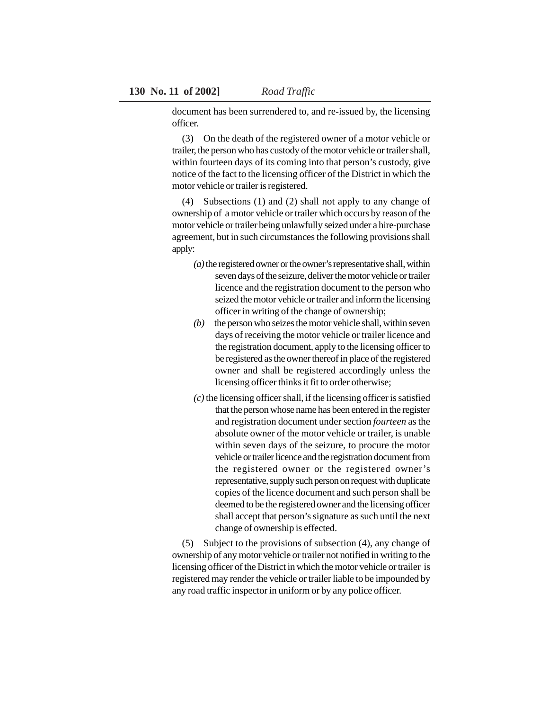document has been surrendered to, and re-issued by, the licensing officer.

(3) On the death of the registered owner of a motor vehicle or trailer, the person who has custody of the motor vehicle or trailer shall, within fourteen days of its coming into that person's custody, give notice of the fact to the licensing officer of the District in which the motor vehicle or trailer is registered.

(4) Subsections (1) and (2) shall not apply to any change of ownership of a motor vehicle or trailer which occurs by reason of the motor vehicle or trailer being unlawfully seized under a hire-purchase agreement, but in such circumstances the following provisions shall apply:

- *(a)* the registered owner or the owner's representative shall, within seven days of the seizure, deliver the motor vehicle or trailer licence and the registration document to the person who seized the motor vehicle or trailer and inform the licensing officer in writing of the change of ownership;
- *(b)* the person who seizes the motor vehicle shall, within seven days of receiving the motor vehicle or trailer licence and the registration document, apply to the licensing officer to be registered as the owner thereof in place of the registered owner and shall be registered accordingly unless the licensing officer thinks it fit to order otherwise;
- *(c)* the licensing officer shall, if the licensing officer is satisfied that the person whose name has been entered in the register and registration document under section *fourteen* as the absolute owner of the motor vehicle or trailer, is unable within seven days of the seizure, to procure the motor vehicle or trailer licence and the registration document from the registered owner or the registered owner's representative, supply such person on request with duplicate copies of the licence document and such person shall be deemed to be the registered owner and the licensing officer shall accept that person's signature as such until the next change of ownership is effected.

(5) Subject to the provisions of subsection (4), any change of ownership of any motor vehicle or trailer not notified in writing to the licensing officer of the District in which the motor vehicle or trailer is registered may render the vehicle or trailer liable to be impounded by any road traffic inspector in uniform or by any police officer.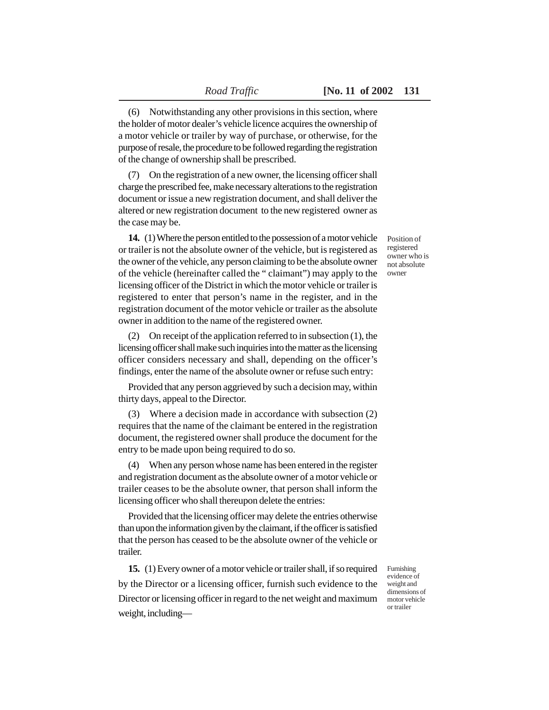(6) Notwithstanding any other provisions in this section, where the holder of motor dealer's vehicle licence acquires the ownership of a motor vehicle or trailer by way of purchase, or otherwise, for the purpose of resale, the procedure to be followed regarding the registration of the change of ownership shall be prescribed.

(7) On the registration of a new owner, the licensing officer shall charge the prescribed fee, make necessary alterations to the registration document or issue a new registration document, and shall deliver the altered or new registration document to the new registered owner as the case may be.

**14.** (1) Where the person entitled to the possession of a motor vehicle or trailer is not the absolute owner of the vehicle, but is registered as the owner of the vehicle, any person claiming to be the absolute owner of the vehicle (hereinafter called the " claimant") may apply to the licensing officer of the District in which the motor vehicle or trailer is registered to enter that person's name in the register, and in the registration document of the motor vehicle or trailer as the absolute owner in addition to the name of the registered owner.

(2) On receipt of the application referred to in subsection (1), the licensing officer shall make such inquiries into the matter as the licensing officer considers necessary and shall, depending on the officer's findings, enter the name of the absolute owner or refuse such entry:

Provided that any person aggrieved by such a decision may, within thirty days, appeal to the Director.

(3) Where a decision made in accordance with subsection (2) requires that the name of the claimant be entered in the registration document, the registered owner shall produce the document for the entry to be made upon being required to do so.

(4) When any person whose name has been entered in the register and registration document as the absolute owner of a motor vehicle or trailer ceases to be the absolute owner, that person shall inform the licensing officer who shall thereupon delete the entries:

Provided that the licensing officer may delete the entries otherwise than upon the information given by the claimant, if the officer is satisfied that the person has ceased to be the absolute owner of the vehicle or trailer.

**15.** (1) Every owner of a motor vehicle or trailer shall, if so required by the Director or a licensing officer, furnish such evidence to the Director or licensing officer in regard to the net weight and maximum weight, includingFurnishing evidence of weight and dimensions of motor vehicle or trailer

Position of registered owner who is not absolute owner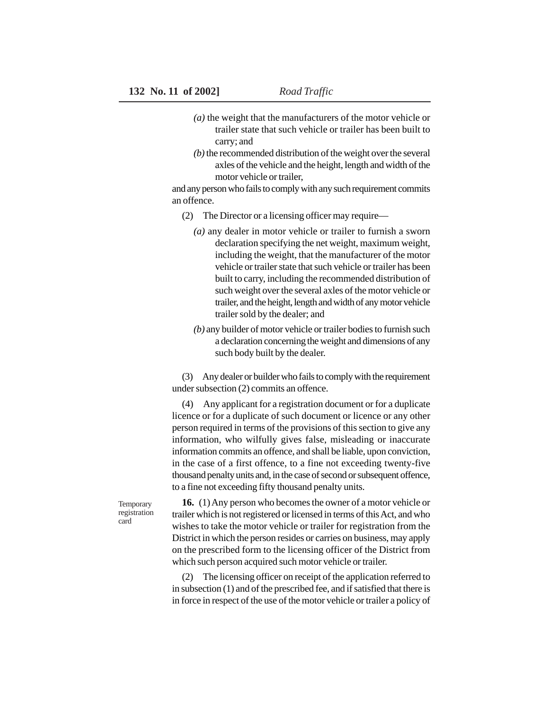- *(a)* the weight that the manufacturers of the motor vehicle or trailer state that such vehicle or trailer has been built to carry; and
- *(b)* the recommended distribution of the weight over the several axles of the vehicle and the height, length and width of the motor vehicle or trailer,

and any person who fails to comply with any such requirement commits an offence.

- (2) The Director or a licensing officer may require—
	- *(a)* any dealer in motor vehicle or trailer to furnish a sworn declaration specifying the net weight, maximum weight, including the weight, that the manufacturer of the motor vehicle or trailer state that such vehicle or trailer has been built to carry, including the recommended distribution of such weight over the several axles of the motor vehicle or trailer, and the height, length and width of any motor vehicle trailer sold by the dealer; and
	- *(b)* any builder of motor vehicle or trailer bodies to furnish such a declaration concerning the weight and dimensions of any such body built by the dealer.

(3) Any dealer or builder who fails to comply with the requirement under subsection (2) commits an offence.

(4) Any applicant for a registration document or for a duplicate licence or for a duplicate of such document or licence or any other person required in terms of the provisions of this section to give any information, who wilfully gives false, misleading or inaccurate information commits an offence, and shall be liable, upon conviction, in the case of a first offence, to a fine not exceeding twenty-five thousand penalty units and, in the case of second or subsequent offence, to a fine not exceeding fifty thousand penalty units.

Temporary registration card

**16.** (1) Any person who becomes the owner of a motor vehicle or trailer which is not registered or licensed in terms of this Act, and who wishes to take the motor vehicle or trailer for registration from the District in which the person resides or carries on business, may apply on the prescribed form to the licensing officer of the District from which such person acquired such motor vehicle or trailer.

(2) The licensing officer on receipt of the application referred to in subsection (1) and of the prescribed fee, and if satisfied that there is in force in respect of the use of the motor vehicle or trailer a policy of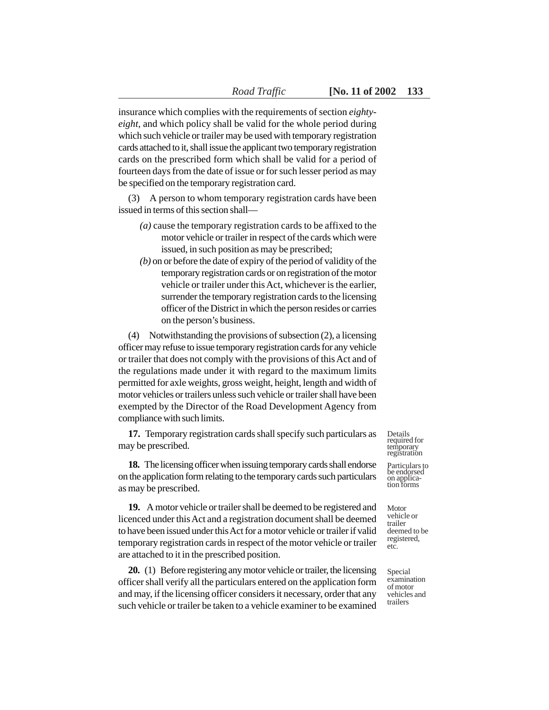insurance which complies with the requirements of section *eightyeight,* and which policy shall be valid for the whole period during which such vehicle or trailer may be used with temporary registration cards attached to it, shall issue the applicant two temporary registration cards on the prescribed form which shall be valid for a period of fourteen days from the date of issue or for such lesser period as may be specified on the temporary registration card.

(3) A person to whom temporary registration cards have been issued in terms of this section shall—

- *(a)* cause the temporary registration cards to be affixed to the motor vehicle or trailer in respect of the cards which were issued, in such position as may be prescribed;
- *(b)* on or before the date of expiry of the period of validity of the temporary registration cards or on registration of the motor vehicle or trailer under this Act, whichever is the earlier, surrender the temporary registration cards to the licensing officer of the District in which the person resides or carries on the person's business.

(4) Notwithstanding the provisions of subsection (2), a licensing officer may refuse to issue temporary registration cards for any vehicle or trailer that does not comply with the provisions of this Act and of the regulations made under it with regard to the maximum limits permitted for axle weights, gross weight, height, length and width of motor vehicles or trailers unless such vehicle or trailer shall have been exempted by the Director of the Road Development Agency from compliance with such limits.

**17.** Temporary registration cards shall specify such particulars as may be prescribed.

**18.** The licensing officer when issuing temporary cards shall endorse on the application form relating to the temporary cards such particulars as may be prescribed.

**19.** A motor vehicle or trailer shall be deemed to be registered and licenced under this Act and a registration document shall be deemed to have been issued under this Act for a motor vehicle or trailer if valid temporary registration cards in respect of the motor vehicle or trailer are attached to it in the prescribed position.

**20.** (1) Before registering any motor vehicle or trailer, the licensing officer shall verify all the particulars entered on the application form and may, if the licensing officer considers it necessary, order that any such vehicle or trailer be taken to a vehicle examiner to be examined Details required for temporary registration

Particulars to be endorsed on applica-tion forms

Motor vehicle or trailer deemed to be registered, etc.

Special examination of motor vehicles and trailers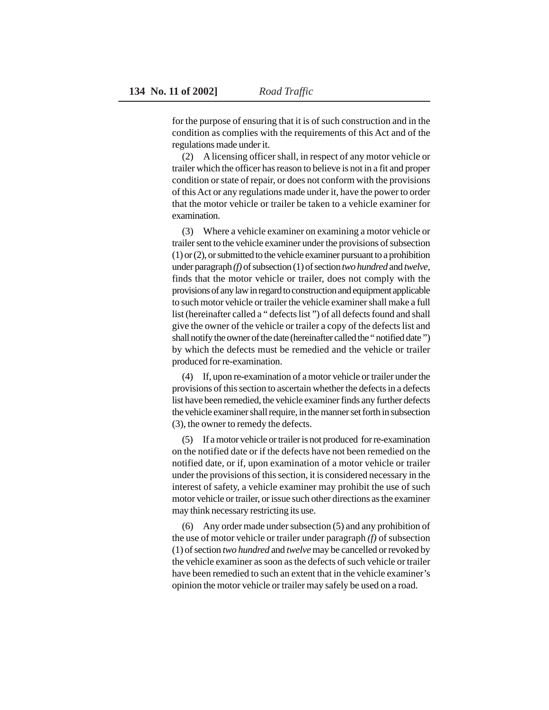for the purpose of ensuring that it is of such construction and in the condition as complies with the requirements of this Act and of the regulations made under it.

(2) A licensing officer shall, in respect of any motor vehicle or trailer which the officer has reason to believe is not in a fit and proper condition or state of repair, or does not conform with the provisions of this Act or any regulations made under it, have the power to order that the motor vehicle or trailer be taken to a vehicle examiner for examination.

(3) Where a vehicle examiner on examining a motor vehicle or trailer sent to the vehicle examiner under the provisions of subsection (1) or (2), or submitted to the vehicle examiner pursuant to a prohibition under paragraph *(f)* of subsection (1) of section *two hundred* and *twelve,* finds that the motor vehicle or trailer, does not comply with the provisions of any law in regard to construction and equipment applicable to such motor vehicle or trailer the vehicle examiner shall make a full list (hereinafter called a " defects list ") of all defects found and shall give the owner of the vehicle or trailer a copy of the defects list and shall notify the owner of the date (hereinafter called the " notified date ") by which the defects must be remedied and the vehicle or trailer produced for re-examination.

(4) If, upon re-examination of a motor vehicle or trailer under the provisions of this section to ascertain whether the defects in a defects list have been remedied, the vehicle examiner finds any further defects the vehicle examiner shall require, in the manner set forth in subsection (3), the owner to remedy the defects.

(5) If a motor vehicle or trailer is not produced for re-examination on the notified date or if the defects have not been remedied on the notified date, or if, upon examination of a motor vehicle or trailer under the provisions of this section, it is considered necessary in the interest of safety, a vehicle examiner may prohibit the use of such motor vehicle or trailer, or issue such other directions as the examiner may think necessary restricting its use.

(6) Any order made under subsection (5) and any prohibition of the use of motor vehicle or trailer under paragraph *(f)* of subsection (1) of section *two hundred* and *twelve* may be cancelled or revoked by the vehicle examiner as soon as the defects of such vehicle or trailer have been remedied to such an extent that in the vehicle examiner's opinion the motor vehicle or trailer may safely be used on a road.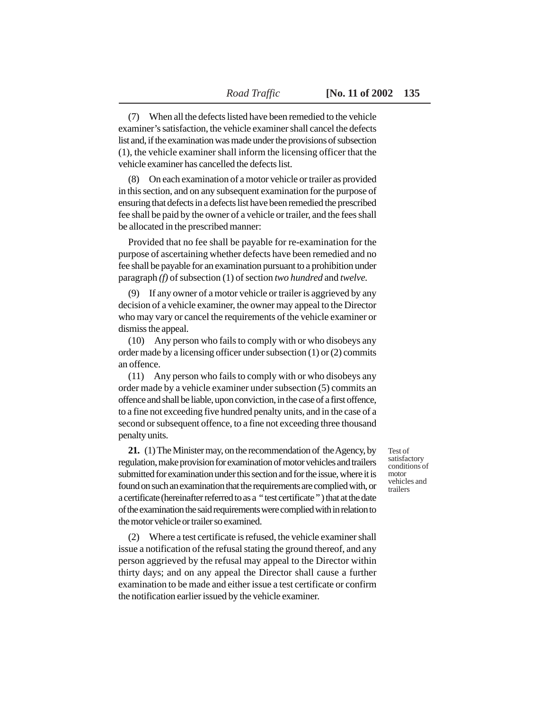(7) When all the defects listed have been remedied to the vehicle examiner's satisfaction, the vehicle examiner shall cancel the defects list and, if the examination was made under the provisions of subsection (1), the vehicle examiner shall inform the licensing officer that the vehicle examiner has cancelled the defects list.

(8) On each examination of a motor vehicle or trailer as provided in this section, and on any subsequent examination for the purpose of ensuring that defects in a defects list have been remedied the prescribed fee shall be paid by the owner of a vehicle or trailer, and the fees shall be allocated in the prescribed manner:

Provided that no fee shall be payable for re-examination for the purpose of ascertaining whether defects have been remedied and no fee shall be payable for an examination pursuant to a prohibition under paragraph *(f)* of subsection (1) of section *two hundred* and *twelve.*

(9) If any owner of a motor vehicle or trailer is aggrieved by any decision of a vehicle examiner, the owner may appeal to the Director who may vary or cancel the requirements of the vehicle examiner or dismiss the appeal.

(10) Any person who fails to comply with or who disobeys any order made by a licensing officer under subsection (1) or (2) commits an offence.

(11) Any person who fails to comply with or who disobeys any order made by a vehicle examiner under subsection (5) commits an offence and shall be liable, upon conviction, in the case of a first offence, to a fine not exceeding five hundred penalty units, and in the case of a second or subsequent offence, to a fine not exceeding three thousand penalty units.

**21.** (1) The Minister may, on the recommendation of the Agency, by regulation, make provision for examination of motor vehicles and trailers submitted for examination under this section and for the issue, where it is found on such an examination that the requirements are complied with, or a certificate (hereinafter referred to as a " test certificate " ) that at the date of the examination the said requirements were complied with in relation to the motor vehicle or trailer so examined.

(2) Where a test certificate is refused, the vehicle examiner shall issue a notification of the refusal stating the ground thereof, and any person aggrieved by the refusal may appeal to the Director within thirty days; and on any appeal the Director shall cause a further examination to be made and either issue a test certificate or confirm the notification earlier issued by the vehicle examiner.

Test of satisfactory conditions of motor vehicles and trailers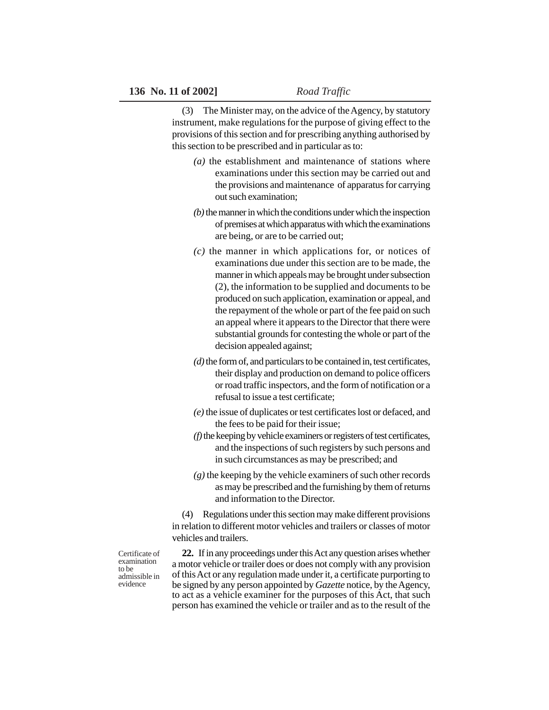(3) The Minister may, on the advice of the Agency, by statutory instrument, make regulations for the purpose of giving effect to the provisions of this section and for prescribing anything authorised by this section to be prescribed and in particular as to:

- *(a)* the establishment and maintenance of stations where examinations under this section may be carried out and the provisions and maintenance of apparatus for carrying out such examination;
- *(b)* the manner in which the conditions under which the inspection of premises at which apparatus with which the examinations are being, or are to be carried out;
- *(c)* the manner in which applications for, or notices of examinations due under this section are to be made, the manner in which appeals may be brought under subsection (2), the information to be supplied and documents to be produced on such application, examination or appeal, and the repayment of the whole or part of the fee paid on such an appeal where it appears to the Director that there were substantial grounds for contesting the whole or part of the decision appealed against;
- *(d)* the form of, and particulars to be contained in, test certificates, their display and production on demand to police officers or road traffic inspectors, and the form of notification or a refusal to issue a test certificate;
- *(e)* the issue of duplicates or test certificates lost or defaced, and the fees to be paid for their issue;
- *(f)* the keeping by vehicle examiners or registers of test certificates, and the inspections of such registers by such persons and in such circumstances as may be prescribed; and
- *(g)* the keeping by the vehicle examiners of such other records as may be prescribed and the furnishing by them of returns and information to the Director.

(4) Regulations under this section may make different provisions in relation to different motor vehicles and trailers or classes of motor vehicles and trailers.

Certificate of examination to be admissible in evidence

**22.** If in any proceedings under this Act any question arises whether a motor vehicle or trailer does or does not comply with any provision of this Act or any regulation made under it, a certificate purporting to be signed by any person appointed by *Gazette* notice, by the Agency, to act as a vehicle examiner for the purposes of this Act, that such person has examined the vehicle or trailer and as to the result of the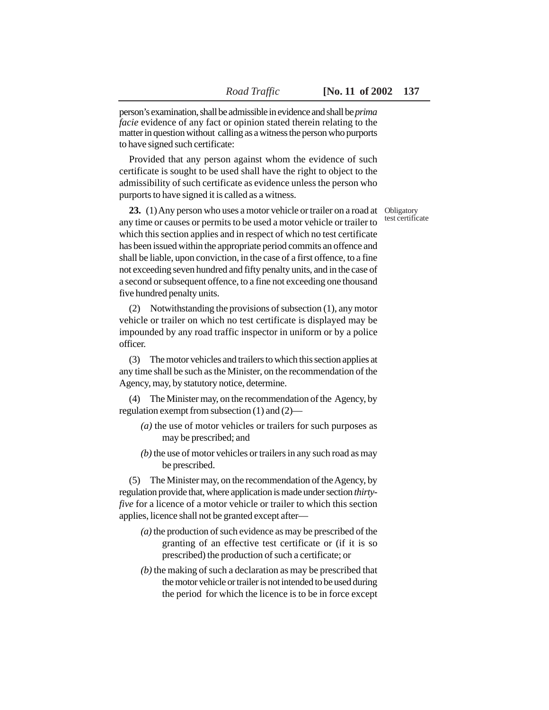person's examination, shall be admissible in evidence and shall be *prima facie* evidence of any fact or opinion stated therein relating to the matter in question without calling as a witness the person who purports to have signed such certificate:

Provided that any person against whom the evidence of such certificate is sought to be used shall have the right to object to the admissibility of such certificate as evidence unless the person who purports to have signed it is called as a witness.

**23.** (1) Any person who uses a motor vehicle or trailer on a road at any time or causes or permits to be used a motor vehicle or trailer to which this section applies and in respect of which no test certificate has been issued within the appropriate period commits an offence and shall be liable, upon conviction, in the case of a first offence, to a fine not exceeding seven hundred and fifty penalty units, and in the case of a second or subsequent offence, to a fine not exceeding one thousand five hundred penalty units.

(2) Notwithstanding the provisions of subsection (1), any motor vehicle or trailer on which no test certificate is displayed may be impounded by any road traffic inspector in uniform or by a police officer.

(3) The motor vehicles and trailers to which this section applies at any time shall be such as the Minister, on the recommendation of the Agency, may, by statutory notice, determine.

(4) The Minister may, on the recommendation of the Agency, by regulation exempt from subsection (1) and (2)—

- *(a)* the use of motor vehicles or trailers for such purposes as may be prescribed; and
- *(b)* the use of motor vehicles or trailers in any such road as may be prescribed.

(5) The Minister may, on the recommendation of the Agency, by regulation provide that, where application is made under section *thirtyfive* for a licence of a motor vehicle or trailer to which this section applies, licence shall not be granted except after—

- *(a)* the production of such evidence as may be prescribed of the granting of an effective test certificate or (if it is so prescribed) the production of such a certificate; or
- *(b)* the making of such a declaration as may be prescribed that the motor vehicle or trailer is not intended to be used during the period for which the licence is to be in force except

Obligatory test certificate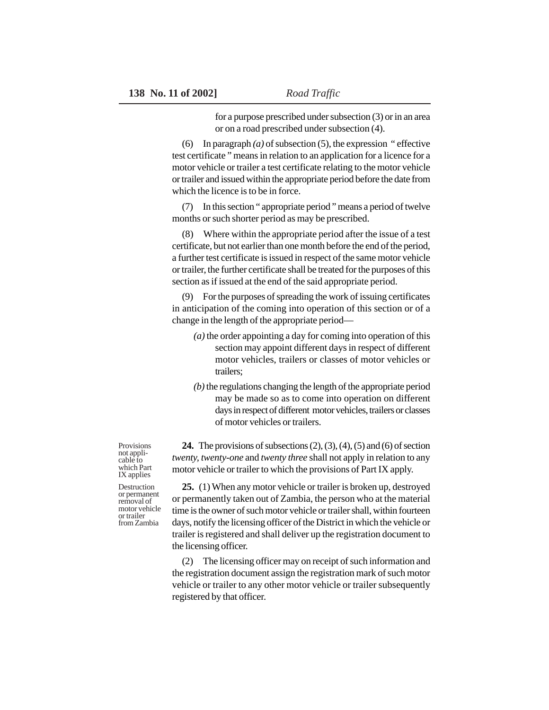for a purpose prescribed under subsection (3) or in an area or on a road prescribed under subsection (4).

(6) In paragraph *(a)* of subsection (5), the expression " effective test certificate " means in relation to an application for a licence for a motor vehicle or trailer a test certificate relating to the motor vehicle or trailer and issued within the appropriate period before the date from which the licence is to be in force.

(7) In this section " appropriate period " means a period of twelve months or such shorter period as may be prescribed.

Where within the appropriate period after the issue of a test certificate, but not earlier than one month before the end of the period, a further test certificate is issued in respect of the same motor vehicle or trailer, the further certificate shall be treated for the purposes of this section as if issued at the end of the said appropriate period.

(9) For the purposes of spreading the work of issuing certificates in anticipation of the coming into operation of this section or of a change in the length of the appropriate period—

- *(a)* the order appointing a day for coming into operation of this section may appoint different days in respect of different motor vehicles, trailers or classes of motor vehicles or trailers;
- *(b)* the regulations changing the length of the appropriate period may be made so as to come into operation on different days in respect of different motor vehicles, trailers or classes of motor vehicles or trailers.

**24.** The provisions of subsections (2), (3), (4), (5) and (6) of section *twenty, twenty-one* and *twenty three* shall not apply in relation to any motor vehicle or trailer to which the provisions of Part IX apply.

**25.** (1) When any motor vehicle or trailer is broken up, destroyed or permanently taken out of Zambia, the person who at the material time is the owner of such motor vehicle or trailer shall, within fourteen days, notify the licensing officer of the District in which the vehicle or trailer is registered and shall deliver up the registration document to the licensing officer.

(2) The licensing officer may on receipt of such information and the registration document assign the registration mark of such motor vehicle or trailer to any other motor vehicle or trailer subsequently registered by that officer.

Provisions not applicable to which Part IX applies

Destruction or permanent removal of motor vehicle or trailer from Zambia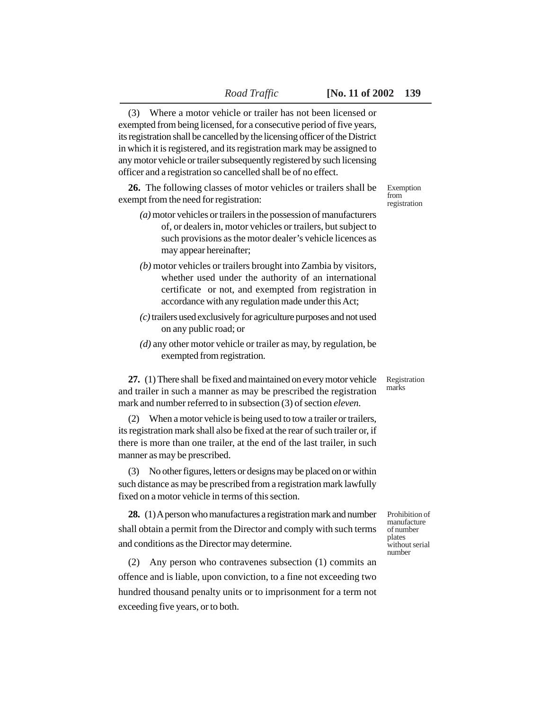(3) Where a motor vehicle or trailer has not been licensed or exempted from being licensed, for a consecutive period of five years, its registration shall be cancelled by the licensing officer of the District in which it is registered, and its registration mark may be assigned to any motor vehicle or trailer subsequently registered by such licensing officer and a registration so cancelled shall be of no effect.

**26.** The following classes of motor vehicles or trailers shall be exempt from the need for registration:

- *(a)* motor vehicles or trailers in the possession of manufacturers of, or dealers in, motor vehicles or trailers, but subject to such provisions as the motor dealer's vehicle licences as may appear hereinafter;
- *(b)* motor vehicles or trailers brought into Zambia by visitors, whether used under the authority of an international certificate or not, and exempted from registration in accordance with any regulation made under this Act;
- *(c)* trailers used exclusively for agriculture purposes and not used on any public road; or
- *(d)* any other motor vehicle or trailer as may, by regulation, be exempted from registration.

**27.** (1) There shall be fixed and maintained on every motor vehicle and trailer in such a manner as may be prescribed the registration mark and number referred to in subsection (3) of section *eleven.* Registration marks

(2) When a motor vehicle is being used to tow a trailer or trailers, its registration mark shall also be fixed at the rear of such trailer or, if there is more than one trailer, at the end of the last trailer, in such manner as may be prescribed.

(3) No other figures, letters or designs may be placed on or within such distance as may be prescribed from a registration mark lawfully fixed on a motor vehicle in terms of this section.

**28.** (1) A person who manufactures a registration mark and number shall obtain a permit from the Director and comply with such terms and conditions as the Director may determine.

(2) Any person who contravenes subsection (1) commits an offence and is liable, upon conviction, to a fine not exceeding two hundred thousand penalty units or to imprisonment for a term not exceeding five years, or to both.

Prohibition of manufacture of number plates without serial number

Exemption from registration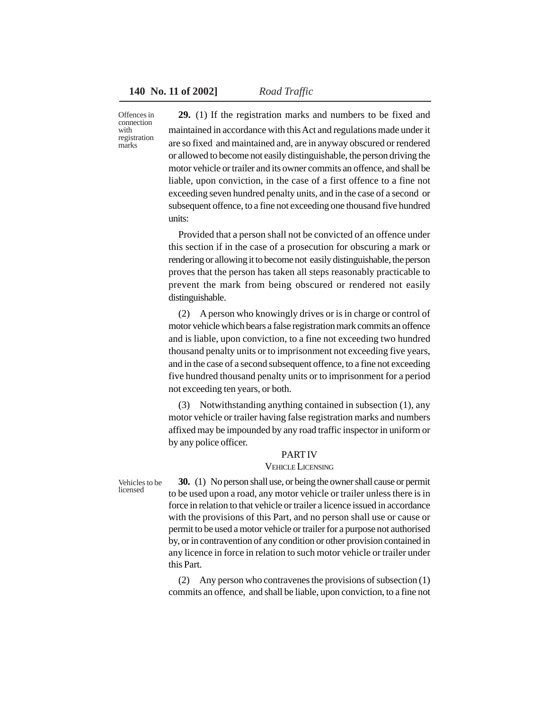Offences in connection with registration marks

**29.** (1) If the registration marks and numbers to be fixed and maintained in accordance with this Act and regulations made under it are so fixed and maintained and, are in anyway obscured or rendered or allowed to become not easily distinguishable, the person driving the motor vehicle or trailer and its owner commits an offence, and shall be liable, upon conviction, in the case of a first offence to a fine not exceeding seven hundred penalty units, and in the case of a second or subsequent offence, to a fine not exceeding one thousand five hundred units:

Provided that a person shall not be convicted of an offence under this section if in the case of a prosecution for obscuring a mark or rendering or allowing it to become not easily distinguishable, the person proves that the person has taken all steps reasonably practicable to prevent the mark from being obscured or rendered not easily distinguishable.

(2) A person who knowingly drives or is in charge or control of motor vehicle which bears a false registration mark commits an offence and is liable, upon conviction, to a fine not exceeding two hundred thousand penalty units or to imprisonment not exceeding five years, and in the case of a second subsequent offence, to a fine not exceeding five hundred thousand penalty units or to imprisonment for a period not exceeding ten years, or both.

(3) Notwithstanding anything contained in subsection (1), any motor vehicle or trailer having false registration marks and numbers affixed may be impounded by any road traffic inspector in uniform or by any police officer.

## PART IV

#### VEHICLE LICENSING

Vehicles to be licensed

**30.** (1) No person shall use, or being the owner shall cause or permit to be used upon a road, any motor vehicle or trailer unless there is in force in relation to that vehicle or trailer a licence issued in accordance with the provisions of this Part, and no person shall use or cause or permit to be used a motor vehicle or trailer for a purpose not authorised by, or in contravention of any condition or other provision contained in any licence in force in relation to such motor vehicle or trailer under this Part.

(2) Any person who contravenes the provisions of subsection (1) commits an offence, and shall be liable, upon conviction, to a fine not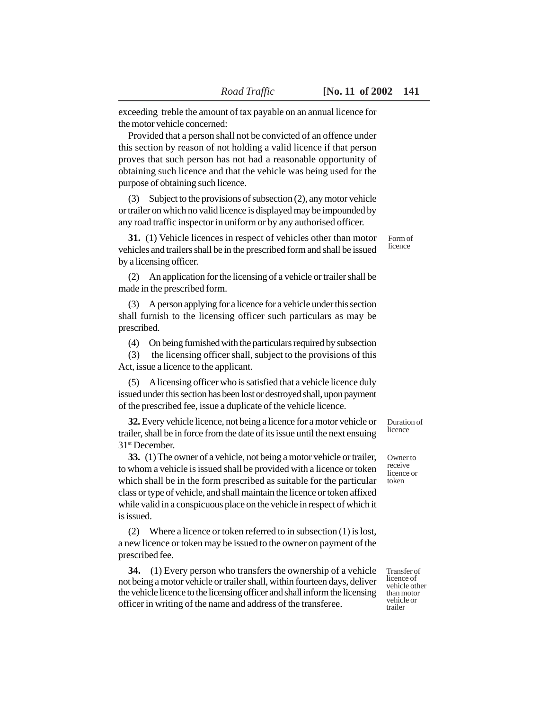exceeding treble the amount of tax payable on an annual licence for the motor vehicle concerned:

Provided that a person shall not be convicted of an offence under this section by reason of not holding a valid licence if that person proves that such person has not had a reasonable opportunity of obtaining such licence and that the vehicle was being used for the purpose of obtaining such licence.

(3) Subject to the provisions of subsection (2), any motor vehicle or trailer on which no valid licence is displayed may be impounded by any road traffic inspector in uniform or by any authorised officer.

**31.** (1) Vehicle licences in respect of vehicles other than motor vehicles and trailers shall be in the prescribed form and shall be issued by a licensing officer.

(2) An application for the licensing of a vehicle or trailer shall be made in the prescribed form.

(3) A person applying for a licence for a vehicle under this section shall furnish to the licensing officer such particulars as may be prescribed.

(4) On being furnished with the particulars required by subsection

(3) the licensing officer shall, subject to the provisions of this Act, issue a licence to the applicant.

(5) A licensing officer who is satisfied that a vehicle licence duly issued under this section has been lost or destroyed shall, upon payment of the prescribed fee, issue a duplicate of the vehicle licence.

**32.** Every vehicle licence, not being a licence for a motor vehicle or trailer, shall be in force from the date of its issue until the next ensuing 31st December.

**33.** (1) The owner of a vehicle, not being a motor vehicle or trailer, to whom a vehicle is issued shall be provided with a licence or token which shall be in the form prescribed as suitable for the particular class or type of vehicle, and shall maintain the licence or token affixed while valid in a conspicuous place on the vehicle in respect of which it is issued.

(2) Where a licence or token referred to in subsection (1) is lost, a new licence or token may be issued to the owner on payment of the prescribed fee.

**34.** (1) Every person who transfers the ownership of a vehicle not being a motor vehicle or trailer shall, within fourteen days, deliver the vehicle licence to the licensing officer and shall inform the licensing officer in writing of the name and address of the transferee.

Transfer of licence of vehicle other than motor vehicle or trailer

Duration of licence

Owner to receive licence or token

Form of licence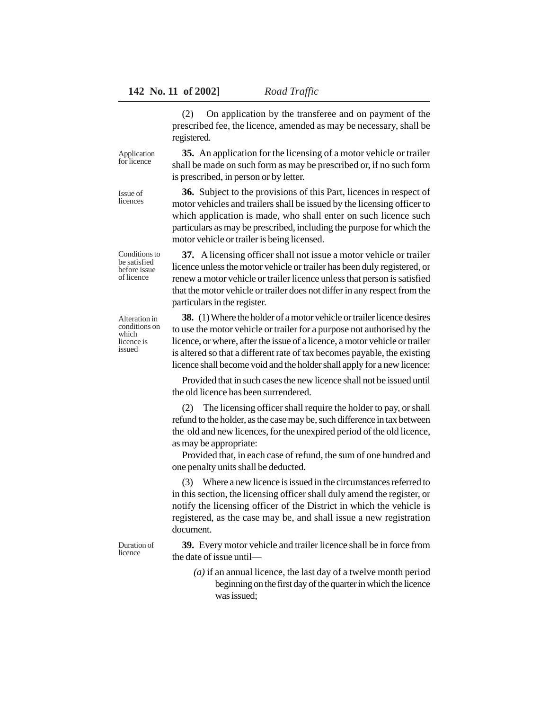(2) On application by the transferee and on payment of the prescribed fee, the licence, amended as may be necessary, shall be registered.

Application for licence

Issue of licences

**35.** An application for the licensing of a motor vehicle or trailer shall be made on such form as may be prescribed or, if no such form is prescribed, in person or by letter.

**36.** Subject to the provisions of this Part, licences in respect of motor vehicles and trailers shall be issued by the licensing officer to which application is made, who shall enter on such licence such particulars as may be prescribed, including the purpose for which the motor vehicle or trailer is being licensed.

Conditions to be satisfied before issue of licence

**37.** A licensing officer shall not issue a motor vehicle or trailer licence unless the motor vehicle or trailer has been duly registered, or renew a motor vehicle or trailer licence unless that person is satisfied that the motor vehicle or trailer does not differ in any respect from the particulars in the register.

Alteration in conditions on which licence is issued

**38.** (1) Where the holder of a motor vehicle or trailer licence desires to use the motor vehicle or trailer for a purpose not authorised by the licence, or where, after the issue of a licence, a motor vehicle or trailer is altered so that a different rate of tax becomes payable, the existing licence shall become void and the holder shall apply for a new licence:

Provided that in such cases the new licence shall not be issued until the old licence has been surrendered.

(2) The licensing officer shall require the holder to pay, or shall refund to the holder, as the case may be, such difference in tax between the old and new licences, for the unexpired period of the old licence, as may be appropriate:

Provided that, in each case of refund, the sum of one hundred and one penalty units shall be deducted.

Where a new licence is issued in the circumstances referred to in this section, the licensing officer shall duly amend the register, or notify the licensing officer of the District in which the vehicle is registered, as the case may be, and shall issue a new registration document.

Duration of licence

**39.** Every motor vehicle and trailer licence shall be in force from the date of issue until—

*(a)* if an annual licence, the last day of a twelve month period beginning on the first day of the quarter in which the licence was issued;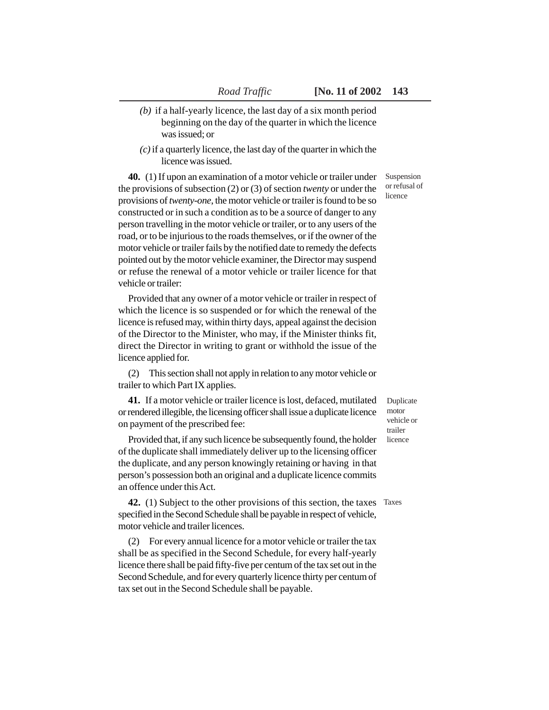- *(b)* if a half-yearly licence, the last day of a six month period beginning on the day of the quarter in which the licence was issued; or
- *(c)* if a quarterly licence, the last day of the quarter in which the licence was issued.

**40.** (1) If upon an examination of a motor vehicle or trailer under the provisions of subsection (2) or (3) of section *twenty* or under the provisions of *twenty-one*, the motor vehicle or trailer is found to be so constructed or in such a condition as to be a source of danger to any person travelling in the motor vehicle or trailer, or to any users of the road, or to be injurious to the roads themselves, or if the owner of the motor vehicle or trailer fails by the notified date to remedy the defects pointed out by the motor vehicle examiner, the Director may suspend or refuse the renewal of a motor vehicle or trailer licence for that vehicle or trailer:

Provided that any owner of a motor vehicle or trailer in respect of which the licence is so suspended or for which the renewal of the licence is refused may, within thirty days, appeal against the decision of the Director to the Minister, who may, if the Minister thinks fit, direct the Director in writing to grant or withhold the issue of the licence applied for.

(2) This section shall not apply in relation to any motor vehicle or trailer to which Part IX applies.

**41.** If a motor vehicle or trailer licence is lost, defaced, mutilated or rendered illegible, the licensing officer shall issue a duplicate licence on payment of the prescribed fee:

Provided that, if any such licence be subsequently found, the holder of the duplicate shall immediately deliver up to the licensing officer the duplicate, and any person knowingly retaining or having in that person's possession both an original and a duplicate licence commits an offence under this Act.

**42.** (1) Subject to the other provisions of this section, the taxes Taxes specified in the Second Schedule shall be payable in respect of vehicle, motor vehicle and trailer licences.

(2) For every annual licence for a motor vehicle or trailer the tax shall be as specified in the Second Schedule, for every half-yearly licence there shall be paid fifty-five per centum of the tax set out in the Second Schedule, and for every quarterly licence thirty per centum of tax set out in the Second Schedule shall be payable.

Suspension or refusal of licence

Duplicate motor vehicle or trailer licence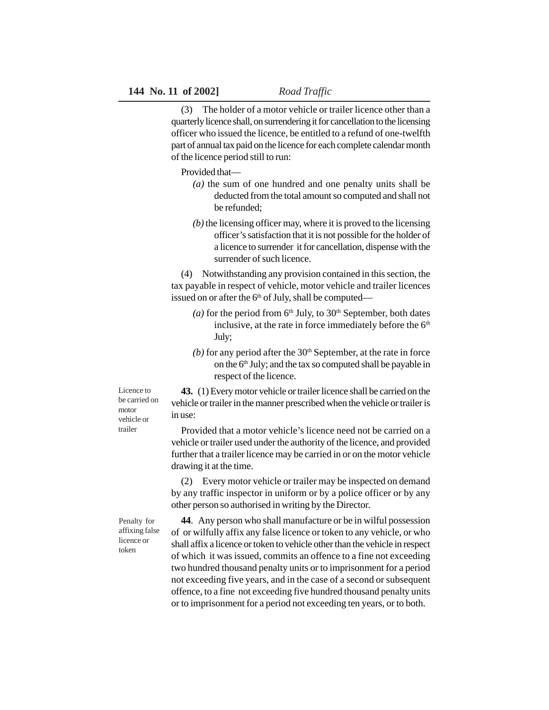(3) The holder of a motor vehicle or trailer licence other than a quarterly licence shall, on surrendering it for cancellation to the licensing officer who issued the licence, be entitled to a refund of one-twelfth part of annual tax paid on the licence for each complete calendar month of the licence period still to run:

Provided that—

- *(a)* the sum of one hundred and one penalty units shall be deducted from the total amount so computed and shall not be refunded;
- *(b)* the licensing officer may, where it is proved to the licensing officer's satisfaction that it is not possible for the holder of a licence to surrender it for cancellation, dispense with the surrender of such licence.

(4) Notwithstanding any provision contained in this section, the tax payable in respect of vehicle, motor vehicle and trailer licences issued on or after the  $6<sup>th</sup>$  of July, shall be computed—

- (*a*) for the period from  $6<sup>th</sup>$  July, to  $30<sup>th</sup>$  September, both dates inclusive, at the rate in force immediately before the  $6<sup>th</sup>$ July;
- $(b)$  for any period after the  $30<sup>th</sup>$  September, at the rate in force on the  $6<sup>th</sup>$  July; and the tax so computed shall be payable in respect of the licence.

Licence to be carried on motor vehicle or trailer

**43.** (1) Every motor vehicle or trailer licence shall be carried on the vehicle or trailer in the manner prescribed when the vehicle or trailer is in use:

Provided that a motor vehicle's licence need not be carried on a vehicle or trailer used under the authority of the licence, and provided further that a trailer licence may be carried in or on the motor vehicle drawing it at the time.

(2) Every motor vehicle or trailer may be inspected on demand by any traffic inspector in uniform or by a police officer or by any other person so authorised in writing by the Director.

Penalty for affixing false licence or token

**44**. Any person who shall manufacture or be in wilful possession of or wilfully affix any false licence or token to any vehicle, or who shall affix a licence or token to vehicle other than the vehicle in respect of which it was issued, commits an offence to a fine not exceeding two hundred thousand penalty units or to imprisonment for a period not exceeding five years, and in the case of a second or subsequent offence, to a fine not exceeding five hundred thousand penalty units or to imprisonment for a period not exceeding ten years, or to both.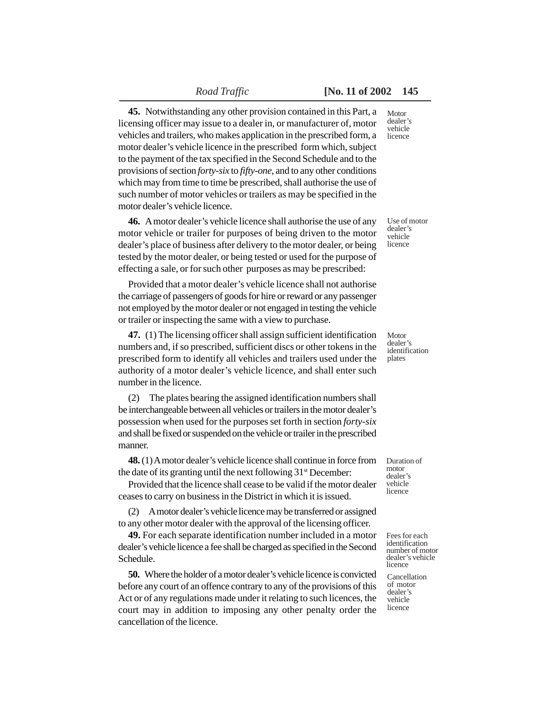**45.** Notwithstanding any other provision contained in this Part, a licensing officer may issue to a dealer in, or manufacturer of, motor vehicles and trailers, who makes application in the prescribed form, a motor dealer's vehicle licence in the prescribed form which, subject to the payment of the tax specified in the Second Schedule and to the provisions of section *forty-six* to *fifty-one*, and to any other conditions which may from time to time be prescribed, shall authorise the use of such number of motor vehicles or trailers as may be specified in the motor dealer's vehicle licence.

**46.** A motor dealer's vehicle licence shall authorise the use of any motor vehicle or trailer for purposes of being driven to the motor dealer's place of business after delivery to the motor dealer, or being tested by the motor dealer, or being tested or used for the purpose of effecting a sale, or for such other purposes as may be prescribed:

Provided that a motor dealer's vehicle licence shall not authorise the carriage of passengers of goods for hire or reward or any passenger not employed by the motor dealer or not engaged in testing the vehicle or trailer or inspecting the same with a view to purchase.

**47.** (1) The licensing officer shall assign sufficient identification numbers and, if so prescribed, sufficient discs or other tokens in the prescribed form to identify all vehicles and trailers used under the authority of a motor dealer's vehicle licence, and shall enter such number in the licence.

(2) The plates bearing the assigned identification numbers shall be interchangeable between all vehicles or trailers in the motor dealer's possession when used for the purposes set forth in section *forty-six* and shall be fixed or suspended on the vehicle or trailer in the prescribed manner.

**48.** (1) A motor dealer's vehicle licence shall continue in force from the date of its granting until the next following  $31<sup>st</sup>$  December:

Provided that the licence shall cease to be valid if the motor dealer ceases to carry on business in the District in which it is issued.

(2) A motor dealer's vehicle licence may be transferred or assigned to any other motor dealer with the approval of the licensing officer.

**49.** For each separate identification number included in a motor dealer's vehicle licence a fee shall be charged as specified in the Second Schedule.

**50.** Where the holder of a motor dealer's vehicle licence is convicted before any court of an offence contrary to any of the provisions of this Act or of any regulations made under it relating to such licences, the court may in addition to imposing any other penalty order the cancellation of the licence.

**Motor** dealer's vehicle licence

Use of motor dealer's vehicle licence

Motor dealer's identification plates

Duration of motor dealer's vehicle licence

Fees for each identification number of motor dealer's vehicle licence

Cancellation of motor dealer's vehicle licence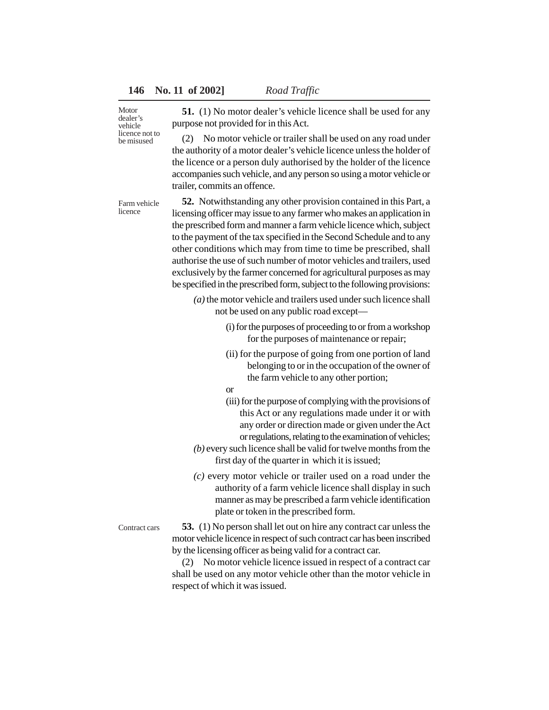## **146 No. 11 of 2002]** *Road Traffic*

Motor dealer's vehicle licence not to be misused

**51.** (1) No motor dealer's vehicle licence shall be used for any purpose not provided for in this Act.

(2) No motor vehicle or trailer shall be used on any road under the authority of a motor dealer's vehicle licence unless the holder of the licence or a person duly authorised by the holder of the licence accompanies such vehicle, and any person so using a motor vehicle or trailer, commits an offence.

Farm vehicle licence

**52.** Notwithstanding any other provision contained in this Part, a licensing officer may issue to any farmer who makes an application in the prescribed form and manner a farm vehicle licence which, subject to the payment of the tax specified in the Second Schedule and to any other conditions which may from time to time be prescribed, shall authorise the use of such number of motor vehicles and trailers, used exclusively by the farmer concerned for agricultural purposes as may be specified in the prescribed form, subject to the following provisions:

- *(a)* the motor vehicle and trailers used under such licence shall not be used on any public road except—
	- (i) for the purposes of proceeding to or from a workshop for the purposes of maintenance or repair;
	- (ii) for the purpose of going from one portion of land belonging to or in the occupation of the owner of the farm vehicle to any other portion;
	- or
	- (iii) for the purpose of complying with the provisions of this Act or any regulations made under it or with any order or direction made or given under the Act or regulations, relating to the examination of vehicles;
- *(b)* every such licence shall be valid for twelve months from the first day of the quarter in which it is issued;
- *(c)* every motor vehicle or trailer used on a road under the authority of a farm vehicle licence shall display in such manner as may be prescribed a farm vehicle identification plate or token in the prescribed form.

Contract cars

**53.** (1) No person shall let out on hire any contract car unless the motor vehicle licence in respect of such contract car has been inscribed by the licensing officer as being valid for a contract car.

(2) No motor vehicle licence issued in respect of a contract car shall be used on any motor vehicle other than the motor vehicle in respect of which it was issued.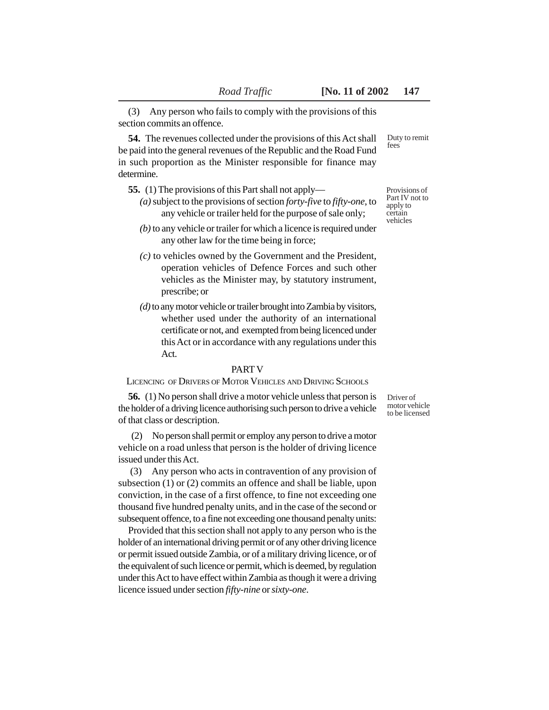(3) Any person who fails to comply with the provisions of this section commits an offence.

**54.** The revenues collected under the provisions of this Act shall be paid into the general revenues of the Republic and the Road Fund in such proportion as the Minister responsible for finance may determine.

**55.** (1) The provisions of this Part shall not apply—

- *(a)* subject to the provisions of section *forty-five* to *fifty-one*, to any vehicle or trailer held for the purpose of sale only;
- *(b)* to any vehicle or trailer for which a licence is required under any other law for the time being in force;
- *(c)* to vehicles owned by the Government and the President, operation vehicles of Defence Forces and such other vehicles as the Minister may, by statutory instrument, prescribe; or
- *(d)* to any motor vehicle or trailer brought into Zambia by visitors, whether used under the authority of an international certificate or not, and exempted from being licenced under this Act or in accordance with any regulations under this Act.

#### PART V

LICENCING OF DRIVERS OF MOTOR VEHICLES AND DRIVING SCHOOLS

**56.** (1) No person shall drive a motor vehicle unless that person is the holder of a driving licence authorising such person to drive a vehicle of that class or description.

 (2) No person shall permit or employ any person to drive a motor vehicle on a road unless that person is the holder of driving licence issued under this Act.

 (3) Any person who acts in contravention of any provision of subsection (1) or (2) commits an offence and shall be liable, upon conviction, in the case of a first offence, to fine not exceeding one thousand five hundred penalty units, and in the case of the second or subsequent offence, to a fine not exceeding one thousand penalty units:

Provided that this section shall not apply to any person who is the holder of an international driving permit or of any other driving licence or permit issued outside Zambia, or of a military driving licence, or of the equivalent of such licence or permit, which is deemed, by regulation under this Act to have effect within Zambia as though it were a driving licence issued under section *fifty-nine* or *sixty-one*.

Driver of motor vehicle to be licensed

Duty to remit fees

Provisions of Part IV not to apply to certain vehicles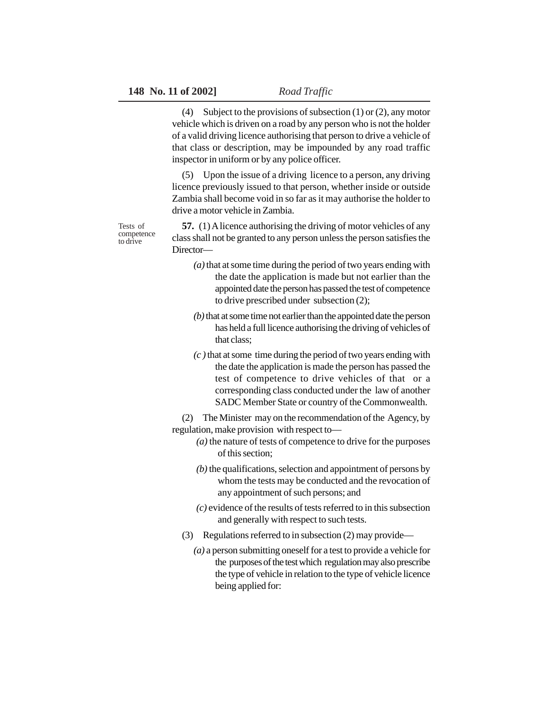Tests of competence to drive

(4) Subject to the provisions of subsection (1) or (2), any motor vehicle which is driven on a road by any person who is not the holder of a valid driving licence authorising that person to drive a vehicle of that class or description, may be impounded by any road traffic inspector in uniform or by any police officer.

(5) Upon the issue of a driving licence to a person, any driving licence previously issued to that person, whether inside or outside Zambia shall become void in so far as it may authorise the holder to drive a motor vehicle in Zambia.

**57.** (1) A licence authorising the driving of motor vehicles of any class shall not be granted to any person unless the person satisfies the Director—

- *(a)* that at some time during the period of two years ending with the date the application is made but not earlier than the appointed date the person has passed the test of competence to drive prescribed under subsection (2);
- *(b)* that at some time not earlier than the appointed date the person has held a full licence authorising the driving of vehicles of that class;
- *(c )* that at some time during the period of two years ending with the date the application is made the person has passed the test of competence to drive vehicles of that or a corresponding class conducted under the law of another SADC Member State or country of the Commonwealth.

(2) The Minister may on the recommendation of the Agency, by regulation, make provision with respect to—

- *(a)* the nature of tests of competence to drive for the purposes of this section;
- *(b)* the qualifications, selection and appointment of persons by whom the tests may be conducted and the revocation of any appointment of such persons; and
- *(c)* evidence of the results of tests referred to in this subsection and generally with respect to such tests.
- (3) Regulations referred to in subsection (2) may provide—
	- *(a)* a person submitting oneself for a test to provide a vehicle for the purposes of the test which regulation may also prescribe the type of vehicle in relation to the type of vehicle licence being applied for: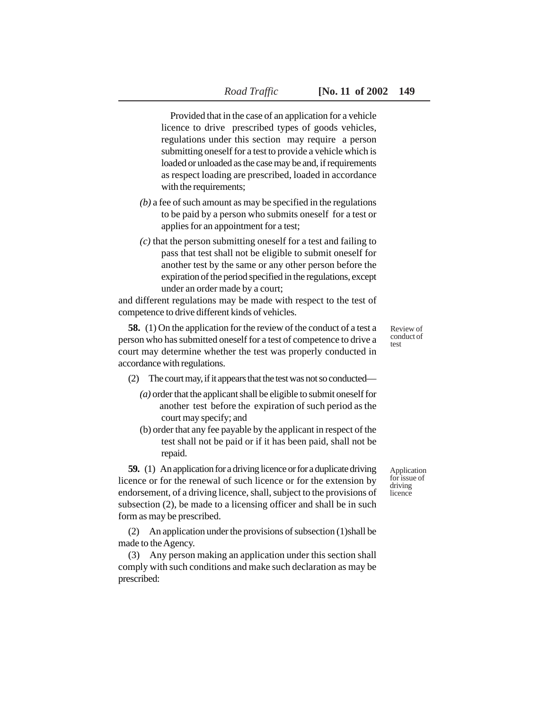Provided that in the case of an application for a vehicle licence to drive prescribed types of goods vehicles, regulations under this section may require a person submitting oneself for a test to provide a vehicle which is loaded or unloaded as the case may be and, if requirements as respect loading are prescribed, loaded in accordance with the requirements;

- *(b)* a fee of such amount as may be specified in the regulations to be paid by a person who submits oneself for a test or applies for an appointment for a test;
- *(c)* that the person submitting oneself for a test and failing to pass that test shall not be eligible to submit oneself for another test by the same or any other person before the expiration of the period specified in the regulations, except under an order made by a court;

and different regulations may be made with respect to the test of competence to drive different kinds of vehicles.

**58.** (1) On the application for the review of the conduct of a test a person who has submitted oneself for a test of competence to drive a court may determine whether the test was properly conducted in accordance with regulations.

(2) The court may, if it appears that the test was not so conducted—

- *(a)* order that the applicant shall be eligible to submit oneself for another test before the expiration of such period as the court may specify; and
- (b) order that any fee payable by the applicant in respect of the test shall not be paid or if it has been paid, shall not be repaid.

**59.** (1) An application for a driving licence or for a duplicate driving licence or for the renewal of such licence or for the extension by endorsement, of a driving licence, shall, subject to the provisions of subsection (2), be made to a licensing officer and shall be in such form as may be prescribed.

(2) An application under the provisions of subsection (1)shall be made to the Agency.

(3) Any person making an application under this section shall comply with such conditions and make such declaration as may be prescribed:

Review of conduct of test

Application for issue of driving licence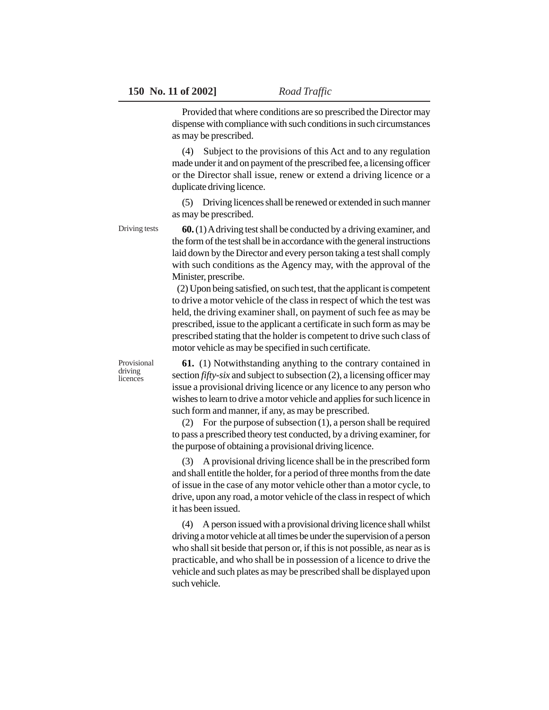Provided that where conditions are so prescribed the Director may dispense with compliance with such conditions in such circumstances as may be prescribed.

(4) Subject to the provisions of this Act and to any regulation made under it and on payment of the prescribed fee, a licensing officer or the Director shall issue, renew or extend a driving licence or a duplicate driving licence.

(5) Driving licences shall be renewed or extended in such manner as may be prescribed.

**60.** (1) A driving test shall be conducted by a driving examiner, and the form of the test shall be in accordance with the general instructions laid down by the Director and every person taking a test shall comply with such conditions as the Agency may, with the approval of the Minister, prescribe.

 (2) Upon being satisfied, on such test, that the applicant is competent to drive a motor vehicle of the class in respect of which the test was held, the driving examiner shall, on payment of such fee as may be prescribed, issue to the applicant a certificate in such form as may be prescribed stating that the holder is competent to drive such class of motor vehicle as may be specified in such certificate.

Provisional driving licences

Driving tests

**61.** (1) Notwithstanding anything to the contrary contained in section *fifty-six* and subject to subsection (2), a licensing officer may issue a provisional driving licence or any licence to any person who wishes to learn to drive a motor vehicle and applies for such licence in such form and manner, if any, as may be prescribed.

(2) For the purpose of subsection (1), a person shall be required to pass a prescribed theory test conducted, by a driving examiner, for the purpose of obtaining a provisional driving licence.

(3) A provisional driving licence shall be in the prescribed form and shall entitle the holder, for a period of three months from the date of issue in the case of any motor vehicle other than a motor cycle, to drive, upon any road, a motor vehicle of the class in respect of which it has been issued.

(4) A person issued with a provisional driving licence shall whilst driving a motor vehicle at all times be under the supervision of a person who shall sit beside that person or, if this is not possible, as near as is practicable, and who shall be in possession of a licence to drive the vehicle and such plates as may be prescribed shall be displayed upon such vehicle.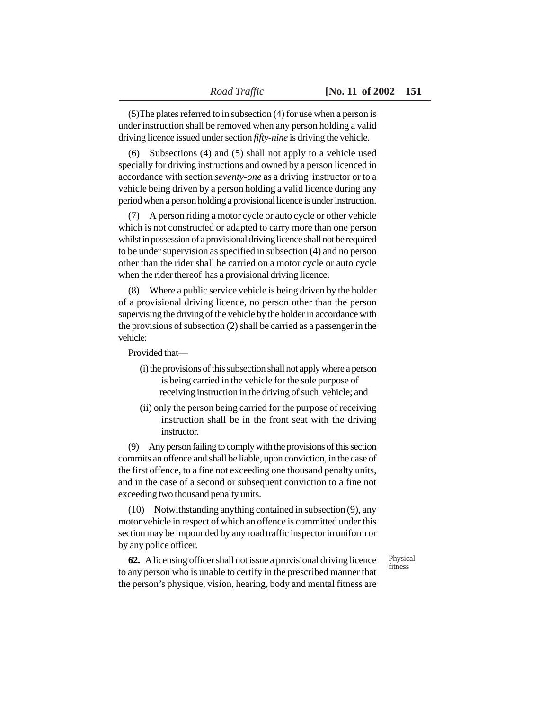(5)The plates referred to in subsection (4) for use when a person is under instruction shall be removed when any person holding a valid driving licence issued under section *fifty-nine* is driving the vehicle.

(6) Subsections (4) and (5) shall not apply to a vehicle used specially for driving instructions and owned by a person licenced in accordance with section *seventy-one* as a driving instructor or to a vehicle being driven by a person holding a valid licence during any period when a person holding a provisional licence is under instruction.

(7) A person riding a motor cycle or auto cycle or other vehicle which is not constructed or adapted to carry more than one person whilst in possession of a provisional driving licence shall not be required to be under supervision as specified in subsection (4) and no person other than the rider shall be carried on a motor cycle or auto cycle when the rider thereof has a provisional driving licence.

(8) Where a public service vehicle is being driven by the holder of a provisional driving licence, no person other than the person supervising the driving of the vehicle by the holder in accordance with the provisions of subsection (2) shall be carried as a passenger in the vehicle:

Provided that—

- (i) the provisions of this subsection shall not apply where a person is being carried in the vehicle for the sole purpose of receiving instruction in the driving of such vehicle; and
- (ii) only the person being carried for the purpose of receiving instruction shall be in the front seat with the driving **instructor**

(9) Any person failing to comply with the provisions of this section commits an offence and shall be liable, upon conviction, in the case of the first offence, to a fine not exceeding one thousand penalty units, and in the case of a second or subsequent conviction to a fine not exceeding two thousand penalty units.

(10) Notwithstanding anything contained in subsection (9), any motor vehicle in respect of which an offence is committed under this section may be impounded by any road traffic inspector in uniform or by any police officer.

**62.** A licensing officer shall not issue a provisional driving licence to any person who is unable to certify in the prescribed manner that the person's physique, vision, hearing, body and mental fitness are Physical fitness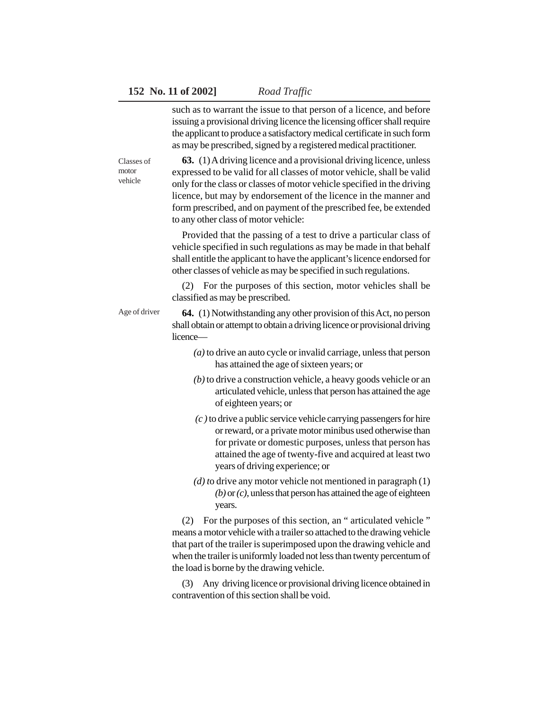such as to warrant the issue to that person of a licence, and before issuing a provisional driving licence the licensing officer shall require the applicant to produce a satisfactory medical certificate in such form as may be prescribed, signed by a registered medical practitioner.

**63.** (1) A driving licence and a provisional driving licence, unless expressed to be valid for all classes of motor vehicle, shall be valid only for the class or classes of motor vehicle specified in the driving licence, but may by endorsement of the licence in the manner and form prescribed, and on payment of the prescribed fee, be extended to any other class of motor vehicle: Classes of motor vehicle

> Provided that the passing of a test to drive a particular class of vehicle specified in such regulations as may be made in that behalf shall entitle the applicant to have the applicant's licence endorsed for other classes of vehicle as may be specified in such regulations.

> (2) For the purposes of this section, motor vehicles shall be classified as may be prescribed.

**64.** (1) Notwithstanding any other provision of this Act, no person shall obtain or attempt to obtain a driving licence or provisional driving licence— Age of driver

- *(a)* to drive an auto cycle or invalid carriage, unless that person has attained the age of sixteen years; or
- *(b)* to drive a construction vehicle, a heavy goods vehicle or an articulated vehicle, unless that person has attained the age of eighteen years; or
- *(c )* to drive a public service vehicle carrying passengers for hire or reward, or a private motor minibus used otherwise than for private or domestic purposes, unless that person has attained the age of twenty-five and acquired at least two years of driving experience; or
- *(d) t*o drive any motor vehicle not mentioned in paragraph (1) *(b)* or *(c)*, unless that person has attained the age of eighteen years.

(2) For the purposes of this section, an " articulated vehicle " means a motor vehicle with a trailer so attached to the drawing vehicle that part of the trailer is superimposed upon the drawing vehicle and when the trailer is uniformly loaded not less than twenty percentum of the load is borne by the drawing vehicle.

(3) Any driving licence or provisional driving licence obtained in contravention of this section shall be void.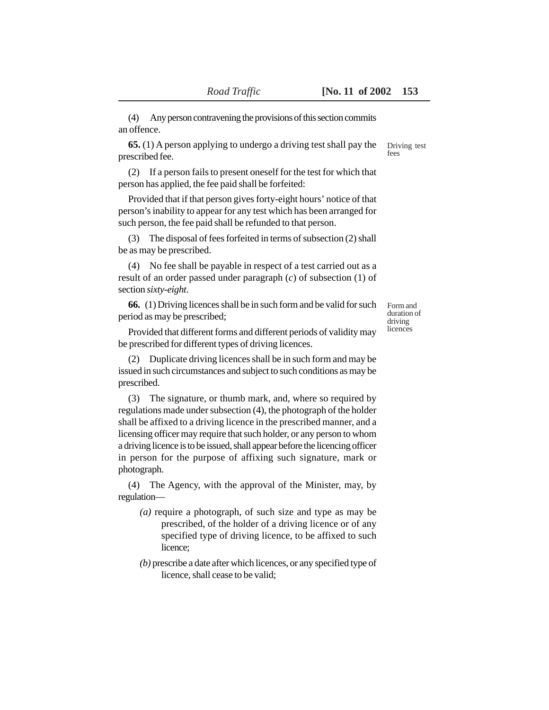(4) Any person contravening the provisions of this section commits an offence.

**65.** (1) A person applying to undergo a driving test shall pay the prescribed fee.

(2) If a person fails to present oneself for the test for which that person has applied, the fee paid shall be forfeited:

Provided that if that person gives forty-eight hours' notice of that person's inability to appear for any test which has been arranged for such person, the fee paid shall be refunded to that person.

(3) The disposal of fees forfeited in terms of subsection (2) shall be as may be prescribed.

(4) No fee shall be payable in respect of a test carried out as a result of an order passed under paragraph (*c*) of subsection (1) of section *sixty-eight*.

**66.** (1) Driving licences shall be in such form and be valid for such period as may be prescribed;

Form and duration of driving licences

Provided that different forms and different periods of validity may be prescribed for different types of driving licences.

(2) Duplicate driving licences shall be in such form and may be issued in such circumstances and subject to such conditions as may be prescribed.

(3) The signature, or thumb mark, and, where so required by regulations made under subsection (4), the photograph of the holder shall be affixed to a driving licence in the prescribed manner, and a licensing officer may require that such holder, or any person to whom a driving licence is to be issued, shall appear before the licencing officer in person for the purpose of affixing such signature, mark or photograph.

(4) The Agency, with the approval of the Minister, may, by regulation—

- *(a)* require a photograph, of such size and type as may be prescribed, of the holder of a driving licence or of any specified type of driving licence, to be affixed to such licence;
- *(b)* prescribe a date after which licences, or any specified type of licence, shall cease to be valid;

Driving test fees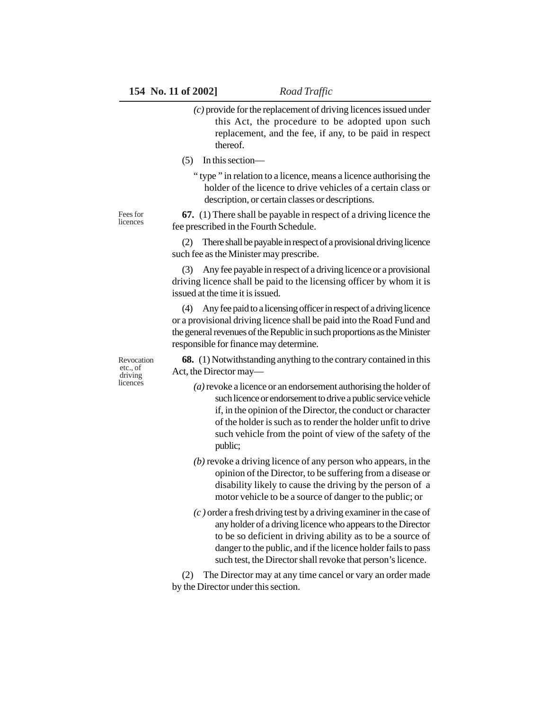- *(c)* provide for the replacement of driving licences issued under this Act, the procedure to be adopted upon such replacement, and the fee, if any, to be paid in respect thereof.
- (5) In this section—
	- " type " in relation to a licence, means a licence authorising the holder of the licence to drive vehicles of a certain class or description, or certain classes or descriptions.

Fees for licences

**67.** (1) There shall be payable in respect of a driving licence the fee prescribed in the Fourth Schedule.

(2) There shall be payable in respect of a provisional driving licence such fee as the Minister may prescribe.

(3) Any fee payable in respect of a driving licence or a provisional driving licence shall be paid to the licensing officer by whom it is issued at the time it is issued.

(4) Any fee paid to a licensing officer in respect of a driving licence or a provisional driving licence shall be paid into the Road Fund and the general revenues of the Republic in such proportions as the Minister responsible for finance may determine.

**68.** (1) Notwithstanding anything to the contrary contained in this Act, the Director may—

- *(a)* revoke a licence or an endorsement authorising the holder of such licence or endorsement to drive a public service vehicle if, in the opinion of the Director, the conduct or character of the holder is such as to render the holder unfit to drive such vehicle from the point of view of the safety of the public;
- *(b)* revoke a driving licence of any person who appears, in the opinion of the Director, to be suffering from a disease or disability likely to cause the driving by the person of a motor vehicle to be a source of danger to the public; or
- *(c )* order a fresh driving test by a driving examiner in the case of any holder of a driving licence who appears to the Director to be so deficient in driving ability as to be a source of danger to the public, and if the licence holder fails to pass such test, the Director shall revoke that person's licence.

(2) The Director may at any time cancel or vary an order made by the Director under this section.

Revocation etc., of driving licences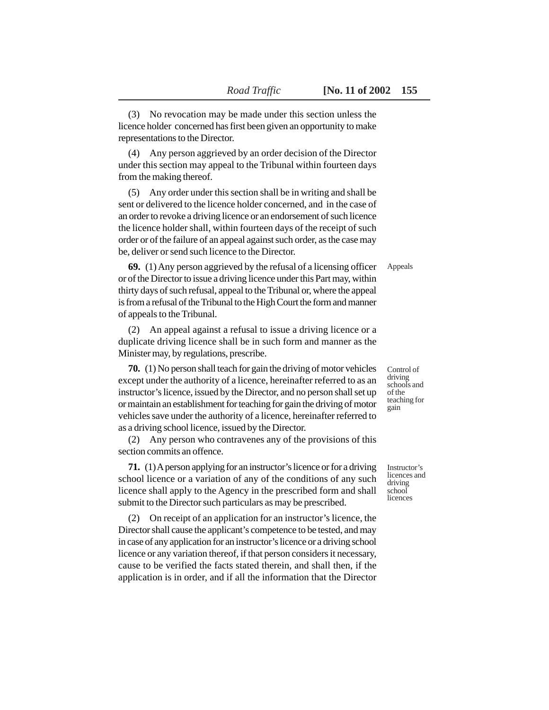(3) No revocation may be made under this section unless the licence holder concerned has first been given an opportunity to make representations to the Director.

(4) Any person aggrieved by an order decision of the Director under this section may appeal to the Tribunal within fourteen days from the making thereof.

(5) Any order under this section shall be in writing and shall be sent or delivered to the licence holder concerned, and in the case of an order to revoke a driving licence or an endorsement of such licence the licence holder shall, within fourteen days of the receipt of such order or of the failure of an appeal against such order, as the case may be, deliver or send such licence to the Director.

**69.** (1) Any person aggrieved by the refusal of a licensing officer or of the Director to issue a driving licence under this Part may, within thirty days of such refusal, appeal to the Tribunal or, where the appeal is from a refusal of the Tribunal to the High Court the form and manner of appeals to the Tribunal.

(2) An appeal against a refusal to issue a driving licence or a duplicate driving licence shall be in such form and manner as the Minister may, by regulations, prescribe.

**70.** (1) No person shall teach for gain the driving of motor vehicles except under the authority of a licence, hereinafter referred to as an instructor's licence, issued by the Director, and no person shall set up or maintain an establishment for teaching for gain the driving of motor vehicles save under the authority of a licence, hereinafter referred to as a driving school licence, issued by the Director.

(2) Any person who contravenes any of the provisions of this section commits an offence.

**71.** (1) A person applying for an instructor's licence or for a driving school licence or a variation of any of the conditions of any such licence shall apply to the Agency in the prescribed form and shall submit to the Director such particulars as may be prescribed.

(2) On receipt of an application for an instructor's licence, the Director shall cause the applicant's competence to be tested, and may in case of any application for an instructor's licence or a driving school licence or any variation thereof, if that person considers it necessary, cause to be verified the facts stated therein, and shall then, if the application is in order, and if all the information that the Director Control of driving schools and of the teaching for gain

Instructor's licences and driving school licences

Appeals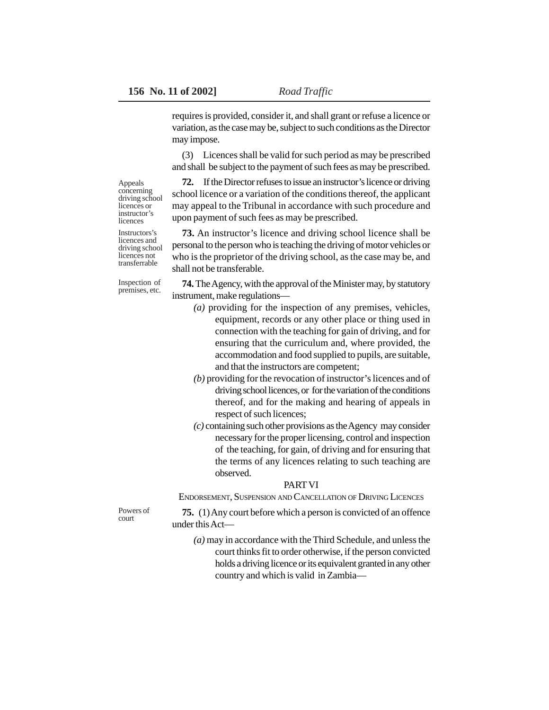requires is provided, consider it, and shall grant or refuse a licence or variation, as the case may be, subject to such conditions as the Director may impose.

(3) Licences shall be valid for such period as may be prescribed and shall be subject to the payment of such fees as may be prescribed.

**72.** If the Director refuses to issue an instructor's licence or driving school licence or a variation of the conditions thereof, the applicant may appeal to the Tribunal in accordance with such procedure and upon payment of such fees as may be prescribed.

**73.** An instructor's licence and driving school licence shall be personal to the person who is teaching the driving of motor vehicles or who is the proprietor of the driving school, as the case may be, and shall not be transferable.

Inspection of premises, etc.

Appeals concerning driving school licences or instructor's licences Instructors's licences and driving school licences not transferrable

> **74.** The Agency, with the approval of the Minister may, by statutory instrument, make regulations—

- *(a)* providing for the inspection of any premises, vehicles, equipment, records or any other place or thing used in connection with the teaching for gain of driving, and for ensuring that the curriculum and, where provided, the accommodation and food supplied to pupils, are suitable, and that the instructors are competent;
- *(b)* providing for the revocation of instructor's licences and of driving school licences, or for the variation of the conditions thereof, and for the making and hearing of appeals in respect of such licences;
- *(c)* containing such other provisions as the Agency may consider necessary for the proper licensing, control and inspection of the teaching, for gain, of driving and for ensuring that the terms of any licences relating to such teaching are observed.

### PART VI

ENDORSEMENT, SUSPENSION AND CANCELLATION OF DRIVING LICENCES

Powers of court

**75.** (1) Any court before which a person is convicted of an offence under this Act—

*(a)* may in accordance with the Third Schedule, and unless the court thinks fit to order otherwise, if the person convicted holds a driving licence or its equivalent granted in any other country and which is valid in Zambia—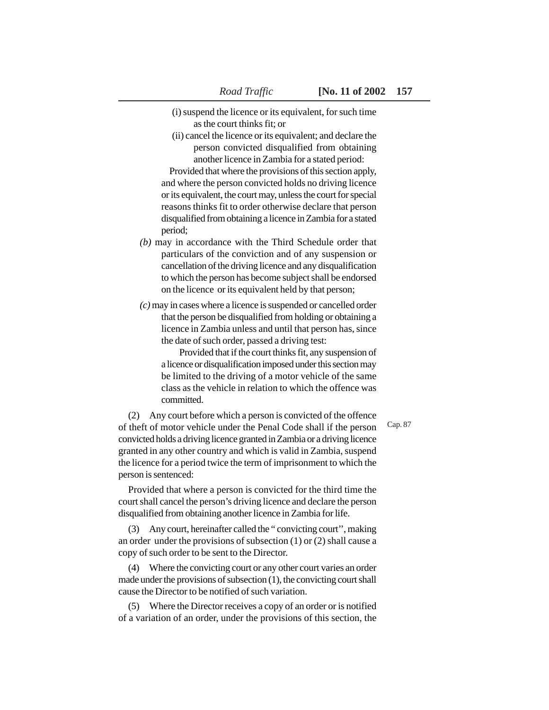- (i) suspend the licence or its equivalent, for such time
	- as the court thinks fit; or
- (ii) cancel the licence or its equivalent; and declare the person convicted disqualified from obtaining another licence in Zambia for a stated period:

Provided that where the provisions of this section apply, and where the person convicted holds no driving licence or its equivalent, the court may, unless the court for special reasons thinks fit to order otherwise declare that person disqualified from obtaining a licence in Zambia for a stated period;

- *(b)* may in accordance with the Third Schedule order that particulars of the conviction and of any suspension or cancellation of the driving licence and any disqualification to which the person has become subject shall be endorsed on the licence or its equivalent held by that person;
- *(c)* may in cases where a licence is suspended or cancelled order that the person be disqualified from holding or obtaining a licence in Zambia unless and until that person has, since the date of such order, passed a driving test:

Provided that if the court thinks fit, any suspension of a licence or disqualification imposed under this section may be limited to the driving of a motor vehicle of the same class as the vehicle in relation to which the offence was committed.

Cap. 87

(2) Any court before which a person is convicted of the offence of theft of motor vehicle under the Penal Code shall if the person convicted holds a driving licence granted in Zambia or a driving licence granted in any other country and which is valid in Zambia, suspend the licence for a period twice the term of imprisonment to which the person is sentenced:

Provided that where a person is convicted for the third time the court shall cancel the person's driving licence and declare the person disqualified from obtaining another licence in Zambia for life.

(3) Any court, hereinafter called the " convicting court'', making an order under the provisions of subsection (1) or (2) shall cause a copy of such order to be sent to the Director.

(4) Where the convicting court or any other court varies an order made under the provisions of subsection (1), the convicting court shall cause the Director to be notified of such variation.

(5) Where the Director receives a copy of an order or is notified of a variation of an order, under the provisions of this section, the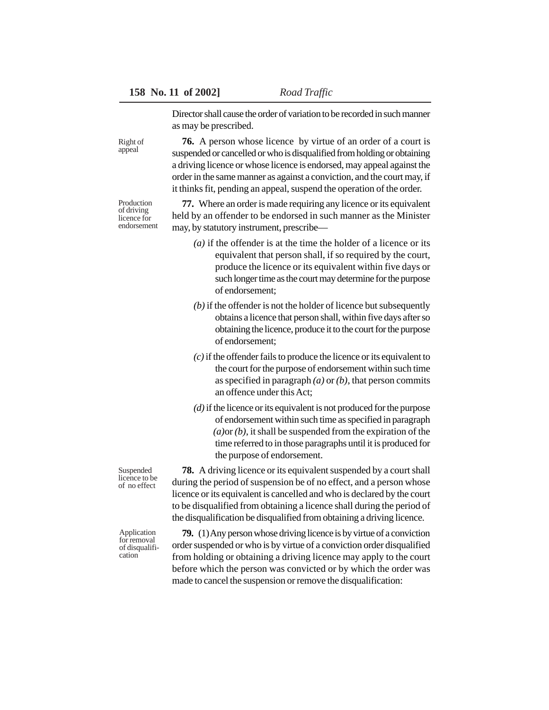Right of appeal

Production of driving licence for endorsement

Director shall cause the order of variation to be recorded in such manner as may be prescribed.

**76.** A person whose licence by virtue of an order of a court is suspended or cancelled or who is disqualified from holding or obtaining a driving licence or whose licence is endorsed, may appeal against the order in the same manner as against a conviction, and the court may, if it thinks fit, pending an appeal, suspend the operation of the order.

**77.** Where an order is made requiring any licence or its equivalent held by an offender to be endorsed in such manner as the Minister may, by statutory instrument, prescribe—

- *(a)* if the offender is at the time the holder of a licence or its equivalent that person shall, if so required by the court, produce the licence or its equivalent within five days or such longer time as the court may determine for the purpose of endorsement;
- *(b)* if the offender is not the holder of licence but subsequently obtains a licence that person shall, within five days after so obtaining the licence, produce it to the court for the purpose of endorsement;
- *(c)* if the offender fails to produce the licence or its equivalent to the court for the purpose of endorsement within such time as specified in paragraph *(a)* or *(b)*, that person commits an offence under this Act;
- *(d)* if the licence or its equivalent is not produced for the purpose of endorsement within such time as specified in paragraph *(a)*or *(b)*, it shall be suspended from the expiration of the time referred to in those paragraphs until it is produced for the purpose of endorsement.

**78.** A driving licence or its equivalent suspended by a court shall during the period of suspension be of no effect, and a person whose licence or its equivalent is cancelled and who is declared by the court to be disqualified from obtaining a licence shall during the period of the disqualification be disqualified from obtaining a driving licence.

**79.** (1) Any person whose driving licence is by virtue of a conviction order suspended or who is by virtue of a conviction order disqualified from holding or obtaining a driving licence may apply to the court before which the person was convicted or by which the order was made to cancel the suspension or remove the disqualification:

Suspended licence to be of no effect

Application for removal of disqualification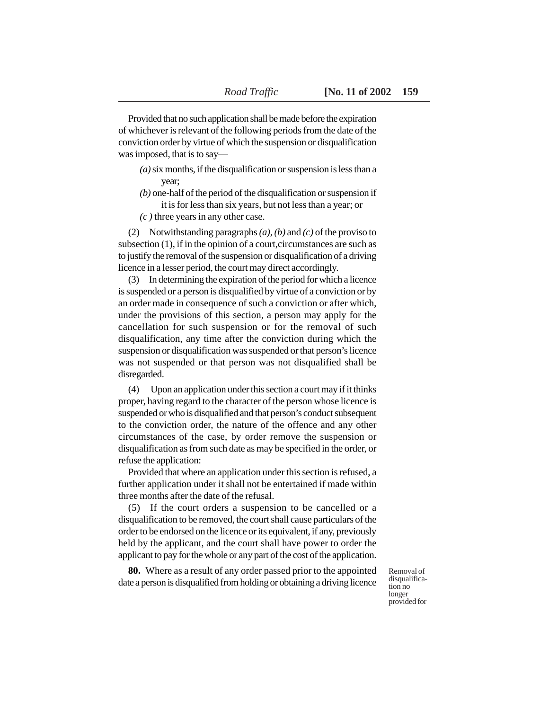Provided that no such application shall be made before the expiration of whichever is relevant of the following periods from the date of the conviction order by virtue of which the suspension or disqualification was imposed, that is to say—

- *(a)* six months, if the disqualification or suspension is less than a year;
- *(b)* one-half of the period of the disqualification or suspension if it is for less than six years, but not less than a year; or
- *(c )* three years in any other case.

(2) Notwithstanding paragraphs *(a)*, *(b)* and *(c)* of the proviso to subsection (1), if in the opinion of a court,circumstances are such as to justify the removal of the suspension or disqualification of a driving licence in a lesser period, the court may direct accordingly.

(3) In determining the expiration of the period for which a licence is suspended or a person is disqualified by virtue of a conviction or by an order made in consequence of such a conviction or after which, under the provisions of this section, a person may apply for the cancellation for such suspension or for the removal of such disqualification, any time after the conviction during which the suspension or disqualification was suspended or that person's licence was not suspended or that person was not disqualified shall be disregarded.

(4) Upon an application under this section a court may if it thinks proper, having regard to the character of the person whose licence is suspended or who is disqualified and that person's conduct subsequent to the conviction order, the nature of the offence and any other circumstances of the case, by order remove the suspension or disqualification as from such date as may be specified in the order, or refuse the application:

Provided that where an application under this section is refused, a further application under it shall not be entertained if made within three months after the date of the refusal.

(5) If the court orders a suspension to be cancelled or a disqualification to be removed, the court shall cause particulars of the order to be endorsed on the licence or its equivalent, if any, previously held by the applicant, and the court shall have power to order the applicant to pay for the whole or any part of the cost of the application.

**80.** Where as a result of any order passed prior to the appointed date a person is disqualified from holding or obtaining a driving licence

Removal of disqualification no longer provided for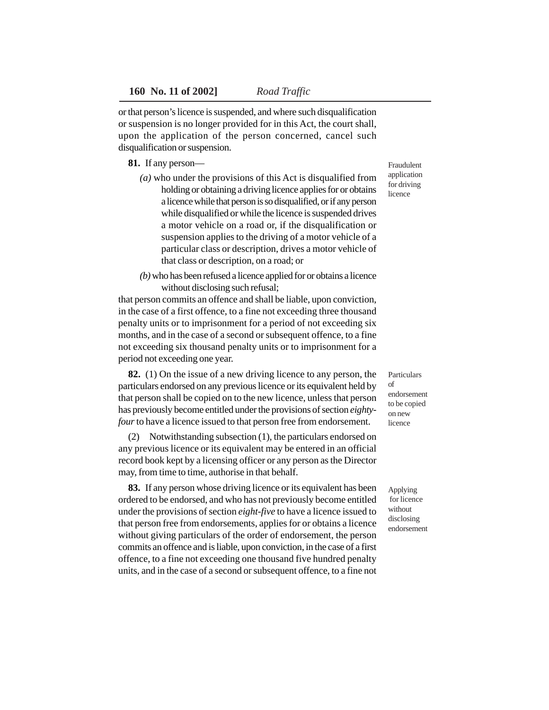or that person's licence is suspended, and where such disqualification or suspension is no longer provided for in this Act, the court shall, upon the application of the person concerned, cancel such disqualification or suspension.

## **81.** If any person—

- *(a)* who under the provisions of this Act is disqualified from holding or obtaining a driving licence applies for or obtains a licence while that person is so disqualified, or if any person while disqualified or while the licence is suspended drives a motor vehicle on a road or, if the disqualification or suspension applies to the driving of a motor vehicle of a particular class or description, drives a motor vehicle of that class or description, on a road; or
- *(b)* who has been refused a licence applied for or obtains a licence without disclosing such refusal;

that person commits an offence and shall be liable, upon conviction, in the case of a first offence, to a fine not exceeding three thousand penalty units or to imprisonment for a period of not exceeding six months, and in the case of a second or subsequent offence, to a fine not exceeding six thousand penalty units or to imprisonment for a period not exceeding one year.

**82.** (1) On the issue of a new driving licence to any person, the particulars endorsed on any previous licence or its equivalent held by that person shall be copied on to the new licence, unless that person has previously become entitled under the provisions of section *eightyfour* to have a licence issued to that person free from endorsement.

(2) Notwithstanding subsection (1), the particulars endorsed on any previous licence or its equivalent may be entered in an official record book kept by a licensing officer or any person as the Director may, from time to time, authorise in that behalf.

**83.** If any person whose driving licence or its equivalent has been ordered to be endorsed, and who has not previously become entitled under the provisions of section *eight-five* to have a licence issued to that person free from endorsements, applies for or obtains a licence without giving particulars of the order of endorsement, the person commits an offence and is liable, upon conviction, in the case of a first offence, to a fine not exceeding one thousand five hundred penalty units, and in the case of a second or subsequent offence, to a fine not

Fraudulent application for driving licence

Particulars of endorsement to be copied on new licence

Applying for licence without disclosing endorsement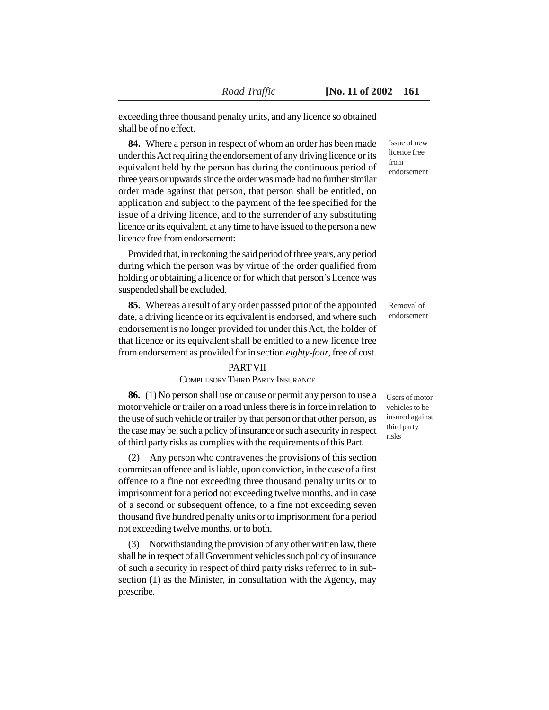exceeding three thousand penalty units, and any licence so obtained shall be of no effect.

**84.** Where a person in respect of whom an order has been made under this Act requiring the endorsement of any driving licence or its equivalent held by the person has during the continuous period of three years or upwards since the order was made had no further similar order made against that person, that person shall be entitled, on application and subject to the payment of the fee specified for the issue of a driving licence, and to the surrender of any substituting licence or its equivalent, at any time to have issued to the person a new licence free from endorsement:

Provided that, in reckoning the said period of three years, any period during which the person was by virtue of the order qualified from holding or obtaining a licence or for which that person's licence was suspended shall be excluded.

**85.** Whereas a result of any order passsed prior of the appointed date, a driving licence or its equivalent is endorsed, and where such endorsement is no longer provided for under this Act, the holder of that licence or its equivalent shall be entitled to a new licence free from endorsement as provided for in section *eighty-four*, free of cost.

### PART VII

# COMPULSORY THIRD PARTY INSURANCE

**86.** (1) No person shall use or cause or permit any person to use a motor vehicle or trailer on a road unless there is in force in relation to the use of such vehicle or trailer by that person or that other person, as the case may be, such a policy of insurance or such a security in respect of third party risks as complies with the requirements of this Part.

(2) Any person who contravenes the provisions of this section commits an offence and is liable, upon conviction, in the case of a first offence to a fine not exceeding three thousand penalty units or to imprisonment for a period not exceeding twelve months, and in case of a second or subsequent offence, to a fine not exceeding seven thousand five hundred penalty units or to imprisonment for a period not exceeding twelve months, or to both.

(3) Notwithstanding the provision of any other written law, there shall be in respect of all Government vehicles such policy of insurance of such a security in respect of third party risks referred to in subsection (1) as the Minister, in consultation with the Agency, may prescribe.

Issue of new licence free from endorsement

Removal of endorsement

Users of motor vehicles to be insured against third party risks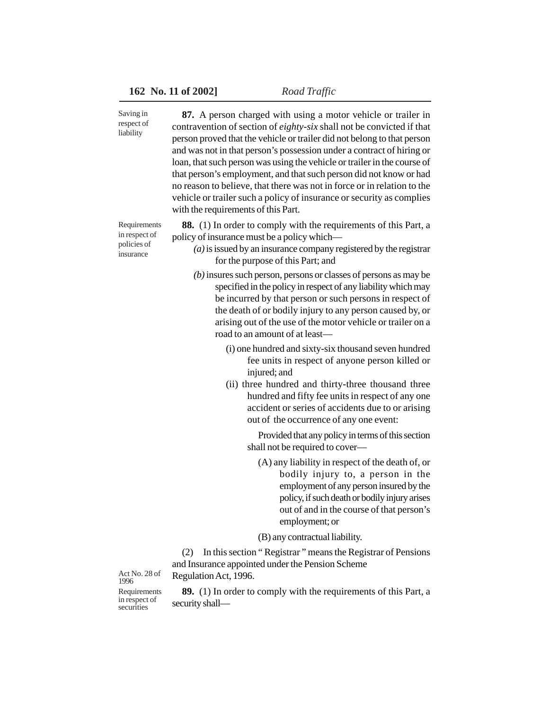| Saving in<br>respect of<br>liability                      | 87. A person charged with using a motor vehicle or trailer in<br>contravention of section of eighty-six shall not be convicted if that<br>person proved that the vehicle or trailer did not belong to that person<br>and was not in that person's possession under a contract of hiring or<br>loan, that such person was using the vehicle or trailer in the course of<br>that person's employment, and that such person did not know or had<br>no reason to believe, that there was not in force or in relation to the<br>vehicle or trailer such a policy of insurance or security as complies<br>with the requirements of this Part. |
|-----------------------------------------------------------|-----------------------------------------------------------------------------------------------------------------------------------------------------------------------------------------------------------------------------------------------------------------------------------------------------------------------------------------------------------------------------------------------------------------------------------------------------------------------------------------------------------------------------------------------------------------------------------------------------------------------------------------|
| Requirements<br>in respect of<br>policies of<br>insurance | 88. (1) In order to comply with the requirements of this Part, a<br>policy of insurance must be a policy which—<br>$(a)$ is issued by an insurance company registered by the registrar<br>for the purpose of this Part; and                                                                                                                                                                                                                                                                                                                                                                                                             |
|                                                           | $(b)$ insures such person, persons or classes of persons as may be<br>specified in the policy in respect of any liability which may<br>be incurred by that person or such persons in respect of<br>the death of or bodily injury to any person caused by, or<br>arising out of the use of the motor vehicle or trailer on a<br>road to an amount of at least-                                                                                                                                                                                                                                                                           |
|                                                           | (i) one hundred and sixty-six thousand seven hundred<br>fee units in respect of anyone person killed or<br>injured; and<br>(ii) three hundred and thirty-three thousand three<br>hundred and fifty fee units in respect of any one<br>accident or series of accidents due to or arising<br>out of the occurrence of any one event:                                                                                                                                                                                                                                                                                                      |
|                                                           | Provided that any policy in terms of this section<br>shall not be required to cover-                                                                                                                                                                                                                                                                                                                                                                                                                                                                                                                                                    |
|                                                           | (A) any liability in respect of the death of, or<br>bodily injury to, a person in the<br>employment of any person insured by the<br>policy, if such death or bodily injury arises<br>out of and in the course of that person's                                                                                                                                                                                                                                                                                                                                                                                                          |

employment; or (B) any contractual liability.

(2) In this section " Registrar " means the Registrar of Pensions and Insurance appointed under the Pension Scheme Regulation Act, 1996.

Requirements in respect of securities Act No. 28 of 1996

**89.** (1) In order to comply with the requirements of this Part, a security shall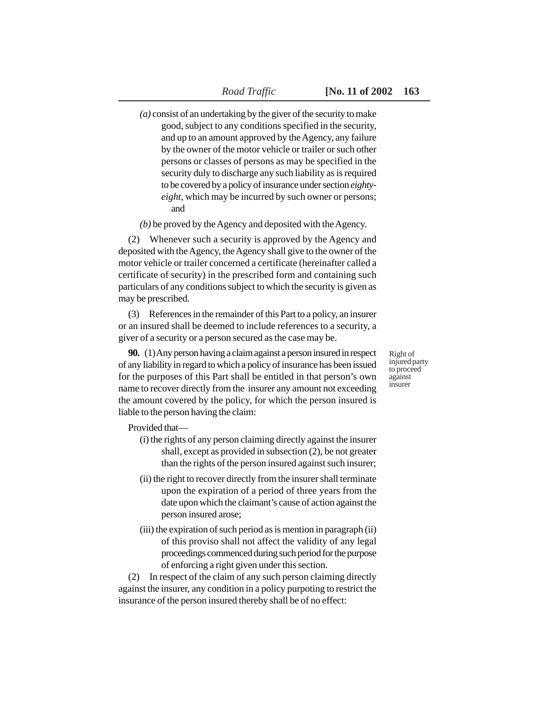*(a)* consist of an undertaking by the giver of the security to make good, subject to any conditions specified in the security, and up to an amount approved by the Agency, any failure by the owner of the motor vehicle or trailer or such other persons or classes of persons as may be specified in the security duly to discharge any such liability as is required to be covered by a policy of insurance under section *eightyeight,* which may be incurred by such owner or persons; and

*(b)* be proved by the Agency and deposited with the Agency.

(2) Whenever such a security is approved by the Agency and deposited with the Agency, the Agency shall give to the owner of the motor vehicle or trailer concerned a certificate (hereinafter called a certificate of security) in the prescribed form and containing such particulars of any conditions subject to which the security is given as may be prescribed.

(3) References in the remainder of this Part to a policy, an insurer or an insured shall be deemed to include references to a security, a giver of a security or a person secured as the case may be.

**90.** (1) Any person having a claim against a person insured in respect of any liability in regard to which a policy of insurance has been issued for the purposes of this Part shall be entitled in that person's own name to recover directly from the insurer any amount not exceeding the amount covered by the policy, for which the person insured is liable to the person having the claim:

Right of injured party to proceed against insurer

Provided that—

- (i) the rights of any person claiming directly against the insurer shall, except as provided in subsection (2), be not greater than the rights of the person insured against such insurer;
- (ii) the right to recover directly from the insurer shall terminate upon the expiration of a period of three years from the date upon which the claimant's cause of action against the person insured arose;
- (iii) the expiration of such period as is mention in paragraph (ii) of this proviso shall not affect the validity of any legal proceedings commenced during such period for the purpose of enforcing a right given under this section.

(2) In respect of the claim of any such person claiming directly against the insurer, any condition in a policy purpoting to restrict the insurance of the person insured thereby shall be of no effect: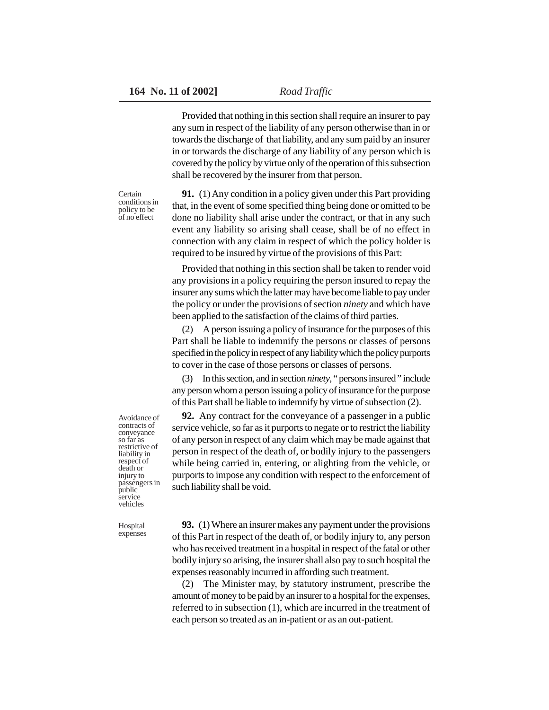Provided that nothing in this section shall require an insurer to pay any sum in respect of the liability of any person otherwise than in or towards the discharge of that liability, and any sum paid by an insurer in or torwards the discharge of any liability of any person which is covered by the policy by virtue only of the operation of this subsection shall be recovered by the insurer from that person.

**Certain** conditions in policy to be of no effect

**91.** (1) Any condition in a policy given under this Part providing that, in the event of some specified thing being done or omitted to be done no liability shall arise under the contract, or that in any such event any liability so arising shall cease, shall be of no effect in connection with any claim in respect of which the policy holder is required to be insured by virtue of the provisions of this Part:

Provided that nothing in this section shall be taken to render void any provisions in a policy requiring the person insured to repay the insurer any sums which the latter may have become liable to pay under the policy or under the provisions of section *ninety* and which have been applied to the satisfaction of the claims of third parties.

(2) A person issuing a policy of insurance for the purposes of this Part shall be liable to indemnify the persons or classes of persons specified in the policy in respect of any liability which the policy purports to cover in the case of those persons or classes of persons.

(3) In this section, and in section *ninety*, " persons insured " include any person whom a person issuing a policy of insurance for the purpose of this Part shall be liable to indemnify by virtue of subsection (2).

**92.** Any contract for the conveyance of a passenger in a public service vehicle, so far as it purports to negate or to restrict the liability of any person in respect of any claim which may be made against that person in respect of the death of, or bodily injury to the passengers while being carried in, entering, or alighting from the vehicle, or purports to impose any condition with respect to the enforcement of such liability shall be void.

Avoidance of contracts of conveyance so far as restrictive of liability in respect of death or injury to passengers in public service vehicles

**Hospital** expenses

**93.** (1) Where an insurer makes any payment under the provisions of this Part in respect of the death of, or bodily injury to, any person who has received treatment in a hospital in respect of the fatal or other bodily injury so arising, the insurer shall also pay to such hospital the expenses reasonably incurred in affording such treatment.

(2) The Minister may, by statutory instrument, prescribe the amount of money to be paid by an insurer to a hospital for the expenses, referred to in subsection (1), which are incurred in the treatment of each person so treated as an in-patient or as an out-patient.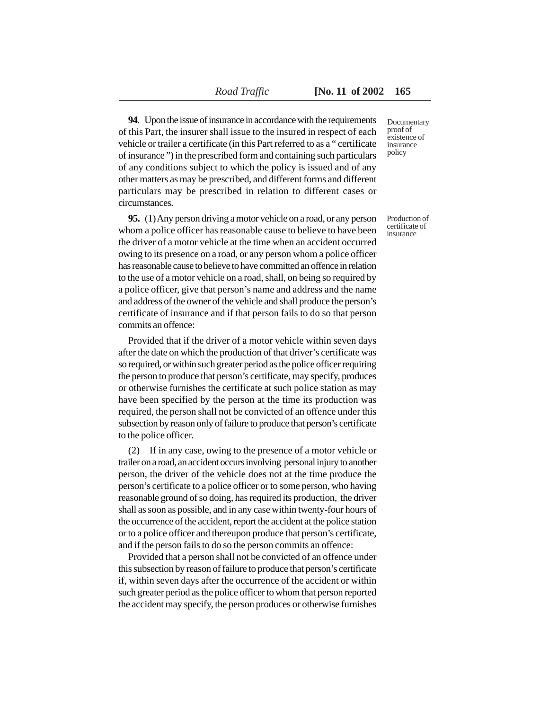**94**. Upon the issue of insurance in accordance with the requirements of this Part, the insurer shall issue to the insured in respect of each vehicle or trailer a certificate (in this Part referred to as a " certificate of insurance ") in the prescribed form and containing such particulars of any conditions subject to which the policy is issued and of any other matters as may be prescribed, and different forms and different particulars may be prescribed in relation to different cases or circumstances.

**95.** (1) Any person driving a motor vehicle on a road, or any person whom a police officer has reasonable cause to believe to have been the driver of a motor vehicle at the time when an accident occurred owing to its presence on a road, or any person whom a police officer has reasonable cause to believe to have committed an offence in relation to the use of a motor vehicle on a road, shall, on being so required by a police officer, give that person's name and address and the name and address of the owner of the vehicle and shall produce the person's certificate of insurance and if that person fails to do so that person commits an offence:

Provided that if the driver of a motor vehicle within seven days after the date on which the production of that driver's certificate was so required, or within such greater period as the police officer requiring the person to produce that person's certificate, may specify, produces or otherwise furnishes the certificate at such police station as may have been specified by the person at the time its production was required, the person shall not be convicted of an offence under this subsection by reason only of failure to produce that person's certificate to the police officer.

(2) If in any case, owing to the presence of a motor vehicle or trailer on a road, an accident occurs involving personal injury to another person, the driver of the vehicle does not at the time produce the person's certificate to a police officer or to some person, who having reasonable ground of so doing, has required its production, the driver shall as soon as possible, and in any case within twenty-four hours of the occurrence of the accident, report the accident at the police station or to a police officer and thereupon produce that person's certificate, and if the person fails to do so the person commits an offence:

Provided that a person shall not be convicted of an offence under this subsection by reason of failure to produce that person's certificate if, within seven days after the occurrence of the accident or within such greater period as the police officer to whom that person reported the accident may specify, the person produces or otherwise furnishes Documentary proof of existence of insurance policy

Production of certificate of insurance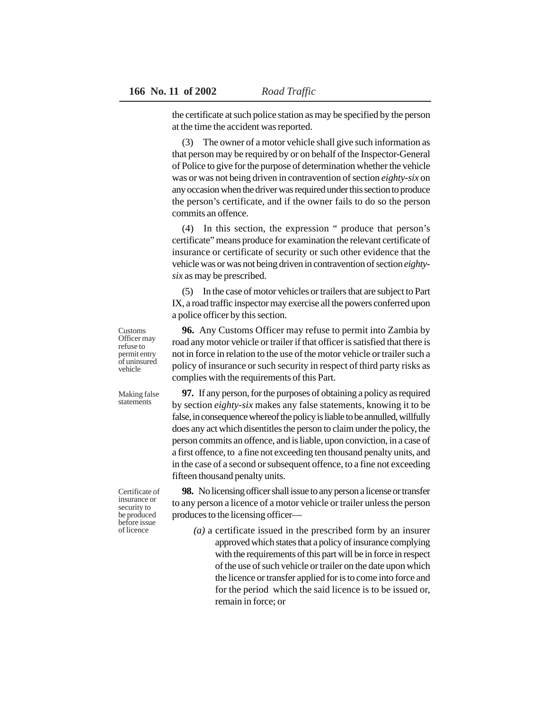the certificate at such police station as may be specified by the person at the time the accident was reported.

(3) The owner of a motor vehicle shall give such information as that person may be required by or on behalf of the Inspector-General of Police to give for the purpose of determination whether the vehicle was or was not being driven in contravention of section *eighty-six* on any occasion when the driver was required under this section to produce the person's certificate, and if the owner fails to do so the person commits an offence.

(4) In this section, the expression " produce that person's certificate" means produce for examination the relevant certificate of insurance or certificate of security or such other evidence that the vehicle was or was not being driven in contravention of section *eightysix* as may be prescribed.

(5) In the case of motor vehicles or trailers that are subject to Part IX, a road traffic inspector may exercise all the powers conferred upon a police officer by this section.

**96.** Any Customs Officer may refuse to permit into Zambia by road any motor vehicle or trailer if that officer is satisfied that there is not in force in relation to the use of the motor vehicle or trailer such a policy of insurance or such security in respect of third party risks as complies with the requirements of this Part.

**97.** If any person, for the purposes of obtaining a policy as required by section *eighty-six* makes any false statements, knowing it to be false, in consequence whereof the policy is liable to be annulled, willfully does any act which disentitles the person to claim under the policy, the person commits an offence, and is liable, upon conviction, in a case of a first offence, to a fine not exceeding ten thousand penalty units, and in the case of a second or subsequent offence, to a fine not exceeding fifteen thousand penalty units.

**98.** No licensing officer shall issue to any person a license or transfer to any person a licence of a motor vehicle or trailer unless the person produces to the licensing officer—

> *(a)* a certificate issued in the prescribed form by an insurer approved which states that a policy of insurance complying with the requirements of this part will be in force in respect of the use of such vehicle or trailer on the date upon which the licence or transfer applied for is to come into force and for the period which the said licence is to be issued or, remain in force; or

Customs Officer may refuse to permit entry of uninsured vehicle

Making false statements

Certificate of insurance or security to be produced before issue of licence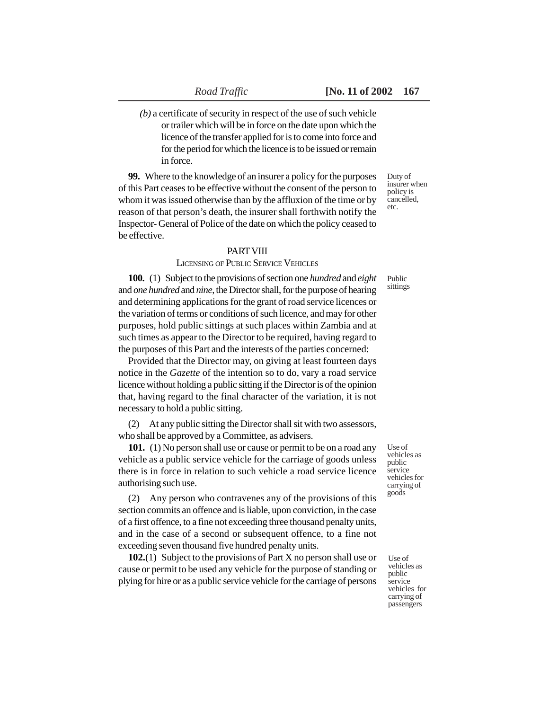*(b)* a certificate of security in respect of the use of such vehicle or trailer which will be in force on the date upon which the licence of the transfer applied for is to come into force and for the period for which the licence is to be issued or remain in force.

**99.** Where to the knowledge of an insurer a policy for the purposes of this Part ceases to be effective without the consent of the person to whom it was issued otherwise than by the affluxion of the time or by reason of that person's death, the insurer shall forthwith notify the Inspector- General of Police of the date on which the policy ceased to be effective.

### PART VIII

#### LICENSING OF PUBLIC SERVICE VEHICLES

**100.** (1) Subject to the provisions of section one *hundred* and *eight* and *one hundred* and *nine*, the Director shall, for the purpose of hearing and determining applications for the grant of road service licences or the variation of terms or conditions of such licence, and may for other purposes, hold public sittings at such places within Zambia and at such times as appear to the Director to be required, having regard to the purposes of this Part and the interests of the parties concerned:

Provided that the Director may, on giving at least fourteen days notice in the *Gazette* of the intention so to do, vary a road service licence without holding a public sitting if the Director is of the opinion that, having regard to the final character of the variation, it is not necessary to hold a public sitting.

(2) At any public sitting the Director shall sit with two assessors, who shall be approved by a Committee, as advisers.

**101.** (1) No person shall use or cause or permit to be on a road any vehicle as a public service vehicle for the carriage of goods unless there is in force in relation to such vehicle a road service licence authorising such use.

(2) Any person who contravenes any of the provisions of this section commits an offence and is liable, upon conviction, in the case of a first offence, to a fine not exceeding three thousand penalty units, and in the case of a second or subsequent offence, to a fine not exceeding seven thousand five hundred penalty units.

**102.**(1) Subject to the provisions of Part X no person shall use or cause or permit to be used any vehicle for the purpose of standing or plying for hire or as a public service vehicle for the carriage of persons

Use of vehicles as public service vehicles for carrying of goods

Use of vehicles as public service vehicles for carrying of passengers

Duty of insurer when policy is cancelled, etc.

Public sittings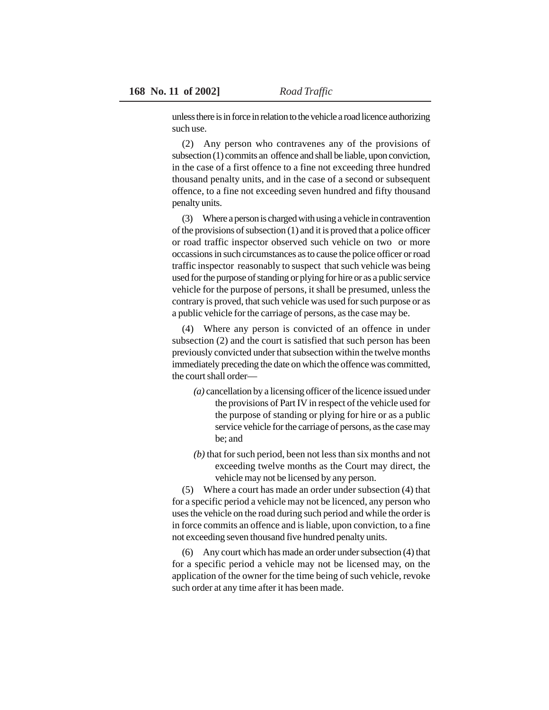unless there is in force in relation to the vehicle a road licence authorizing such use.

(2) Any person who contravenes any of the provisions of subsection (1) commits an offence and shall be liable, upon conviction, in the case of a first offence to a fine not exceeding three hundred thousand penalty units, and in the case of a second or subsequent offence, to a fine not exceeding seven hundred and fifty thousand penalty units.

(3) Where a person is charged with using a vehicle in contravention of the provisions of subsection (1) and it is proved that a police officer or road traffic inspector observed such vehicle on two or more occassions in such circumstances as to cause the police officer or road traffic inspector reasonably to suspect that such vehicle was being used for the purpose of standing or plying for hire or as a public service vehicle for the purpose of persons, it shall be presumed, unless the contrary is proved, that such vehicle was used for such purpose or as a public vehicle for the carriage of persons, as the case may be.

(4) Where any person is convicted of an offence in under subsection (2) and the court is satisfied that such person has been previously convicted under that subsection within the twelve months immediately preceding the date on which the offence was committed, the court shall order—

- *(a)* cancellation by a licensing officer of the licence issued under the provisions of Part IV in respect of the vehicle used for the purpose of standing or plying for hire or as a public service vehicle for the carriage of persons, as the case may be; and
- *(b)* that for such period, been not less than six months and not exceeding twelve months as the Court may direct, the vehicle may not be licensed by any person.

(5) Where a court has made an order under subsection (4) that for a specific period a vehicle may not be licenced, any person who uses the vehicle on the road during such period and while the order is in force commits an offence and is liable, upon conviction, to a fine not exceeding seven thousand five hundred penalty units.

(6) Any court which has made an order under subsection (4) that for a specific period a vehicle may not be licensed may, on the application of the owner for the time being of such vehicle, revoke such order at any time after it has been made.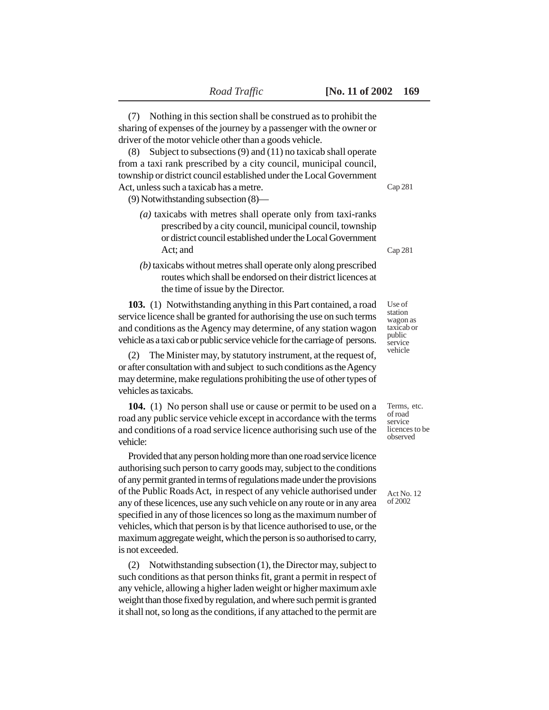(7) Nothing in this section shall be construed as to prohibit the sharing of expenses of the journey by a passenger with the owner or driver of the motor vehicle other than a goods vehicle.

(8) Subject to subsections (9) and (11) no taxicab shall operate from a taxi rank prescribed by a city council, municipal council, township or district council established under the Local Government Act, unless such a taxicab has a metre.

(9) Notwithstanding subsection (8)—

- *(a)* taxicabs with metres shall operate only from taxi-ranks prescribed by a city council, municipal council, township or district council established under the Local Government Act; and
- *(b)* taxicabs without metres shall operate only along prescribed routes which shall be endorsed on their district licences at the time of issue by the Director.

**103.** (1) Notwithstanding anything in this Part contained, a road service licence shall be granted for authorising the use on such terms and conditions as the Agency may determine, of any station wagon vehicle as a taxi cab or public service vehicle for the carriage of persons.

(2) The Minister may, by statutory instrument, at the request of, or after consultation with and subject to such conditions as the Agency may determine, make regulations prohibiting the use of other types of vehicles as taxicabs.

**104.** (1) No person shall use or cause or permit to be used on a road any public service vehicle except in accordance with the terms and conditions of a road service licence authorising such use of the vehicle:

Provided that any person holding more than one road service licence authorising such person to carry goods may, subject to the conditions of any permit granted in terms of regulations made under the provisions of the Public Roads Act, in respect of any vehicle authorised under any of these licences, use any such vehicle on any route or in any area specified in any of those licences so long as the maximum number of vehicles, which that person is by that licence authorised to use, or the maximum aggregate weight, which the person is so authorised to carry, is not exceeded.

(2) Notwithstanding subsection (1), the Director may, subject to such conditions as that person thinks fit, grant a permit in respect of any vehicle, allowing a higher laden weight or higher maximum axle weight than those fixed by regulation, and where such permit is granted it shall not, so long as the conditions, if any attached to the permit are

Cap 281

Cap 281

Use of station wagon as taxicab or public service vehicle

Terms, etc. of road service licences to be observed

Act No. 12 of 2002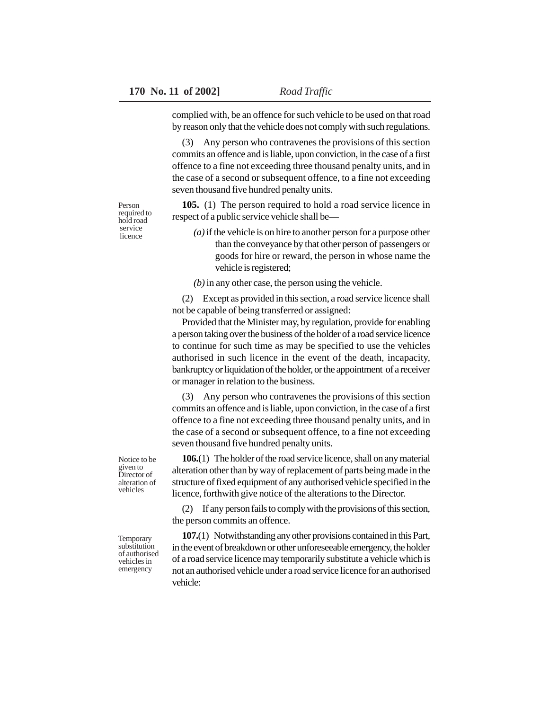complied with, be an offence for such vehicle to be used on that road by reason only that the vehicle does not comply with such regulations.

(3) Any person who contravenes the provisions of this section commits an offence and is liable, upon conviction, in the case of a first offence to a fine not exceeding three thousand penalty units, and in the case of a second or subsequent offence, to a fine not exceeding seven thousand five hundred penalty units.

**105.** (1) The person required to hold a road service licence in respect of a public service vehicle shall be—

*(a)* if the vehicle is on hire to another person for a purpose other than the conveyance by that other person of passengers or goods for hire or reward, the person in whose name the vehicle is registered;

*(b)* in any other case, the person using the vehicle.

(2) Except as provided in this section, a road service licence shall not be capable of being transferred or assigned:

Provided that the Minister may, by regulation, provide for enabling a person taking over the business of the holder of a road service licence to continue for such time as may be specified to use the vehicles authorised in such licence in the event of the death, incapacity, bankruptcy or liquidation of the holder, or the appointment of a receiver or manager in relation to the business.

(3) Any person who contravenes the provisions of this section commits an offence and is liable, upon conviction, in the case of a first offence to a fine not exceeding three thousand penalty units, and in the case of a second or subsequent offence, to a fine not exceeding seven thousand five hundred penalty units.

**106.**(1) The holder of the road service licence, shall on any material alteration other than by way of replacement of parts being made in the structure of fixed equipment of any authorised vehicle specified in the licence, forthwith give notice of the alterations to the Director.

(2) If any person fails to comply with the provisions of this section, the person commits an offence.

**107.**(1) Notwithstanding any other provisions contained in this Part, in the event of breakdown or other unforeseeable emergency, the holder of a road service licence may temporarily substitute a vehicle which is not an authorised vehicle under a road service licence for an authorised vehicle:

Notice to be given to Director of alteration of vehicles

Person required to hold road service licence

Temporary substitution of authorised vehicles in emergency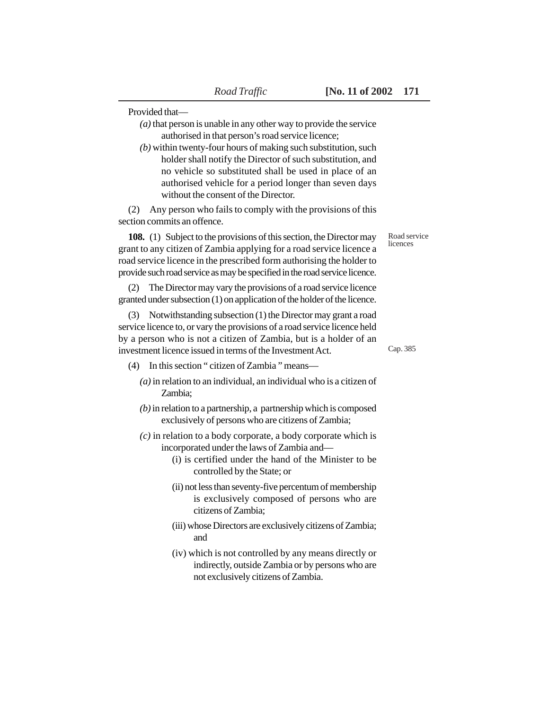Provided that—

- *(a)* that person is unable in any other way to provide the service authorised in that person's road service licence;
- *(b)* within twenty-four hours of making such substitution, such holder shall notify the Director of such substitution, and no vehicle so substituted shall be used in place of an authorised vehicle for a period longer than seven days without the consent of the Director.

(2) Any person who fails to comply with the provisions of this section commits an offence.

**108.** (1) Subject to the provisions of this section, the Director may grant to any citizen of Zambia applying for a road service licence a road service licence in the prescribed form authorising the holder to provide such road service as may be specified in the road service licence.

(2) The Director may vary the provisions of a road service licence granted under subsection (1) on application of the holder of the licence.

(3) Notwithstanding subsection (1) the Director may grant a road service licence to, or vary the provisions of a road service licence held by a person who is not a citizen of Zambia, but is a holder of an investment licence issued in terms of the Investment Act.

- (4) In this section " citizen of Zambia " means—
	- *(a)* in relation to an individual, an individual who is a citizen of Zambia;
	- *(b)* in relation to a partnership, a partnership which is composed exclusively of persons who are citizens of Zambia;
	- *(c)* in relation to a body corporate, a body corporate which is incorporated under the laws of Zambia and—
		- (i) is certified under the hand of the Minister to be controlled by the State; or
		- (ii) not less than seventy-five percentum of membership is exclusively composed of persons who are citizens of Zambia;
		- (iii) whose Directors are exclusively citizens of Zambia; and
		- (iv) which is not controlled by any means directly or indirectly, outside Zambia or by persons who are not exclusively citizens of Zambia.

Road service licences

Cap. 385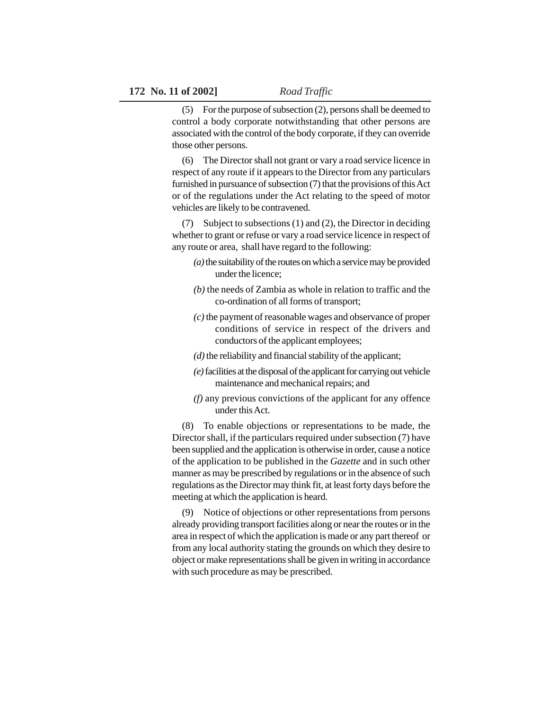(5) For the purpose of subsection (2), persons shall be deemed to control a body corporate notwithstanding that other persons are associated with the control of the body corporate, if they can override those other persons.

(6) The Director shall not grant or vary a road service licence in respect of any route if it appears to the Director from any particulars furnished in pursuance of subsection (7) that the provisions of this Act or of the regulations under the Act relating to the speed of motor vehicles are likely to be contravened.

(7) Subject to subsections (1) and (2), the Director in deciding whether to grant or refuse or vary a road service licence in respect of any route or area, shall have regard to the following:

- *(a)* the suitability of the routes on which a service may be provided under the licence;
- *(b)* the needs of Zambia as whole in relation to traffic and the co-ordination of all forms of transport;
- *(c)* the payment of reasonable wages and observance of proper conditions of service in respect of the drivers and conductors of the applicant employees;
- *(d)* the reliability and financial stability of the applicant;
- *(e)* facilities at the disposal of the applicant for carrying out vehicle maintenance and mechanical repairs; and
- *(f)* any previous convictions of the applicant for any offence under this Act.

(8) To enable objections or representations to be made, the Director shall, if the particulars required under subsection (7) have been supplied and the application is otherwise in order, cause a notice of the application to be published in the *Gazette* and in such other manner as may be prescribed by regulations or in the absence of such regulations as the Director may think fit, at least forty days before the meeting at which the application is heard.

(9) Notice of objections or other representations from persons already providing transport facilities along or near the routes or in the area in respect of which the application is made or any part thereof or from any local authority stating the grounds on which they desire to object or make representations shall be given in writing in accordance with such procedure as may be prescribed.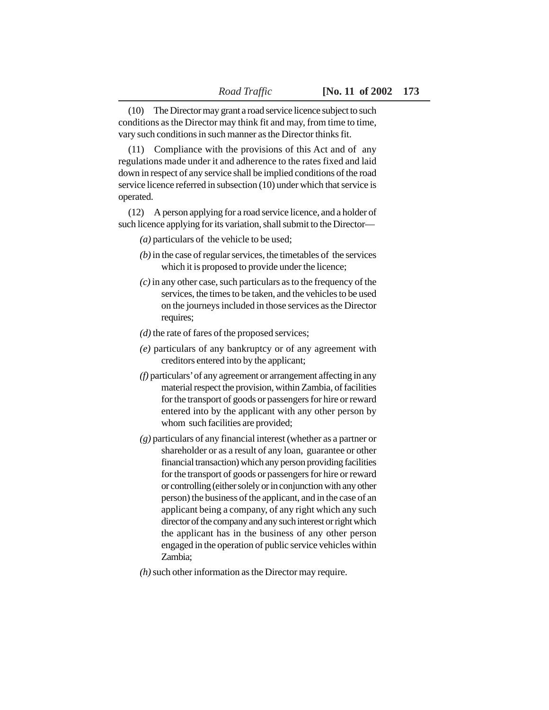(10) The Director may grant a road service licence subject to such conditions as the Director may think fit and may, from time to time, vary such conditions in such manner as the Director thinks fit.

(11) Compliance with the provisions of this Act and of any regulations made under it and adherence to the rates fixed and laid down in respect of any service shall be implied conditions of the road service licence referred in subsection (10) under which that service is operated.

(12) A person applying for a road service licence, and a holder of such licence applying for its variation, shall submit to the Director—

*(a)* particulars of the vehicle to be used;

- *(b)* in the case of regular services, the timetables of the services which it is proposed to provide under the licence;
- *(c)* in any other case, such particulars as to the frequency of the services, the times to be taken, and the vehicles to be used on the journeys included in those services as the Director requires;
- *(d)* the rate of fares of the proposed services;
- *(e)* particulars of any bankruptcy or of any agreement with creditors entered into by the applicant;
- *(f)* particulars' of any agreement or arrangement affecting in any material respect the provision, within Zambia, of facilities for the transport of goods or passengers for hire or reward entered into by the applicant with any other person by whom such facilities are provided;
- *(g)* particulars of any financial interest (whether as a partner or shareholder or as a result of any loan, guarantee or other financial transaction) which any person providing facilities for the transport of goods or passengers for hire or reward or controlling (either solely or in conjunction with any other person) the business of the applicant, and in the case of an applicant being a company, of any right which any such director of the company and any such interest or right which the applicant has in the business of any other person engaged in the operation of public service vehicles within Zambia;
- *(h)* such other information as the Director may require.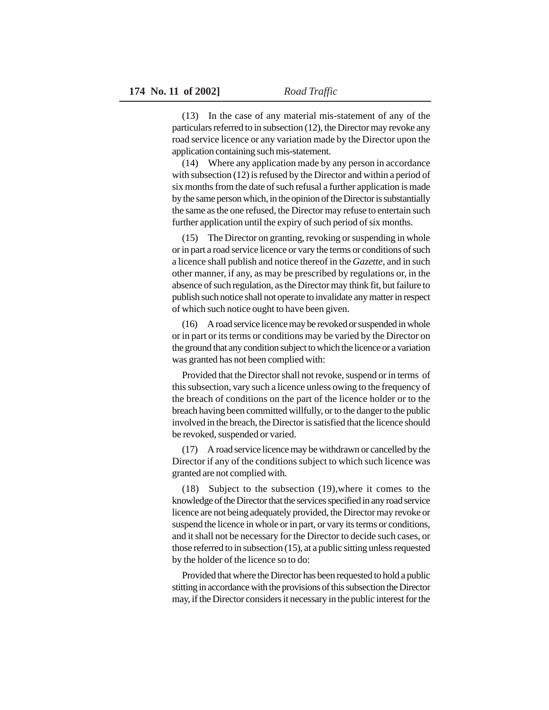(13) In the case of any material mis-statement of any of the particulars referred to in subsection (12), the Director may revoke any road service licence or any variation made by the Director upon the application containing such mis-statement.

(14) Where any application made by any person in accordance with subsection (12) is refused by the Director and within a period of six months from the date of such refusal a further application is made by the same person which, in the opinion of the Director is substantially the same as the one refused, the Director may refuse to entertain such further application until the expiry of such period of six months.

(15) The Director on granting, revoking or suspending in whole or in part a road service licence or vary the terms or conditions of such a licence shall publish and notice thereof in the *Gazette*, and in such other manner, if any, as may be prescribed by regulations or, in the absence of such regulation, as the Director may think fit, but failure to publish such notice shall not operate to invalidate any matter in respect of which such notice ought to have been given.

(16) A road service licence may be revoked or suspended in whole or in part or its terms or conditions may be varied by the Director on the ground that any condition subject to which the licence or a variation was granted has not been complied with:

Provided that the Director shall not revoke, suspend or in terms of this subsection, vary such a licence unless owing to the frequency of the breach of conditions on the part of the licence holder or to the breach having been committed willfully, or to the danger to the public involved in the breach, the Director is satisfied that the licence should be revoked, suspended or varied.

(17) A road service licence may be withdrawn or cancelled by the Director if any of the conditions subject to which such licence was granted are not complied with.

(18) Subject to the subsection (19),where it comes to the knowledge of the Director that the services specified in any road service licence are not being adequately provided, the Director may revoke or suspend the licence in whole or in part, or vary its terms or conditions, and it shall not be necessary for the Director to decide such cases, or those referred to in subsection (15), at a public sitting unless requested by the holder of the licence so to do:

Provided that where the Director has been requested to hold a public stitting in accordance with the provisions of this subsection the Director may, if the Director considers it necessary in the public interest for the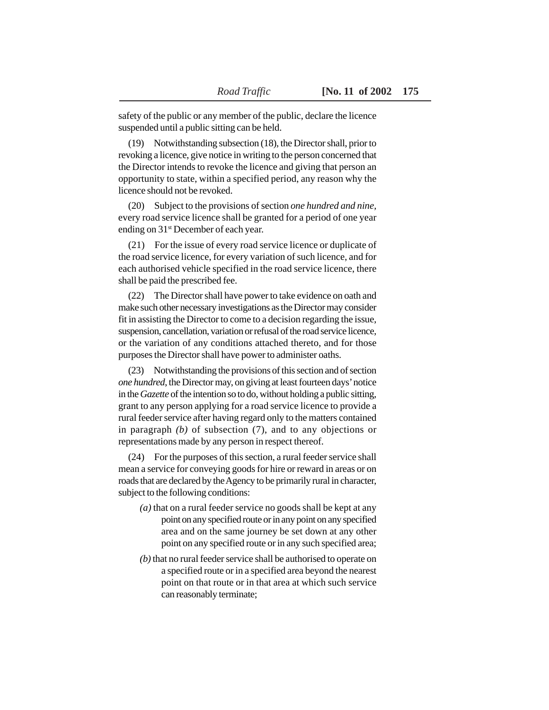safety of the public or any member of the public, declare the licence suspended until a public sitting can be held.

(19) Notwithstanding subsection (18), the Director shall, prior to revoking a licence, give notice in writing to the person concerned that the Director intends to revoke the licence and giving that person an opportunity to state, within a specified period, any reason why the licence should not be revoked.

(20) Subject to the provisions of section *one hundred and nine,* every road service licence shall be granted for a period of one year ending on 31st December of each year.

(21) For the issue of every road service licence or duplicate of the road service licence, for every variation of such licence, and for each authorised vehicle specified in the road service licence, there shall be paid the prescribed fee.

(22) The Director shall have power to take evidence on oath and make such other necessary investigations as the Director may consider fit in assisting the Director to come to a decision regarding the issue, suspension, cancellation, variation or refusal of the road service licence, or the variation of any conditions attached thereto, and for those purposes the Director shall have power to administer oaths.

(23) Notwithstanding the provisions of this section and of section *one hundred*, the Director may, on giving at least fourteen days' notice in the *Gazette* of the intention so to do, without holding a public sitting, grant to any person applying for a road service licence to provide a rural feeder service after having regard only to the matters contained in paragraph *(b)* of subsection (7), and to any objections or representations made by any person in respect thereof.

(24) For the purposes of this section, a rural feeder service shall mean a service for conveying goods for hire or reward in areas or on roads that are declared by the Agency to be primarily rural in character, subject to the following conditions:

- *(a)* that on a rural feeder service no goods shall be kept at any point on any specified route or in any point on any specified area and on the same journey be set down at any other point on any specified route or in any such specified area;
- *(b)* that no rural feeder service shall be authorised to operate on a specified route or in a specified area beyond the nearest point on that route or in that area at which such service can reasonably terminate;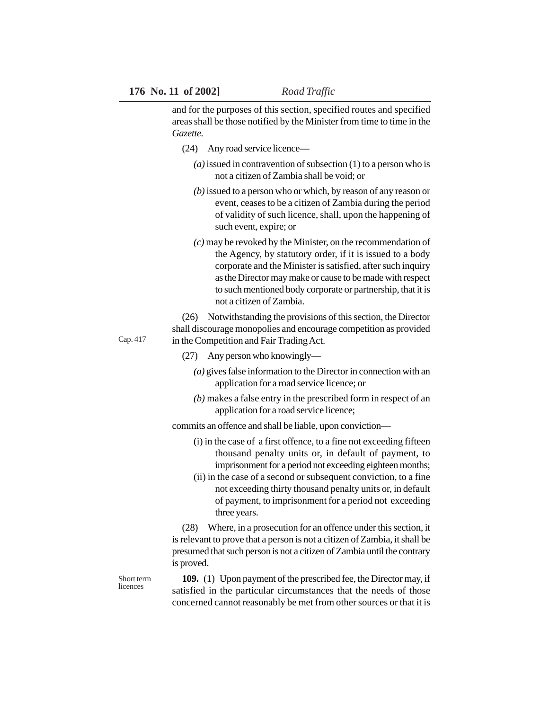and for the purposes of this section, specified routes and specified areas shall be those notified by the Minister from time to time in the *Gazette.*

- (24) Any road service licence—
	- *(a)* issued in contravention of subsection (1) to a person who is not a citizen of Zambia shall be void; or
	- *(b)* issued to a person who or which, by reason of any reason or event, ceases to be a citizen of Zambia during the period of validity of such licence, shall, upon the happening of such event, expire; or
	- *(c)* may be revoked by the Minister, on the recommendation of the Agency, by statutory order, if it is issued to a body corporate and the Minister is satisfied, after such inquiry as the Director may make or cause to be made with respect to such mentioned body corporate or partnership, that it is not a citizen of Zambia.

(26) Notwithstanding the provisions of this section, the Director shall discourage monopolies and encourage competition as provided in the Competition and Fair Trading Act.

- (27) Any person who knowingly—
	- *(a)* gives false information to the Director in connection with an application for a road service licence; or
	- *(b)* makes a false entry in the prescribed form in respect of an application for a road service licence;

commits an offence and shall be liable, upon conviction—

- (i) in the case of a first offence, to a fine not exceeding fifteen thousand penalty units or, in default of payment, to imprisonment for a period not exceeding eighteen months;
- (ii) in the case of a second or subsequent conviction, to a fine not exceeding thirty thousand penalty units or, in default of payment, to imprisonment for a period not exceeding three years.

(28) Where, in a prosecution for an offence under this section, it is relevant to prove that a person is not a citizen of Zambia, it shall be presumed that such person is not a citizen of Zambia until the contrary is proved.

Short term licences

**109.** (1) Upon payment of the prescribed fee, the Director may, if satisfied in the particular circumstances that the needs of those concerned cannot reasonably be met from other sources or that it is

Cap. 417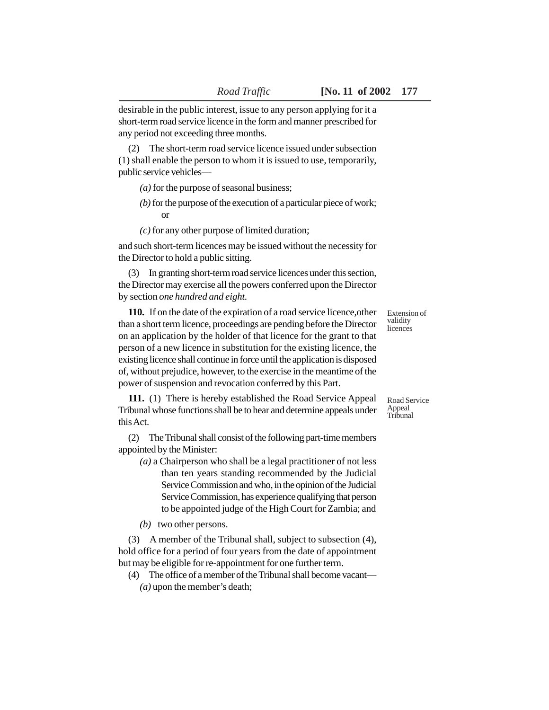(2) The short-term road service licence issued under subsection (1) shall enable the person to whom it is issued to use, temporarily, public service vehicles—

*(a)* for the purpose of seasonal business;

*(b)* for the purpose of the execution of a particular piece of work; or

*(c)* for any other purpose of limited duration;

and such short-term licences may be issued without the necessity for the Director to hold a public sitting.

(3) In granting short-term road service licences under this section, the Director may exercise all the powers conferred upon the Director by section *one hundred and eight.*

**110.** If on the date of the expiration of a road service licence,other than a short term licence, proceedings are pending before the Director on an application by the holder of that licence for the grant to that person of a new licence in substitution for the existing licence, the existing licence shall continue in force until the application is disposed of, without prejudice, however, to the exercise in the meantime of the power of suspension and revocation conferred by this Part.

**111.** (1) There is hereby established the Road Service Appeal Tribunal whose functions shall be to hear and determine appeals under this Act.

(2) The Tribunal shall consist of the following part-time members appointed by the Minister:

*(a)* a Chairperson who shall be a legal practitioner of not less than ten years standing recommended by the Judicial Service Commission and who, in the opinion of the Judicial Service Commission, has experience qualifying that person to be appointed judge of the High Court for Zambia; and

*(b)* two other persons.

(3) A member of the Tribunal shall, subject to subsection (4), hold office for a period of four years from the date of appointment but may be eligible for re-appointment for one further term.

(4) The office of a member of the Tribunal shall become vacant— *(a)* upon the member's death;

Extension of validity licences

Road Service Appeal Tribunal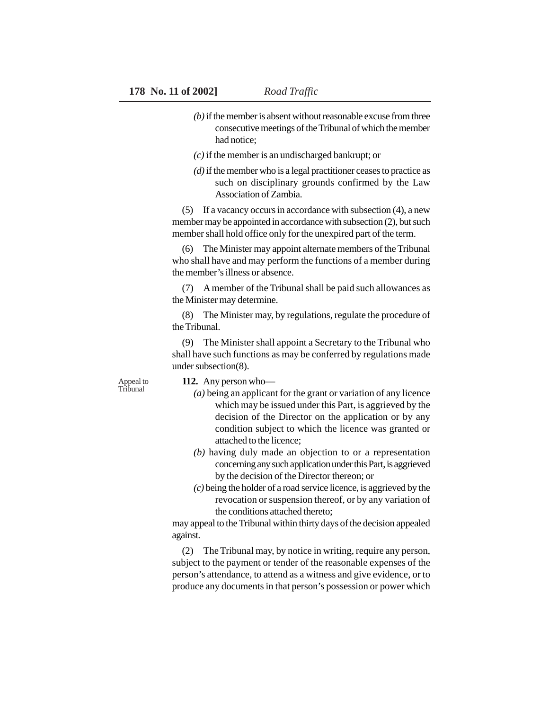- *(b)* if the member is absent without reasonable excuse from three consecutive meetings of the Tribunal of which the member had notice;
- *(c)* if the member is an undischarged bankrupt; or
- *(d)* if the member who is a legal practitioner ceases to practice as such on disciplinary grounds confirmed by the Law Association of Zambia.

(5) If a vacancy occurs in accordance with subsection (4), a new member may be appointed in accordance with subsection (2), but such member shall hold office only for the unexpired part of the term.

(6) The Minister may appoint alternate members of the Tribunal who shall have and may perform the functions of a member during the member's illness or absence.

(7) A member of the Tribunal shall be paid such allowances as the Minister may determine.

(8) The Minister may, by regulations, regulate the procedure of the Tribunal.

(9) The Minister shall appoint a Secretary to the Tribunal who shall have such functions as may be conferred by regulations made under subsection(8).

Appeal to Tribunal

**112.** Any person who—

- *(a)* being an applicant for the grant or variation of any licence which may be issued under this Part, is aggrieved by the decision of the Director on the application or by any condition subject to which the licence was granted or attached to the licence;
- *(b)* having duly made an objection to or a representation concerning any such application under this Part, is aggrieved by the decision of the Director thereon; or
- *(c)* being the holder of a road service licence, is aggrieved by the revocation or suspension thereof, or by any variation of the conditions attached thereto;

may appeal to the Tribunal within thirty days of the decision appealed against.

(2) The Tribunal may, by notice in writing, require any person, subject to the payment or tender of the reasonable expenses of the person's attendance, to attend as a witness and give evidence, or to produce any documents in that person's possession or power which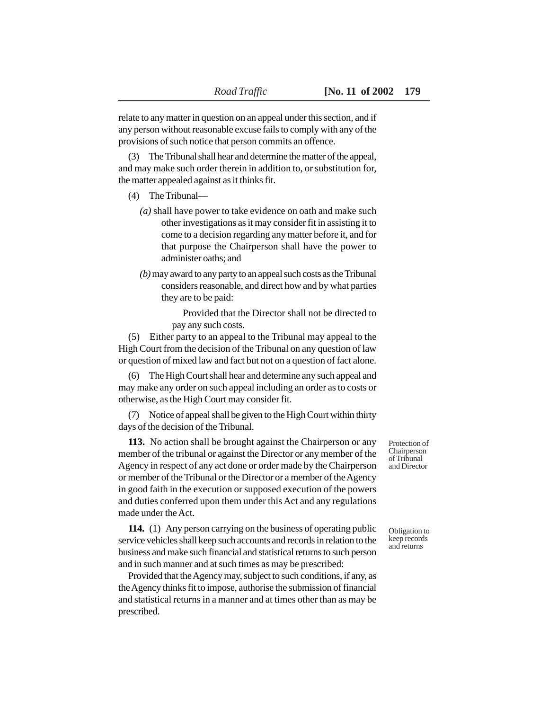relate to any matter in question on an appeal under this section, and if any person without reasonable excuse fails to comply with any of the provisions of such notice that person commits an offence.

(3) The Tribunal shall hear and determine the matter of the appeal, and may make such order therein in addition to, or substitution for, the matter appealed against as it thinks fit.

- (4) The Tribunal—
	- *(a)* shall have power to take evidence on oath and make such other investigations as it may consider fit in assisting it to come to a decision regarding any matter before it, and for that purpose the Chairperson shall have the power to administer oaths; and
	- *(b)* may award to any party to an appeal such costs as the Tribunal considers reasonable, and direct how and by what parties they are to be paid:

Provided that the Director shall not be directed to pay any such costs.

(5) Either party to an appeal to the Tribunal may appeal to the High Court from the decision of the Tribunal on any question of law or question of mixed law and fact but not on a question of fact alone.

(6) The High Court shall hear and determine any such appeal and may make any order on such appeal including an order as to costs or otherwise, as the High Court may consider fit.

(7) Notice of appeal shall be given to the High Court within thirty days of the decision of the Tribunal.

**113.** No action shall be brought against the Chairperson or any member of the tribunal or against the Director or any member of the Agency in respect of any act done or order made by the Chairperson or member of the Tribunal or the Director or a member of the Agency in good faith in the execution or supposed execution of the powers and duties conferred upon them under this Act and any regulations made under the Act.

**114.** (1) Any person carrying on the business of operating public service vehicles shall keep such accounts and records in relation to the business and make such financial and statistical returns to such person and in such manner and at such times as may be prescribed:

Provided that the Agency may, subject to such conditions, if any, as the Agency thinks fit to impose, authorise the submission of financial and statistical returns in a manner and at times other than as may be prescribed.

Protection of Chairperson of Tribunal and Director

Obligation to keep records and returns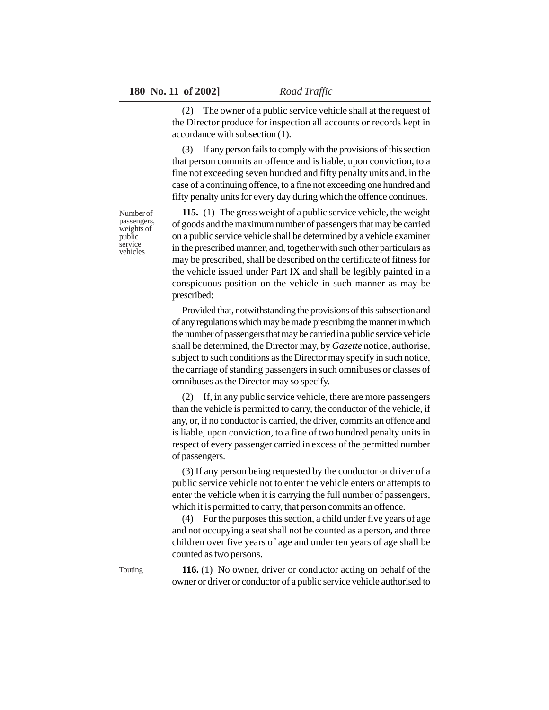(2) The owner of a public service vehicle shall at the request of the Director produce for inspection all accounts or records kept in accordance with subsection (1).

(3) If any person fails to comply with the provisions of this section that person commits an offence and is liable, upon conviction, to a fine not exceeding seven hundred and fifty penalty units and, in the case of a continuing offence, to a fine not exceeding one hundred and fifty penalty units for every day during which the offence continues.

**115.** (1) The gross weight of a public service vehicle, the weight of goods and the maximum number of passengers that may be carried on a public service vehicle shall be determined by a vehicle examiner in the prescribed manner, and, together with such other particulars as may be prescribed, shall be described on the certificate of fitness for the vehicle issued under Part IX and shall be legibly painted in a conspicuous position on the vehicle in such manner as may be prescribed:

Provided that, notwithstanding the provisions of this subsection and of any regulations which may be made prescribing the manner in which the number of passengers that may be carried in a public service vehicle shall be determined, the Director may, by *Gazette* notice, authorise, subject to such conditions as the Director may specify in such notice, the carriage of standing passengers in such omnibuses or classes of omnibuses as the Director may so specify.

If, in any public service vehicle, there are more passengers than the vehicle is permitted to carry, the conductor of the vehicle, if any, or, if no conductor is carried, the driver, commits an offence and is liable, upon conviction, to a fine of two hundred penalty units in respect of every passenger carried in excess of the permitted number of passengers.

(3) If any person being requested by the conductor or driver of a public service vehicle not to enter the vehicle enters or attempts to enter the vehicle when it is carrying the full number of passengers, which it is permitted to carry, that person commits an offence.

(4) For the purposes this section, a child under five years of age and not occupying a seat shall not be counted as a person, and three children over five years of age and under ten years of age shall be counted as two persons.

**116.** (1) No owner, driver or conductor acting on behalf of the owner or driver or conductor of a public service vehicle authorised to

Number of passengers, weights of public service vehicles

Touting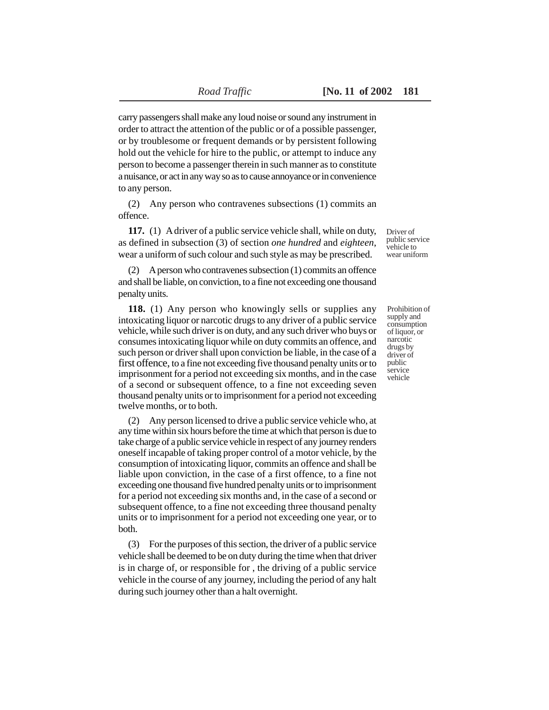carry passengers shall make any loud noise or sound any instrument in order to attract the attention of the public or of a possible passenger, or by troublesome or frequent demands or by persistent following hold out the vehicle for hire to the public, or attempt to induce any person to become a passenger therein in such manner as to constitute a nuisance, or act in any way so as to cause annoyance or in convenience to any person.

(2) Any person who contravenes subsections (1) commits an offence.

**117.** (1) A driver of a public service vehicle shall, while on duty, as defined in subsection (3) of section *one hundred* and *eighteen*, wear a uniform of such colour and such style as may be prescribed.

(2) A person who contravenes subsection (1) commits an offence and shall be liable, on conviction, to a fine not exceeding one thousand penalty units.

**118.** (1) Any person who knowingly sells or supplies any intoxicating liquor or narcotic drugs to any driver of a public service vehicle, while such driver is on duty, and any such driver who buys or consumes intoxicating liquor while on duty commits an offence, and such person or driver shall upon conviction be liable, in the case of a first offence, to a fine not exceeding five thousand penalty units or to imprisonment for a period not exceeding six months, and in the case of a second or subsequent offence, to a fine not exceeding seven thousand penalty units or to imprisonment for a period not exceeding twelve months, or to both.

(2) Any person licensed to drive a public service vehicle who, at any time within six hours before the time at which that person is due to take charge of a public service vehicle in respect of any journey renders oneself incapable of taking proper control of a motor vehicle, by the consumption of intoxicating liquor, commits an offence and shall be liable upon conviction, in the case of a first offence, to a fine not exceeding one thousand five hundred penalty units or to imprisonment for a period not exceeding six months and, in the case of a second or subsequent offence, to a fine not exceeding three thousand penalty units or to imprisonment for a period not exceeding one year, or to both.

(3) For the purposes of this section, the driver of a public service vehicle shall be deemed to be on duty during the time when that driver is in charge of, or responsible for , the driving of a public service vehicle in the course of any journey, including the period of any halt during such journey other than a halt overnight.

Driver of public service vehicle to wear uniform

Prohibition of supply and consumption of liquor, or narcotic drugs by driver of public service vehicle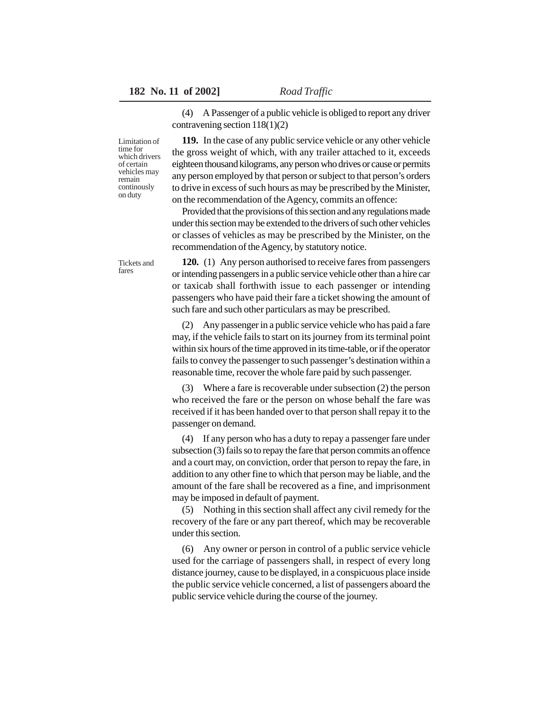(4) A Passenger of a public vehicle is obliged to report any driver contravening section 118(1)(2)

Limitation of time for which drivers of certain vehicles may remain continously on duty

**119.** In the case of any public service vehicle or any other vehicle the gross weight of which, with any trailer attached to it, exceeds eighteen thousand kilograms, any person who drives or cause or permits any person employed by that person or subject to that person's orders to drive in excess of such hours as may be prescribed by the Minister, on the recommendation of the Agency, commits an offence:

Provided that the provisions of this section and any regulations made under this section may be extended to the drivers of such other vehicles or classes of vehicles as may be prescribed by the Minister, on the recommendation of the Agency, by statutory notice.

Tickets and fares

**120.** (1) Any person authorised to receive fares from passengers or intending passengers in a public service vehicle other than a hire car or taxicab shall forthwith issue to each passenger or intending passengers who have paid their fare a ticket showing the amount of such fare and such other particulars as may be prescribed.

(2) Any passenger in a public service vehicle who has paid a fare may, if the vehicle fails to start on its journey from its terminal point within six hours of the time approved in its time-table, or if the operator fails to convey the passenger to such passenger's destination within a reasonable time, recover the whole fare paid by such passenger.

(3) Where a fare is recoverable under subsection (2) the person who received the fare or the person on whose behalf the fare was received if it has been handed over to that person shall repay it to the passenger on demand.

(4) If any person who has a duty to repay a passenger fare under subsection (3) fails so to repay the fare that person commits an offence and a court may, on conviction, order that person to repay the fare, in addition to any other fine to which that person may be liable, and the amount of the fare shall be recovered as a fine, and imprisonment may be imposed in default of payment.

(5) Nothing in this section shall affect any civil remedy for the recovery of the fare or any part thereof, which may be recoverable under this section.

(6) Any owner or person in control of a public service vehicle used for the carriage of passengers shall, in respect of every long distance journey, cause to be displayed, in a conspicuous place inside the public service vehicle concerned, a list of passengers aboard the public service vehicle during the course of the journey.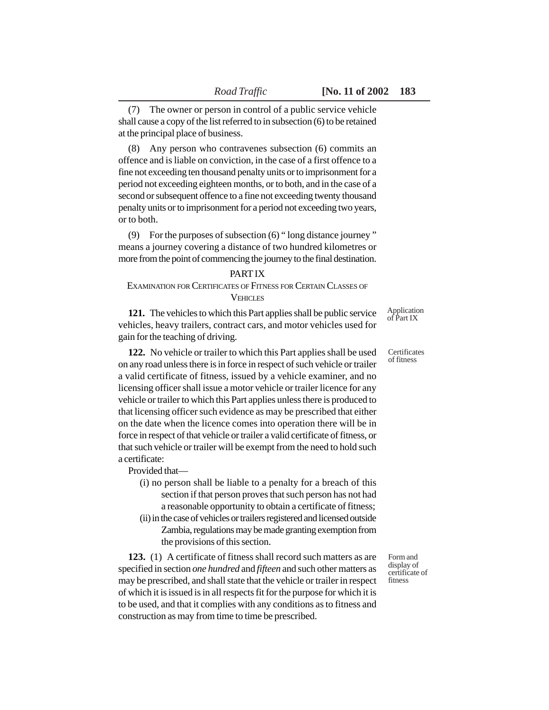(7) The owner or person in control of a public service vehicle shall cause a copy of the list referred to in subsection (6) to be retained at the principal place of business.

(8) Any person who contravenes subsection (6) commits an offence and is liable on conviction, in the case of a first offence to a fine not exceeding ten thousand penalty units or to imprisonment for a period not exceeding eighteen months, or to both, and in the case of a second or subsequent offence to a fine not exceeding twenty thousand penalty units or to imprisonment for a period not exceeding two years, or to both.

(9) For the purposes of subsection (6) " long distance journey " means a journey covering a distance of two hundred kilometres or more from the point of commencing the journey to the final destination.

### PART IX

# EXAMINATION FOR CERTIFICATES OF FITNESS FOR CERTAIN CLASSES OF **VEHICLES**

**121.** The vehicles to which this Part applies shall be public service vehicles, heavy trailers, contract cars, and motor vehicles used for gain for the teaching of driving.

**122.** No vehicle or trailer to which this Part applies shall be used on any road unless there is in force in respect of such vehicle or trailer a valid certificate of fitness, issued by a vehicle examiner, and no licensing officer shall issue a motor vehicle or trailer licence for any vehicle or trailer to which this Part applies unless there is produced to that licensing officer such evidence as may be prescribed that either on the date when the licence comes into operation there will be in force in respect of that vehicle or trailer a valid certificate of fitness, or that such vehicle or trailer will be exempt from the need to hold such a certificate:

Provided that—

- (i) no person shall be liable to a penalty for a breach of this section if that person proves that such person has not had a reasonable opportunity to obtain a certificate of fitness;
- (ii) in the case of vehicles or trailers registered and licensed outside Zambia, regulations may be made granting exemption from the provisions of this section.

**123.** (1) A certificate of fitness shall record such matters as are specified in section *one hundred* and *fifteen* and such other matters as may be prescribed, and shall state that the vehicle or trailer in respect of which it is issued is in all respects fit for the purpose for which it is to be used, and that it complies with any conditions as to fitness and construction as may from time to time be prescribed.

**Certificates** 

of fitness

Application of Part IX

Form and display of certificate of fitness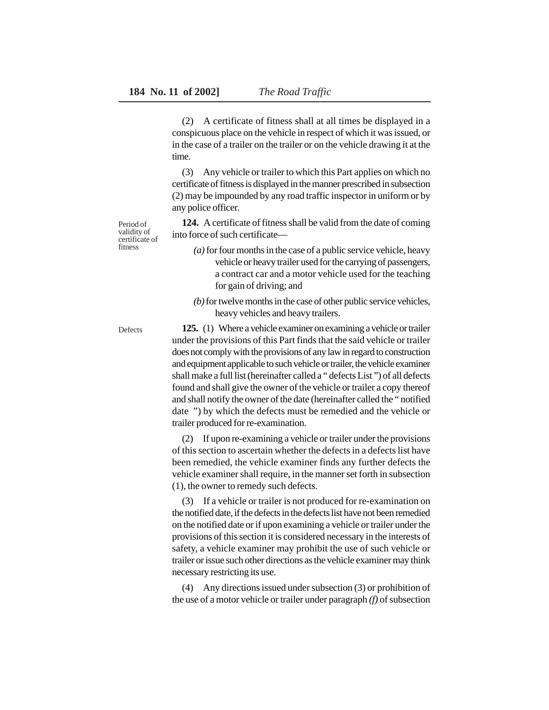(2) A certificate of fitness shall at all times be displayed in a conspicuous place on the vehicle in respect of which it was issued, or in the case of a trailer on the trailer or on the vehicle drawing it at the time.

(3) Any vehicle or trailer to which this Part applies on which no certificate of fitness is displayed in the manner prescribed in subsection (2) may be impounded by any road traffic inspector in uniform or by any police officer.

**124.** A certificate of fitness shall be valid from the date of coming into force of such certificate—

- *(a)* for four months in the case of a public service vehicle, heavy vehicle or heavy trailer used for the carrying of passengers, a contract car and a motor vehicle used for the teaching for gain of driving; and
- *(b)* for twelve months in the case of other public service vehicles, heavy vehicles and heavy trailers.

**125.** (1) Where a vehicle examiner on examining a vehicle or trailer under the provisions of this Part finds that the said vehicle or trailer does not comply with the provisions of any law in regard to construction and equipment applicable to such vehicle or trailer, the vehicle examiner shall make a full list (hereinafter called a " defects List ") of all defects found and shall give the owner of the vehicle or trailer a copy thereof and shall notify the owner of the date (hereinafter called the " notified date ") by which the defects must be remedied and the vehicle or trailer produced for re-examination.

(2) If upon re-examining a vehicle or trailer under the provisions of this section to ascertain whether the defects in a defects list have been remedied, the vehicle examiner finds any further defects the vehicle examiner shall require, in the manner set forth in subsection (1), the owner to remedy such defects.

(3) If a vehicle or trailer is not produced for re-examination on the notified date, if the defects in the defects list have not been remedied on the notified date or if upon examining a vehicle or trailer under the provisions of this section it is considered necessary in the interests of safety, a vehicle examiner may prohibit the use of such vehicle or trailer or issue such other directions as the vehicle examiner may think necessary restricting its use.

(4) Any directions issued under subsection (3) or prohibition of the use of a motor vehicle or trailer under paragraph *(f)* of subsection

Period of validity of certificate of fitness

Defects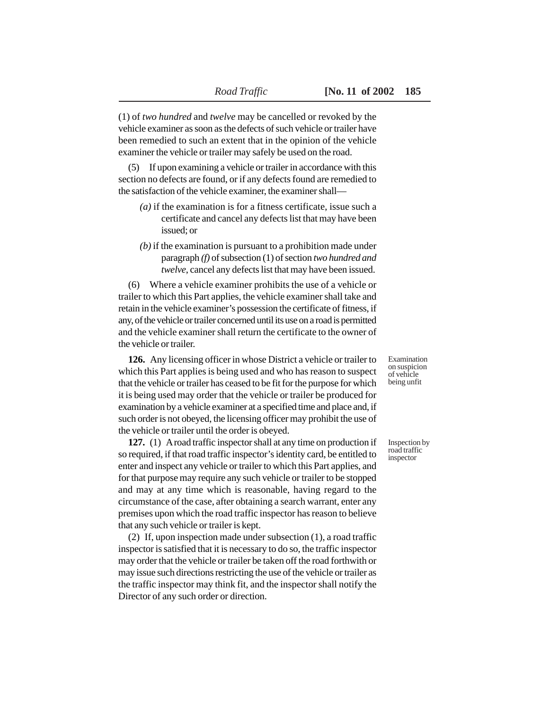(1) of *two hundred* and *twelve* may be cancelled or revoked by the vehicle examiner as soon as the defects of such vehicle or trailer have been remedied to such an extent that in the opinion of the vehicle examiner the vehicle or trailer may safely be used on the road.

(5) If upon examining a vehicle or trailer in accordance with this section no defects are found, or if any defects found are remedied to the satisfaction of the vehicle examiner, the examiner shall—

- *(a)* if the examination is for a fitness certificate, issue such a certificate and cancel any defects list that may have been issued; or
- *(b)* if the examination is pursuant to a prohibition made under paragraph *(f)* of subsection (1) of section *two hundred and twelve*, cancel any defects list that may have been issued.

(6) Where a vehicle examiner prohibits the use of a vehicle or trailer to which this Part applies, the vehicle examiner shall take and retain in the vehicle examiner's possession the certificate of fitness, if any, of the vehicle or trailer concerned until its use on a road is permitted and the vehicle examiner shall return the certificate to the owner of the vehicle or trailer.

**126.** Any licensing officer in whose District a vehicle or trailer to which this Part applies is being used and who has reason to suspect that the vehicle or trailer has ceased to be fit for the purpose for which it is being used may order that the vehicle or trailer be produced for examination by a vehicle examiner at a specified time and place and, if such order is not obeyed, the licensing officer may prohibit the use of the vehicle or trailer until the order is obeyed.

**127.** (1) A road traffic inspector shall at any time on production if so required, if that road traffic inspector's identity card, be entitled to enter and inspect any vehicle or trailer to which this Part applies, and for that purpose may require any such vehicle or trailer to be stopped and may at any time which is reasonable, having regard to the circumstance of the case, after obtaining a search warrant, enter any premises upon which the road traffic inspector has reason to believe that any such vehicle or trailer is kept.

(2) If, upon inspection made under subsection (1), a road traffic inspector is satisfied that it is necessary to do so, the traffic inspector may order that the vehicle or trailer be taken off the road forthwith or may issue such directions restricting the use of the vehicle or trailer as the traffic inspector may think fit, and the inspector shall notify the Director of any such order or direction.

Examination on suspicion of vehicle being unfit

Inspection by road traffic inspector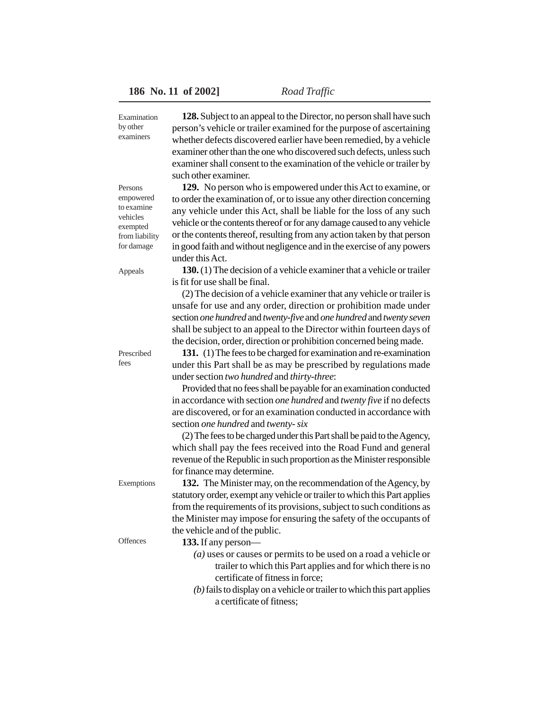**128.** Subject to an appeal to the Director, no person shall have such person's vehicle or trailer examined for the purpose of ascertaining whether defects discovered earlier have been remedied, by a vehicle examiner other than the one who discovered such defects, unless such examiner shall consent to the examination of the vehicle or trailer by such other examiner. Examination

> **129.** No person who is empowered under this Act to examine, or to order the examination of, or to issue any other direction concerning any vehicle under this Act, shall be liable for the loss of any such vehicle or the contents thereof or for any damage caused to any vehicle or the contents thereof, resulting from any action taken by that person in good faith and without negligence and in the exercise of any powers under this Act.

**130.** (1) The decision of a vehicle examiner that a vehicle or trailer is fit for use shall be final.

(2) The decision of a vehicle examiner that any vehicle or trailer is unsafe for use and any order, direction or prohibition made under section *one hundred* and *twenty-five* and *one hundred* and *twenty seven* shall be subject to an appeal to the Director within fourteen days of the decision, order, direction or prohibition concerned being made.

**131.** (1) The fees to be charged for examination and re-examination under this Part shall be as may be prescribed by regulations made under section *two hundred* and *thirty-three*:

Provided that no fees shall be payable for an examination conducted in accordance with section *one hundred* and *twenty five* if no defects are discovered, or for an examination conducted in accordance with section *one hundred* and *twenty- six*

(2) The fees to be charged under this Part shall be paid to the Agency, which shall pay the fees received into the Road Fund and general revenue of the Republic in such proportion as the Minister responsible for finance may determine.

**132.** The Minister may, on the recommendation of the Agency, by statutory order, exempt any vehicle or trailer to which this Part applies from the requirements of its provisions, subject to such conditions as the Minister may impose for ensuring the safety of the occupants of the vehicle and of the public.

- **133.** If any person—
	- *(a)* uses or causes or permits to be used on a road a vehicle or trailer to which this Part applies and for which there is no certificate of fitness in force;
	- *(b)* fails to display on a vehicle or trailer to which this part applies a certificate of fitness;

Persons empowered to examine vehicles exempted from liability for damage

Appeals

by other examiners

Prescribed fees

**Offences** 

Exemptions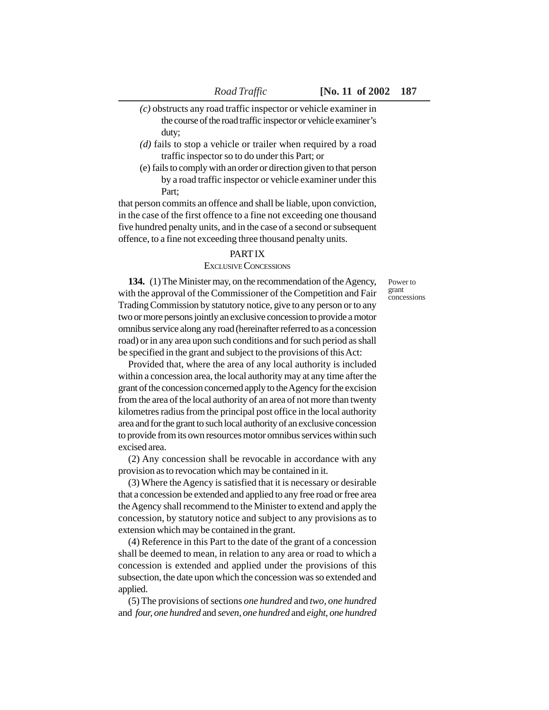- *(c)* obstructs any road traffic inspector or vehicle examiner in the course of the road traffic inspector or vehicle examiner's duty;
- *(d)* fails to stop a vehicle or trailer when required by a road traffic inspector so to do under this Part; or
- (e) fails to comply with an order or direction given to that person by a road traffic inspector or vehicle examiner under this Part;

that person commits an offence and shall be liable, upon conviction, in the case of the first offence to a fine not exceeding one thousand five hundred penalty units, and in the case of a second or subsequent offence, to a fine not exceeding three thousand penalty units.

## PART IX

### EXCLUSIVE CONCESSIONS

Power to grant concessions

**134.** (1) The Minister may, on the recommendation of the Agency, with the approval of the Commissioner of the Competition and Fair Trading Commission by statutory notice, give to any person or to any two or more persons jointly an exclusive concession to provide a motor omnibus service along any road (hereinafter referred to as a concession road) or in any area upon such conditions and for such period as shall be specified in the grant and subject to the provisions of this Act:

Provided that, where the area of any local authority is included within a concession area, the local authority may at any time after the grant of the concession concerned apply to the Agency for the excision from the area of the local authority of an area of not more than twenty kilometres radius from the principal post office in the local authority area and for the grant to such local authority of an exclusive concession to provide from its own resources motor omnibus services within such excised area.

(2) Any concession shall be revocable in accordance with any provision as to revocation which may be contained in it.

(3) Where the Agency is satisfied that it is necessary or desirable that a concession be extended and applied to any free road or free area the Agency shall recommend to the Minister to extend and apply the concession, by statutory notice and subject to any provisions as to extension which may be contained in the grant.

(4) Reference in this Part to the date of the grant of a concession shall be deemed to mean, in relation to any area or road to which a concession is extended and applied under the provisions of this subsection, the date upon which the concession was so extended and applied.

(5) The provisions of sections *one hundred* and *two, one hundred* and *four, one hundred* and *seven, one hundred* and *eight, one hundred*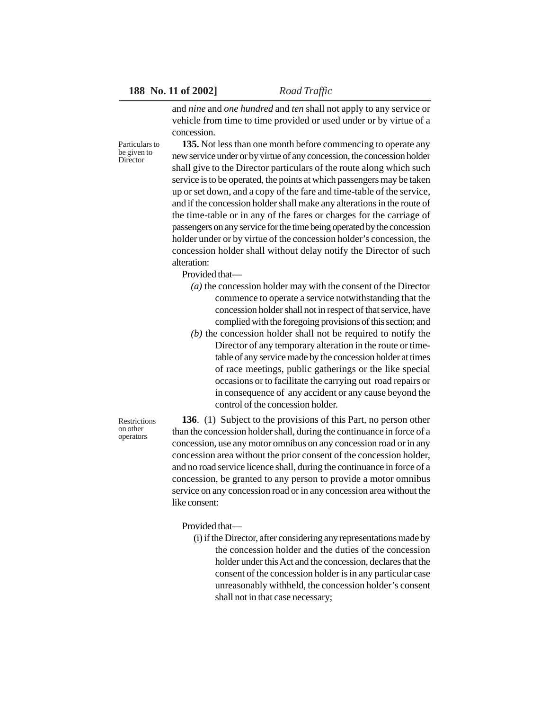Particulars to be given to **Director** 

and *nine* and *one hundred* and *ten* shall not apply to any service or vehicle from time to time provided or used under or by virtue of a concession.

**135.** Not less than one month before commencing to operate any new service under or by virtue of any concession, the concession holder shall give to the Director particulars of the route along which such service is to be operated, the points at which passengers may be taken up or set down, and a copy of the fare and time-table of the service, and if the concession holder shall make any alterations in the route of the time-table or in any of the fares or charges for the carriage of passengers on any service for the time being operated by the concession holder under or by virtue of the concession holder's concession, the concession holder shall without delay notify the Director of such alteration:

Provided that—

- *(a)* the concession holder may with the consent of the Director commence to operate a service notwithstanding that the concession holder shall not in respect of that service, have complied with the foregoing provisions of this section; and
- *(b)* the concession holder shall not be required to notify the Director of any temporary alteration in the route or timetable of any service made by the concession holder at times of race meetings, public gatherings or the like special occasions or to facilitate the carrying out road repairs or in consequence of any accident or any cause beyond the control of the concession holder.

**136**. (1) Subject to the provisions of this Part, no person other than the concession holder shall, during the continuance in force of a concession, use any motor omnibus on any concession road or in any concession area without the prior consent of the concession holder, and no road service licence shall, during the continuance in force of a concession, be granted to any person to provide a motor omnibus service on any concession road or in any concession area without the like consent:

Provided that—

(i) if the Director, after considering any representations made by the concession holder and the duties of the concession holder under this Act and the concession, declares that the consent of the concession holder is in any particular case unreasonably withheld, the concession holder's consent shall not in that case necessary;

**Restrictions** on other operators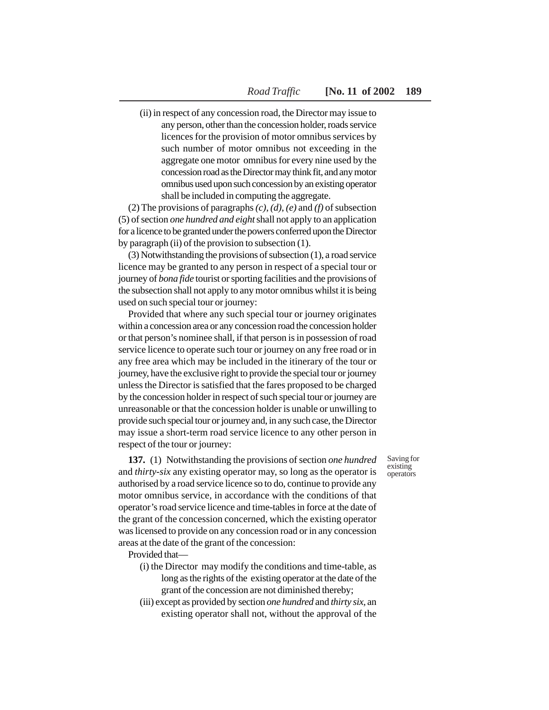(ii) in respect of any concession road, the Director may issue to any person, other than the concession holder, roads service licences for the provision of motor omnibus services by such number of motor omnibus not exceeding in the aggregate one motor omnibus for every nine used by the concession road as the Director may think fit, and any motor omnibus used upon such concession by an existing operator shall be included in computing the aggregate.

(2) The provisions of paragraphs *(c)*, *(d)*, *(e)* and *(f)* of subsection (5) of section *one hundred and eight* shall not apply to an application for a licence to be granted under the powers conferred upon the Director by paragraph (ii) of the provision to subsection (1).

(3) Notwithstanding the provisions of subsection (1), a road service licence may be granted to any person in respect of a special tour or journey of *bona fide* tourist or sporting facilities and the provisions of the subsection shall not apply to any motor omnibus whilst it is being used on such special tour or journey:

Provided that where any such special tour or journey originates within a concession area or any concession road the concession holder or that person's nominee shall, if that person is in possession of road service licence to operate such tour or journey on any free road or in any free area which may be included in the itinerary of the tour or journey, have the exclusive right to provide the special tour or journey unless the Director is satisfied that the fares proposed to be charged by the concession holder in respect of such special tour or journey are unreasonable or that the concession holder is unable or unwilling to provide such special tour or journey and, in any such case, the Director may issue a short-term road service licence to any other person in respect of the tour or journey:

**137.** (1) Notwithstanding the provisions of section *one hundred* and *thirty-six* any existing operator may, so long as the operator is authorised by a road service licence so to do, continue to provide any motor omnibus service, in accordance with the conditions of that operator's road service licence and time-tables in force at the date of the grant of the concession concerned, which the existing operator was licensed to provide on any concession road or in any concession areas at the date of the grant of the concession:

Provided that—

- (i) the Director may modify the conditions and time-table, as long as the rights of the existing operator at the date of the grant of the concession are not diminished thereby;
- (iii) except as provided by section *one hundred* and *thirty six,* an existing operator shall not, without the approval of the

Saving for existing operators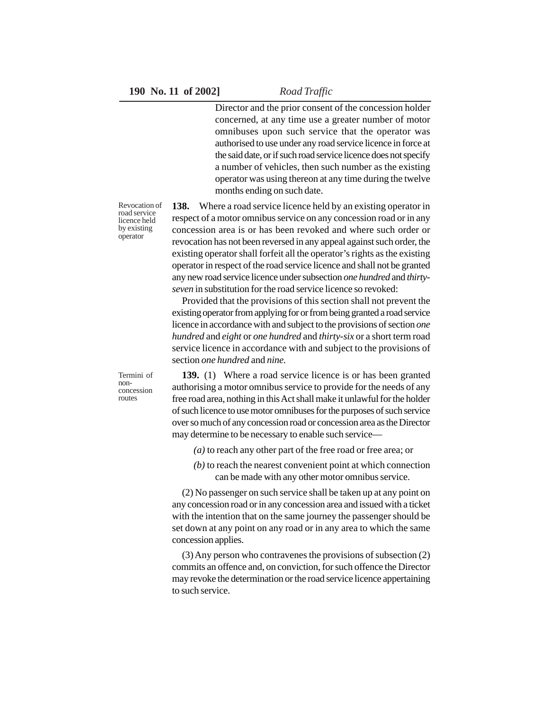Director and the prior consent of the concession holder concerned, at any time use a greater number of motor omnibuses upon such service that the operator was authorised to use under any road service licence in force at the said date, or if such road service licence does not specify a number of vehicles, then such number as the existing operator was using thereon at any time during the twelve months ending on such date.

Revocation of road service licence held by existing operator

**138.** Where a road service licence held by an existing operator in respect of a motor omnibus service on any concession road or in any concession area is or has been revoked and where such order or revocation has not been reversed in any appeal against such order, the existing operator shall forfeit all the operator's rights as the existing operator in respect of the road service licence and shall not be granted any new road service licence under subsection *one hundred* and *thirtyseven* in substitution for the road service licence so revoked:

Provided that the provisions of this section shall not prevent the existing operator from applying for or from being granted a road service licence in accordance with and subject to the provisions of section *one hundred* and *eight* or *one hundred* and *thirty-six* or a short term road service licence in accordance with and subject to the provisions of section *one hundred* and *nine.*

Termini of nonconcession routes

**139.** (1) Where a road service licence is or has been granted authorising a motor omnibus service to provide for the needs of any free road area, nothing in this Act shall make it unlawful for the holder of such licence to use motor omnibuses for the purposes of such service over so much of any concession road or concession area as the Director may determine to be necessary to enable such service—

- *(a)* to reach any other part of the free road or free area; or
- *(b)* to reach the nearest convenient point at which connection can be made with any other motor omnibus service.

(2) No passenger on such service shall be taken up at any point on any concession road or in any concession area and issued with a ticket with the intention that on the same journey the passenger should be set down at any point on any road or in any area to which the same concession applies.

(3) Any person who contravenes the provisions of subsection (2) commits an offence and, on conviction, for such offence the Director may revoke the determination or the road service licence appertaining to such service.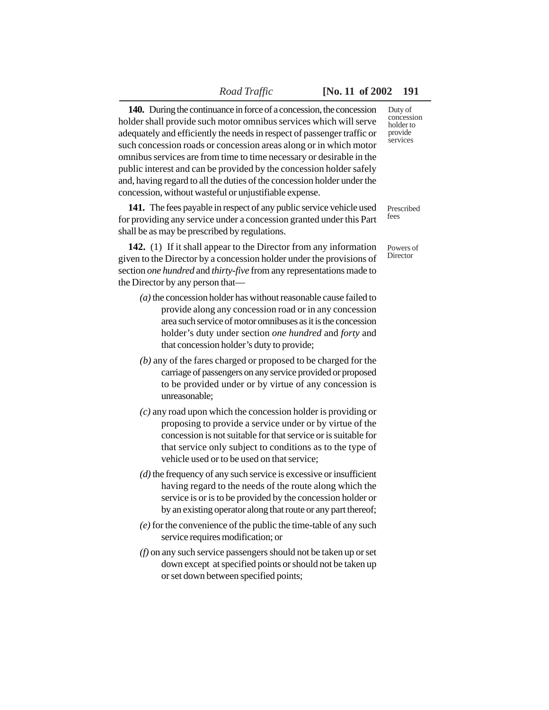# *Road Traffic* **[No. 11 of 2002 191**

**140.** During the continuance in force of a concession, the concession holder shall provide such motor omnibus services which will serve adequately and efficiently the needs in respect of passenger traffic or such concession roads or concession areas along or in which motor omnibus services are from time to time necessary or desirable in the public interest and can be provided by the concession holder safely and, having regard to all the duties of the concession holder under the concession, without wasteful or unjustifiable expense.

**141.** The fees payable in respect of any public service vehicle used for providing any service under a concession granted under this Part shall be as may be prescribed by regulations.

**142.** (1) If it shall appear to the Director from any information given to the Director by a concession holder under the provisions of section *one hundred* and *thirty-five* from any representations made to the Director by any person that—

- *(a)* the concession holder has without reasonable cause failed to provide along any concession road or in any concession area such service of motor omnibuses as it is the concession holder's duty under section *one hundred* and *forty* and that concession holder's duty to provide;
- *(b)* any of the fares charged or proposed to be charged for the carriage of passengers on any service provided or proposed to be provided under or by virtue of any concession is unreasonable;
- *(c)* any road upon which the concession holder is providing or proposing to provide a service under or by virtue of the concession is not suitable for that service or is suitable for that service only subject to conditions as to the type of vehicle used or to be used on that service;
- *(d)* the frequency of any such service is excessive or insufficient having regard to the needs of the route along which the service is or is to be provided by the concession holder or by an existing operator along that route or any part thereof;
- *(e)* for the convenience of the public the time-table of any such service requires modification; or
- *(f)* on any such service passengers should not be taken up or set down except at specified points or should not be taken up or set down between specified points;

Duty of concession holder to provide services

Prescribed fees

Powers of **Director**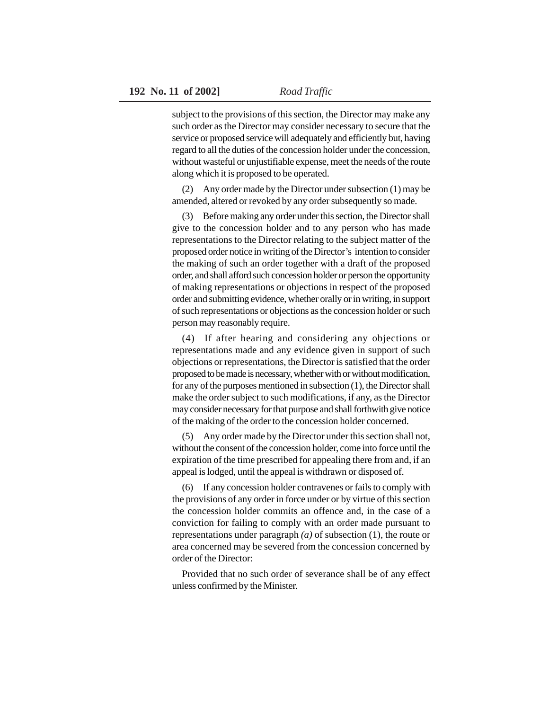subject to the provisions of this section, the Director may make any such order as the Director may consider necessary to secure that the service or proposed service will adequately and efficiently but, having regard to all the duties of the concession holder under the concession, without wasteful or unjustifiable expense, meet the needs of the route along which it is proposed to be operated.

(2) Any order made by the Director under subsection (1) may be amended, altered or revoked by any order subsequently so made.

(3) Before making any order under this section, the Director shall give to the concession holder and to any person who has made representations to the Director relating to the subject matter of the proposed order notice in writing of the Director's intention to consider the making of such an order together with a draft of the proposed order, and shall afford such concession holder or person the opportunity of making representations or objections in respect of the proposed order and submitting evidence, whether orally or in writing, in support of such representations or objections as the concession holder or such person may reasonably require.

(4) If after hearing and considering any objections or representations made and any evidence given in support of such objections or representations, the Director is satisfied that the order proposed to be made is necessary, whether with or without modification, for any of the purposes mentioned in subsection (1), the Director shall make the order subject to such modifications, if any, as the Director may consider necessary for that purpose and shall forthwith give notice of the making of the order to the concession holder concerned.

(5) Any order made by the Director under this section shall not, without the consent of the concession holder, come into force until the expiration of the time prescribed for appealing there from and, if an appeal is lodged, until the appeal is withdrawn or disposed of.

(6) If any concession holder contravenes or fails to comply with the provisions of any order in force under or by virtue of this section the concession holder commits an offence and, in the case of a conviction for failing to comply with an order made pursuant to representations under paragraph *(a)* of subsection (1), the route or area concerned may be severed from the concession concerned by order of the Director:

Provided that no such order of severance shall be of any effect unless confirmed by the Minister.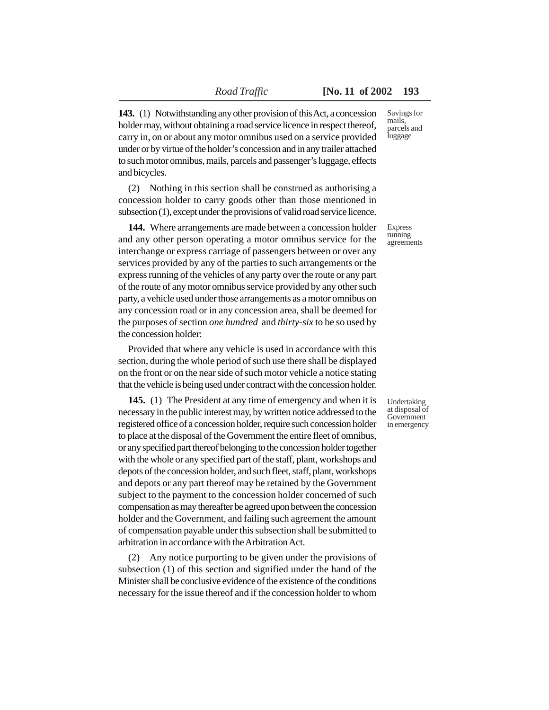**143.** (1) Notwithstanding any other provision of this Act, a concession holder may, without obtaining a road service licence in respect thereof, carry in, on or about any motor omnibus used on a service provided under or by virtue of the holder's concession and in any trailer attached to such motor omnibus, mails, parcels and passenger's luggage, effects and bicycles.

(2) Nothing in this section shall be construed as authorising a concession holder to carry goods other than those mentioned in subsection (1), except under the provisions of valid road service licence.

**144.** Where arrangements are made between a concession holder and any other person operating a motor omnibus service for the interchange or express carriage of passengers between or over any services provided by any of the parties to such arrangements or the express running of the vehicles of any party over the route or any part of the route of any motor omnibus service provided by any other such party, a vehicle used under those arrangements as a motor omnibus on any concession road or in any concession area, shall be deemed for the purposes of section *one hundred* and *thirty-six* to be so used by the concession holder:

Provided that where any vehicle is used in accordance with this section, during the whole period of such use there shall be displayed on the front or on the near side of such motor vehicle a notice stating that the vehicle is being used under contract with the concession holder.

**145.** (1) The President at any time of emergency and when it is necessary in the public interest may, by written notice addressed to the registered office of a concession holder, require such concession holder to place at the disposal of the Government the entire fleet of omnibus, or any specified part thereof belonging to the concession holder together with the whole or any specified part of the staff, plant, workshops and depots of the concession holder, and such fleet, staff, plant, workshops and depots or any part thereof may be retained by the Government subject to the payment to the concession holder concerned of such compensation as may thereafter be agreed upon between the concession holder and the Government, and failing such agreement the amount of compensation payable under this subsection shall be submitted to arbitration in accordance with the Arbitration Act.

(2) Any notice purporting to be given under the provisions of subsection (1) of this section and signified under the hand of the Minister shall be conclusive evidence of the existence of the conditions necessary for the issue thereof and if the concession holder to whom

Savings for mails, parcels and luggage

Express running agreements

Undertaking at disposal of **Government** in emergency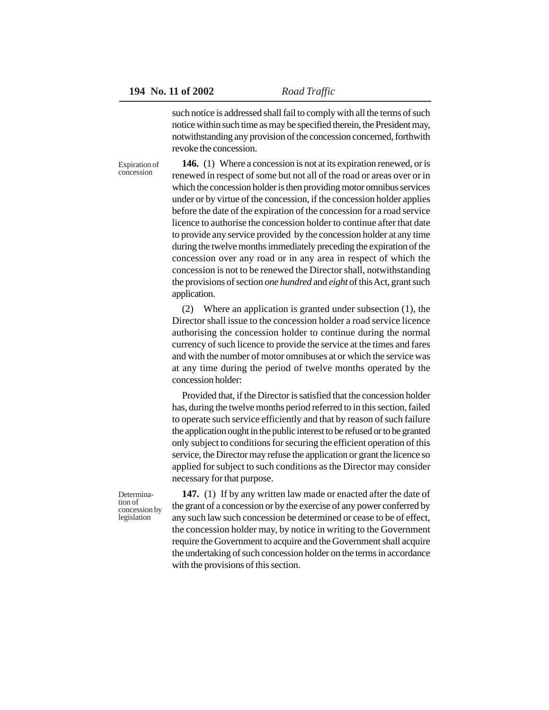such notice is addressed shall fail to comply with all the terms of such notice within such time as may be specified therein, the President may, notwithstanding any provision of the concession concerned, forthwith revoke the concession.

**146.** (1) Where a concession is not at its expiration renewed, or is renewed in respect of some but not all of the road or areas over or in which the concession holder is then providing motor omnibus services under or by virtue of the concession, if the concession holder applies before the date of the expiration of the concession for a road service licence to authorise the concession holder to continue after that date to provide any service provided by the concession holder at any time during the twelve months immediately preceding the expiration of the concession over any road or in any area in respect of which the concession is not to be renewed the Director shall, notwithstanding the provisions of section *one hundred* and *eight* of this Act, grant such application. Expiration of concession

> (2) Where an application is granted under subsection (1), the Director shall issue to the concession holder a road service licence authorising the concession holder to continue during the normal currency of such licence to provide the service at the times and fares and with the number of motor omnibuses at or which the service was at any time during the period of twelve months operated by the concession holder:

> Provided that, if the Director is satisfied that the concession holder has, during the twelve months period referred to in this section, failed to operate such service efficiently and that by reason of such failure the application ought in the public interest to be refused or to be granted only subject to conditions for securing the efficient operation of this service, the Director may refuse the application or grant the licence so applied for subject to such conditions as the Director may consider necessary for that purpose.

Determination of concession by legislation

**147.** (1) If by any written law made or enacted after the date of the grant of a concession or by the exercise of any power conferred by any such law such concession be determined or cease to be of effect, the concession holder may, by notice in writing to the Government require the Government to acquire and the Government shall acquire the undertaking of such concession holder on the terms in accordance with the provisions of this section.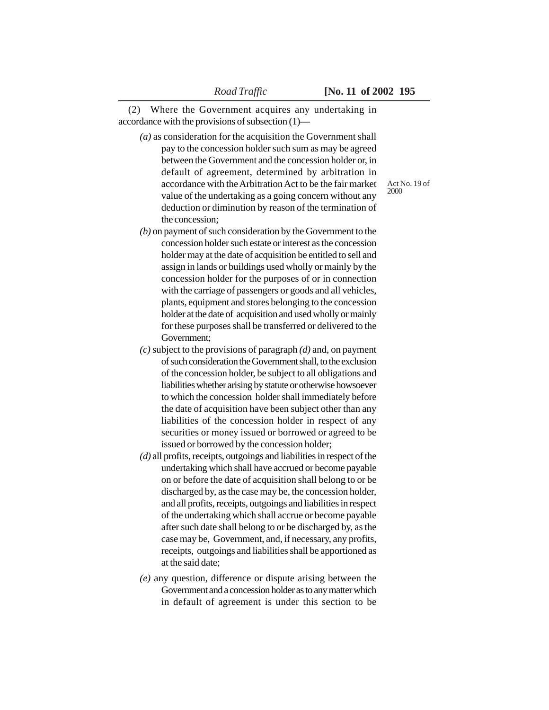(2) Where the Government acquires any undertaking in accordance with the provisions of subsection (1)—

- *(a)* as consideration for the acquisition the Government shall pay to the concession holder such sum as may be agreed between the Government and the concession holder or, in default of agreement, determined by arbitration in accordance with the Arbitration Act to be the fair market value of the undertaking as a going concern without any deduction or diminution by reason of the termination of the concession;
- *(b)* on payment of such consideration by the Government to the concession holder such estate or interest as the concession holder may at the date of acquisition be entitled to sell and assign in lands or buildings used wholly or mainly by the concession holder for the purposes of or in connection with the carriage of passengers or goods and all vehicles, plants, equipment and stores belonging to the concession holder at the date of acquisition and used wholly or mainly for these purposes shall be transferred or delivered to the Government;
- *(c)* subject to the provisions of paragraph *(d)* and, on payment of such consideration the Government shall, to the exclusion of the concession holder, be subject to all obligations and liabilities whether arising by statute or otherwise howsoever to which the concession holder shall immediately before the date of acquisition have been subject other than any liabilities of the concession holder in respect of any securities or money issued or borrowed or agreed to be issued or borrowed by the concession holder;
- *(d)* all profits, receipts, outgoings and liabilities in respect of the undertaking which shall have accrued or become payable on or before the date of acquisition shall belong to or be discharged by, as the case may be, the concession holder, and all profits, receipts, outgoings and liabilities in respect of the undertaking which shall accrue or become payable after such date shall belong to or be discharged by, as the case may be, Government, and, if necessary, any profits, receipts, outgoings and liabilities shall be apportioned as at the said date;
- *(e)* any question, difference or dispute arising between the Government and a concession holder as to any matter which in default of agreement is under this section to be

Act No. 19 of 2000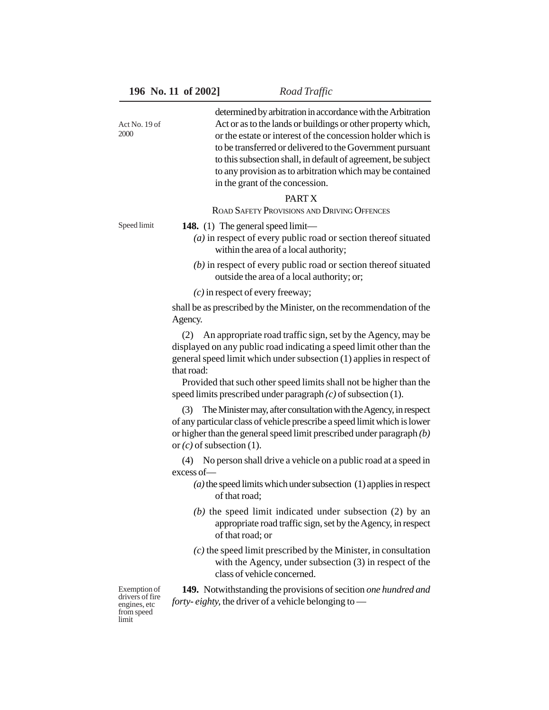| Act No. 19 of<br>2000                           | determined by arbitration in accordance with the Arbitration<br>Act or as to the lands or buildings or other property which,<br>or the estate or interest of the concession holder which is<br>to be transferred or delivered to the Government pursuant<br>to this subsection shall, in default of agreement, be subject<br>to any provision as to arbitration which may be contained<br>in the grant of the concession. |
|-------------------------------------------------|---------------------------------------------------------------------------------------------------------------------------------------------------------------------------------------------------------------------------------------------------------------------------------------------------------------------------------------------------------------------------------------------------------------------------|
|                                                 | PART X<br><b>ROAD SAFETY PROVISIONS AND DRIVING OFFENCES</b>                                                                                                                                                                                                                                                                                                                                                              |
| Speed limit                                     | <b>148.</b> (1) The general speed limit—<br>$(a)$ in respect of every public road or section thereof situated<br>within the area of a local authority;                                                                                                                                                                                                                                                                    |
|                                                 | $(b)$ in respect of every public road or section thereof situated<br>outside the area of a local authority; or;                                                                                                                                                                                                                                                                                                           |
|                                                 | $(c)$ in respect of every freeway;                                                                                                                                                                                                                                                                                                                                                                                        |
|                                                 | shall be as prescribed by the Minister, on the recommendation of the<br>Agency.                                                                                                                                                                                                                                                                                                                                           |
|                                                 | (2) An appropriate road traffic sign, set by the Agency, may be<br>displayed on any public road indicating a speed limit other than the<br>general speed limit which under subsection (1) applies in respect of<br>that road:<br>Provided that such other speed limits shall not be higher than the<br>speed limits prescribed under paragraph $(c)$ of subsection (1).                                                   |
|                                                 | The Minister may, after consultation with the Agency, in respect<br>(3)<br>of any particular class of vehicle prescribe a speed limit which is lower<br>or higher than the general speed limit prescribed under paragraph $(b)$<br>or $(c)$ of subsection (1).                                                                                                                                                            |
|                                                 | (4) No person shall drive a vehicle on a public road at a speed in<br>excess of-                                                                                                                                                                                                                                                                                                                                          |
|                                                 | $(a)$ the speed limits which under subsection $(1)$ applies in respect<br>of that road;                                                                                                                                                                                                                                                                                                                                   |
|                                                 | $(b)$ the speed limit indicated under subsection (2) by an<br>appropriate road traffic sign, set by the Agency, in respect<br>of that road; or                                                                                                                                                                                                                                                                            |
|                                                 | $(c)$ the speed limit prescribed by the Minister, in consultation<br>with the Agency, under subsection (3) in respect of the<br>class of vehicle concerned.                                                                                                                                                                                                                                                               |
| Exemption of<br>drivers of fire<br>engines, etc | 149. Notwithstanding the provisions of secition one hundred and<br>forty-eighty, the driver of a vehicle belonging to —                                                                                                                                                                                                                                                                                                   |

from speed limit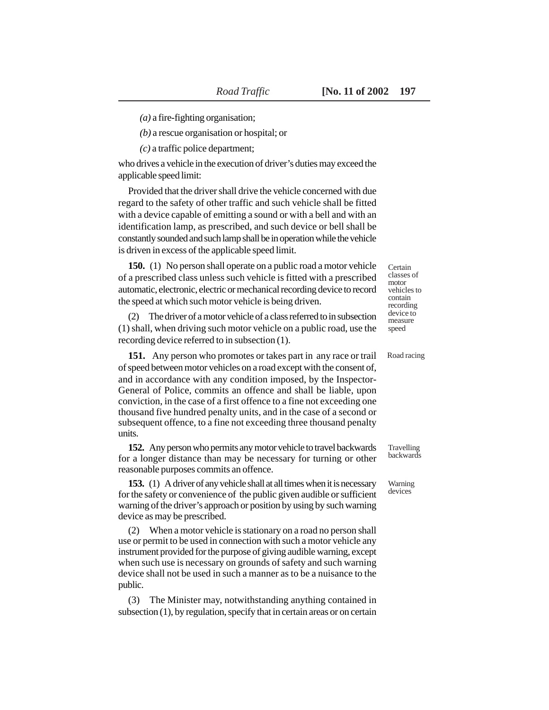*(a)* a fire-fighting organisation;

*(b)* a rescue organisation or hospital; or

*(c)* a traffic police department;

who drives a vehicle in the execution of driver's duties may exceed the applicable speed limit:

Provided that the driver shall drive the vehicle concerned with due regard to the safety of other traffic and such vehicle shall be fitted with a device capable of emitting a sound or with a bell and with an identification lamp, as prescribed, and such device or bell shall be constantly sounded and such lamp shall be in operation while the vehicle is driven in excess of the applicable speed limit.

**150.** (1) No person shall operate on a public road a motor vehicle of a prescribed class unless such vehicle is fitted with a prescribed automatic, electronic, electric or mechanical recording device to record the speed at which such motor vehicle is being driven.

(2) The driver of a motor vehicle of a class referred to in subsection (1) shall, when driving such motor vehicle on a public road, use the recording device referred to in subsection (1).

**151.** Any person who promotes or takes part in any race or trail of speed between motor vehicles on a road except with the consent of, and in accordance with any condition imposed, by the Inspector-General of Police, commits an offence and shall be liable, upon conviction, in the case of a first offence to a fine not exceeding one thousand five hundred penalty units, and in the case of a second or subsequent offence, to a fine not exceeding three thousand penalty units.

**152.** Any person who permits any motor vehicle to travel backwards for a longer distance than may be necessary for turning or other reasonable purposes commits an offence.

**153.** (1) A driver of any vehicle shall at all times when it is necessary for the safety or convenience of the public given audible or sufficient warning of the driver's approach or position by using by such warning device as may be prescribed.

(2) When a motor vehicle is stationary on a road no person shall use or permit to be used in connection with such a motor vehicle any instrument provided for the purpose of giving audible warning, except when such use is necessary on grounds of safety and such warning device shall not be used in such a manner as to be a nuisance to the public.

(3) The Minister may, notwithstanding anything contained in subsection (1), by regulation, specify that in certain areas or on certain

Certain classes of motor vehicles to contain recording device to measure speed

Road racing

**Travelling** backwards

Warning devices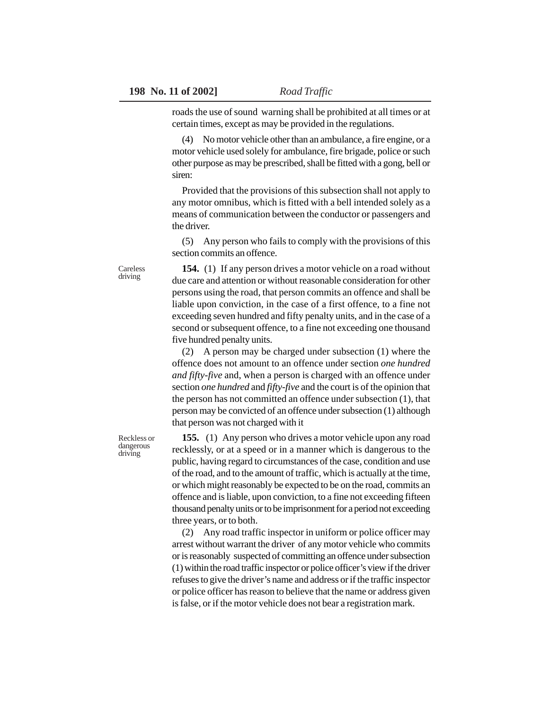roads the use of sound warning shall be prohibited at all times or at certain times, except as may be provided in the regulations.

(4) No motor vehicle other than an ambulance, a fire engine, or a motor vehicle used solely for ambulance, fire brigade, police or such other purpose as may be prescribed, shall be fitted with a gong, bell or siren:

Provided that the provisions of this subsection shall not apply to any motor omnibus, which is fitted with a bell intended solely as a means of communication between the conductor or passengers and the driver.

(5) Any person who fails to comply with the provisions of this section commits an offence.

**154.** (1) If any person drives a motor vehicle on a road without due care and attention or without reasonable consideration for other persons using the road, that person commits an offence and shall be liable upon conviction, in the case of a first offence, to a fine not exceeding seven hundred and fifty penalty units, and in the case of a second or subsequent offence, to a fine not exceeding one thousand five hundred penalty units.

(2) A person may be charged under subsection (1) where the offence does not amount to an offence under section *one hundred and fifty-five* and, when a person is charged with an offence under section *one hundred* and *fifty-five* and the court is of the opinion that the person has not committed an offence under subsection (1), that person may be convicted of an offence under subsection (1) although that person was not charged with it

**155.** (1) Any person who drives a motor vehicle upon any road recklessly, or at a speed or in a manner which is dangerous to the public, having regard to circumstances of the case, condition and use of the road, and to the amount of traffic, which is actually at the time, or which might reasonably be expected to be on the road, commits an offence and is liable, upon conviction, to a fine not exceeding fifteen thousand penalty units or to be imprisonment for a period not exceeding three years, or to both.

(2) Any road traffic inspector in uniform or police officer may arrest without warrant the driver of any motor vehicle who commits or is reasonably suspected of committing an offence under subsection (1) within the road traffic inspector or police officer's view if the driver refuses to give the driver's name and address or if the traffic inspector or police officer has reason to believe that the name or address given is false, or if the motor vehicle does not bear a registration mark.

Careless driving

Reckless or dangerous driving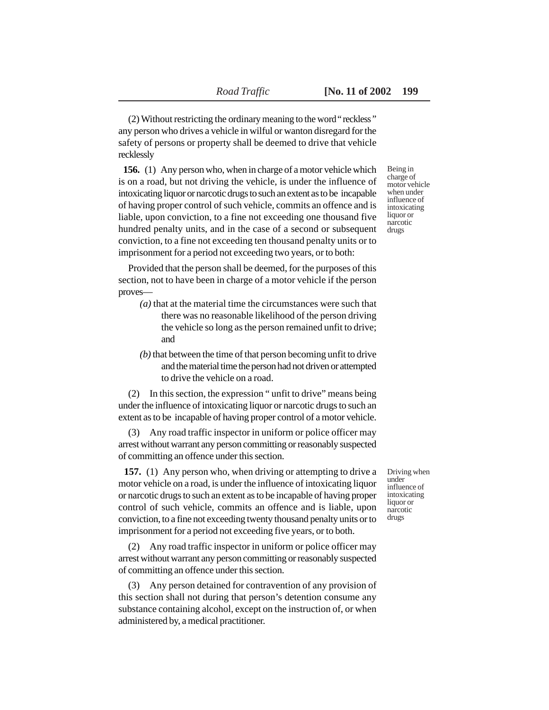(2) Without restricting the ordinary meaning to the word " reckless " any person who drives a vehicle in wilful or wanton disregard for the safety of persons or property shall be deemed to drive that vehicle recklessly

**156.** (1) Any person who, when in charge of a motor vehicle which is on a road, but not driving the vehicle, is under the influence of intoxicating liquor or narcotic drugs to such an extent as to be incapable of having proper control of such vehicle, commits an offence and is liable, upon conviction, to a fine not exceeding one thousand five hundred penalty units, and in the case of a second or subsequent conviction, to a fine not exceeding ten thousand penalty units or to imprisonment for a period not exceeding two years, or to both:

Provided that the person shall be deemed, for the purposes of this section, not to have been in charge of a motor vehicle if the person proves—

- *(a)* that at the material time the circumstances were such that there was no reasonable likelihood of the person driving the vehicle so long as the person remained unfit to drive; and
- *(b)* that between the time of that person becoming unfit to drive and the material time the person had not driven or attempted to drive the vehicle on a road.

(2) In this section, the expression " unfit to drive" means being under the influence of intoxicating liquor or narcotic drugs to such an extent as to be incapable of having proper control of a motor vehicle.

(3) Any road traffic inspector in uniform or police officer may arrest without warrant any person committing or reasonably suspected of committing an offence under this section.

 **157.** (1) Any person who, when driving or attempting to drive a motor vehicle on a road, is under the influence of intoxicating liquor or narcotic drugs to such an extent as to be incapable of having proper control of such vehicle, commits an offence and is liable, upon conviction, to a fine not exceeding twenty thousand penalty units or to imprisonment for a period not exceeding five years, or to both.

(2) Any road traffic inspector in uniform or police officer may arrest without warrant any person committing or reasonably suspected of committing an offence under this section.

(3) Any person detained for contravention of any provision of this section shall not during that person's detention consume any substance containing alcohol, except on the instruction of, or when administered by, a medical practitioner.

Being in charge of motor vehicle when under influence of intoxicating liquor or narcotic drugs

Driving when under influence of intoxicating liquor or narcotic drugs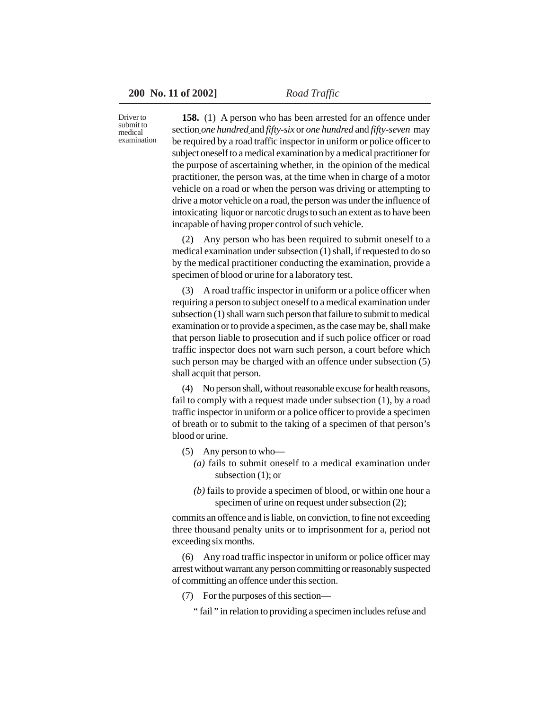Driver to submit to medical examination

**158.** (1) A person who has been arrested for an offence under section *one hundred* and *fifty-six* or *one hundred* and *fifty-seven* may be required by a road traffic inspector in uniform or police officer to subject oneself to a medical examination by a medical practitioner for the purpose of ascertaining whether, in the opinion of the medical practitioner, the person was, at the time when in charge of a motor vehicle on a road or when the person was driving or attempting to drive a motor vehicle on a road, the person was under the influence of intoxicating liquor or narcotic drugs to such an extent as to have been incapable of having proper control of such vehicle.

(2) Any person who has been required to submit oneself to a medical examination under subsection (1) shall, if requested to do so by the medical practitioner conducting the examination, provide a specimen of blood or urine for a laboratory test.

(3) A road traffic inspector in uniform or a police officer when requiring a person to subject oneself to a medical examination under subsection (1) shall warn such person that failure to submit to medical examination or to provide a specimen, as the case may be, shall make that person liable to prosecution and if such police officer or road traffic inspector does not warn such person, a court before which such person may be charged with an offence under subsection (5) shall acquit that person.

(4) No person shall, without reasonable excuse for health reasons, fail to comply with a request made under subsection (1), by a road traffic inspector in uniform or a police officer to provide a specimen of breath or to submit to the taking of a specimen of that person's blood or urine.

- (5) Any person to who—
	- *(a)* fails to submit oneself to a medical examination under subsection (1); or
	- *(b)* fails to provide a specimen of blood, or within one hour a specimen of urine on request under subsection (2);

commits an offence and is liable, on conviction, to fine not exceeding three thousand penalty units or to imprisonment for a, period not exceeding six months.

(6) Any road traffic inspector in uniform or police officer may arrest without warrant any person committing or reasonably suspected of committing an offence under this section.

(7) For the purposes of this section—

" fail " in relation to providing a specimen includes refuse and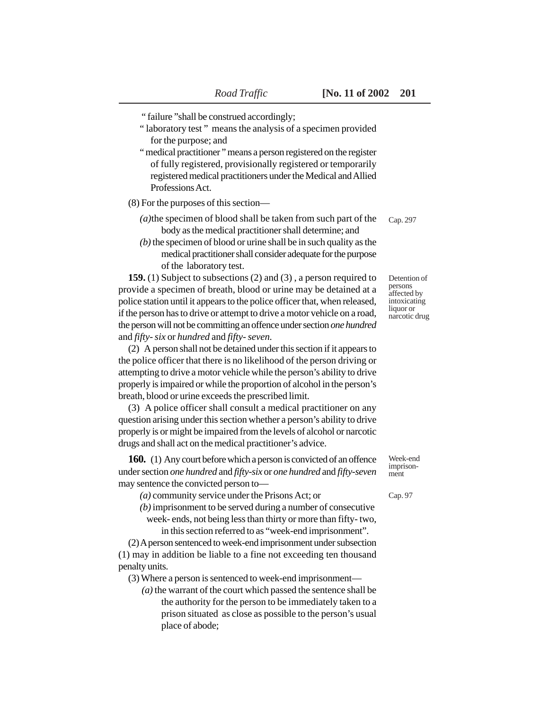" failure "shall be construed accordingly;

- " laboratory test" means the analysis of a specimen provided for the purpose; and
- " medical practitioner " means a person registered on the register of fully registered, provisionally registered or temporarily registered medical practitioners under the Medical and Allied Professions Act.

(8) For the purposes of this section—

- *(a)*the specimen of blood shall be taken from such part of the body as the medical practitioner shall determine; and
- *(b)* the specimen of blood or urine shall be in such quality as the medical practitioner shall consider adequate for the purpose of the laboratory test.

**159.** (1) Subject to subsections (2) and (3) , a person required to provide a specimen of breath, blood or urine may be detained at a police station until it appears to the police officer that, when released, if the person has to drive or attempt to drive a motor vehicle on a road, the person will not be committing an offence under section *one hundred* and *fifty- six* or *hundred* and *fifty- seven.*

(2) A person shall not be detained under this section if it appears to the police officer that there is no likelihood of the person driving or attempting to drive a motor vehicle while the person's ability to drive properly is impaired or while the proportion of alcohol in the person's breath, blood or urine exceeds the prescribed limit.

(3) A police officer shall consult a medical practitioner on any question arising under this section whether a person's ability to drive properly is or might be impaired from the levels of alcohol or narcotic drugs and shall act on the medical practitioner's advice.

**160.** (1) Any court before which a person is convicted of an offence under section *one hundred* and *fifty-six* or *one hundred* and *fifty-seven* may sentence the convicted person to—

*(a)* community service under the Prisons Act; or

- *(b)* imprisonment to be served during a number of consecutive
	- week- ends, not being less than thirty or more than fifty- two, in this section referred to as "week-end imprisonment".

(2) A person sentenced to week-end imprisonment under subsection (1) may in addition be liable to a fine not exceeding ten thousand penalty units.

(3) Where a person is sentenced to week-end imprisonment—

 *(a)* the warrant of the court which passed the sentence shall be the authority for the person to be immediately taken to a prison situated as close as possible to the person's usual place of abode;

Cap. 297

Detention of persons affected by intoxicating liquor or narcotic drug

Week-end imprisonment

Cap. 97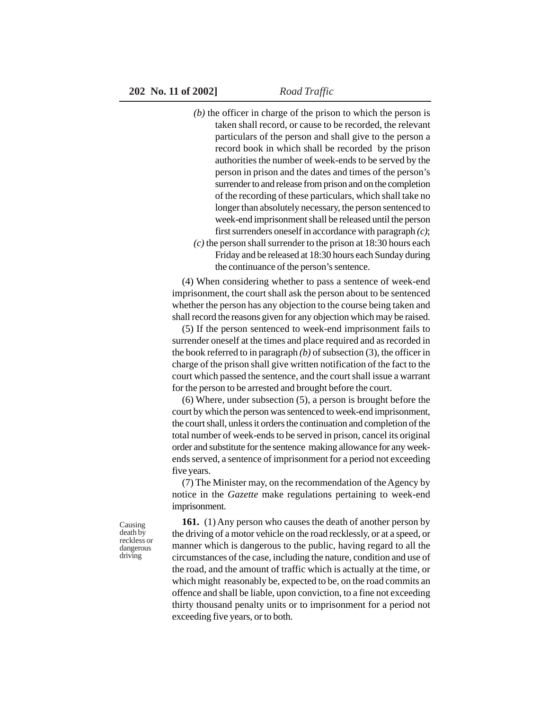- *(b)* the officer in charge of the prison to which the person is taken shall record, or cause to be recorded, the relevant particulars of the person and shall give to the person a record book in which shall be recorded by the prison authorities the number of week-ends to be served by the person in prison and the dates and times of the person's surrender to and release from prison and on the completion of the recording of these particulars, which shall take no longer than absolutely necessary, the person sentenced to week-end imprisonment shall be released until the person first surrenders oneself in accordance with paragraph *(c)*; *(c)* the person shall surrender to the prison at 18:30 hours each
	- Friday and be released at 18:30 hours each Sunday during the continuance of the person's sentence.

(4) When considering whether to pass a sentence of week-end imprisonment, the court shall ask the person about to be sentenced whether the person has any objection to the course being taken and shall record the reasons given for any objection which may be raised.

(5) If the person sentenced to week-end imprisonment fails to surrender oneself at the times and place required and as recorded in the book referred to in paragraph *(b)* of subsection (3), the officer in charge of the prison shall give written notification of the fact to the court which passed the sentence, and the court shall issue a warrant for the person to be arrested and brought before the court.

(6) Where, under subsection (5), a person is brought before the court by which the person was sentenced to week-end imprisonment, the court shall, unless it orders the continuation and completion of the total number of week-ends to be served in prison, cancel its original order and substitute for the sentence making allowance for any weekends served, a sentence of imprisonment for a period not exceeding five years.

(7) The Minister may, on the recommendation of the Agency by notice in the *Gazette* make regulations pertaining to week-end imprisonment.

**161.** (1) Any person who causes the death of another person by the driving of a motor vehicle on the road recklessly, or at a speed, or manner which is dangerous to the public, having regard to all the circumstances of the case, including the nature, condition and use of the road, and the amount of traffic which is actually at the time, or which might reasonably be, expected to be, on the road commits an offence and shall be liable, upon conviction, to a fine not exceeding thirty thousand penalty units or to imprisonment for a period not exceeding five years, or to both.

Causing death by reckless or dangerous driving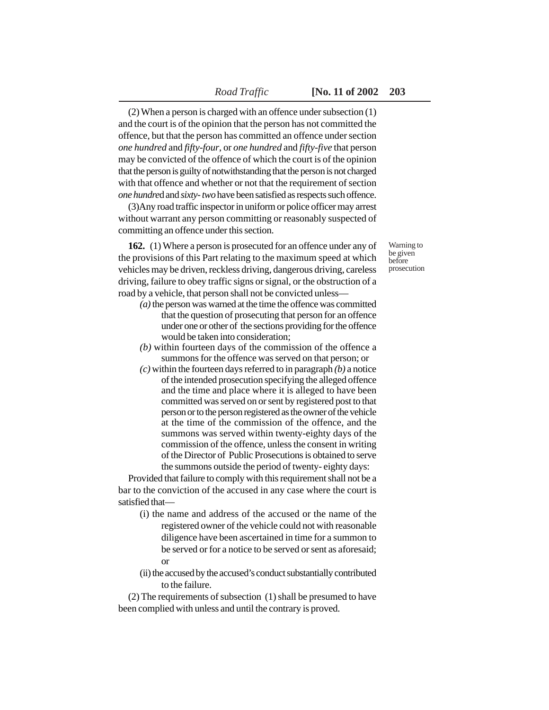(2) When a person is charged with an offence under subsection (1) and the court is of the opinion that the person has not committed the offence, but that the person has committed an offence under section *one hundred* and *fifty-four*, or *one hundred* and *fifty-five* that person may be convicted of the offence of which the court is of the opinion that the person is guilty of notwithstanding that the person is not charged with that offence and whether or not that the requirement of section *one hundre*d and *sixty- two* have been satisfied as respects such offence.

(3)Any road traffic inspector in uniform or police officer may arrest without warrant any person committing or reasonably suspected of committing an offence under this section.

**162.** (1) Where a person is prosecuted for an offence under any of the provisions of this Part relating to the maximum speed at which vehicles may be driven, reckless driving, dangerous driving, careless driving, failure to obey traffic signs or signal, or the obstruction of a road by a vehicle, that person shall not be convicted unless—

- *(a)* the person was warned at the time the offence was committed that the question of prosecuting that person for an offence under one or other of the sections providing for the offence would be taken into consideration;
- *(b)* within fourteen days of the commission of the offence a summons for the offence was served on that person; or
- *(c)* within the fourteen days referred to in paragraph *(b)* a notice of the intended prosecution specifying the alleged offence and the time and place where it is alleged to have been committed was served on or sent by registered post to that person or to the person registered as the owner of the vehicle at the time of the commission of the offence, and the summons was served within twenty-eighty days of the commission of the offence, unless the consent in writing of the Director of Public Prosecutions is obtained to serve the summons outside the period of twenty- eighty days:

Provided that failure to comply with this requirement shall not be a bar to the conviction of the accused in any case where the court is satisfied that—

- (i) the name and address of the accused or the name of the registered owner of the vehicle could not with reasonable diligence have been ascertained in time for a summon to be served or for a notice to be served or sent as aforesaid; or
- (ii) the accused by the accused's conduct substantially contributed to the failure.

(2) The requirements of subsection (1) shall be presumed to have been complied with unless and until the contrary is proved.

Warning to be given before prosecution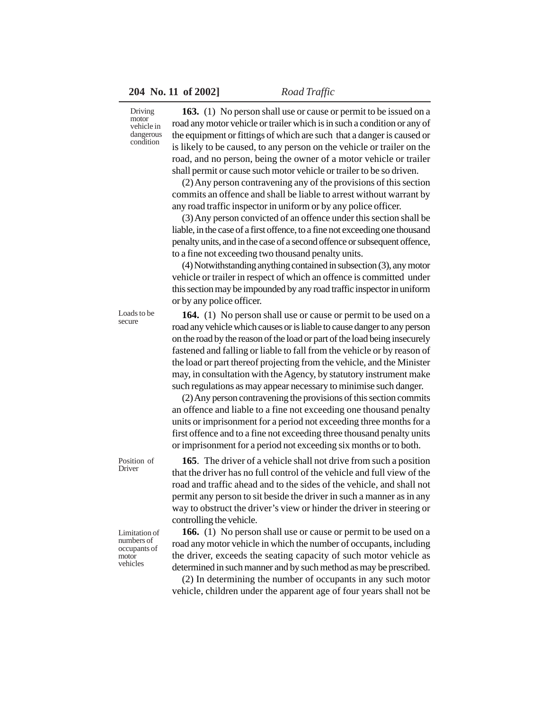Driving motor vehicle in dangerous condition

**163.** (1) No person shall use or cause or permit to be issued on a road any motor vehicle or trailer which is in such a condition or any of the equipment or fittings of which are such that a danger is caused or is likely to be caused, to any person on the vehicle or trailer on the road, and no person, being the owner of a motor vehicle or trailer shall permit or cause such motor vehicle or trailer to be so driven.

(2) Any person contravening any of the provisions of this section commits an offence and shall be liable to arrest without warrant by any road traffic inspector in uniform or by any police officer.

(3) Any person convicted of an offence under this section shall be liable, in the case of a first offence, to a fine not exceeding one thousand penalty units, and in the case of a second offence or subsequent offence, to a fine not exceeding two thousand penalty units.

(4) Notwithstanding anything contained in subsection (3), any motor vehicle or trailer in respect of which an offence is committed under this section may be impounded by any road traffic inspector in uniform or by any police officer.

**164.** (1) No person shall use or cause or permit to be used on a road any vehicle which causes or is liable to cause danger to any person on the road by the reason of the load or part of the load being insecurely fastened and falling or liable to fall from the vehicle or by reason of the load or part thereof projecting from the vehicle, and the Minister may, in consultation with the Agency, by statutory instrument make such regulations as may appear necessary to minimise such danger.

(2) Any person contravening the provisions of this section commits an offence and liable to a fine not exceeding one thousand penalty units or imprisonment for a period not exceeding three months for a first offence and to a fine not exceeding three thousand penalty units or imprisonment for a period not exceeding six months or to both.

**165**. The driver of a vehicle shall not drive from such a position that the driver has no full control of the vehicle and full view of the

Position of Driver

Loads to be secure

> road and traffic ahead and to the sides of the vehicle, and shall not permit any person to sit beside the driver in such a manner as in any way to obstruct the driver's view or hinder the driver in steering or controlling the vehicle. **166.** (1) No person shall use or cause or permit to be used on a

road any motor vehicle in which the number of occupants, including the driver, exceeds the seating capacity of such motor vehicle as determined in such manner and by such method as may be prescribed.

(2) In determining the number of occupants in any such motor vehicle, children under the apparent age of four years shall not be

Limitation of numbers of occupants of motor vehicles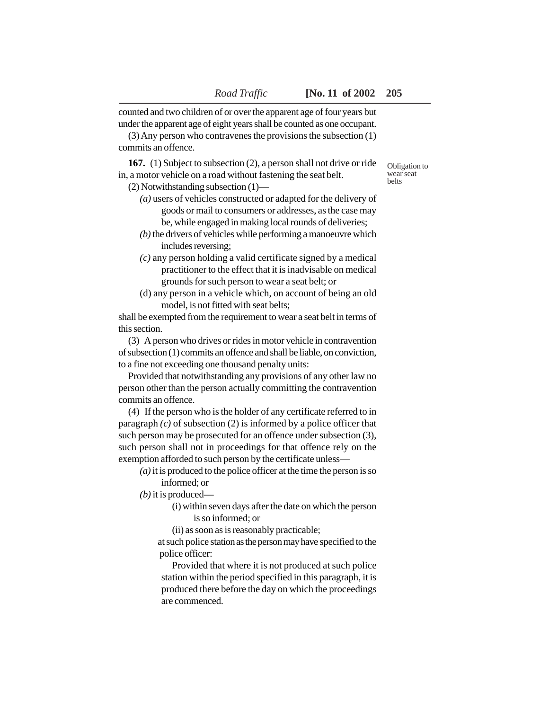counted and two children of or over the apparent age of four years but under the apparent age of eight years shall be counted as one occupant.

(3) Any person who contravenes the provisions the subsection (1) commits an offence.

**167.** (1) Subject to subsection (2), a person shall not drive or ride in, a motor vehicle on a road without fastening the seat belt.

(2) Notwithstanding subsection (1)—

- *(a)* users of vehicles constructed or adapted for the delivery of goods or mail to consumers or addresses, as the case may be, while engaged in making local rounds of deliveries;
- *(b)* the drivers of vehicles while performing a manoeuvre which includes reversing;
- *(c)* any person holding a valid certificate signed by a medical practitioner to the effect that it is inadvisable on medical grounds for such person to wear a seat belt; or
- (d) any person in a vehicle which, on account of being an old model, is not fitted with seat belts;

shall be exempted from the requirement to wear a seat belt in terms of this section.

(3) A person who drives or rides in motor vehicle in contravention of subsection (1) commits an offence and shall be liable, on conviction, to a fine not exceeding one thousand penalty units:

Provided that notwithstanding any provisions of any other law no person other than the person actually committing the contravention commits an offence.

(4) If the person who is the holder of any certificate referred to in paragraph *(c)* of subsection (2) is informed by a police officer that such person may be prosecuted for an offence under subsection (3), such person shall not in proceedings for that offence rely on the exemption afforded to such person by the certificate unless—

*(a)* it is produced to the police officer at the time the person is so informed; or

*(b)* it is produced—

(i) within seven days after the date on which the person is so informed; or

(ii) as soon as is reasonably practicable;

at such police station as the person may have specified to the police officer:

Provided that where it is not produced at such police station within the period specified in this paragraph, it is produced there before the day on which the proceedings are commenced.

Obligation to wear seat belts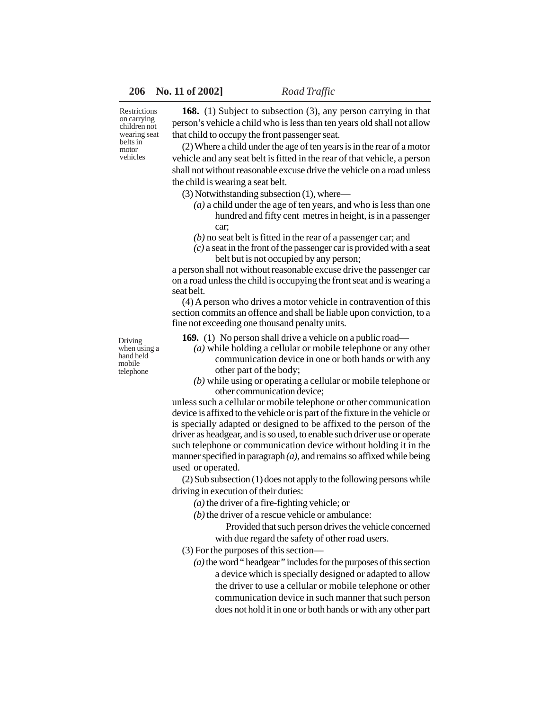Restrictions on carrying children not wearing seat belts in motor vehicles

**168.** (1) Subject to subsection (3), any person carrying in that person's vehicle a child who is less than ten years old shall not allow that child to occupy the front passenger seat.

(2) Where a child under the age of ten years is in the rear of a motor vehicle and any seat belt is fitted in the rear of that vehicle, a person shall not without reasonable excuse drive the vehicle on a road unless the child is wearing a seat belt.

(3) Notwithstanding subsection (1), where—

- *(a)* a child under the age of ten years, and who is less than one hundred and fifty cent metres in height, is in a passenger car;
- *(b)* no seat belt is fitted in the rear of a passenger car; and
- *(c)* a seat in the front of the passenger car is provided with a seat belt but is not occupied by any person;

a person shall not without reasonable excuse drive the passenger car on a road unless the child is occupying the front seat and is wearing a seat belt.

(4) A person who drives a motor vehicle in contravention of this section commits an offence and shall be liable upon conviction, to a fine not exceeding one thousand penalty units.

Driving when using a hand held mobile telephone

**169.** (1) No person shall drive a vehicle on a public road—

- *(a)* while holding a cellular or mobile telephone or any other communication device in one or both hands or with any other part of the body;
- *(b)* while using or operating a cellular or mobile telephone or other communication device;

unless such a cellular or mobile telephone or other communication device is affixed to the vehicle or is part of the fixture in the vehicle or is specially adapted or designed to be affixed to the person of the driver as headgear, and is so used, to enable such driver use or operate such telephone or communication device without holding it in the manner specified in paragraph *(a)*, and remains so affixed while being used or operated.

(2) Sub subsection (1) does not apply to the following persons while driving in execution of their duties:

*(a)* the driver of a fire-fighting vehicle; or

*(b)* the driver of a rescue vehicle or ambulance:

Provided that such person drives the vehicle concerned with due regard the safety of other road users.

(3) For the purposes of this section—

*(a)* the word " headgear " includes for the purposes of this section a device which is specially designed or adapted to allow the driver to use a cellular or mobile telephone or other communication device in such manner that such person does not hold it in one or both hands or with any other part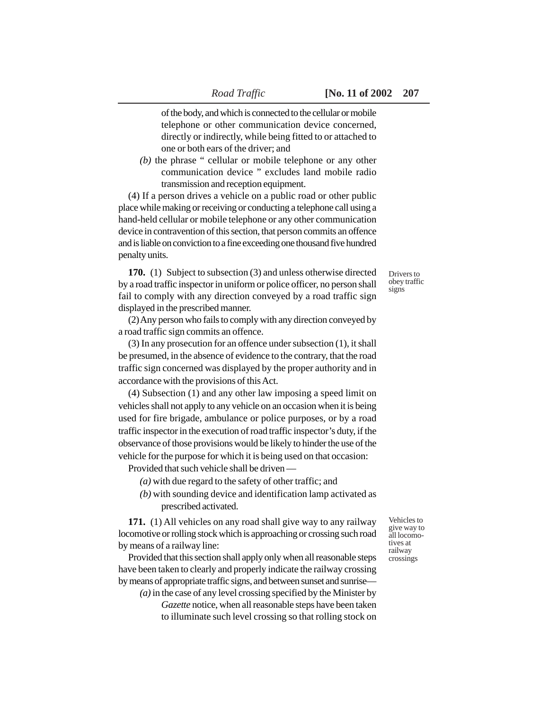of the body, and which is connected to the cellular or mobile telephone or other communication device concerned, directly or indirectly, while being fitted to or attached to one or both ears of the driver; and

*(b)* the phrase " cellular or mobile telephone or any other communication device " excludes land mobile radio transmission and reception equipment.

(4) If a person drives a vehicle on a public road or other public place while making or receiving or conducting a telephone call using a hand-held cellular or mobile telephone or any other communication device in contravention of this section, that person commits an offence and is liable on conviction to a fine exceeding one thousand five hundred penalty units.

**170.** (1) Subject to subsection (3) and unless otherwise directed by a road traffic inspector in uniform or police officer, no person shall fail to comply with any direction conveyed by a road traffic sign displayed in the prescribed manner.

(2) Any person who fails to comply with any direction conveyed by a road traffic sign commits an offence.

(3) In any prosecution for an offence under subsection (1), it shall be presumed, in the absence of evidence to the contrary, that the road traffic sign concerned was displayed by the proper authority and in accordance with the provisions of this Act.

(4) Subsection (1) and any other law imposing a speed limit on vehicles shall not apply to any vehicle on an occasion when it is being used for fire brigade, ambulance or police purposes, or by a road traffic inspector in the execution of road traffic inspector's duty, if the observance of those provisions would be likely to hinder the use of the vehicle for the purpose for which it is being used on that occasion:

Provided that such vehicle shall be driven —

- *(a)* with due regard to the safety of other traffic; and
- *(b)* with sounding device and identification lamp activated as prescribed activated.

**171.** (1) All vehicles on any road shall give way to any railway locomotive or rolling stock which is approaching or crossing such road by means of a railway line:

Provided that this section shall apply only when all reasonable steps have been taken to clearly and properly indicate the railway crossing by means of appropriate traffic signs, and between sunset and sunrise—

*(a)* in the case of any level crossing specified by the Minister by *Gazette* notice, when all reasonable steps have been taken to illuminate such level crossing so that rolling stock on

Vehicles to give way to all locomotives at railway crossings

Drivers to obey traffic signs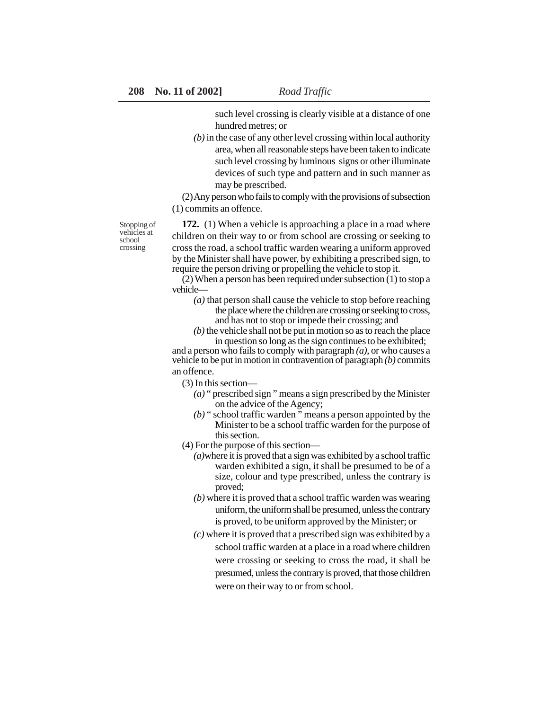such level crossing is clearly visible at a distance of one hundred metres; or

*(b)* in the case of any other level crossing within local authority area, when all reasonable steps have been taken to indicate such level crossing by luminous signs or other illuminate devices of such type and pattern and in such manner as may be prescribed.

(2) Any person who fails to comply with the provisions of subsection (1) commits an offence.

Stopping of vehicles at school crossing

**172.** (1) When a vehicle is approaching a place in a road where children on their way to or from school are crossing or seeking to cross the road, a school traffic warden wearing a uniform approved by the Minister shall have power, by exhibiting a prescribed sign, to require the person driving or propelling the vehicle to stop it.

(2) When a person has been required under subsection (1) to stop a vehicle—

- *(a)* that person shall cause the vehicle to stop before reaching the place where the children are crossing or seeking to cross, and has not to stop or impede their crossing; and
- *(b)* the vehicle shall not be put in motion so as to reach the place in question so long as the sign continues to be exhibited;

and a person who fails to comply with paragraph *(a)*, or who causes a vehicle to be put in motion in contravention of paragraph *(b)* commits an offence.

(3) In this section—

- *(a)* " prescribed sign " means a sign prescribed by the Minister on the advice of the Agency;
- *(b)* " school traffic warden " means a person appointed by the Minister to be a school traffic warden for the purpose of this section.
- (4) For the purpose of this section—
	- *(a)*where it is proved that a sign was exhibited by a school traffic warden exhibited a sign, it shall be presumed to be of a size, colour and type prescribed, unless the contrary is proved;
	- *(b)* where it is proved that a school traffic warden was wearing uniform, the uniform shall be presumed, unless the contrary is proved, to be uniform approved by the Minister; or
	- *(c)* where it is proved that a prescribed sign was exhibited by a school traffic warden at a place in a road where children were crossing or seeking to cross the road, it shall be presumed, unless the contrary is proved, that those children were on their way to or from school.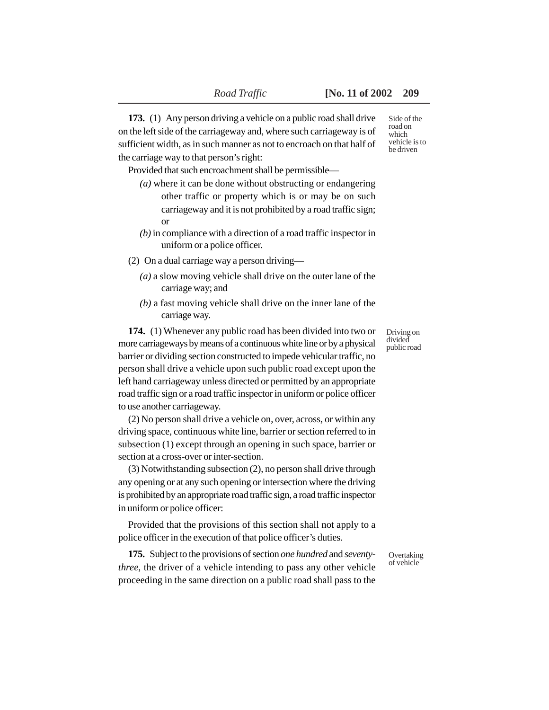**173.** (1) Any person driving a vehicle on a public road shall drive on the left side of the carriageway and, where such carriageway is of sufficient width, as in such manner as not to encroach on that half of the carriage way to that person's right:

Provided that such encroachment shall be permissible—

- *(a)* where it can be done without obstructing or endangering other traffic or property which is or may be on such carriageway and it is not prohibited by a road traffic sign; or
- *(b)* in compliance with a direction of a road traffic inspector in uniform or a police officer.
- (2) On a dual carriage way a person driving—
	- *(a)* a slow moving vehicle shall drive on the outer lane of the carriage way; and
	- *(b)* a fast moving vehicle shall drive on the inner lane of the carriage way.

**174.** (1) Whenever any public road has been divided into two or more carriageways by means of a continuous white line or by a physical barrier or dividing section constructed to impede vehicular traffic, no person shall drive a vehicle upon such public road except upon the left hand carriageway unless directed or permitted by an appropriate road traffic sign or a road traffic inspector in uniform or police officer to use another carriageway.

(2) No person shall drive a vehicle on, over, across, or within any driving space, continuous white line, barrier or section referred to in subsection (1) except through an opening in such space, barrier or section at a cross-over or inter-section.

(3) Notwithstanding subsection (2), no person shall drive through any opening or at any such opening or intersection where the driving is prohibited by an appropriate road traffic sign, a road traffic inspector in uniform or police officer:

Provided that the provisions of this section shall not apply to a police officer in the execution of that police officer's duties.

**175.** Subject to the provisions of section *one hundred* and *seventythree*, the driver of a vehicle intending to pass any other vehicle proceeding in the same direction on a public road shall pass to the

Side of the road on which vehicle is to be driven

Driving on divided public road

Overtaking of vehicle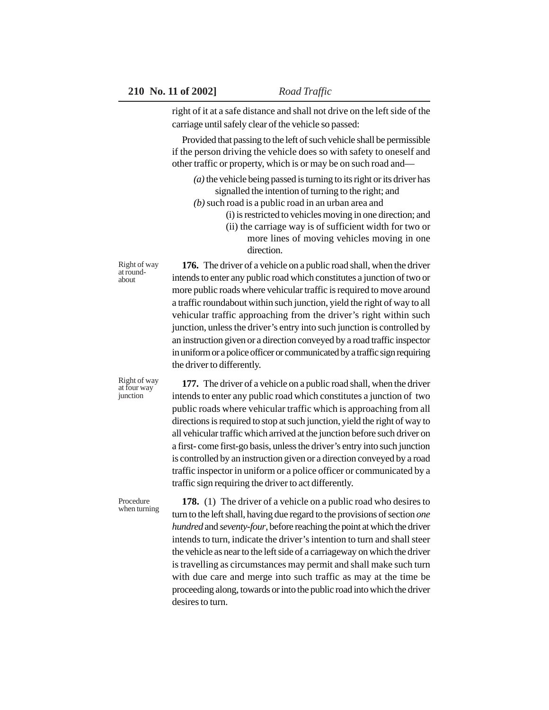right of it at a safe distance and shall not drive on the left side of the carriage until safely clear of the vehicle so passed:

Provided that passing to the left of such vehicle shall be permissible if the person driving the vehicle does so with safety to oneself and other traffic or property, which is or may be on such road and—

- *(a)* the vehicle being passed is turning to its right or its driver has signalled the intention of turning to the right; and
- *(b)* such road is a public road in an urban area and
	- (i) is restricted to vehicles moving in one direction; and
	- (ii) the carriage way is of sufficient width for two or more lines of moving vehicles moving in one direction.

**176.** The driver of a vehicle on a public road shall, when the driver intends to enter any public road which constitutes a junction of two or more public roads where vehicular traffic is required to move around a traffic roundabout within such junction, yield the right of way to all vehicular traffic approaching from the driver's right within such junction, unless the driver's entry into such junction is controlled by an instruction given or a direction conveyed by a road traffic inspector in uniform or a police officer or communicated by a traffic sign requiring the driver to differently.

Right of way at four way junction

Procedure

Right of way at roundabout

> **177.** The driver of a vehicle on a public road shall, when the driver intends to enter any public road which constitutes a junction of two public roads where vehicular traffic which is approaching from all directions is required to stop at such junction, yield the right of way to all vehicular traffic which arrived at the junction before such driver on a first- come first-go basis, unless the driver's entry into such junction is controlled by an instruction given or a direction conveyed by a road traffic inspector in uniform or a police officer or communicated by a traffic sign requiring the driver to act differently.

**178.** (1) The driver of a vehicle on a public road who desires to turn to the left shall, having due regard to the provisions of section *one hundred* and *seventy-four*, before reaching the point at which the driver intends to turn, indicate the driver's intention to turn and shall steer the vehicle as near to the left side of a carriageway on which the driver is travelling as circumstances may permit and shall make such turn with due care and merge into such traffic as may at the time be proceeding along, towards or into the public road into which the driver desires to turn. when turning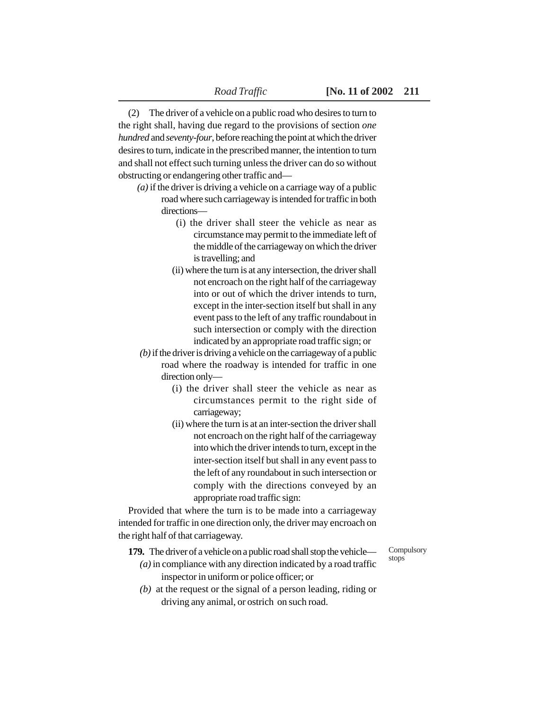(2) The driver of a vehicle on a public road who desires to turn to the right shall, having due regard to the provisions of section *one hundred* and *seventy-four*, before reaching the point at which the driver desires to turn, indicate in the prescribed manner, the intention to turn and shall not effect such turning unless the driver can do so without obstructing or endangering other traffic and—

- *(a)* if the driver is driving a vehicle on a carriage way of a public road where such carriageway is intended for traffic in both directions—
	- (i) the driver shall steer the vehicle as near as circumstance may permit to the immediate left of the middle of the carriageway on which the driver is travelling; and
	- (ii) where the turn is at any intersection, the driver shall not encroach on the right half of the carriageway into or out of which the driver intends to turn, except in the inter-section itself but shall in any event pass to the left of any traffic roundabout in such intersection or comply with the direction indicated by an appropriate road traffic sign; or
- *(b)* if the driver is driving a vehicle on the carriageway of a public road where the roadway is intended for traffic in one direction only—
	- (i) the driver shall steer the vehicle as near as circumstances permit to the right side of carriageway;
	- (ii) where the turn is at an inter-section the driver shall not encroach on the right half of the carriageway into which the driver intends to turn, except in the inter-section itself but shall in any event pass to the left of any roundabout in such intersection or comply with the directions conveyed by an appropriate road traffic sign:

Provided that where the turn is to be made into a carriageway intended for traffic in one direction only, the driver may encroach on the right half of that carriageway.

**179.** The driver of a vehicle on a public road shall stop the vehicle—

Compulsory stops

- *(a)* in compliance with any direction indicated by a road traffic inspector in uniform or police officer; or
- *(b)* at the request or the signal of a person leading, riding or driving any animal, or ostrich on such road.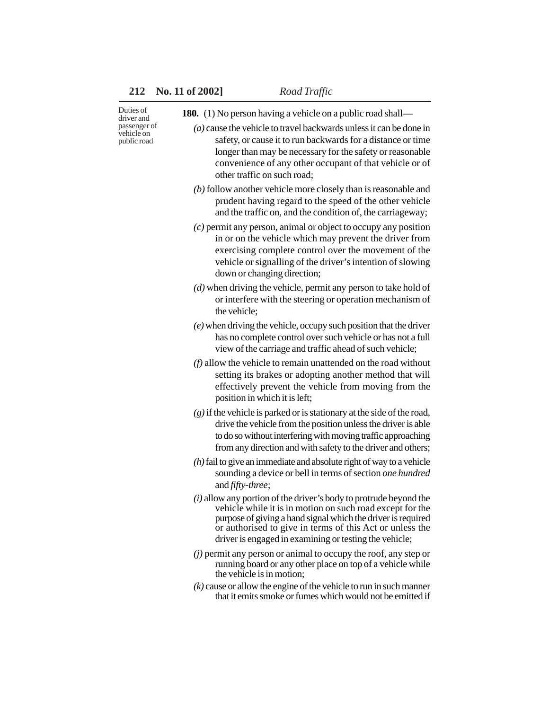| Duties of<br>driver and<br>passenger of<br>vehicle on<br>public road | <b>180.</b> (1) No person having a vehicle on a public road shall—                                                                                                                                                                                                                                                     |
|----------------------------------------------------------------------|------------------------------------------------------------------------------------------------------------------------------------------------------------------------------------------------------------------------------------------------------------------------------------------------------------------------|
|                                                                      | $(a)$ cause the vehicle to travel backwards unless it can be done in<br>safety, or cause it to run backwards for a distance or time<br>longer than may be necessary for the safety or reasonable<br>convenience of any other occupant of that vehicle or of<br>other traffic on such road;                             |
|                                                                      | $(b)$ follow another vehicle more closely than is reasonable and<br>prudent having regard to the speed of the other vehicle<br>and the traffic on, and the condition of, the carriageway;                                                                                                                              |
|                                                                      | $(c)$ permit any person, animal or object to occupy any position<br>in or on the vehicle which may prevent the driver from<br>exercising complete control over the movement of the<br>vehicle or signalling of the driver's intention of slowing<br>down or changing direction;                                        |
|                                                                      | $(d)$ when driving the vehicle, permit any person to take hold of<br>or interfere with the steering or operation mechanism of<br>the vehicle;                                                                                                                                                                          |
|                                                                      | $(e)$ when driving the vehicle, occupy such position that the driver<br>has no complete control over such vehicle or has not a full<br>view of the carriage and traffic ahead of such vehicle;                                                                                                                         |
|                                                                      | $(f)$ allow the vehicle to remain unattended on the road without<br>setting its brakes or adopting another method that will<br>effectively prevent the vehicle from moving from the<br>position in which it is left;                                                                                                   |
|                                                                      | $(g)$ if the vehicle is parked or is stationary at the side of the road,<br>drive the vehicle from the position unless the driver is able<br>to do so without interfering with moving traffic approaching<br>from any direction and with safety to the driver and others;                                              |
|                                                                      | $(h)$ fail to give an immediate and absolute right of way to a vehicle<br>sounding a device or bell in terms of section one hundred<br>and fifty-three;                                                                                                                                                                |
|                                                                      | $(i)$ allow any portion of the driver's body to protrude beyond the<br>vehicle while it is in motion on such road except for the<br>purpose of giving a hand signal which the driver is required<br>or authorised to give in terms of this Act or unless the<br>driver is engaged in examining or testing the vehicle; |
|                                                                      | $(j)$ permit any person or animal to occupy the roof, any step or<br>running board or any other place on top of a vehicle while<br>the vehicle is in motion;                                                                                                                                                           |
|                                                                      | $(k)$ cause or allow the engine of the vehicle to run in such manner<br>that it emits smoke or fumes which would not be emitted if                                                                                                                                                                                     |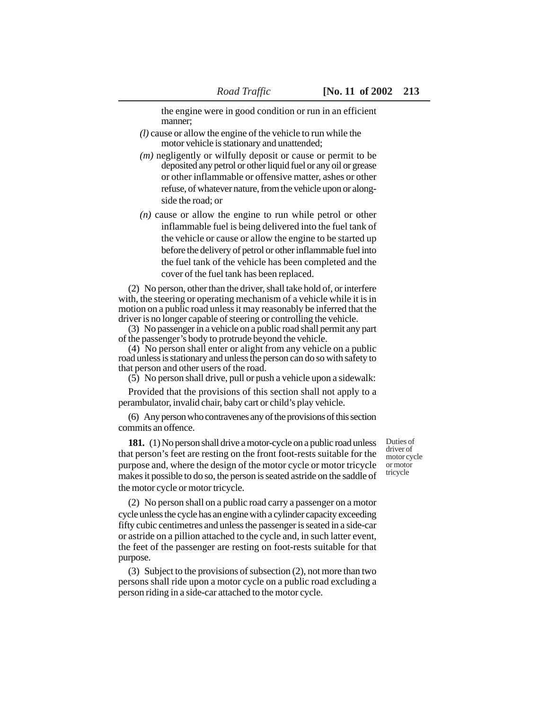the engine were in good condition or run in an efficient manner;

- *(l)* cause or allow the engine of the vehicle to run while the motor vehicle is stationary and unattended;
- *(m)* negligently or wilfully deposit or cause or permit to be deposited any petrol or other liquid fuel or any oil or grease or other inflammable or offensive matter, ashes or other refuse, of whatever nature, from the vehicle upon or alongside the road; or
- *(n)* cause or allow the engine to run while petrol or other inflammable fuel is being delivered into the fuel tank of the vehicle or cause or allow the engine to be started up before the delivery of petrol or other inflammable fuel into the fuel tank of the vehicle has been completed and the cover of the fuel tank has been replaced.

(2) No person, other than the driver, shall take hold of, or interfere with, the steering or operating mechanism of a vehicle while it is in motion on a public road unless it may reasonably be inferred that the driver is no longer capable of steering or controlling the vehicle.

(3) No passenger in a vehicle on a public road shall permit any part of the passenger's body to protrude beyond the vehicle.

(4) No person shall enter or alight from any vehicle on a public road unless is stationary and unless the person can do so with safety to that person and other users of the road.

(5) No person shall drive, pull or push a vehicle upon a sidewalk:

Provided that the provisions of this section shall not apply to a perambulator, invalid chair, baby cart or child's play vehicle.

(6) Any person who contravenes any of the provisions of this section commits an offence.

181. (1) No person shall drive a motor-cycle on a public road unless that person's feet are resting on the front foot-rests suitable for the purpose and, where the design of the motor cycle or motor tricycle makes it possible to do so, the person is seated astride on the saddle of the motor cycle or motor tricycle.

Duties of driver of motor cycle or motor tricycle

(2) No person shall on a public road carry a passenger on a motor cycle unless the cycle has an engine with a cylinder capacity exceeding fifty cubic centimetres and unless the passenger is seated in a side-car or astride on a pillion attached to the cycle and, in such latter event, the feet of the passenger are resting on foot-rests suitable for that purpose.

(3) Subject to the provisions of subsection (2), not more than two persons shall ride upon a motor cycle on a public road excluding a person riding in a side-car attached to the motor cycle.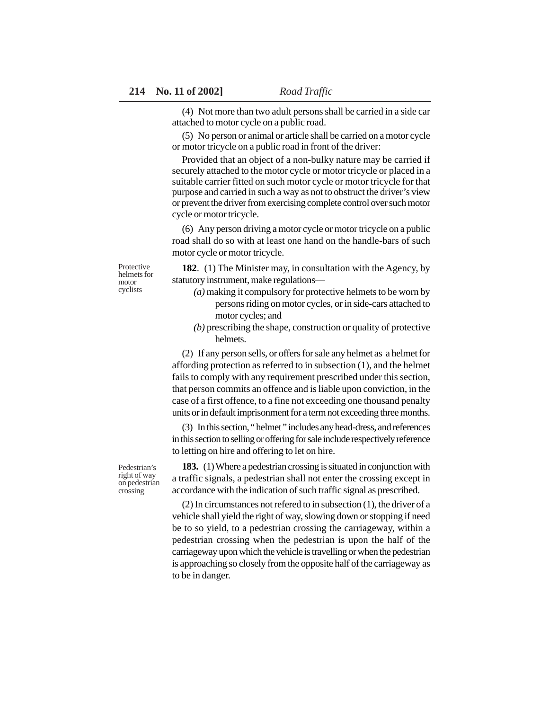(4) Not more than two adult persons shall be carried in a side car attached to motor cycle on a public road.

(5) No person or animal or article shall be carried on a motor cycle or motor tricycle on a public road in front of the driver:

Provided that an object of a non-bulky nature may be carried if securely attached to the motor cycle or motor tricycle or placed in a suitable carrier fitted on such motor cycle or motor tricycle for that purpose and carried in such a way as not to obstruct the driver's view or prevent the driver from exercising complete control over such motor cycle or motor tricycle.

(6) Any person driving a motor cycle or motor tricycle on a public road shall do so with at least one hand on the handle-bars of such motor cycle or motor tricycle.

Protective helmets for motor cyclists

**182**. (1) The Minister may, in consultation with the Agency, by statutory instrument, make regulations—

- *(a)* making it compulsory for protective helmets to be worn by persons riding on motor cycles, or in side-cars attached to motor cycles; and
- *(b)* prescribing the shape, construction or quality of protective helmets.

(2) If any person sells, or offers for sale any helmet as a helmet for affording protection as referred to in subsection (1), and the helmet fails to comply with any requirement prescribed under this section, that person commits an offence and is liable upon conviction, in the case of a first offence, to a fine not exceeding one thousand penalty units or in default imprisonment for a term not exceeding three months.

(3) In this section, " helmet " includes any head-dress, and references in this section to selling or offering for sale include respectively reference to letting on hire and offering to let on hire.

**183.** (1) Where a pedestrian crossing is situated in conjunction with a traffic signals, a pedestrian shall not enter the crossing except in accordance with the indication of such traffic signal as prescribed.

(2) In circumstances not refered to in subsection (1), the driver of a vehicle shall yield the right of way, slowing down or stopping if need be to so yield, to a pedestrian crossing the carriageway, within a pedestrian crossing when the pedestrian is upon the half of the carriageway upon which the vehicle is travelling or when the pedestrian is approaching so closely from the opposite half of the carriageway as to be in danger.

Pedestrian's right of way on pedestrian crossing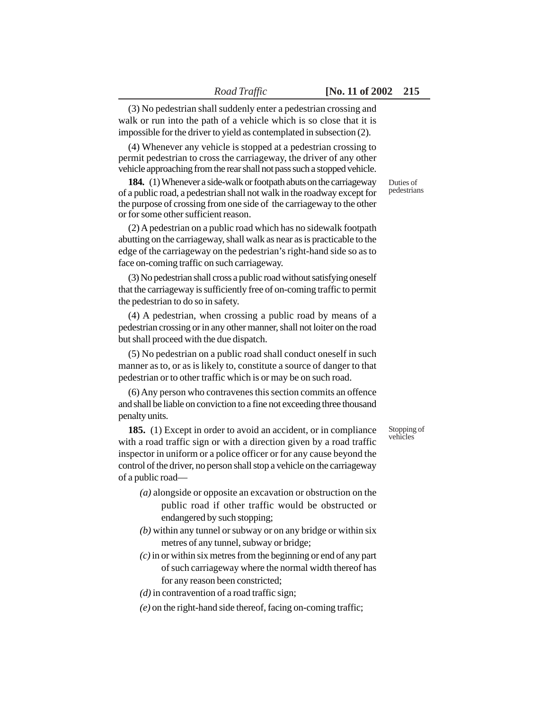(3) No pedestrian shall suddenly enter a pedestrian crossing and walk or run into the path of a vehicle which is so close that it is impossible for the driver to yield as contemplated in subsection (2).

(4) Whenever any vehicle is stopped at a pedestrian crossing to permit pedestrian to cross the carriageway, the driver of any other vehicle approaching from the rear shall not pass such a stopped vehicle.

**184.** (1) Whenever a side-walk or footpath abuts on the carriageway of a public road, a pedestrian shall not walk in the roadway except for the purpose of crossing from one side of the carriageway to the other or for some other sufficient reason.

(2) A pedestrian on a public road which has no sidewalk footpath abutting on the carriageway, shall walk as near as is practicable to the edge of the carriageway on the pedestrian's right-hand side so as to face on-coming traffic on such carriageway.

(3) No pedestrian shall cross a public road without satisfying oneself that the carriageway is sufficiently free of on-coming traffic to permit the pedestrian to do so in safety.

(4) A pedestrian, when crossing a public road by means of a pedestrian crossing or in any other manner, shall not loiter on the road but shall proceed with the due dispatch.

(5) No pedestrian on a public road shall conduct oneself in such manner as to, or as is likely to, constitute a source of danger to that pedestrian or to other traffic which is or may be on such road.

(6) Any person who contravenes this section commits an offence and shall be liable on conviction to a fine not exceeding three thousand penalty units.

**185.** (1) Except in order to avoid an accident, or in compliance with a road traffic sign or with a direction given by a road traffic inspector in uniform or a police officer or for any cause beyond the control of the driver, no person shall stop a vehicle on the carriageway of a public road—

- *(a)* alongside or opposite an excavation or obstruction on the public road if other traffic would be obstructed or endangered by such stopping;
- *(b)* within any tunnel or subway or on any bridge or within six metres of any tunnel, subway or bridge;
- *(c)* in or within six metres from the beginning or end of any part of such carriageway where the normal width thereof has for any reason been constricted;
- *(d)* in contravention of a road traffic sign;
- *(e)* on the right-hand side thereof, facing on-coming traffic;

Duties of pedestrians

Stopping of vehicles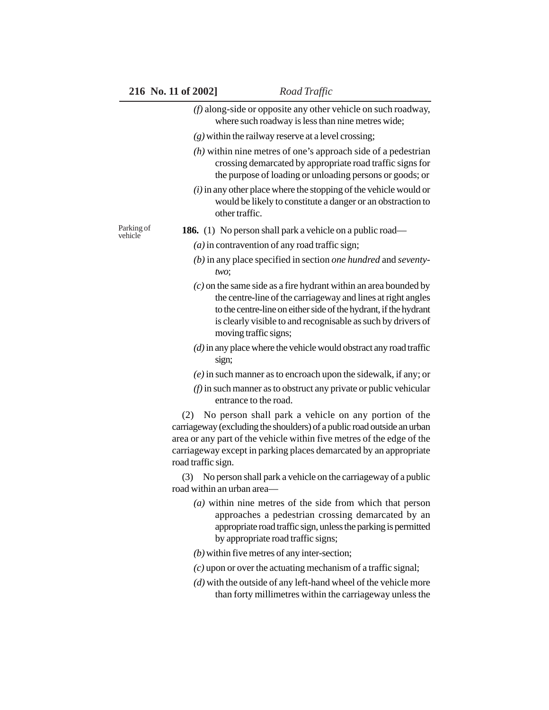|                       | 216 No. 11 of 2002]               | Road Traffic                                                                                                                                                                                                                                                                  |
|-----------------------|-----------------------------------|-------------------------------------------------------------------------------------------------------------------------------------------------------------------------------------------------------------------------------------------------------------------------------|
|                       |                                   | $(f)$ along-side or opposite any other vehicle on such roadway,<br>where such roadway is less than nine metres wide;                                                                                                                                                          |
|                       |                                   | $(g)$ within the railway reserve at a level crossing;                                                                                                                                                                                                                         |
|                       |                                   | $(h)$ within nine metres of one's approach side of a pedestrian<br>crossing demarcated by appropriate road traffic signs for<br>the purpose of loading or unloading persons or goods; or                                                                                      |
|                       | other traffic.                    | $(i)$ in any other place where the stopping of the vehicle would or<br>would be likely to constitute a danger or an obstraction to                                                                                                                                            |
| Parking of<br>vehicle |                                   | <b>186.</b> (1) No person shall park a vehicle on a public road—                                                                                                                                                                                                              |
|                       |                                   | $(a)$ in contravention of any road traffic sign;                                                                                                                                                                                                                              |
|                       | two;                              | $(b)$ in any place specified in section <i>one hundred</i> and <i>seventy</i> -                                                                                                                                                                                               |
|                       | moving traffic signs;             | $(c)$ on the same side as a fire hydrant within an area bounded by<br>the centre-line of the carriageway and lines at right angles<br>to the centre-line on either side of the hydrant, if the hydrant<br>is clearly visible to and recognisable as such by drivers of        |
|                       | sign;                             | $(d)$ in any place where the vehicle would obstract any road traffic                                                                                                                                                                                                          |
|                       |                                   | $(e)$ in such manner as to encroach upon the sidewalk, if any; or                                                                                                                                                                                                             |
|                       | entrance to the road.             | $(f)$ in such manner as to obstruct any private or public vehicular                                                                                                                                                                                                           |
|                       | (2)<br>road traffic sign.         | No person shall park a vehicle on any portion of the<br>carriageway (excluding the shoulders) of a public road outside an urban<br>area or any part of the vehicle within five metres of the edge of the<br>carriageway except in parking places demarcated by an appropriate |
|                       | (3)<br>road within an urban area— | No person shall park a vehicle on the carriage way of a public                                                                                                                                                                                                                |
|                       |                                   | $(a)$ within nine metres of the side from which that person<br>approaches a pedestrian crossing demarcated by an<br>appropriate road traffic sign, unless the parking is permitted<br>by appropriate road traffic signs;                                                      |
|                       |                                   | $(b)$ within five metres of any inter-section;                                                                                                                                                                                                                                |
|                       |                                   | $(c)$ upon or over the actuating mechanism of a traffic signal;                                                                                                                                                                                                               |
|                       |                                   | $(d)$ with the outside of any left-hand wheel of the vehicle more<br>than forty millimetres within the carriageway unless the                                                                                                                                                 |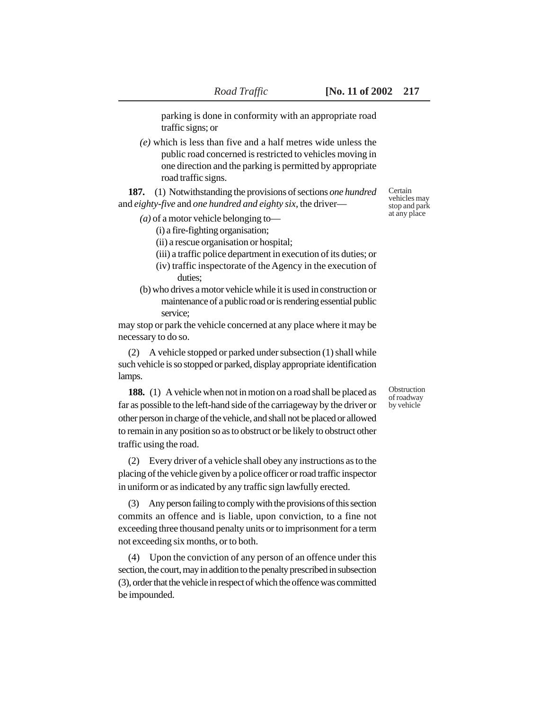parking is done in conformity with an appropriate road traffic signs; or

*(e)* which is less than five and a half metres wide unless the public road concerned is restricted to vehicles moving in one direction and the parking is permitted by appropriate road traffic signs.

**187.** (1) Notwithstanding the provisions of sections *one hundred* and *eighty-five* and *one hundred and eighty six,* the driver—

- *(a)* of a motor vehicle belonging to—
	- (i) a fire-fighting organisation;
	- (ii) a rescue organisation or hospital;
	- (iii) a traffic police department in execution of its duties; or
	- (iv) traffic inspectorate of the Agency in the execution of duties;
- (b) who drives a motor vehicle while it is used in construction or maintenance of a public road or is rendering essential public service;

may stop or park the vehicle concerned at any place where it may be necessary to do so.

(2) A vehicle stopped or parked under subsection (1) shall while such vehicle is so stopped or parked, display appropriate identification lamps.

**188.** (1) A vehicle when not in motion on a road shall be placed as far as possible to the left-hand side of the carriageway by the driver or other person in charge of the vehicle, and shall not be placed or allowed to remain in any position so as to obstruct or be likely to obstruct other traffic using the road.

(2) Every driver of a vehicle shall obey any instructions as to the placing of the vehicle given by a police officer or road traffic inspector in uniform or as indicated by any traffic sign lawfully erected.

(3) Any person failing to comply with the provisions of this section commits an offence and is liable, upon conviction, to a fine not exceeding three thousand penalty units or to imprisonment for a term not exceeding six months, or to both.

(4) Upon the conviction of any person of an offence under this section, the court, may in addition to the penalty prescribed in subsection (3), order that the vehicle in respect of which the offence was committed be impounded.

Certain vehicles may stop and park at any place

**Obstruction** of roadway by vehicle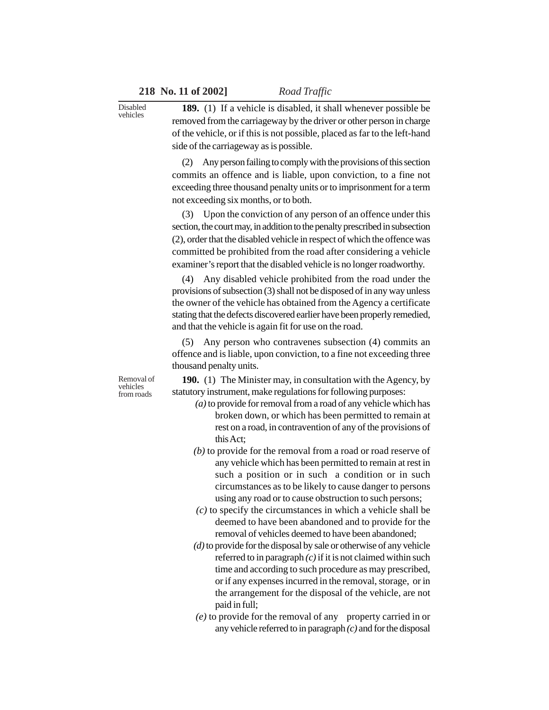**189.** (1) If a vehicle is disabled, it shall whenever possible be removed from the carriageway by the driver or other person in charge of the vehicle, or if this is not possible, placed as far to the left-hand side of the carriageway as is possible.

(2) Any person failing to comply with the provisions of this section commits an offence and is liable, upon conviction, to a fine not exceeding three thousand penalty units or to imprisonment for a term not exceeding six months, or to both.

(3) Upon the conviction of any person of an offence under this section, the court may, in addition to the penalty prescribed in subsection (2), order that the disabled vehicle in respect of which the offence was committed be prohibited from the road after considering a vehicle examiner's report that the disabled vehicle is no longer roadworthy.

(4) Any disabled vehicle prohibited from the road under the provisions of subsection (3) shall not be disposed of in any way unless the owner of the vehicle has obtained from the Agency a certificate stating that the defects discovered earlier have been properly remedied, and that the vehicle is again fit for use on the road.

(5) Any person who contravenes subsection (4) commits an offence and is liable, upon conviction, to a fine not exceeding three thousand penalty units.

Removal of vehicles from roads

Disabled vehicles

> **190.** (1) The Minister may, in consultation with the Agency, by statutory instrument, make regulations for following purposes:

- *(a)* to provide for removal from a road of any vehicle which has broken down, or which has been permitted to remain at rest on a road, in contravention of any of the provisions of this Act;
- *(b)* to provide for the removal from a road or road reserve of any vehicle which has been permitted to remain at rest in such a position or in such a condition or in such circumstances as to be likely to cause danger to persons using any road or to cause obstruction to such persons;
- *(c)* to specify the circumstances in which a vehicle shall be deemed to have been abandoned and to provide for the removal of vehicles deemed to have been abandoned;
- *(d)* to provide for the disposal by sale or otherwise of any vehicle referred to in paragraph *(c)* if it is not claimed within such time and according to such procedure as may prescribed, or if any expenses incurred in the removal, storage, or in the arrangement for the disposal of the vehicle, are not paid in full;
- *(e)* to provide for the removal of any property carried in or any vehicle referred to in paragraph *(c)* and for the disposal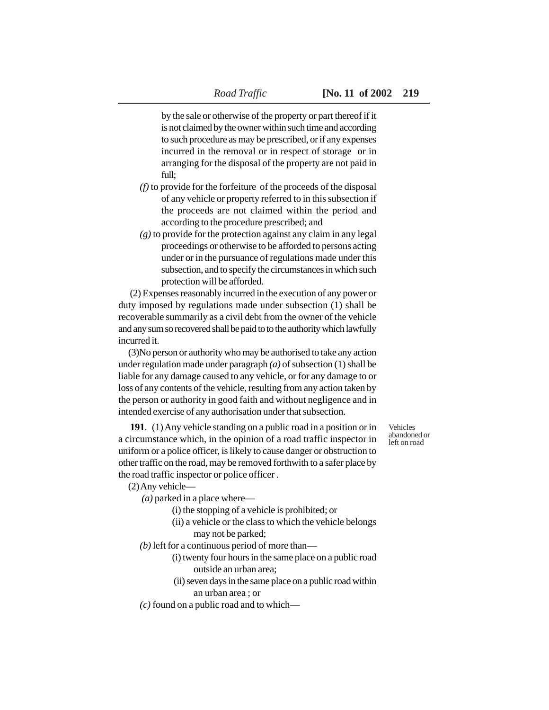by the sale or otherwise of the property or part thereof if it is not claimed by the owner within such time and according to such procedure as may be prescribed, or if any expenses incurred in the removal or in respect of storage or in arranging for the disposal of the property are not paid in full;

- *(f)* to provide for the forfeiture of the proceeds of the disposal of any vehicle or property referred to in this subsection if the proceeds are not claimed within the period and according to the procedure prescribed; and
- *(g)* to provide for the protection against any claim in any legal proceedings or otherwise to be afforded to persons acting under or in the pursuance of regulations made under this subsection, and to specify the circumstances in which such protection will be afforded.

 (2) Expenses reasonably incurred in the execution of any power or duty imposed by regulations made under subsection (1) shall be recoverable summarily as a civil debt from the owner of the vehicle and any sum so recovered shall be paid to to the authority which lawfully incurred it.

(3)No person or authority who may be authorised to take any action under regulation made under paragraph *(a)* of subsection (1) shall be liable for any damage caused to any vehicle, or for any damage to or loss of any contents of the vehicle, resulting from any action taken by the person or authority in good faith and without negligence and in intended exercise of any authorisation under that subsection.

**191**. (1) Any vehicle standing on a public road in a position or in a circumstance which, in the opinion of a road traffic inspector in uniform or a police officer, is likely to cause danger or obstruction to other traffic on the road, may be removed forthwith to a safer place by the road traffic inspector or police officer .

(2) Any vehicle—

- *(a)* parked in a place where—
	- (i) the stopping of a vehicle is prohibited; or
	- (ii) a vehicle or the class to which the vehicle belongs may not be parked;
- *(b)* left for a continuous period of more than—
	- (i) twenty four hours in the same place on a public road outside an urban area;
		- (ii) seven days in the same place on a public road within an urban area ; or
- *(c)* found on a public road and to which—

Vehicles abandoned or left on road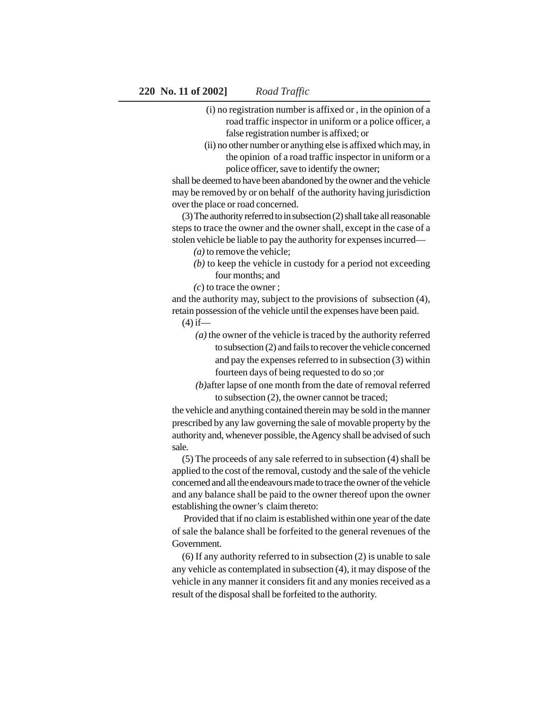- (i) no registration number is affixed or , in the opinion of a road traffic inspector in uniform or a police officer, a false registration number is affixed; or
- (ii) no other number or anything else is affixed which may, in the opinion of a road traffic inspector in uniform or a police officer, save to identify the owner;

shall be deemed to have been abandoned by the owner and the vehicle may be removed by or on behalf of the authority having jurisdiction over the place or road concerned.

(3) The authority referred to in subsection (2) shall take all reasonable steps to trace the owner and the owner shall, except in the case of a stolen vehicle be liable to pay the authority for expenses incurred—

*(a)* to remove the vehicle;

- *(b)* to keep the vehicle in custody for a period not exceeding four months; and
- *(c*) to trace the owner ;

and the authority may, subject to the provisions of subsection (4), retain possession of the vehicle until the expenses have been paid.

 $(4)$  if—

- *(a)* the owner of the vehicle is traced by the authority referred to subsection (2) and fails to recover the vehicle concerned and pay the expenses referred to in subsection (3) within fourteen days of being requested to do so ;or
- *(b)*after lapse of one month from the date of removal referred to subsection (2), the owner cannot be traced;

the vehicle and anything contained therein may be sold in the manner prescribed by any law governing the sale of movable property by the authority and, whenever possible, the Agency shall be advised of such sale.

(5) The proceeds of any sale referred to in subsection (4) shall be applied to the cost of the removal, custody and the sale of the vehicle concerned and all the endeavours made to trace the owner of the vehicle and any balance shall be paid to the owner thereof upon the owner establishing the owner's claim thereto:

 Provided that if no claim is established within one year of the date of sale the balance shall be forfeited to the general revenues of the Government.

(6) If any authority referred to in subsection (2) is unable to sale any vehicle as contemplated in subsection (4), it may dispose of the vehicle in any manner it considers fit and any monies received as a result of the disposal shall be forfeited to the authority.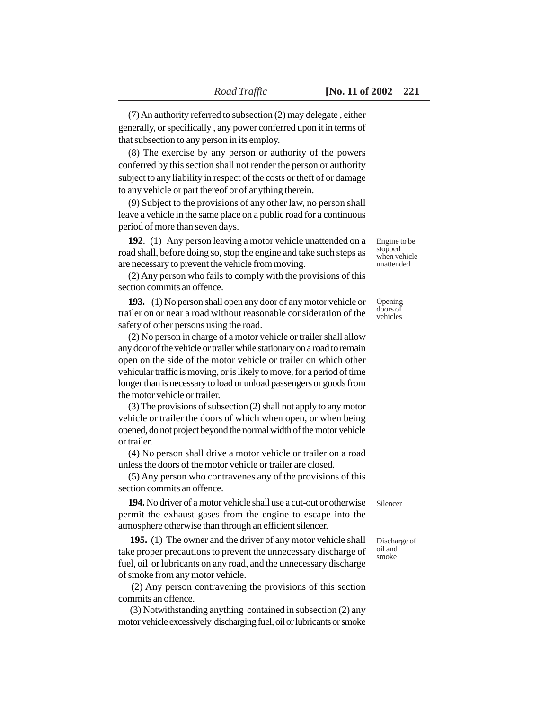(7) An authority referred to subsection (2) may delegate , either generally, or specifically , any power conferred upon it in terms of that subsection to any person in its employ.

(8) The exercise by any person or authority of the powers conferred by this section shall not render the person or authority subject to any liability in respect of the costs or theft of or damage to any vehicle or part thereof or of anything therein.

(9) Subject to the provisions of any other law, no person shall leave a vehicle in the same place on a public road for a continuous period of more than seven days.

**192**. (1) Any person leaving a motor vehicle unattended on a road shall, before doing so, stop the engine and take such steps as are necessary to prevent the vehicle from moving.

(2) Any person who fails to comply with the provisions of this section commits an offence.

**193.** (1) No person shall open any door of any motor vehicle or trailer on or near a road without reasonable consideration of the safety of other persons using the road.

(2) No person in charge of a motor vehicle or trailer shall allow any door of the vehicle or trailer while stationary on a road to remain open on the side of the motor vehicle or trailer on which other vehicular traffic is moving, or is likely to move, for a period of time longer than is necessary to load or unload passengers or goods from the motor vehicle or trailer.

(3) The provisions of subsection (2) shall not apply to any motor vehicle or trailer the doors of which when open, or when being opened, do not project beyond the normal width of the motor vehicle or trailer.

(4) No person shall drive a motor vehicle or trailer on a road unless the doors of the motor vehicle or trailer are closed.

(5) Any person who contravenes any of the provisions of this section commits an offence.

**194.** No driver of a motor vehicle shall use a cut-out or otherwise permit the exhaust gases from the engine to escape into the atmosphere otherwise than through an efficient silencer.

 **195.** (1) The owner and the driver of any motor vehicle shall take proper precautions to prevent the unnecessary discharge of fuel, oil or lubricants on any road, and the unnecessary discharge of smoke from any motor vehicle.

 (2) Any person contravening the provisions of this section commits an offence.

 (3) Notwithstanding anything contained in subsection (2) any motor vehicle excessively discharging fuel, oil or lubricants or smoke Engine to be stopped when vehicle unattended

Opening doors of vehicles

Silencer

Discharge of oil and smoke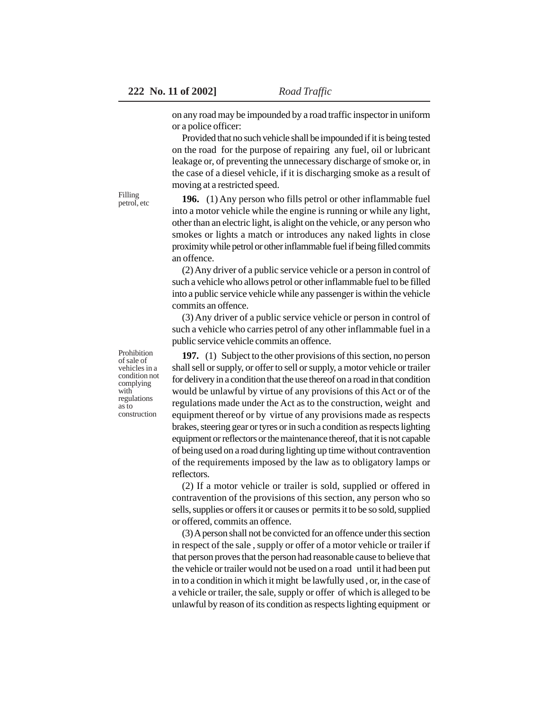on any road may be impounded by a road traffic inspector in uniform or a police officer:

Provided that no such vehicle shall be impounded if it is being tested on the road for the purpose of repairing any fuel, oil or lubricant leakage or, of preventing the unnecessary discharge of smoke or, in the case of a diesel vehicle, if it is discharging smoke as a result of moving at a restricted speed.

**196.** (1) Any person who fills petrol or other inflammable fuel into a motor vehicle while the engine is running or while any light, other than an electric light, is alight on the vehicle, or any person who smokes or lights a match or introduces any naked lights in close proximity while petrol or other inflammable fuel if being filled commits an offence.

(2) Any driver of a public service vehicle or a person in control of such a vehicle who allows petrol or other inflammable fuel to be filled into a public service vehicle while any passenger is within the vehicle commits an offence.

(3) Any driver of a public service vehicle or person in control of such a vehicle who carries petrol of any other inflammable fuel in a public service vehicle commits an offence.

**197.** (1) Subject to the other provisions of this section, no person shall sell or supply, or offer to sell or supply, a motor vehicle or trailer for delivery in a condition that the use thereof on a road in that condition would be unlawful by virtue of any provisions of this Act or of the regulations made under the Act as to the construction, weight and equipment thereof or by virtue of any provisions made as respects brakes, steering gear or tyres or in such a condition as respects lighting equipment or reflectors or the maintenance thereof, that it is not capable of being used on a road during lighting up time without contravention of the requirements imposed by the law as to obligatory lamps or reflectors.

(2) If a motor vehicle or trailer is sold, supplied or offered in contravention of the provisions of this section, any person who so sells, supplies or offers it or causes or permits it to be so sold, supplied or offered, commits an offence.

(3) A person shall not be convicted for an offence under this section in respect of the sale , supply or offer of a motor vehicle or trailer if that person proves that the person had reasonable cause to believe that the vehicle or trailer would not be used on a road until it had been put in to a condition in which it might be lawfully used , or, in the case of a vehicle or trailer, the sale, supply or offer of which is alleged to be unlawful by reason of its condition as respects lighting equipment or

Prohibition of sale of vehicles in a condition not complying with regulations as to construction

Filling petrol, etc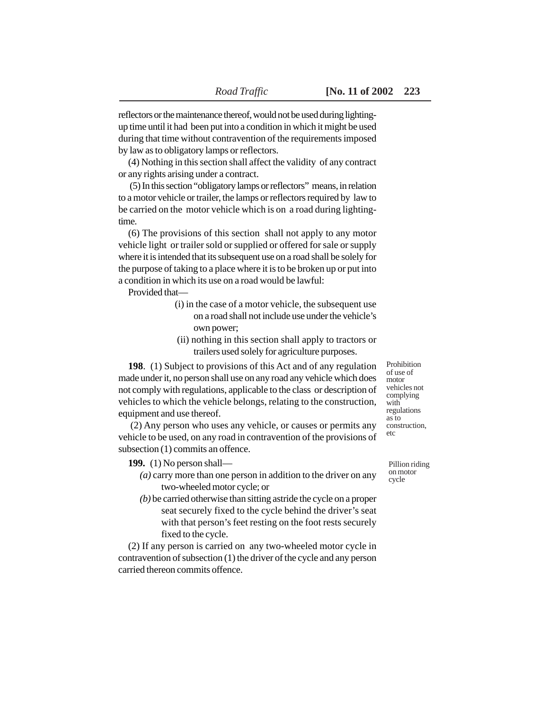reflectors or the maintenance thereof, would not be used during lightingup time until it had been put into a condition in which it might be used during that time without contravention of the requirements imposed by law as to obligatory lamps or reflectors.

(4) Nothing in this section shall affect the validity of any contract or any rights arising under a contract.

 (5) In this section "obligatory lamps or reflectors" means, in relation to a motor vehicle or trailer, the lamps or reflectors required by law to be carried on the motor vehicle which is on a road during lightingtime.

(6) The provisions of this section shall not apply to any motor vehicle light or trailer sold or supplied or offered for sale or supply where it is intended that its subsequent use on a road shall be solely for the purpose of taking to a place where it is to be broken up or put into a condition in which its use on a road would be lawful:

Provided that—

- (i) in the case of a motor vehicle, the subsequent use on a road shall not include use under the vehicle's own power;
- (ii) nothing in this section shall apply to tractors or trailers used solely for agriculture purposes.

**198**. (1) Subject to provisions of this Act and of any regulation made under it, no person shall use on any road any vehicle which does not comply with regulations, applicable to the class or description of vehicles to which the vehicle belongs, relating to the construction, equipment and use thereof.

 (2) Any person who uses any vehicle, or causes or permits any vehicle to be used, on any road in contravention of the provisions of subsection (1) commits an offence.

**199.** (1) No person shall—

- *(a)* carry more than one person in addition to the driver on any two-wheeled motor cycle; or
- *(b)* be carried otherwise than sitting astride the cycle on a proper seat securely fixed to the cycle behind the driver's seat with that person's feet resting on the foot rests securely fixed to the cycle.

(2) If any person is carried on any two-wheeled motor cycle in contravention of subsection (1) the driver of the cycle and any person carried thereon commits offence.

of use of motor vehicles not complying with regulations as to construction, etc

Prohibition

Pillion riding on motor cycle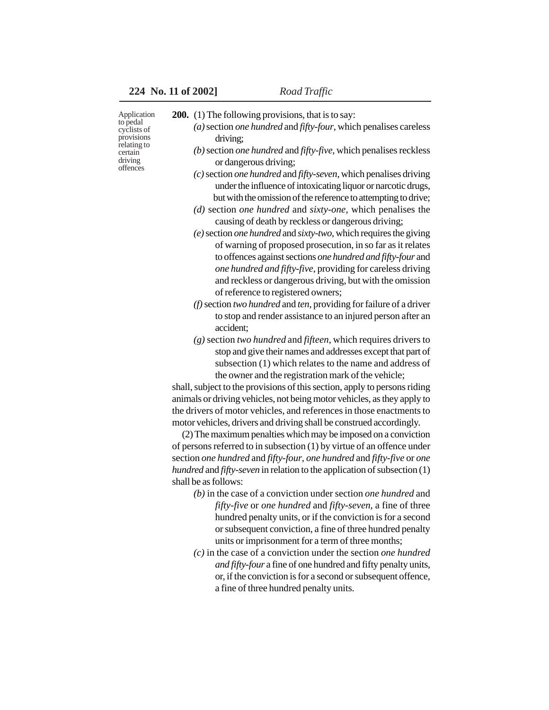| Application<br>to pedal<br>cyclists of<br>provisions<br>relating to<br>certain<br>driving<br>offences | <b>200.</b> (1) The following provisions, that is to say:<br>$(a)$ section <i>one hundred</i> and <i>fifty-four</i> , which penalises careless |
|-------------------------------------------------------------------------------------------------------|------------------------------------------------------------------------------------------------------------------------------------------------|
|                                                                                                       | driving;                                                                                                                                       |
|                                                                                                       | (b) section one hundred and fifty-five, which penalises reckless<br>or dangerous driving;                                                      |
|                                                                                                       | (c) section one hundred and fifty-seven, which penalises driving                                                                               |
|                                                                                                       | under the influence of intoxicating liquor or narcotic drugs,                                                                                  |
|                                                                                                       | but with the omission of the reference to attempting to drive;                                                                                 |
|                                                                                                       | (d) section one hundred and sixty-one, which penalises the<br>causing of death by reckless or dangerous driving;                               |
|                                                                                                       | (e) section one hundred and sixty-two, which requires the giving                                                                               |
|                                                                                                       | of warning of proposed prosecution, in so far as it relates                                                                                    |
|                                                                                                       | to offences against sections one hundred and fifty-four and                                                                                    |
|                                                                                                       | one hundred and fifty-five, providing for careless driving                                                                                     |
|                                                                                                       | and reckless or dangerous driving, but with the omission                                                                                       |
|                                                                                                       | of reference to registered owners;                                                                                                             |
|                                                                                                       | (f) section two hundred and ten, providing for failure of a driver                                                                             |
|                                                                                                       | to stop and render assistance to an injured person after an<br>accident;                                                                       |
|                                                                                                       | $(g)$ section two hundred and fifteen, which requires drivers to                                                                               |
|                                                                                                       | stop and give their names and addresses except that part of                                                                                    |
|                                                                                                       | subsection (1) which relates to the name and address of                                                                                        |
|                                                                                                       | the owner and the registration mark of the vehicle;<br>shall, subject to the provisions of this section, apply to persons riding               |
|                                                                                                       | animals or driving vehicles, not being motor vehicles, as they apply to                                                                        |
|                                                                                                       | the drivers of motor vehicles, and references in those enactments to                                                                           |
|                                                                                                       | motor vehicles, drivers and driving shall be construed accordingly.                                                                            |
|                                                                                                       | (2) The maximum penalties which may be imposed on a conviction                                                                                 |
|                                                                                                       | of persons referred to in subsection $(1)$ by virtue of an offence under                                                                       |
|                                                                                                       | section one hundred and fifty-four, one hundred and fifty-five or one                                                                          |
|                                                                                                       | hundred and fifty-seven in relation to the application of subsection (1)                                                                       |
|                                                                                                       | shall be as follows:                                                                                                                           |
|                                                                                                       | $(b)$ in the case of a conviction under section <i>one</i> hundred and                                                                         |
|                                                                                                       | fifty-five or one hundred and fifty-seven, a fine of three<br>hundred penalty units, or if the conviction is for a second                      |
|                                                                                                       | or subsequent conviction, a fine of three hundred penalty                                                                                      |
|                                                                                                       | units or imprisonment for a term of three months;                                                                                              |
|                                                                                                       | $(c)$ in the case of a conviction under the section one hundred                                                                                |
|                                                                                                       | and fifty-four a fine of one hundred and fifty penalty units,                                                                                  |
|                                                                                                       | or, if the conviction is for a second or subsequent offence,                                                                                   |
|                                                                                                       | a fine of three hundred penalty units.                                                                                                         |
|                                                                                                       |                                                                                                                                                |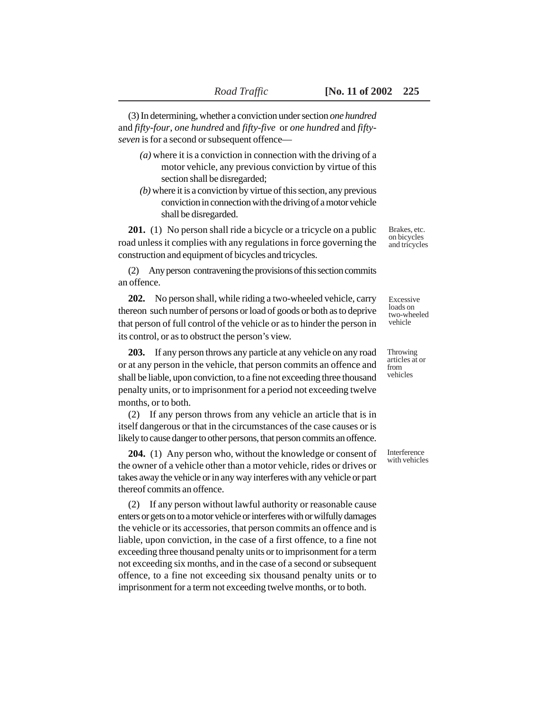(3) In determining, whether a conviction under section *one hundred* and *fifty-four*, *one hundred* and *fifty-five* or *one hundred* and *fiftyseven* is for a second or subsequent offence—

- *(a)* where it is a conviction in connection with the driving of a motor vehicle, any previous conviction by virtue of this section shall be disregarded;
- *(b)* where it is a conviction by virtue of this section, any previous conviction in connection with the driving of a motor vehicle shall be disregarded.

**201.** (1) No person shall ride a bicycle or a tricycle on a public road unless it complies with any regulations in force governing the construction and equipment of bicycles and tricycles.

(2) Any person contravening the provisions of this section commits an offence.

**202.** No person shall, while riding a two-wheeled vehicle, carry thereon such number of persons or load of goods or both as to deprive that person of full control of the vehicle or as to hinder the person in its control, or as to obstruct the person's view.

**203.** If any person throws any particle at any vehicle on any road or at any person in the vehicle, that person commits an offence and shall be liable, upon conviction, to a fine not exceeding three thousand penalty units, or to imprisonment for a period not exceeding twelve months, or to both.

(2) If any person throws from any vehicle an article that is in itself dangerous or that in the circumstances of the case causes or is likely to cause danger to other persons, that person commits an offence.

**204.** (1) Any person who, without the knowledge or consent of the owner of a vehicle other than a motor vehicle, rides or drives or takes away the vehicle or in any way interferes with any vehicle or part thereof commits an offence.

(2) If any person without lawful authority or reasonable cause enters or gets on to a motor vehicle or interferes with or wilfully damages the vehicle or its accessories, that person commits an offence and is liable, upon conviction, in the case of a first offence, to a fine not exceeding three thousand penalty units or to imprisonment for a term not exceeding six months, and in the case of a second or subsequent offence, to a fine not exceeding six thousand penalty units or to imprisonment for a term not exceeding twelve months, or to both.

Brakes, etc. on bicycles and tricycles

Excessive loads on two-wheeled vehicle

Throwing articles at or from vehicles

Interference with vehicles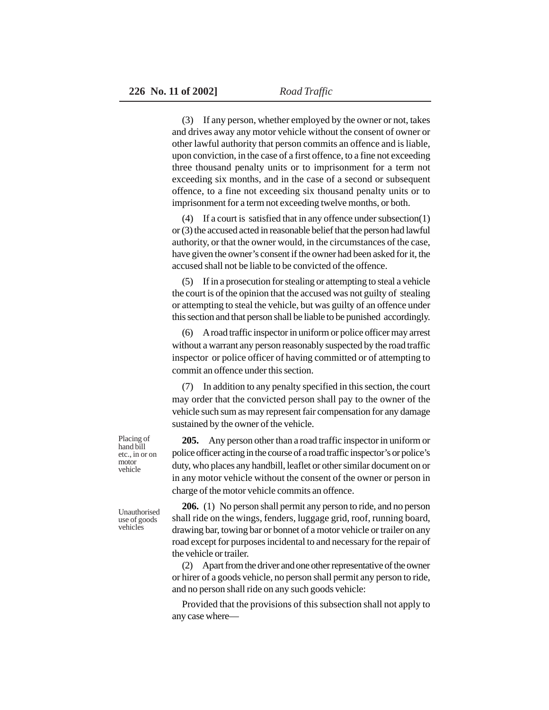(3) If any person, whether employed by the owner or not, takes and drives away any motor vehicle without the consent of owner or other lawful authority that person commits an offence and is liable, upon conviction, in the case of a first offence, to a fine not exceeding three thousand penalty units or to imprisonment for a term not exceeding six months, and in the case of a second or subsequent offence, to a fine not exceeding six thousand penalty units or to imprisonment for a term not exceeding twelve months, or both.

(4) If a court is satisfied that in any offence under subsection(1) or (3) the accused acted in reasonable belief that the person had lawful authority, or that the owner would, in the circumstances of the case, have given the owner's consent if the owner had been asked for it, the accused shall not be liable to be convicted of the offence.

(5) If in a prosecution for stealing or attempting to steal a vehicle the court is of the opinion that the accused was not guilty of stealing or attempting to steal the vehicle, but was guilty of an offence under this section and that person shall be liable to be punished accordingly.

(6) A road traffic inspector in uniform or police officer may arrest without a warrant any person reasonably suspected by the road traffic inspector or police officer of having committed or of attempting to commit an offence under this section.

(7) In addition to any penalty specified in this section, the court may order that the convicted person shall pay to the owner of the vehicle such sum as may represent fair compensation for any damage sustained by the owner of the vehicle.

**205.** Any person other than a road traffic inspector in uniform or police officer acting in the course of a road traffic inspector's or police's duty, who places any handbill, leaflet or other similar document on or in any motor vehicle without the consent of the owner or person in charge of the motor vehicle commits an offence.

**206.** (1) No person shall permit any person to ride, and no person shall ride on the wings, fenders, luggage grid, roof, running board,

drawing bar, towing bar or bonnet of a motor vehicle or trailer on any road except for purposes incidental to and necessary for the repair of the vehicle or trailer.

(2) Apart from the driver and one other representative of the owner or hirer of a goods vehicle, no person shall permit any person to ride, and no person shall ride on any such goods vehicle:

Provided that the provisions of this subsection shall not apply to any case where—

Placing of hand bill etc., in or on motor vehicle

Unauthorised use of goods vehicles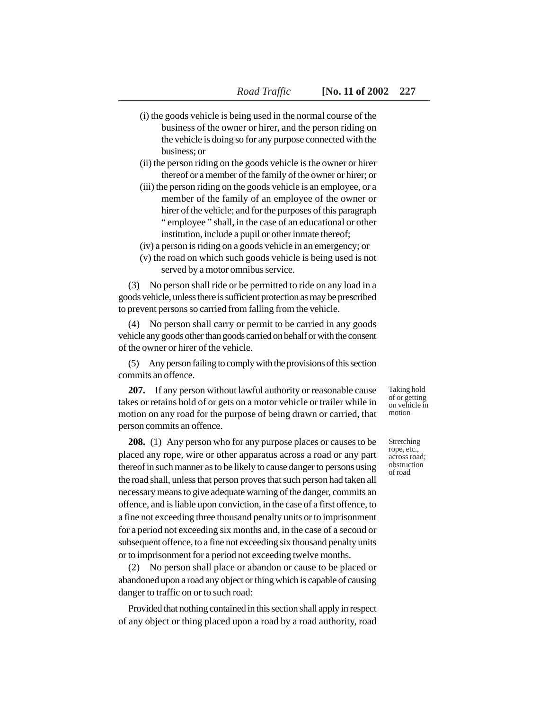- (i) the goods vehicle is being used in the normal course of the business of the owner or hirer, and the person riding on the vehicle is doing so for any purpose connected with the business; or
- (ii) the person riding on the goods vehicle is the owner or hirer thereof or a member of the family of the owner or hirer; or
- (iii) the person riding on the goods vehicle is an employee, or a member of the family of an employee of the owner or hirer of the vehicle; and for the purposes of this paragraph " employee " shall, in the case of an educational or other institution, include a pupil or other inmate thereof;
- (iv) a person is riding on a goods vehicle in an emergency; or
- (v) the road on which such goods vehicle is being used is not served by a motor omnibus service.

(3) No person shall ride or be permitted to ride on any load in a goods vehicle, unless there is sufficient protection as may be prescribed to prevent persons so carried from falling from the vehicle.

(4) No person shall carry or permit to be carried in any goods vehicle any goods other than goods carried on behalf or with the consent of the owner or hirer of the vehicle.

(5) Any person failing to comply with the provisions of this section commits an offence.

**207.** If any person without lawful authority or reasonable cause takes or retains hold of or gets on a motor vehicle or trailer while in motion on any road for the purpose of being drawn or carried, that person commits an offence.

**208.** (1) Any person who for any purpose places or causes to be placed any rope, wire or other apparatus across a road or any part thereof in such manner as to be likely to cause danger to persons using the road shall, unless that person proves that such person had taken all necessary means to give adequate warning of the danger, commits an offence, and is liable upon conviction, in the case of a first offence, to a fine not exceeding three thousand penalty units or to imprisonment for a period not exceeding six months and, in the case of a second or subsequent offence, to a fine not exceeding six thousand penalty units or to imprisonment for a period not exceeding twelve months.

(2) No person shall place or abandon or cause to be placed or abandoned upon a road any object or thing which is capable of causing danger to traffic on or to such road:

Provided that nothing contained in this section shall apply in respect of any object or thing placed upon a road by a road authority, road

Taking hold of or getting on vehicle in motion

Stretching rope, etc., across road; obstruction of road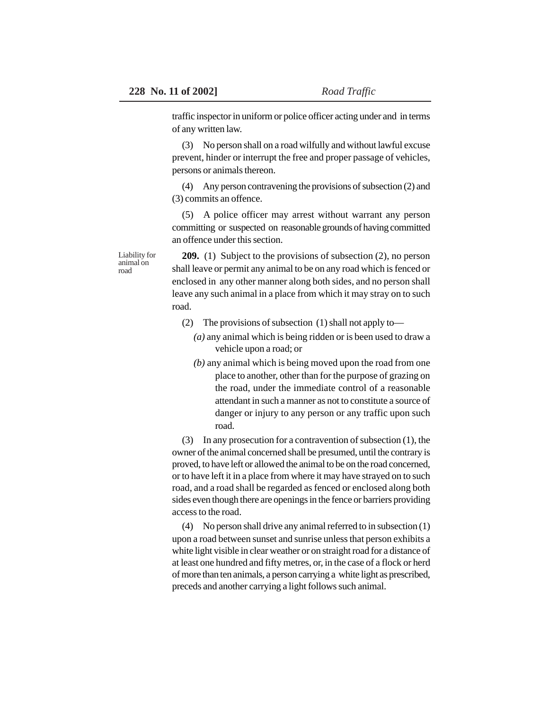traffic inspector in uniform or police officer acting under and in terms of any written law.

(3) No person shall on a road wilfully and without lawful excuse prevent, hinder or interrupt the free and proper passage of vehicles, persons or animals thereon.

(4) Any person contravening the provisions of subsection (2) and (3) commits an offence.

(5) A police officer may arrest without warrant any person committing or suspected on reasonable grounds of having committed an offence under this section.

Liability for animal on road

**209.** (1) Subject to the provisions of subsection (2), no person shall leave or permit any animal to be on any road which is fenced or enclosed in any other manner along both sides, and no person shall leave any such animal in a place from which it may stray on to such road.

- (2) The provisions of subsection (1) shall not apply to—
	- *(a)* any animal which is being ridden or is been used to draw a vehicle upon a road; or
	- *(b)* any animal which is being moved upon the road from one place to another, other than for the purpose of grazing on the road, under the immediate control of a reasonable attendant in such a manner as not to constitute a source of danger or injury to any person or any traffic upon such road.

(3) In any prosecution for a contravention of subsection (1), the owner of the animal concerned shall be presumed, until the contrary is proved, to have left or allowed the animal to be on the road concerned, or to have left it in a place from where it may have strayed on to such road, and a road shall be regarded as fenced or enclosed along both sides even though there are openings in the fence or barriers providing access to the road.

(4) No person shall drive any animal referred to in subsection (1) upon a road between sunset and sunrise unless that person exhibits a white light visible in clear weather or on straight road for a distance of at least one hundred and fifty metres, or, in the case of a flock or herd of more than ten animals, a person carrying a white light as prescribed, preceds and another carrying a light follows such animal.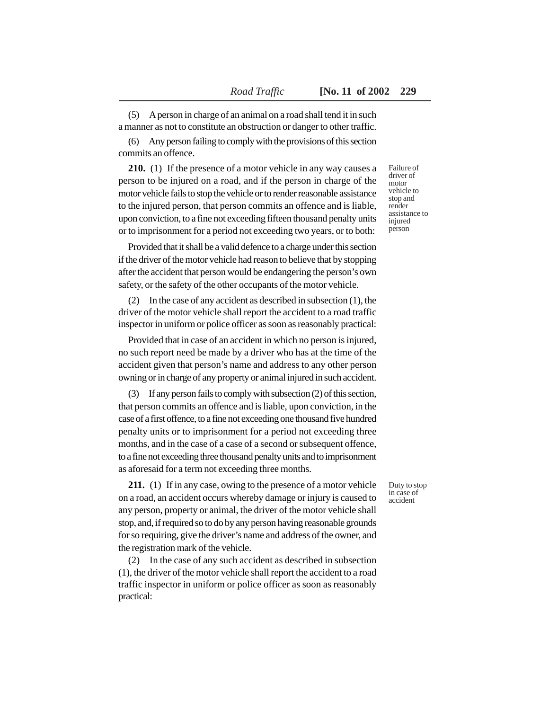(5) A person in charge of an animal on a road shall tend it in such a manner as not to constitute an obstruction or danger to other traffic.

(6) Any person failing to comply with the provisions of this section commits an offence.

**210.** (1) If the presence of a motor vehicle in any way causes a person to be injured on a road, and if the person in charge of the motor vehicle fails to stop the vehicle or to render reasonable assistance to the injured person, that person commits an offence and is liable, upon conviction, to a fine not exceeding fifteen thousand penalty units or to imprisonment for a period not exceeding two years, or to both:

Provided that it shall be a valid defence to a charge under this section if the driver of the motor vehicle had reason to believe that by stopping after the accident that person would be endangering the person's own safety, or the safety of the other occupants of the motor vehicle.

(2) In the case of any accident as described in subsection (1), the driver of the motor vehicle shall report the accident to a road traffic inspector in uniform or police officer as soon as reasonably practical:

Provided that in case of an accident in which no person is injured, no such report need be made by a driver who has at the time of the accident given that person's name and address to any other person owning or in charge of any property or animal injured in such accident.

(3) If any person fails to comply with subsection (2) of this section, that person commits an offence and is liable, upon conviction, in the case of a first offence, to a fine not exceeding one thousand five hundred penalty units or to imprisonment for a period not exceeding three months, and in the case of a case of a second or subsequent offence, to a fine not exceeding three thousand penalty units and to imprisonment as aforesaid for a term not exceeding three months.

**211.** (1) If in any case, owing to the presence of a motor vehicle on a road, an accident occurs whereby damage or injury is caused to any person, property or animal, the driver of the motor vehicle shall stop, and, if required so to do by any person having reasonable grounds for so requiring, give the driver's name and address of the owner, and the registration mark of the vehicle.

(2) In the case of any such accident as described in subsection (1), the driver of the motor vehicle shall report the accident to a road traffic inspector in uniform or police officer as soon as reasonably practical:

Failure of driver of motor vehicle to stop and render assistance to injured person

Duty to stop in case of accident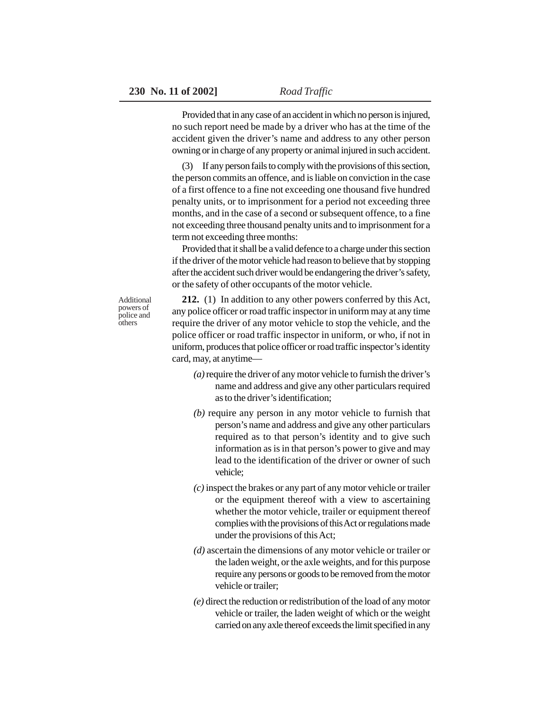Provided that in any case of an accident in which no person is injured, no such report need be made by a driver who has at the time of the accident given the driver's name and address to any other person owning or in charge of any property or animal injured in such accident.

(3) If any person fails to comply with the provisions of this section, the person commits an offence, and is liable on conviction in the case of a first offence to a fine not exceeding one thousand five hundred penalty units, or to imprisonment for a period not exceeding three months, and in the case of a second or subsequent offence, to a fine not exceeding three thousand penalty units and to imprisonment for a term not exceeding three months:

Provided that it shall be a valid defence to a charge under this section if the driver of the motor vehicle had reason to believe that by stopping after the accident such driver would be endangering the driver's safety, or the safety of other occupants of the motor vehicle.

Additional powers of police and **others** 

**212.** (1) In addition to any other powers conferred by this Act, any police officer or road traffic inspector in uniform may at any time require the driver of any motor vehicle to stop the vehicle, and the police officer or road traffic inspector in uniform, or who, if not in uniform, produces that police officer or road traffic inspector's identity card, may, at anytime—

- *(a)* require the driver of any motor vehicle to furnish the driver's name and address and give any other particulars required as to the driver's identification;
- *(b)* require any person in any motor vehicle to furnish that person's name and address and give any other particulars required as to that person's identity and to give such information as is in that person's power to give and may lead to the identification of the driver or owner of such vehicle;
- *(c)* inspect the brakes or any part of any motor vehicle or trailer or the equipment thereof with a view to ascertaining whether the motor vehicle, trailer or equipment thereof complies with the provisions of this Act or regulations made under the provisions of this Act;
- *(d)* ascertain the dimensions of any motor vehicle or trailer or the laden weight, or the axle weights, and for this purpose require any persons or goods to be removed from the motor vehicle or trailer;
- *(e)* direct the reduction or redistribution of the load of any motor vehicle or trailer, the laden weight of which or the weight carried on any axle thereof exceeds the limit specified in any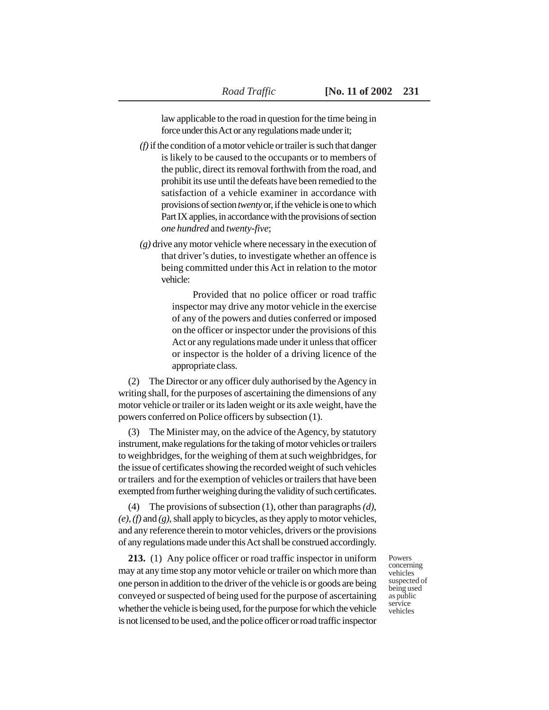law applicable to the road in question for the time being in force under this Act or any regulations made under it;

- *(f)* if the condition of a motor vehicle or trailer is such that danger is likely to be caused to the occupants or to members of the public, direct its removal forthwith from the road, and prohibit its use until the defeats have been remedied to the satisfaction of a vehicle examiner in accordance with provisions of section *twenty* or, if the vehicle is one to which Part IX applies, in accordance with the provisions of section *one hundred* and *twenty-five*;
- *(g)* drive any motor vehicle where necessary in the execution of that driver's duties, to investigate whether an offence is being committed under this Act in relation to the motor vehicle:

Provided that no police officer or road traffic inspector may drive any motor vehicle in the exercise of any of the powers and duties conferred or imposed on the officer or inspector under the provisions of this Act or any regulations made under it unless that officer or inspector is the holder of a driving licence of the appropriate class.

(2) The Director or any officer duly authorised by the Agency in writing shall, for the purposes of ascertaining the dimensions of any motor vehicle or trailer or its laden weight or its axle weight, have the powers conferred on Police officers by subsection (1).

(3) The Minister may, on the advice of the Agency, by statutory instrument, make regulations for the taking of motor vehicles or trailers to weighbridges, for the weighing of them at such weighbridges, for the issue of certificates showing the recorded weight of such vehicles or trailers and for the exemption of vehicles or trailers that have been exempted from further weighing during the validity of such certificates.

(4) The provisions of subsection (1), other than paragraphs *(d), (e), (f)* and *(g),* shall apply to bicycles, as they apply to motor vehicles, and any reference therein to motor vehicles, drivers or the provisions of any regulations made under this Act shall be construed accordingly.

**213.** (1) Any police officer or road traffic inspector in uniform may at any time stop any motor vehicle or trailer on which more than one person in addition to the driver of the vehicle is or goods are being conveyed or suspected of being used for the purpose of ascertaining whether the vehicle is being used, for the purpose for which the vehicle is not licensed to be used, and the police officer or road traffic inspector Powers concerning vehicles suspected of being used as public service vehicles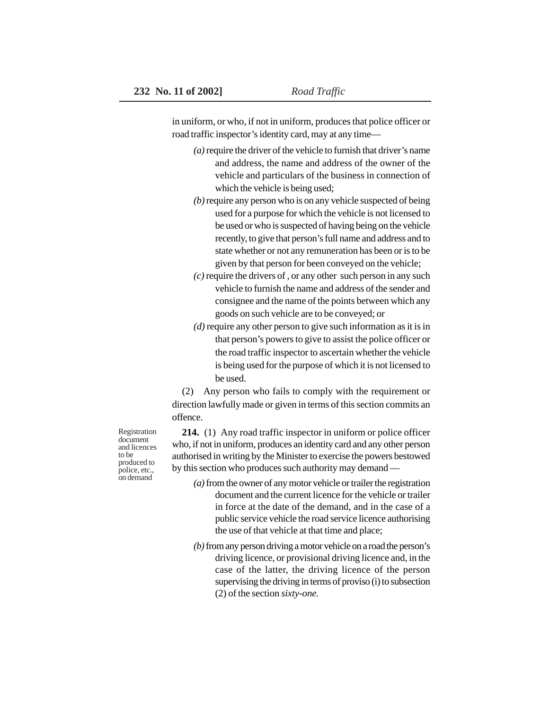in uniform, or who, if not in uniform, produces that police officer or road traffic inspector's identity card, may at any time—

- *(a)* require the driver of the vehicle to furnish that driver's name and address, the name and address of the owner of the vehicle and particulars of the business in connection of which the vehicle is being used;
- *(b)* require any person who is on any vehicle suspected of being used for a purpose for which the vehicle is not licensed to be used or who is suspected of having being on the vehicle recently, to give that person's full name and address and to state whether or not any remuneration has been or is to be given by that person for been conveyed on the vehicle;
- *(c)* require the drivers of , or any other such person in any such vehicle to furnish the name and address of the sender and consignee and the name of the points between which any goods on such vehicle are to be conveyed; or
- *(d)* require any other person to give such information as it is in that person's powers to give to assist the police officer or the road traffic inspector to ascertain whether the vehicle is being used for the purpose of which it is not licensed to be used.

(2) Any person who fails to comply with the requirement or direction lawfully made or given in terms of this section commits an offence.

**214.** (1) Any road traffic inspector in uniform or police officer who, if not in uniform, produces an identity card and any other person authorised in writing by the Minister to exercise the powers bestowed by this section who produces such authority may demand —

- *(a)* from the owner of any motor vehicle or trailer the registration document and the current licence for the vehicle or trailer in force at the date of the demand, and in the case of a public service vehicle the road service licence authorising the use of that vehicle at that time and place;
- *(b)* from any person driving a motor vehicle on a road the person's driving licence, or provisional driving licence and, in the case of the latter, the driving licence of the person supervising the driving in terms of proviso (i) to subsection (2) of the section *sixty-one.*

Registration document and licences to be produced to police, etc., on demand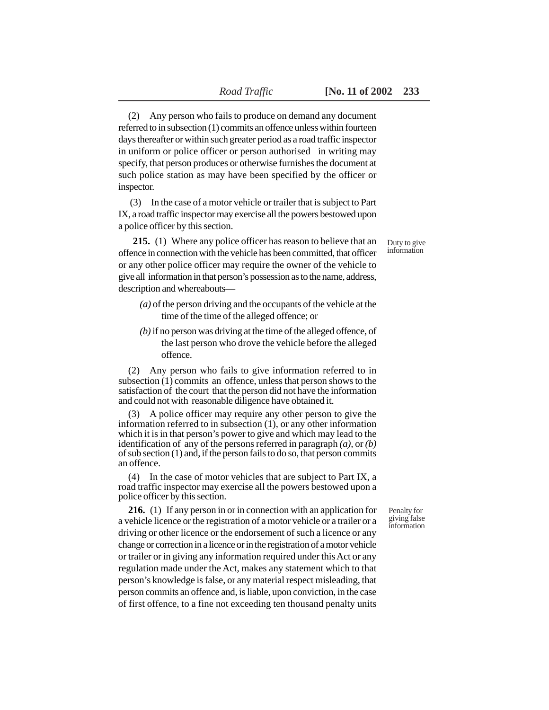(2) Any person who fails to produce on demand any document referred to in subsection (1) commits an offence unless within fourteen days thereafter or within such greater period as a road traffic inspector in uniform or police officer or person authorised in writing may specify, that person produces or otherwise furnishes the document at such police station as may have been specified by the officer or inspector.

 (3) In the case of a motor vehicle or trailer that is subject to Part IX, a road traffic inspector may exercise all the powers bestowed upon a police officer by this section.

 **215.** (1) Where any police officer has reason to believe that an offence in connection with the vehicle has been committed, that officer or any other police officer may require the owner of the vehicle to give all information in that person's possession as to the name, address, description and whereabouts—

- *(a)* of the person driving and the occupants of the vehicle at the time of the time of the alleged offence; or
- *(b)* if no person was driving at the time of the alleged offence, of the last person who drove the vehicle before the alleged offence.

(2) Any person who fails to give information referred to in subsection (1) commits an offence, unless that person shows to the satisfaction of the court that the person did not have the information and could not with reasonable diligence have obtained it.

(3) A police officer may require any other person to give the information referred to in subsection (1), or any other information which it is in that person's power to give and which may lead to the identification of any of the persons referred in paragraph *(a),* or *(b)* of sub section (1) and, if the person fails to do so, that person commits an offence.

(4) In the case of motor vehicles that are subject to Part IX, a road traffic inspector may exercise all the powers bestowed upon a police officer by this section.

**216.** (1) If any person in or in connection with an application for a vehicle licence or the registration of a motor vehicle or a trailer or a driving or other licence or the endorsement of such a licence or any change or correction in a licence or in the registration of a motor vehicle or trailer or in giving any information required under this Act or any regulation made under the Act, makes any statement which to that person's knowledge is false, or any material respect misleading, that person commits an offence and, is liable, upon conviction, in the case of first offence, to a fine not exceeding ten thousand penalty units

Duty to give information

Penalty for giving false information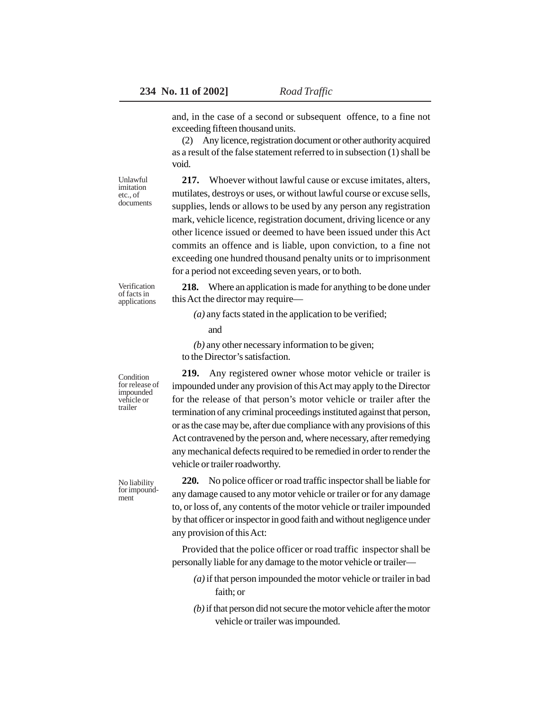and, in the case of a second or subsequent offence, to a fine not exceeding fifteen thousand units.

(2) Any licence, registration document or other authority acquired as a result of the false statement referred to in subsection (1) shall be void.

Unlawful imitation etc., of documents

**217.** Whoever without lawful cause or excuse imitates, alters, mutilates, destroys or uses, or without lawful course or excuse sells, supplies, lends or allows to be used by any person any registration mark, vehicle licence, registration document, driving licence or any other licence issued or deemed to have been issued under this Act commits an offence and is liable, upon conviction, to a fine not exceeding one hundred thousand penalty units or to imprisonment for a period not exceeding seven years, or to both.

Verification of facts in applications

**218.** Where an application is made for anything to be done under this Act the director may require—

*(a)* any facts stated in the application to be verified;

and

*(b)* any other necessary information to be given;

to the Director's satisfaction.

**219.** Any registered owner whose motor vehicle or trailer is impounded under any provision of this Act may apply to the Director for the release of that person's motor vehicle or trailer after the termination of any criminal proceedings instituted against that person, or as the case may be, after due compliance with any provisions of this Act contravened by the person and, where necessary, after remedying any mechanical defects required to be remedied in order to render the vehicle or trailer roadworthy.

**220.** No police officer or road traffic inspector shall be liable for any damage caused to any motor vehicle or trailer or for any damage to, or loss of, any contents of the motor vehicle or trailer impounded by that officer or inspector in good faith and without negligence under any provision of this Act:

Provided that the police officer or road traffic inspector shall be personally liable for any damage to the motor vehicle or trailer—

- *(a)* if that person impounded the motor vehicle or trailer in bad faith; or
- *(b)* if that person did not secure the motor vehicle after the motor vehicle or trailer was impounded.

**Condition** for release of impounded vehicle or trailer

No liability for impoundment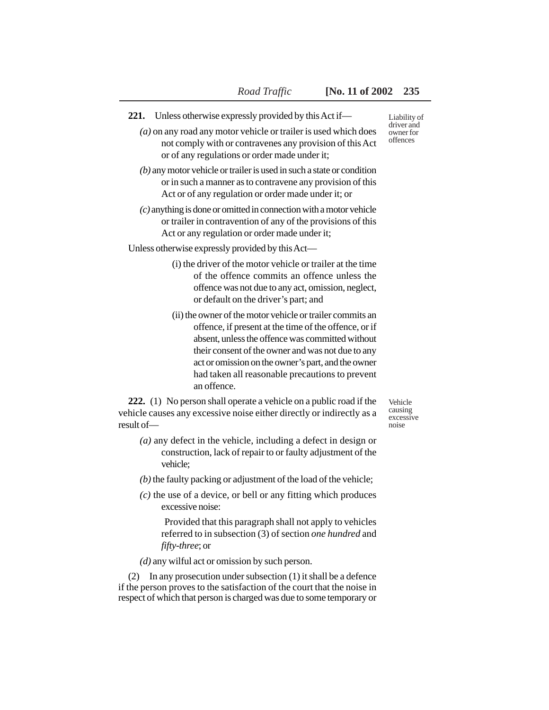- **221.** Unless otherwise expressly provided by this Act if—
	- *(a)* on any road any motor vehicle or trailer is used which does not comply with or contravenes any provision of this Act or of any regulations or order made under it;
	- *(b)* any motor vehicle or trailer is used in such a state or condition or in such a manner as to contravene any provision of this Act or of any regulation or order made under it; or
	- *(c)* anything is done or omitted in connection with a motor vehicle or trailer in contravention of any of the provisions of this Act or any regulation or order made under it;

Unless otherwise expressly provided by this Act—

- (i) the driver of the motor vehicle or trailer at the time of the offence commits an offence unless the offence was not due to any act, omission, neglect, or default on the driver's part; and
- (ii) the owner of the motor vehicle or trailer commits an offence, if present at the time of the offence, or if absent, unless the offence was committed without their consent of the owner and was not due to any act or omission on the owner's part, and the owner had taken all reasonable precautions to prevent an offence.

**222.** (1) No person shall operate a vehicle on a public road if the vehicle causes any excessive noise either directly or indirectly as a result of—

- *(a)* any defect in the vehicle, including a defect in design or construction, lack of repair to or faulty adjustment of the vehicle;
- *(b)* the faulty packing or adjustment of the load of the vehicle;
- *(c)* the use of a device, or bell or any fitting which produces excessive noise:

 Provided that this paragraph shall not apply to vehicles referred to in subsection (3) of section *one hundred* and *fifty-three*; or

*(d)* any wilful act or omission by such person.

(2) In any prosecution under subsection (1) it shall be a defence if the person proves to the satisfaction of the court that the noise in respect of which that person is charged was due to some temporary or

Liability of driver and owner for offences

Vehicle causing excessive noise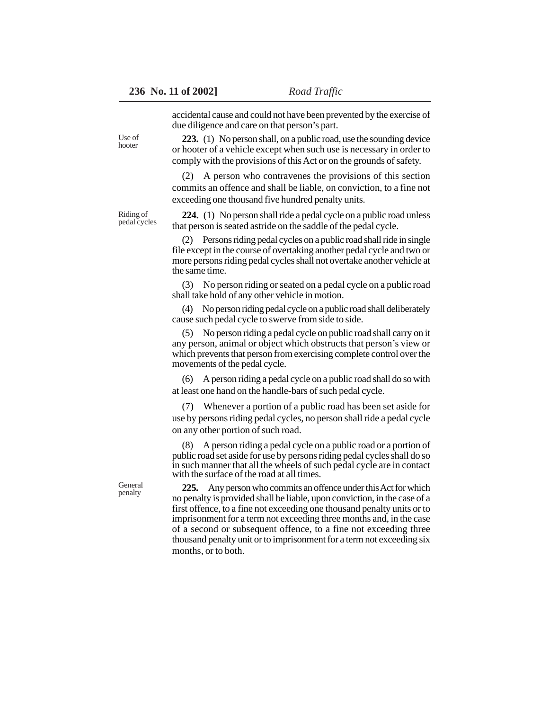accidental cause and could not have been prevented by the exercise of due diligence and care on that person's part.

**223.** (1) No person shall, on a public road, use the sounding device or hooter of a vehicle except when such use is necessary in order to comply with the provisions of this Act or on the grounds of safety.

(2) A person who contravenes the provisions of this section commits an offence and shall be liable, on conviction, to a fine not exceeding one thousand five hundred penalty units.

Riding of pedal cycles

Use of hooter

> **224.** (1) No person shall ride a pedal cycle on a public road unless that person is seated astride on the saddle of the pedal cycle.

(2) Persons riding pedal cycles on a public road shall ride in single file except in the course of overtaking another pedal cycle and two or more persons riding pedal cycles shall not overtake another vehicle at the same time.

(3) No person riding or seated on a pedal cycle on a public road shall take hold of any other vehicle in motion.

(4) No person riding pedal cycle on a public road shall deliberately cause such pedal cycle to swerve from side to side.

(5) No person riding a pedal cycle on public road shall carry on it any person, animal or object which obstructs that person's view or which prevents that person from exercising complete control over the movements of the pedal cycle.

(6) A person riding a pedal cycle on a public road shall do so with at least one hand on the handle-bars of such pedal cycle.

(7) Whenever a portion of a public road has been set aside for use by persons riding pedal cycles, no person shall ride a pedal cycle on any other portion of such road.

(8) A person riding a pedal cycle on a public road or a portion of public road set aside for use by persons riding pedal cycles shall do so in such manner that all the wheels of such pedal cycle are in contact with the surface of the road at all times.

**225.** Any person who commits an offence under this Act for which no penalty is provided shall be liable, upon conviction, in the case of a first offence, to a fine not exceeding one thousand penalty units or to imprisonment for a term not exceeding three months and, in the case of a second or subsequent offence, to a fine not exceeding three thousand penalty unit or to imprisonment for a term not exceeding six months, or to both.

General penalty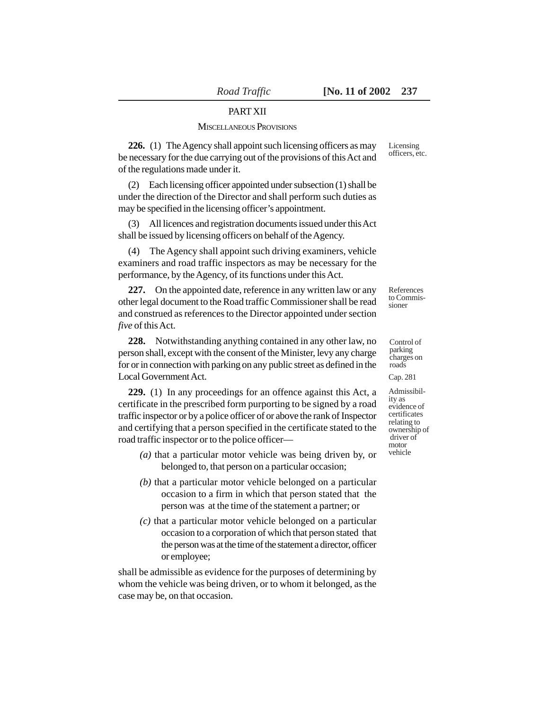### PART XII

#### MISCELLANEOUS PROVISIONS

**226.** (1) The Agency shall appoint such licensing officers as may be necessary for the due carrying out of the provisions of this Act and of the regulations made under it.

(2) Each licensing officer appointed under subsection (1) shall be under the direction of the Director and shall perform such duties as may be specified in the licensing officer's appointment.

(3) All licences and registration documents issued under this Act shall be issued by licensing officers on behalf of the Agency.

(4) The Agency shall appoint such driving examiners, vehicle examiners and road traffic inspectors as may be necessary for the performance, by the Agency, of its functions under this Act.

**227.** On the appointed date, reference in any written law or any other legal document to the Road traffic Commissioner shall be read and construed as references to the Director appointed under section *five* of this Act.

**228.** Notwithstanding anything contained in any other law, no person shall, except with the consent of the Minister, levy any charge for or in connection with parking on any public street as defined in the Local Government Act.

**229.** (1) In any proceedings for an offence against this Act, a certificate in the prescribed form purporting to be signed by a road traffic inspector or by a police officer of or above the rank of Inspector and certifying that a person specified in the certificate stated to the road traffic inspector or to the police officer—

- *(a)* that a particular motor vehicle was being driven by, or belonged to, that person on a particular occasion;
- *(b)* that a particular motor vehicle belonged on a particular occasion to a firm in which that person stated that the person was at the time of the statement a partner; or
- *(c)* that a particular motor vehicle belonged on a particular occasion to a corporation of which that person stated that the person was at the time of the statement a director, officer or employee;

shall be admissible as evidence for the purposes of determining by whom the vehicle was being driven, or to whom it belonged, as the case may be, on that occasion.

Licensing officers, etc.

References to Commissioner

Control of parking charges on roads

Cap. 281

Admissibility as evidence of certificates relating to ownership of driver of motor vehicle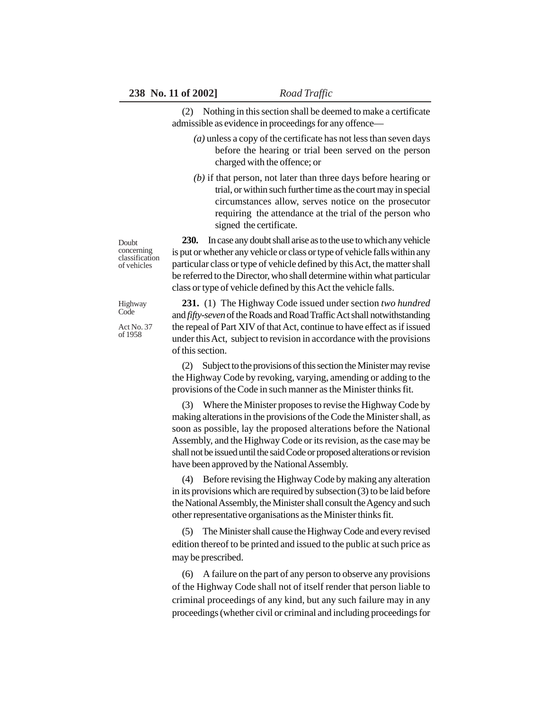(2) Nothing in this section shall be deemed to make a certificate admissible as evidence in proceedings for any offence—

- *(a)* unless a copy of the certificate has not less than seven days before the hearing or trial been served on the person charged with the offence; or
- *(b)* if that person, not later than three days before hearing or trial, or within such further time as the court may in special circumstances allow, serves notice on the prosecutor requiring the attendance at the trial of the person who signed the certificate.

**230.** In case any doubt shall arise as to the use to which any vehicle is put or whether any vehicle or class or type of vehicle falls within any particular class or type of vehicle defined by this Act, the matter shall be referred to the Director, who shall determine within what particular class or type of vehicle defined by this Act the vehicle falls.

**231.** (1) The Highway Code issued under section *two hundred* and *fifty-seven* of the Roads and Road Traffic Act shall notwithstanding the repeal of Part XIV of that Act, continue to have effect as if issued under this Act, subject to revision in accordance with the provisions of this section.

(2) Subject to the provisions of this section the Minister may revise the Highway Code by revoking, varying, amending or adding to the provisions of the Code in such manner as the Minister thinks fit.

(3) Where the Minister proposes to revise the Highway Code by making alterations in the provisions of the Code the Minister shall, as soon as possible, lay the proposed alterations before the National Assembly, and the Highway Code or its revision, as the case may be shall not be issued until the said Code or proposed alterations or revision have been approved by the National Assembly.

(4) Before revising the Highway Code by making any alteration in its provisions which are required by subsection (3) to be laid before the National Assembly, the Minister shall consult the Agency and such other representative organisations as the Minister thinks fit.

(5) The Minister shall cause the Highway Code and every revised edition thereof to be printed and issued to the public at such price as may be prescribed.

(6) A failure on the part of any person to observe any provisions of the Highway Code shall not of itself render that person liable to criminal proceedings of any kind, but any such failure may in any proceedings (whether civil or criminal and including proceedings for

Doubt concerning classification of vehicles

Highway Code

Act No. 37 of 1958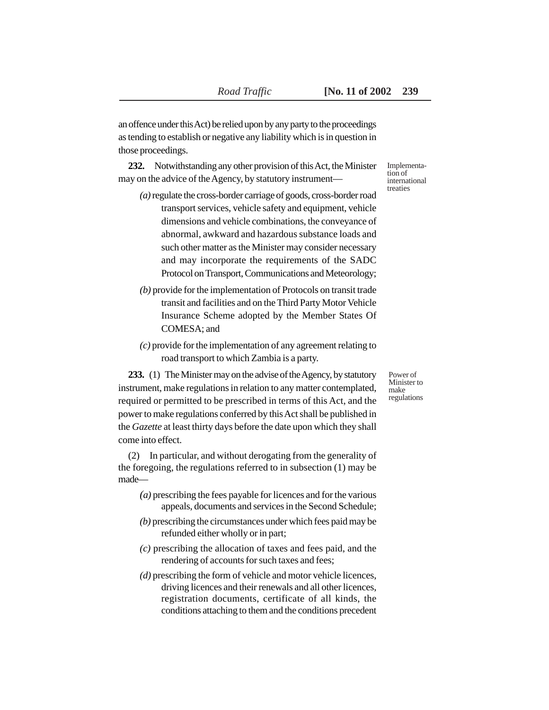an offence under this Act) be relied upon by any party to the proceedings as tending to establish or negative any liability which is in question in those proceedings.

**232.** Notwithstanding any other provision of this Act, the Minister may on the advice of the Agency, by statutory instrument—

- *(a)* regulate the cross-border carriage of goods, cross-border road transport services, vehicle safety and equipment, vehicle dimensions and vehicle combinations, the conveyance of abnormal, awkward and hazardous substance loads and such other matter as the Minister may consider necessary and may incorporate the requirements of the SADC Protocol on Transport, Communications and Meteorology;
- *(b)* provide for the implementation of Protocols on transit trade transit and facilities and on the Third Party Motor Vehicle Insurance Scheme adopted by the Member States Of COMESA; and
- *(c)* provide for the implementation of any agreement relating to road transport to which Zambia is a party.

**233.** (1) The Minister may on the advise of the Agency, by statutory instrument, make regulations in relation to any matter contemplated, required or permitted to be prescribed in terms of this Act, and the power to make regulations conferred by this Act shall be published in the *Gazette* at least thirty days before the date upon which they shall come into effect.

(2) In particular, and without derogating from the generality of the foregoing, the regulations referred to in subsection (1) may be made—

- *(a)* prescribing the fees payable for licences and for the various appeals, documents and services in the Second Schedule;
- *(b)* prescribing the circumstances under which fees paid may be refunded either wholly or in part;
- *(c)* prescribing the allocation of taxes and fees paid, and the rendering of accounts for such taxes and fees;
- *(d)* prescribing the form of vehicle and motor vehicle licences, driving licences and their renewals and all other licences, registration documents, certificate of all kinds, the conditions attaching to them and the conditions precedent

Implementation of international treaties

Power of Minister to make regulations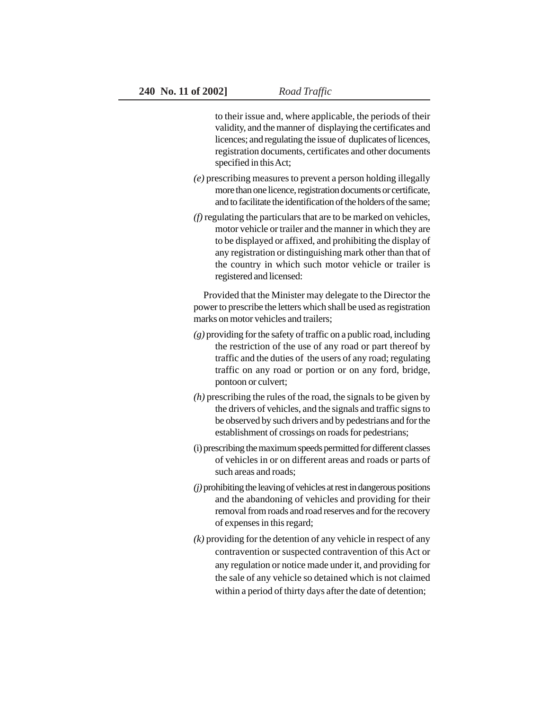to their issue and, where applicable, the periods of their validity, and the manner of displaying the certificates and licences; and regulating the issue of duplicates of licences, registration documents, certificates and other documents specified in this Act;

- *(e)* prescribing measures to prevent a person holding illegally more than one licence, registration documents or certificate, and to facilitate the identification of the holders of the same;
- *(f)* regulating the particulars that are to be marked on vehicles, motor vehicle or trailer and the manner in which they are to be displayed or affixed, and prohibiting the display of any registration or distinguishing mark other than that of the country in which such motor vehicle or trailer is registered and licensed:

Provided that the Minister may delegate to the Director the power to prescribe the letters which shall be used as registration marks on motor vehicles and trailers;

- *(g)* providing for the safety of traffic on a public road, including the restriction of the use of any road or part thereof by traffic and the duties of the users of any road; regulating traffic on any road or portion or on any ford, bridge, pontoon or culvert;
- *(h)* prescribing the rules of the road, the signals to be given by the drivers of vehicles, and the signals and traffic signs to be observed by such drivers and by pedestrians and for the establishment of crossings on roads for pedestrians;
- (i) prescribing the maximum speeds permitted for different classes of vehicles in or on different areas and roads or parts of such areas and roads;
- *(j)* prohibiting the leaving of vehicles at rest in dangerous positions and the abandoning of vehicles and providing for their removal from roads and road reserves and for the recovery of expenses in this regard;
- *(k)* providing for the detention of any vehicle in respect of any contravention or suspected contravention of this Act or any regulation or notice made under it, and providing for the sale of any vehicle so detained which is not claimed within a period of thirty days after the date of detention;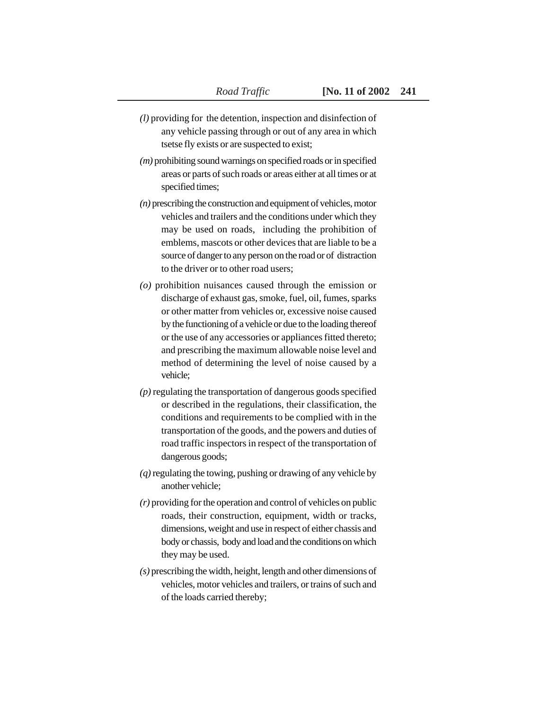- *(l)* providing for the detention, inspection and disinfection of any vehicle passing through or out of any area in which tsetse fly exists or are suspected to exist;
- *(m)* prohibiting sound warnings on specified roads or in specified areas or parts of such roads or areas either at all times or at specified times;
- *(n)* prescribing the construction and equipment of vehicles, motor vehicles and trailers and the conditions under which they may be used on roads, including the prohibition of emblems, mascots or other devices that are liable to be a source of danger to any person on the road or of distraction to the driver or to other road users;
- *(o)* prohibition nuisances caused through the emission or discharge of exhaust gas, smoke, fuel, oil, fumes, sparks or other matter from vehicles or, excessive noise caused by the functioning of a vehicle or due to the loading thereof or the use of any accessories or appliances fitted thereto; and prescribing the maximum allowable noise level and method of determining the level of noise caused by a vehicle;
- *(p)* regulating the transportation of dangerous goods specified or described in the regulations, their classification, the conditions and requirements to be complied with in the transportation of the goods, and the powers and duties of road traffic inspectors in respect of the transportation of dangerous goods;
- *(q)* regulating the towing, pushing or drawing of any vehicle by another vehicle;
- *(r)* providing for the operation and control of vehicles on public roads, their construction, equipment, width or tracks, dimensions, weight and use in respect of either chassis and body or chassis, body and load and the conditions on which they may be used.
- *(s)* prescribing the width, height, length and other dimensions of vehicles, motor vehicles and trailers, or trains of such and of the loads carried thereby;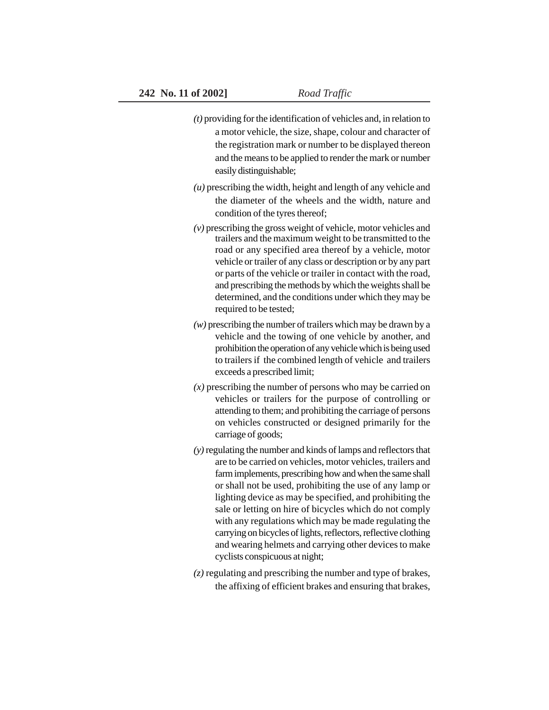- *(t)* providing for the identification of vehicles and, in relation to a motor vehicle, the size, shape, colour and character of the registration mark or number to be displayed thereon and the means to be applied to render the mark or number easily distinguishable;
- *(u)* prescribing the width, height and length of any vehicle and the diameter of the wheels and the width, nature and condition of the tyres thereof;
- *(v)* prescribing the gross weight of vehicle, motor vehicles and trailers and the maximum weight to be transmitted to the road or any specified area thereof by a vehicle, motor vehicle or trailer of any class or description or by any part or parts of the vehicle or trailer in contact with the road, and prescribing the methods by which the weights shall be determined, and the conditions under which they may be required to be tested;
- *(w)* prescribing the number of trailers which may be drawn by a vehicle and the towing of one vehicle by another, and prohibition the operation of any vehicle which is being used to trailers if the combined length of vehicle and trailers exceeds a prescribed limit;
- *(x)* prescribing the number of persons who may be carried on vehicles or trailers for the purpose of controlling or attending to them; and prohibiting the carriage of persons on vehicles constructed or designed primarily for the carriage of goods;
- *(y)* regulating the number and kinds of lamps and reflectors that are to be carried on vehicles, motor vehicles, trailers and farm implements, prescribing how and when the same shall or shall not be used, prohibiting the use of any lamp or lighting device as may be specified, and prohibiting the sale or letting on hire of bicycles which do not comply with any regulations which may be made regulating the carrying on bicycles of lights, reflectors, reflective clothing and wearing helmets and carrying other devices to make cyclists conspicuous at night;
- *(z)* regulating and prescribing the number and type of brakes, the affixing of efficient brakes and ensuring that brakes,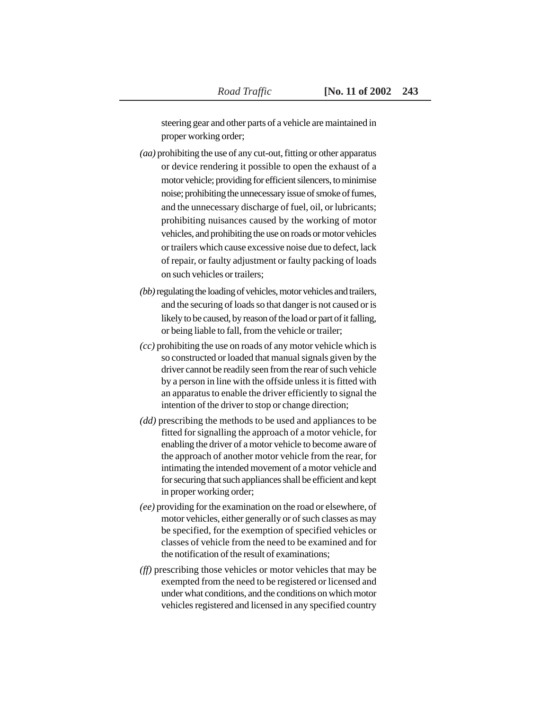steering gear and other parts of a vehicle are maintained in proper working order;

- *(aa)* prohibiting the use of any cut-out, fitting or other apparatus or device rendering it possible to open the exhaust of a motor vehicle; providing for efficient silencers, to minimise noise; prohibiting the unnecessary issue of smoke of fumes, and the unnecessary discharge of fuel, oil, or lubricants; prohibiting nuisances caused by the working of motor vehicles, and prohibiting the use on roads or motor vehicles or trailers which cause excessive noise due to defect, lack of repair, or faulty adjustment or faulty packing of loads on such vehicles or trailers;
- *(bb)* regulating the loading of vehicles, motor vehicles and trailers, and the securing of loads so that danger is not caused or is likely to be caused, by reason of the load or part of it falling, or being liable to fall, from the vehicle or trailer;
- *(cc)* prohibiting the use on roads of any motor vehicle which is so constructed or loaded that manual signals given by the driver cannot be readily seen from the rear of such vehicle by a person in line with the offside unless it is fitted with an apparatus to enable the driver efficiently to signal the intention of the driver to stop or change direction;
- *(dd)* prescribing the methods to be used and appliances to be fitted for signalling the approach of a motor vehicle, for enabling the driver of a motor vehicle to become aware of the approach of another motor vehicle from the rear, for intimating the intended movement of a motor vehicle and for securing that such appliances shall be efficient and kept in proper working order;
- *(ee)* providing for the examination on the road or elsewhere, of motor vehicles, either generally or of such classes as may be specified, for the exemption of specified vehicles or classes of vehicle from the need to be examined and for the notification of the result of examinations;
- *(ff)* prescribing those vehicles or motor vehicles that may be exempted from the need to be registered or licensed and under what conditions, and the conditions on which motor vehicles registered and licensed in any specified country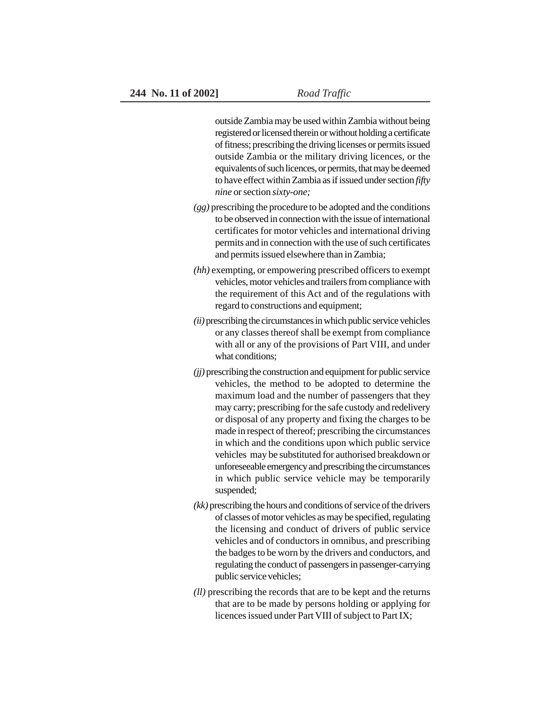outside Zambia may be used within Zambia without being registered or licensed therein or without holding a certificate of fitness; prescribing the driving licenses or permits issued outside Zambia or the military driving licences, or the equivalents of such licences, or permits, that may be deemed to have effect within Zambia as if issued under section *fifty nine* or section *sixty-one;*

- *(gg)* prescribing the procedure to be adopted and the conditions to be observed in connection with the issue of international certificates for motor vehicles and international driving permits and in connection with the use of such certificates and permits issued elsewhere than in Zambia;
- *(hh)* exempting, or empowering prescribed officers to exempt vehicles, motor vehicles and trailers from compliance with the requirement of this Act and of the regulations with regard to constructions and equipment;
- *(ii)* prescribing the circumstances in which public service vehicles or any classes thereof shall be exempt from compliance with all or any of the provisions of Part VIII, and under what conditions;
- *(jj)* prescribing the construction and equipment for public service vehicles, the method to be adopted to determine the maximum load and the number of passengers that they may carry; prescribing for the safe custody and redelivery or disposal of any property and fixing the charges to be made in respect of thereof; prescribing the circumstances in which and the conditions upon which public service vehicles may be substituted for authorised breakdown or unforeseeable emergency and prescribing the circumstances in which public service vehicle may be temporarily suspended;
- *(kk)* prescribing the hours and conditions of service of the drivers of classes of motor vehicles as may be specified, regulating the licensing and conduct of drivers of public service vehicles and of conductors in omnibus, and prescribing the badges to be worn by the drivers and conductors, and regulating the conduct of passengers in passenger-carrying public service vehicles;
- *(ll)* prescribing the records that are to be kept and the returns that are to be made by persons holding or applying for licences issued under Part VIII of subject to Part IX;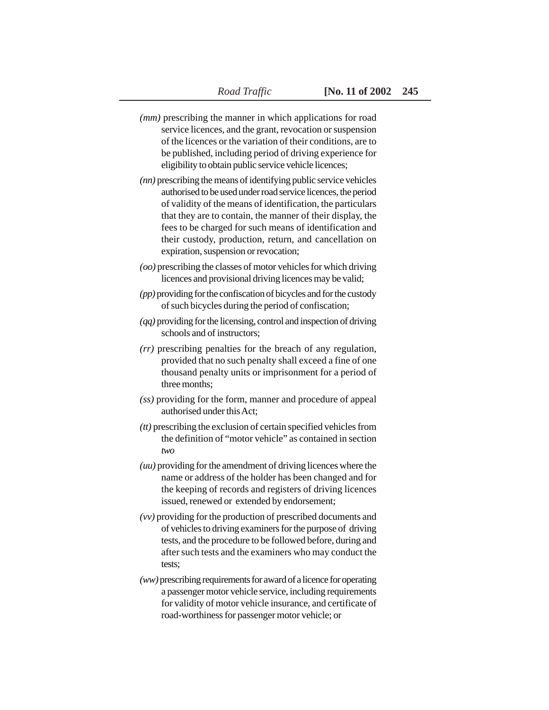- *(mm)* prescribing the manner in which applications for road service licences, and the grant, revocation or suspension of the licences or the variation of their conditions, are to be published, including period of driving experience for eligibility to obtain public service vehicle licences;
- *(nn)* prescribing the means of identifying public service vehicles authorised to be used under road service licences, the period of validity of the means of identification, the particulars that they are to contain, the manner of their display, the fees to be charged for such means of identification and their custody, production, return, and cancellation on expiration, suspension or revocation;
- *(oo)* prescribing the classes of motor vehicles for which driving licences and provisional driving licences may be valid;
- *(pp)* providing for the confiscation of bicycles and for the custody of such bicycles during the period of confiscation;
- *(qq)* providing for the licensing, control and inspection of driving schools and of instructors;
- *(rr)* prescribing penalties for the breach of any regulation, provided that no such penalty shall exceed a fine of one thousand penalty units or imprisonment for a period of three months;
- *(ss)* providing for the form, manner and procedure of appeal authorised under this Act;
- *(tt)* prescribing the exclusion of certain specified vehicles from the definition of "motor vehicle" as contained in section *two*
- *(uu)* providing for the amendment of driving licences where the name or address of the holder has been changed and for the keeping of records and registers of driving licences issued, renewed or extended by endorsement;
- *(vv)* providing for the production of prescribed documents and of vehicles to driving examiners for the purpose of driving tests, and the procedure to be followed before, during and after such tests and the examiners who may conduct the tests;
- *(ww)* prescribing requirements for award of a licence for operating a passenger motor vehicle service, including requirements for validity of motor vehicle insurance, and certificate of road-worthiness for passenger motor vehicle; or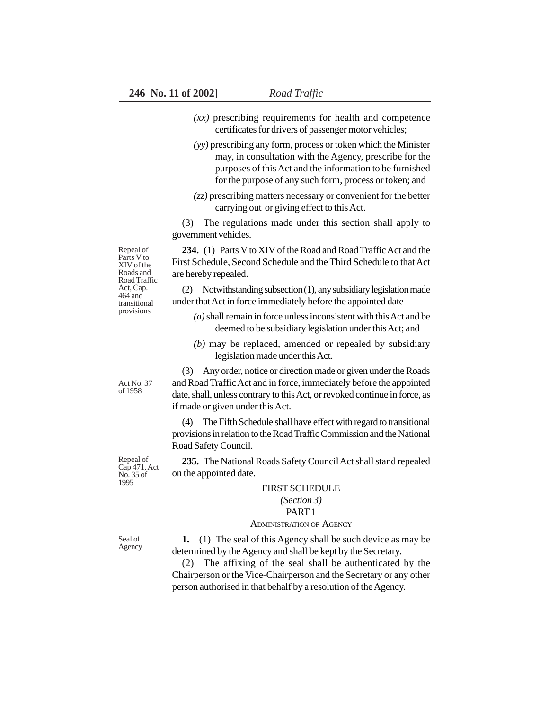- *(xx)* prescribing requirements for health and competence certificates for drivers of passenger motor vehicles;
- *(yy)* prescribing any form, process or token which the Minister may, in consultation with the Agency, prescribe for the purposes of this Act and the information to be furnished for the purpose of any such form, process or token; and
- *(zz)* prescribing matters necessary or convenient for the better carrying out or giving effect to this Act.

(3) The regulations made under this section shall apply to government vehicles.

**234.** (1) Parts V to XIV of the Road and Road Traffic Act and the First Schedule, Second Schedule and the Third Schedule to that Act are hereby repealed.

(2) Notwithstanding subsection (1), any subsidiary legislation made under that Act in force immediately before the appointed date—

- *(a)* shall remain in force unless inconsistent with this Act and be deemed to be subsidiary legislation under this Act; and
- *(b)* may be replaced, amended or repealed by subsidiary legislation made under this Act.

(3) Any order, notice or direction made or given under the Roads and Road Traffic Act and in force, immediately before the appointed date, shall, unless contrary to this Act, or revoked continue in force, as if made or given under this Act.

(4) The Fifth Schedule shall have effect with regard to transitional provisions in relation to the Road Traffic Commission and the National Road Safety Council.

**235.** The National Roads Safety Council Act shall stand repealed on the appointed date.

### FIRST SCHEDULE

## *(Section 3)*

# PART 1

### ADMINISTRATION OF AGENCY

**1.** (1) The seal of this Agency shall be such device as may be determined by the Agency and shall be kept by the Secretary.

(2) The affixing of the seal shall be authenticated by the Chairperson or the Vice-Chairperson and the Secretary or any other person authorised in that behalf by a resolution of the Agency.

Repeal of Parts V to XIV of the Roads and Road Traffic Act, Cap. 464 and transitional provisions

Act No. 37 of 1958

Repeal of Cap 471, Act No. 35 of 1995

Seal of Agency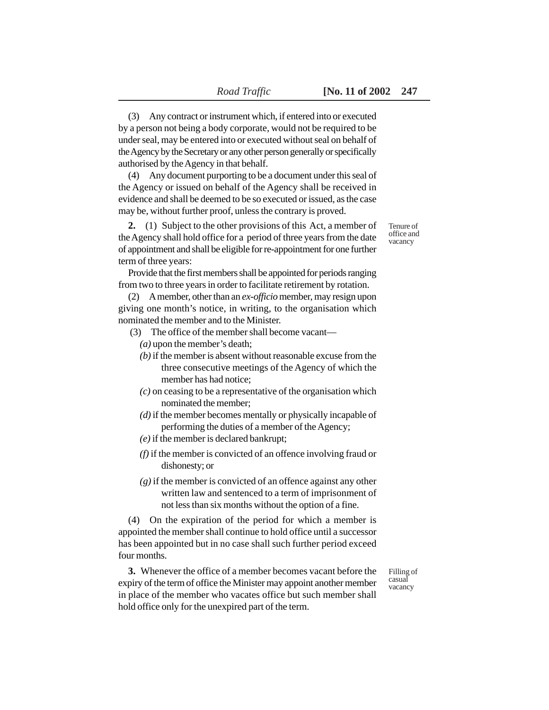(3) Any contract or instrument which, if entered into or executed by a person not being a body corporate, would not be required to be under seal, may be entered into or executed without seal on behalf of the Agency by the Secretary or any other person generally or specifically authorised by the Agency in that behalf.

(4) Any document purporting to be a document under this seal of the Agency or issued on behalf of the Agency shall be received in evidence and shall be deemed to be so executed or issued, as the case may be, without further proof, unless the contrary is proved.

**2.** (1) Subject to the other provisions of this Act, a member of the Agency shall hold office for a period of three years from the date of appointment and shall be eligible for re-appointment for one further term of three years:

Provide that the first members shall be appointed for periods ranging from two to three years in order to facilitate retirement by rotation.

(2) A member, other than an *ex-officio* member, may resign upon giving one month's notice, in writing, to the organisation which nominated the member and to the Minister.

- (3) The office of the member shall become vacant—
	- *(a)* upon the member's death;
	- *(b)* if the member is absent without reasonable excuse from the three consecutive meetings of the Agency of which the member has had notice;
	- *(c)* on ceasing to be a representative of the organisation which nominated the member;
	- *(d)* if the member becomes mentally or physically incapable of performing the duties of a member of the Agency;
	- *(e)* if the member is declared bankrupt;
	- *(f)* if the member is convicted of an offence involving fraud or dishonesty; or
	- *(g)* if the member is convicted of an offence against any other written law and sentenced to a term of imprisonment of not less than six months without the option of a fine.

(4) On the expiration of the period for which a member is appointed the member shall continue to hold office until a successor has been appointed but in no case shall such further period exceed four months.

**3.** Whenever the office of a member becomes vacant before the expiry of the term of office the Minister may appoint another member in place of the member who vacates office but such member shall hold office only for the unexpired part of the term.

Filling of casual vacancy

Tenure of office and vacancy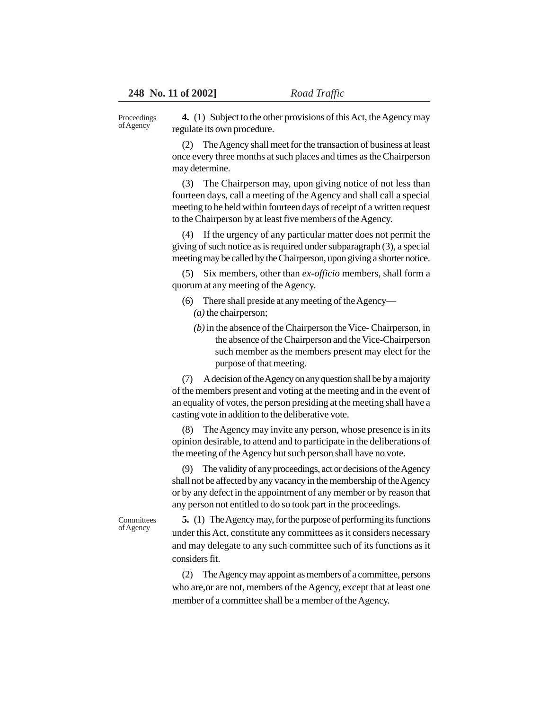Proceedings of Agency

**4.** (1) Subject to the other provisions of this Act, the Agency may regulate its own procedure.

(2) The Agency shall meet for the transaction of business at least once every three months at such places and times as the Chairperson may determine.

(3) The Chairperson may, upon giving notice of not less than fourteen days, call a meeting of the Agency and shall call a special meeting to be held within fourteen days of receipt of a written request to the Chairperson by at least five members of the Agency.

(4) If the urgency of any particular matter does not permit the giving of such notice as is required under subparagraph (3), a special meeting may be called by the Chairperson, upon giving a shorter notice.

(5) Six members, other than *ex-officio* members, shall form a quorum at any meeting of the Agency.

- (6) There shall preside at any meeting of the Agency— *(a)* the chairperson;
	- *(b)* in the absence of the Chairperson the Vice- Chairperson, in the absence of the Chairperson and the Vice-Chairperson such member as the members present may elect for the purpose of that meeting.

(7) A decision of the Agency on any question shall be by a majority of the members present and voting at the meeting and in the event of an equality of votes, the person presiding at the meeting shall have a casting vote in addition to the deliberative vote.

(8) The Agency may invite any person, whose presence is in its opinion desirable, to attend and to participate in the deliberations of the meeting of the Agency but such person shall have no vote.

The validity of any proceedings, act or decisions of the Agency shall not be affected by any vacancy in the membership of the Agency or by any defect in the appointment of any member or by reason that any person not entitled to do so took part in the proceedings.

**Committees** of Agency

**5.** (1) The Agency may, for the purpose of performing its functions under this Act, constitute any committees as it considers necessary and may delegate to any such committee such of its functions as it considers fit.

(2) The Agency may appoint as members of a committee, persons who are,or are not, members of the Agency, except that at least one member of a committee shall be a member of the Agency.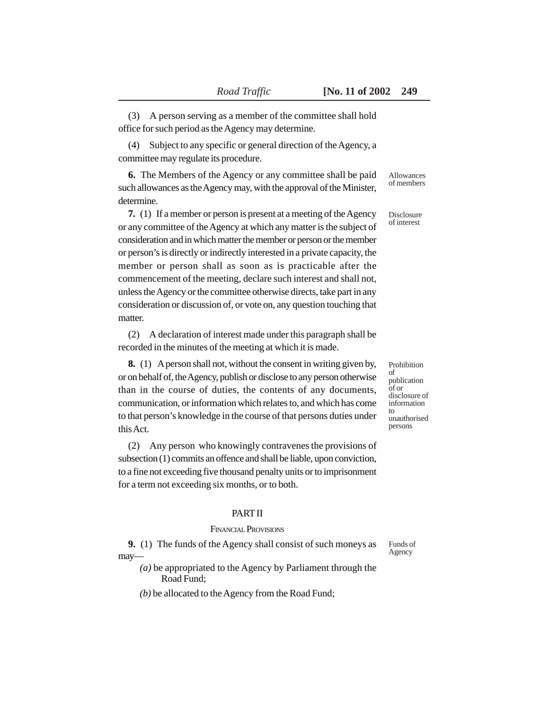(3) A person serving as a member of the committee shall hold office for such period as the Agency may determine.

(4) Subject to any specific or general direction of the Agency, a committee may regulate its procedure.

**6.** The Members of the Agency or any committee shall be paid such allowances as the Agency may, with the approval of the Minister, determine.

**7.** (1) If a member or person is present at a meeting of the Agency or any committee of the Agency at which any matter is the subject of consideration and in which matter the member or person or the member or person's is directly or indirectly interested in a private capacity, the member or person shall as soon as is practicable after the commencement of the meeting, declare such interest and shall not, unless the Agency or the committee otherwise directs, take part in any consideration or discussion of, or vote on, any question touching that matter.

(2) A declaration of interest made under this paragraph shall be recorded in the minutes of the meeting at which it is made.

**8.** (1) A person shall not, without the consent in writing given by, or on behalf of, the Agency, publish or disclose to any person otherwise than in the course of duties, the contents of any documents, communication, or information which relates to, and which has come to that person's knowledge in the course of that persons duties under this Act.

(2) Any person who knowingly contravenes the provisions of subsection (1) commits an offence and shall be liable, upon conviction, to a fine not exceeding five thousand penalty units or to imprisonment for a term not exceeding six months, or to both.

# PART II

### FINANCIAL PROVISIONS

**9.** (1) The funds of the Agency shall consist of such moneys as may—

*(a)* be appropriated to the Agency by Parliament through the Road Fund;

*(b)* be allocated to the Agency from the Road Fund;

Allowances of members

#### Disclosure of interest

Prohibition of publication of or disclosure of information to unauthorised persons

Funds of Agency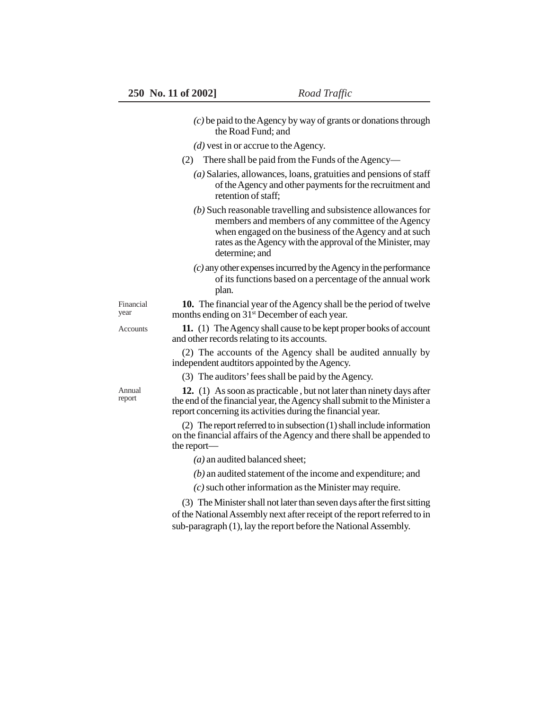- *(c)* be paid to the Agency by way of grants or donations through the Road Fund; and
- *(d)* vest in or accrue to the Agency.
- (2) There shall be paid from the Funds of the Agency—
	- *(a)* Salaries, allowances, loans, gratuities and pensions of staff of the Agency and other payments for the recruitment and retention of staff;
	- *(b)* Such reasonable travelling and subsistence allowances for members and members of any committee of the Agency when engaged on the business of the Agency and at such rates as the Agency with the approval of the Minister, may determine; and
	- *(c)* any other expenses incurred by the Agency in the performance of its functions based on a percentage of the annual work plan.

Financial year

**10.** The financial year of the Agency shall be the period of twelve months ending on 31<sup>st</sup> December of each year.

**Accounts** 

**11.** (1) The Agency shall cause to be kept proper books of account and other records relating to its accounts.

(2) The accounts of the Agency shall be audited annually by independent audtitors appointed by the Agency.

(3) The auditors' fees shall be paid by the Agency.

Annual report

**12.** (1) As soon as practicable , but not later than ninety days after the end of the financial year, the Agency shall submit to the Minister a report concerning its activities during the financial year.

(2) The report referred to in subsection (1) shall include information on the financial affairs of the Agency and there shall be appended to the report—

*(a)* an audited balanced sheet;

*(b)* an audited statement of the income and expenditure; and

*(c)* such other information as the Minister may require.

(3) The Minister shall not later than seven days after the first sitting of the National Assembly next after receipt of the report referred to in sub-paragraph (1), lay the report before the National Assembly.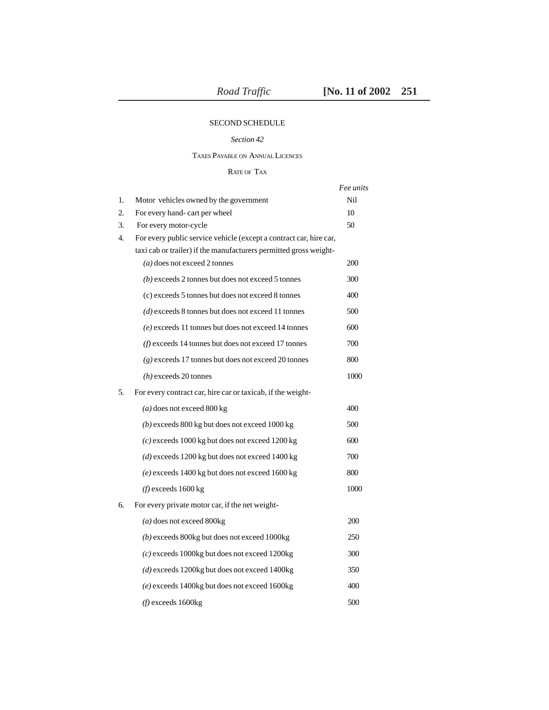# SECOND SCHEDULE

### *Section 42*

TAXES PAYABLE ON ANNUAL LICENCES

RATE OF TAX

|    |                                                                    | Fee units |
|----|--------------------------------------------------------------------|-----------|
| 1. | Motor vehicles owned by the government                             | Nil       |
| 2. | For every hand-cart per wheel                                      | 10        |
| 3. | For every motor-cycle                                              | 50        |
| 4. | For every public service vehicle (except a contract car, hire car, |           |
|    | taxi cab or trailer) if the manufacturers permitted gross weight-  |           |
|    | $(a)$ does not exceed 2 tonnes                                     | 200       |
|    | $(b)$ exceeds 2 tonnes but does not exceed 5 tonnes                | 300       |
|    | (c) exceeds 5 tonnes but does not exceed 8 tonnes                  | 400       |
|    | $(d)$ exceeds 8 tonnes but does not exceed 11 tonnes               | 500       |
|    | $(e)$ exceeds 11 tonnes but does not exceed 14 tonnes              | 600       |
|    | $(f)$ exceeds 14 tonnes but does not exceed 17 tonnes              | 700       |
|    | $(g)$ exceeds 17 tonnes but does not exceed 20 tonnes              | 800       |
|    | $(h)$ exceeds 20 tonnes                                            | 1000      |
| 5. | For every contract car, hire car or taxicab, if the weight-        |           |
|    | $(a)$ does not exceed 800 kg                                       | 400       |
|    | $(b)$ exceeds 800 kg but does not exceed 1000 kg                   | 500       |
|    | $(c)$ exceeds 1000 kg but does not exceed 1200 kg                  | 600       |
|    | $(d)$ exceeds 1200 kg but does not exceed 1400 kg                  | 700       |
|    | $(e)$ exceeds 1400 kg but does not exceed 1600 kg                  | 800       |
|    | $(f)$ exceeds 1600 kg                                              | 1000      |
| б. | For every private motor car, if the net weight-                    |           |
|    | $(a)$ does not exceed 800 $kg$                                     | 200       |
|    | (b) exceeds 800kg but does not exceed 1000kg                       | 250       |
|    | $(c)$ exceeds 1000kg but does not exceed 1200kg                    | 300       |
|    | (d) exceeds 1200kg but does not exceed 1400kg                      | 350       |
|    | (e) exceeds 1400kg but does not exceed 1600kg                      | 400       |
|    | $(f)$ exceeds 1600 $kg$                                            | 500       |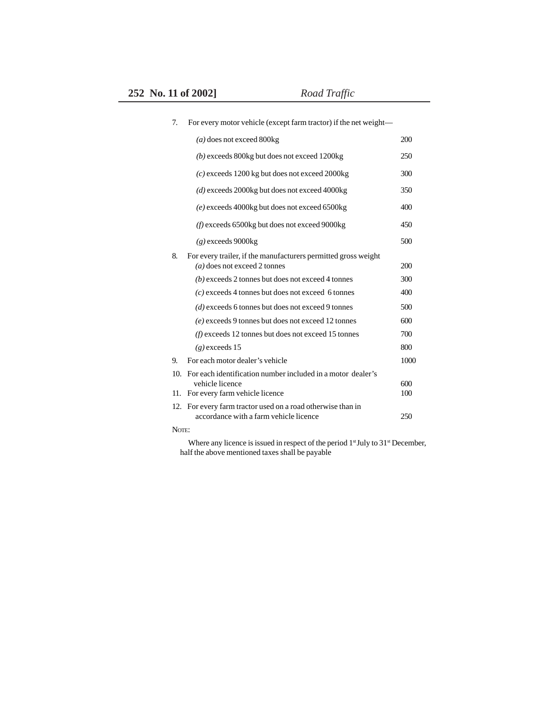| 7.    | For every motor vehicle (except farm tractor) if the net weight—                                 |            |
|-------|--------------------------------------------------------------------------------------------------|------------|
|       | $(a)$ does not exceed 800 kg                                                                     | 200        |
|       | $(b)$ exceeds 800 kg but does not exceed 1200 kg                                                 | 250        |
|       | $(c)$ exceeds 1200 kg but does not exceed 2000 kg                                                | 300        |
|       | $(d)$ exceeds 2000kg but does not exceed 4000kg                                                  | 350        |
|       | (e) exceeds 4000kg but does not exceed 6500kg                                                    | 400        |
|       | $(f)$ exceeds 6500 $kg$ but does not exceed 9000 $kg$                                            | 450        |
|       | $(g)$ exceeds 9000 $kg$                                                                          | 500        |
| 8.    | For every trailer, if the manufacturers permitted gross weight<br>$(a)$ does not exceed 2 tonnes | 200        |
|       | $(b)$ exceeds 2 tonnes but does not exceed 4 tonnes                                              | 300        |
|       | $(c)$ exceeds 4 tonnes but does not exceed 6 tonnes                                              | 400        |
|       | (d) exceeds 6 tonnes but does not exceed 9 tonnes                                                | 500        |
|       | $(e)$ exceeds 9 tonnes but does not exceed 12 tonnes                                             | 600        |
|       | $(f)$ exceeds 12 tonnes but does not exceed 15 tonnes                                            | 700        |
|       | $(g)$ exceeds 15                                                                                 | 800        |
| 9.    | For each motor dealer's vehicle                                                                  | 1000       |
| 10.   | For each identification number included in a motor dealer's                                      |            |
| 11.   | vehicle licence<br>For every farm vehicle licence                                                | 600<br>100 |
|       | 12. For every farm tractor used on a road otherwise than in                                      |            |
|       | accordance with a farm vehicle licence                                                           | 250        |
| NOTE: |                                                                                                  |            |
|       | Where any licence is issued in respect of the period $1st$ July to $31st$ December               |            |

Where any licence is issued in respect of the period 1<sup>st</sup> July to 31<sup>st</sup> December, half the above mentioned taxes shall be payable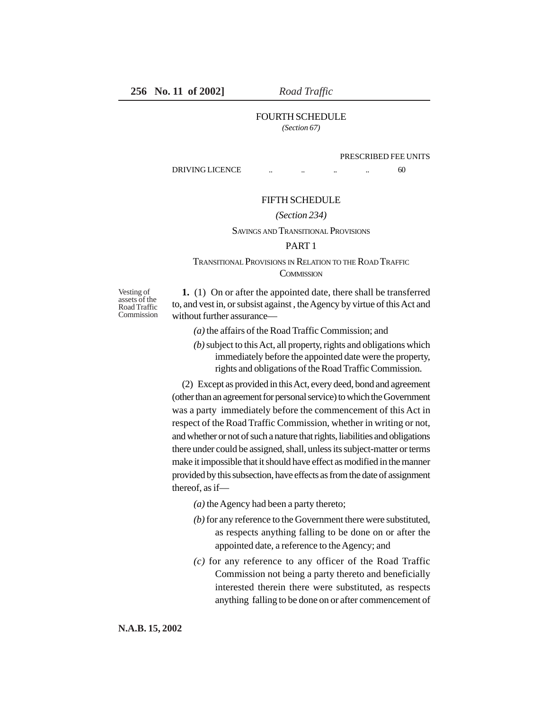# FOURTH SCHEDULE

*(Section 67)*

#### PRESCRIBED FEE UNITS

DRIVING LICENCE ... ... ... ... 60

### FIFTH SCHEDULE

#### *(Section 234)*

#### SAVINGS AND TRANSITIONAL PROVISIONS

# PART 1

# TRANSITIONAL PROVISIONS IN RELATION TO THE ROAD TRAFFIC **COMMISSION**

Vesting of assets of the Road Traffic **Commission** 

**1.** (1) On or after the appointed date, there shall be transferred to, and vest in, or subsist against , the Agency by virtue of this Act and without further assurance—

*(a)* the affairs of the Road Traffic Commission; and

*(b)* subject to this Act, all property, rights and obligations which immediately before the appointed date were the property, rights and obligations of the Road Traffic Commission.

(2) Except as provided in this Act, every deed, bond and agreement (other than an agreement for personal service) to which the Government was a party immediately before the commencement of this Act in respect of the Road Traffic Commission, whether in writing or not, and whether or not of such a nature that rights, liabilities and obligations there under could be assigned, shall, unless its subject-matter or terms make it impossible that it should have effect as modified in the manner provided by this subsection, have effects as from the date of assignment thereof, as if—

- *(a)* the Agency had been a party thereto;
- *(b)* for any reference to the Government there were substituted, as respects anything falling to be done on or after the appointed date, a reference to the Agency; and
- *(c)* for any reference to any officer of the Road Traffic Commission not being a party thereto and beneficially interested therein there were substituted, as respects anything falling to be done on or after commencement of

**N.A.B. 15, 2002**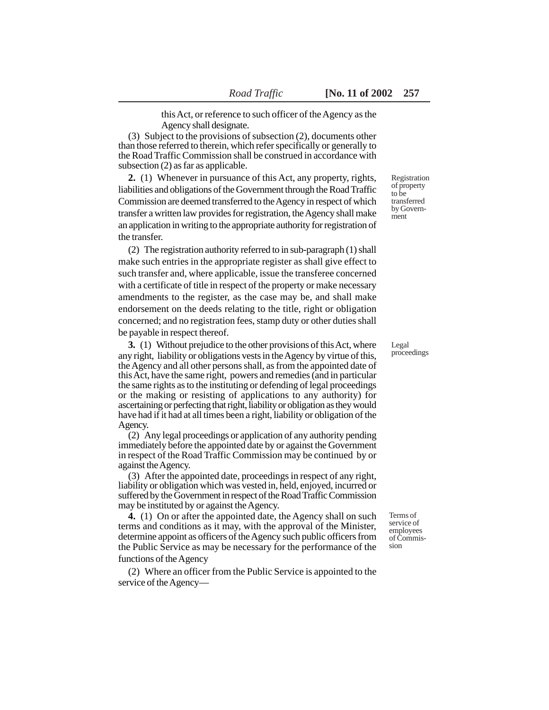this Act, or reference to such officer of the Agency as the Agency shall designate.

(3) Subject to the provisions of subsection (2), documents other than those referred to therein, which refer specifically or generally to the Road Traffic Commission shall be construed in accordance with subsection (2) as far as applicable.

**2.** (1) Whenever in pursuance of this Act, any property, rights, liabilities and obligations of the Government through the Road Traffic Commission are deemed transferred to the Agency in respect of which transfer a written law provides for registration, the Agency shall make an application in writing to the appropriate authority for registration of the transfer.

(2) The registration authority referred to in sub-paragraph (1) shall make such entries in the appropriate register as shall give effect to such transfer and, where applicable, issue the transferee concerned with a certificate of title in respect of the property or make necessary amendments to the register, as the case may be, and shall make endorsement on the deeds relating to the title, right or obligation concerned; and no registration fees, stamp duty or other duties shall be payable in respect thereof.

**3.** (1) Without prejudice to the other provisions of this Act, where any right, liability or obligations vests in the Agency by virtue of this, the Agency and all other persons shall, as from the appointed date of this Act, have the same right, powers and remedies (and in particular the same rights as to the instituting or defending of legal proceedings or the making or resisting of applications to any authority) for ascertaining or perfecting that right, liability or obligation as they would have had if it had at all times been a right, liability or obligation of the Agency.

(2) Any legal proceedings or application of any authority pending immediately before the appointed date by or against the Government in respect of the Road Traffic Commission may be continued by or against the Agency.

(3) After the appointed date, proceedings in respect of any right, liability or obligation which was vested in, held, enjoyed, incurred or suffered by the Government in respect of the Road Traffic Commission may be instituted by or against the Agency.

**4.** (1) On or after the appointed date, the Agency shall on such terms and conditions as it may, with the approval of the Minister, determine appoint as officers of the Agency such public officers from the Public Service as may be necessary for the performance of the functions of the Agency

(2) Where an officer from the Public Service is appointed to the service of the Agency—

Registration of property to be transferred by Government

Legal proceedings

Terms of service of employees of Commission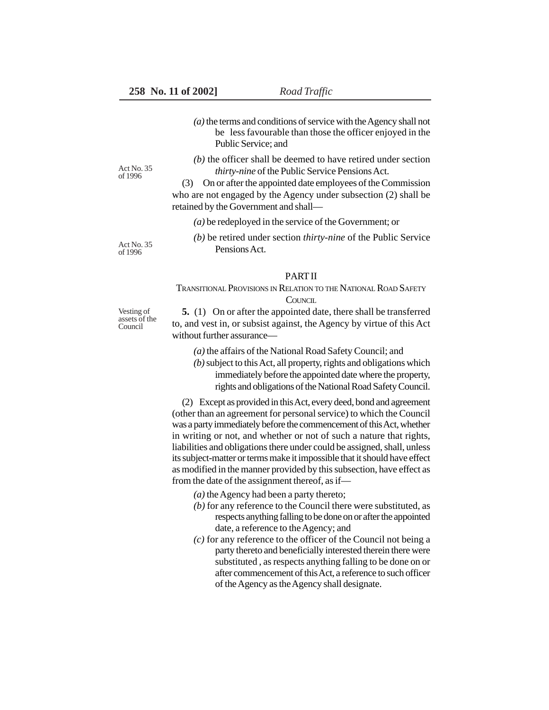- *(a)* the terms and conditions of service with the Agency shall not be less favourable than those the officer enjoyed in the Public Service; and
- *(b)* the officer shall be deemed to have retired under section *thirty-nine* of the Public Service Pensions Act.

(3) On or after the appointed date employees of the Commission who are not engaged by the Agency under subsection (2) shall be retained by the Government and shall—

- *(a)* be redeployed in the service of the Government; or
- *(b)* be retired under section *thirty-nine* of the Public Service Pensions Act.

# PART II

# TRANSITIONAL PROVISIONS IN RELATION TO THE NATIONAL ROAD SAFETY **COUNCIL**

**5.** (1) On or after the appointed date, there shall be transferred to, and vest in, or subsist against, the Agency by virtue of this Act without further assurance—

*(a)* the affairs of the National Road Safety Council; and

*(b)* subject to this Act, all property, rights and obligations which immediately before the appointed date where the property, rights and obligations of the National Road Safety Council.

(2) Except as provided in this Act, every deed, bond and agreement (other than an agreement for personal service) to which the Council was a party immediately before the commencement of this Act, whether in writing or not, and whether or not of such a nature that rights, liabilities and obligations there under could be assigned, shall, unless its subject-matter or terms make it impossible that it should have effect as modified in the manner provided by this subsection, have effect as from the date of the assignment thereof, as if—

*(a)* the Agency had been a party thereto;

- *(b)* for any reference to the Council there were substituted, as respects anything falling to be done on or after the appointed date, a reference to the Agency; and
- *(c)* for any reference to the officer of the Council not being a party thereto and beneficially interested therein there were substituted , as respects anything falling to be done on or after commencement of this Act, a reference to such officer of the Agency as the Agency shall designate.

Vesting of assets of the Council

Act No. 35 of 1996

Act No. 35 of 1996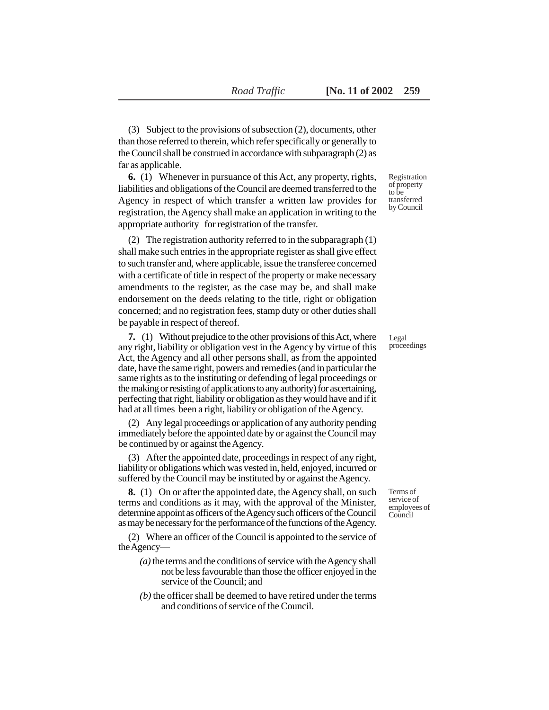(3) Subject to the provisions of subsection (2), documents, other than those referred to therein, which refer specifically or generally to the Council shall be construed in accordance with subparagraph (2) as far as applicable.

**6.** (1) Whenever in pursuance of this Act, any property, rights, liabilities and obligations of the Council are deemed transferred to the Agency in respect of which transfer a written law provides for registration, the Agency shall make an application in writing to the appropriate authority for registration of the transfer.

(2) The registration authority referred to in the subparagraph (1) shall make such entries in the appropriate register as shall give effect to such transfer and, where applicable, issue the transferee concerned with a certificate of title in respect of the property or make necessary amendments to the register, as the case may be, and shall make endorsement on the deeds relating to the title, right or obligation concerned; and no registration fees, stamp duty or other duties shall be payable in respect of thereof.

**7.** (1) Without prejudice to the other provisions of this Act, where any right, liability or obligation vest in the Agency by virtue of this Act, the Agency and all other persons shall, as from the appointed date, have the same right, powers and remedies (and in particular the same rights as to the instituting or defending of legal proceedings or the making or resisting of applications to any authority) for ascertaining, perfecting that right, liability or obligation as they would have and if it had at all times been a right, liability or obligation of the Agency.

(2) Any legal proceedings or application of any authority pending immediately before the appointed date by or against the Council may be continued by or against the Agency.

(3) After the appointed date, proceedings in respect of any right, liability or obligations which was vested in, held, enjoyed, incurred or suffered by the Council may be instituted by or against the Agency.

**8.** (1) On or after the appointed date, the Agency shall, on such terms and conditions as it may, with the approval of the Minister, determine appoint as officers of the Agency such officers of the Council as may be necessary for the performance of the functions of the Agency.

(2) Where an officer of the Council is appointed to the service of the Agency—

- *(a)* the terms and the conditions of service with the Agency shall not be less favourable than those the officer enjoyed in the service of the Council; and
- *(b)* the officer shall be deemed to have retired under the terms and conditions of service of the Council.

Registration of property to be transferred by Council

Legal proceedings

Terms of service of employees of Council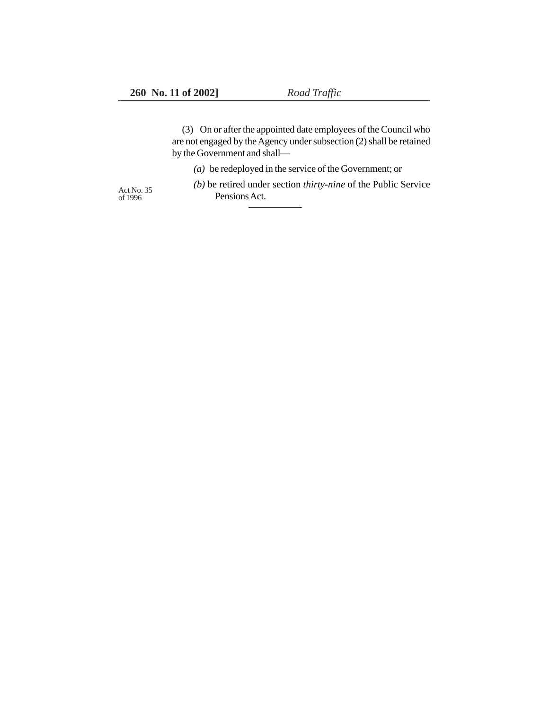(3) On or after the appointed date employees of the Council who are not engaged by the Agency under subsection (2) shall be retained by the Government and shall—

*(a)* be redeployed in the service of the Government; or

Act No. 35<br>of 1996

*(b)* be retired under section *thirty-nine* of the Public Service Pensions Act.